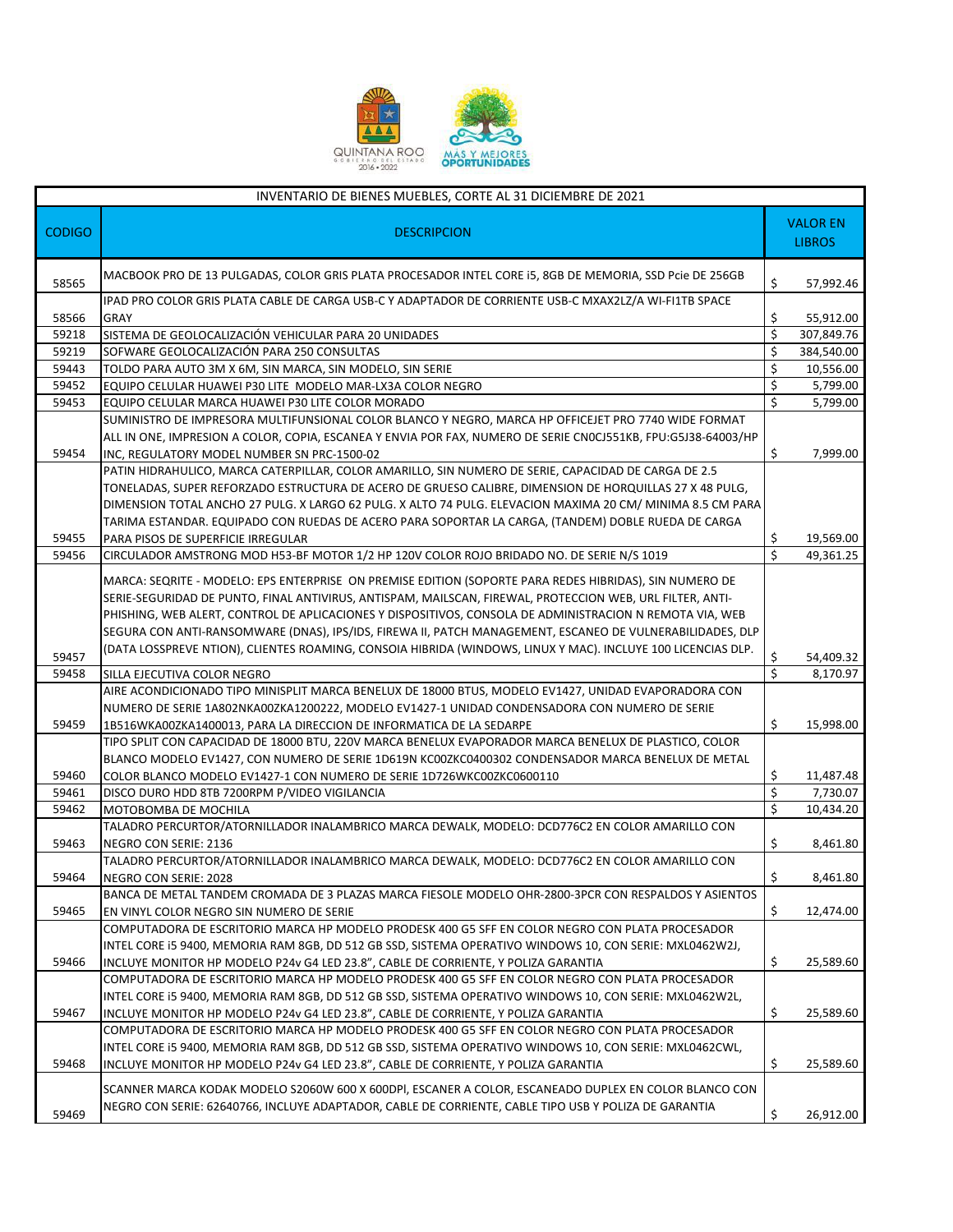

|               | INVENTARIO DE BIENES MUEBLES, CORTE AL 31 DICIEMBRE DE 2021                                                                                                                                                                                                                                                                                                                                                                                                                                                                                                   |    |                                  |
|---------------|---------------------------------------------------------------------------------------------------------------------------------------------------------------------------------------------------------------------------------------------------------------------------------------------------------------------------------------------------------------------------------------------------------------------------------------------------------------------------------------------------------------------------------------------------------------|----|----------------------------------|
| <b>CODIGO</b> | <b>DESCRIPCION</b>                                                                                                                                                                                                                                                                                                                                                                                                                                                                                                                                            |    | <b>VALOR EN</b><br><b>LIBROS</b> |
| 58565         | MACBOOK PRO DE 13 PULGADAS, COLOR GRIS PLATA PROCESADOR INTEL CORE I5, 8GB DE MEMORIA, SSD Pcie DE 256GB                                                                                                                                                                                                                                                                                                                                                                                                                                                      | \$ | 57,992.46                        |
| 58566         | IPAD PRO COLOR GRIS PLATA CABLE DE CARGA USB-C Y ADAPTADOR DE CORRIENTE USB-C MXAX2LZ/A WI-FI1TB SPACE<br><b>GRAY</b>                                                                                                                                                                                                                                                                                                                                                                                                                                         | \$ | 55,912.00                        |
| 59218         | SISTEMA DE GEOLOCALIZACIÓN VEHICULAR PARA 20 UNIDADES                                                                                                                                                                                                                                                                                                                                                                                                                                                                                                         | \$ | 307,849.76                       |
| 59219         | SOFWARE GEOLOCALIZACIÓN PARA 250 CONSULTAS                                                                                                                                                                                                                                                                                                                                                                                                                                                                                                                    | \$ | 384,540.00                       |
| 59443         | TOLDO PARA AUTO 3M X 6M, SIN MARCA, SIN MODELO, SIN SERIE                                                                                                                                                                                                                                                                                                                                                                                                                                                                                                     | \$ | 10,556.00                        |
| 59452         | EQUIPO CELULAR HUAWEI P30 LITE MODELO MAR-LX3A COLOR NEGRO                                                                                                                                                                                                                                                                                                                                                                                                                                                                                                    | \$ | 5,799.00                         |
| 59453         | EQUIPO CELULAR MARCA HUAWEI P30 LITE COLOR MORADO                                                                                                                                                                                                                                                                                                                                                                                                                                                                                                             | Ś. | 5,799.00                         |
|               | SUMINISTRO DE IMPRESORA MULTIFUNSIONAL COLOR BLANCO Y NEGRO, MARCA HP OFFICEJET PRO 7740 WIDE FORMAT                                                                                                                                                                                                                                                                                                                                                                                                                                                          |    |                                  |
| 59454         | ALL IN ONE, IMPRESION A COLOR, COPIA, ESCANEA Y ENVIA POR FAX, NUMERO DE SERIE CNOCJ551KB, FPU:G5J38-64003/HP<br>INC, REGULATORY MODEL NUMBER SN PRC-1500-02                                                                                                                                                                                                                                                                                                                                                                                                  | \$ | 7,999.00                         |
|               | PATIN HIDRAHULICO, MARCA CATERPILLAR, COLOR AMARILLO, SIN NUMERO DE SERIE, CAPACIDAD DE CARGA DE 2.5<br>TONELADAS, SUPER REFORZADO ESTRUCTURA DE ACERO DE GRUESO CALIBRE, DIMENSION DE HORQUILLAS 27 X 48 PULG,<br>DIMENSION TOTAL ANCHO 27 PULG. X LARGO 62 PULG. X ALTO 74 PULG. ELEVACION MAXIMA 20 CM/ MINIMA 8.5 CM PARA                                                                                                                                                                                                                                 |    |                                  |
| 59455         | TARIMA ESTANDAR. EQUIPADO CON RUEDAS DE ACERO PARA SOPORTAR LA CARGA, (TANDEM) DOBLE RUEDA DE CARGA<br>PARA PISOS DE SUPERFICIE IRREGULAR                                                                                                                                                                                                                                                                                                                                                                                                                     | \$ | 19,569.00                        |
| 59456         | CIRCULADOR AMSTRONG MOD H53-BF MOTOR 1/2 HP 120V COLOR ROJO BRIDADO NO. DE SERIE N/S 1019                                                                                                                                                                                                                                                                                                                                                                                                                                                                     | Ś  | 49,361.25                        |
| 59457         | MARCA: SEQRITE - MODELO: EPS ENTERPRISE ON PREMISE EDITION (SOPORTE PARA REDES HIBRIDAS), SIN NUMERO DE<br>SERIE-SEGURIDAD DE PUNTO, FINAL ANTIVIRUS, ANTISPAM, MAILSCAN, FIREWAL, PROTECCION WEB, URL FILTER, ANTI-<br>PHISHING, WEB ALERT, CONTROL DE APLICACIONES Y DISPOSITIVOS, CONSOLA DE ADMINISTRACION N REMOTA VIA, WEB<br>SEGURA CON ANTI-RANSOMWARE (DNAS), IPS/IDS, FIREWA II, PATCH MANAGEMENT, ESCANEO DE VULNERABILIDADES, DLP<br>(DATA LOSSPREVE NTION), CLIENTES ROAMING, CONSOIA HIBRIDA (WINDOWS, LINUX Y MAC). INCLUYE 100 LICENCIAS DLP. | \$ | 54,409.32                        |
| 59458         | SILLA EJECUTIVA COLOR NEGRO                                                                                                                                                                                                                                                                                                                                                                                                                                                                                                                                   | Ś  | 8,170.97                         |
|               | AIRE ACONDICIONADO TIPO MINISPLIT MARCA BENELUX DE 18000 BTUS, MODELO EV1427, UNIDAD EVAPORADORA CON                                                                                                                                                                                                                                                                                                                                                                                                                                                          |    |                                  |
|               | NUMERO DE SERIE 1A802NKA00ZKA1200222, MODELO EV1427-1 UNIDAD CONDENSADORA CON NUMERO DE SERIE                                                                                                                                                                                                                                                                                                                                                                                                                                                                 |    |                                  |
| 59459         | 1B516WKA00ZKA1400013, PARA LA DIRECCION DE INFORMATICA DE LA SEDARPE                                                                                                                                                                                                                                                                                                                                                                                                                                                                                          | \$ | 15,998.00                        |
|               | TIPO SPLIT CON CAPACIDAD DE 18000 BTU, 220V MARCA BENELUX EVAPORADOR MARCA BENELUX DE PLASTICO, COLOR<br>BLANCO MODELO EV1427, CON NUMERO DE SERIE 1D619N KC00ZKC0400302 CONDENSADOR MARCA BENELUX DE METAL                                                                                                                                                                                                                                                                                                                                                   |    |                                  |
| 59460         | COLOR BLANCO MODELO EV1427-1 CON NUMERO DE SERIE 1D726WKC00ZKC0600110                                                                                                                                                                                                                                                                                                                                                                                                                                                                                         | \$ | 11,487.48                        |
| 59461         | DISCO DURO HDD 8TB 7200RPM P/VIDEO VIGILANCIA                                                                                                                                                                                                                                                                                                                                                                                                                                                                                                                 | \$ | 7,730.07                         |
| 59462         | MOTOBOMBA DE MOCHILA                                                                                                                                                                                                                                                                                                                                                                                                                                                                                                                                          | \$ | 10,434.20                        |
| 59463         | TALADRO PERCURTOR/ATORNILLADOR INALAMBRICO MARCA DEWALK, MODELO: DCD776C2 EN COLOR AMARILLO CON<br>NEGRO CON SERIE: 2136                                                                                                                                                                                                                                                                                                                                                                                                                                      | \$ | 8,461.80                         |
| 59464         | TALADRO PERCURTOR/ATORNILLADOR INALAMBRICO MARCA DEWALK, MODELO: DCD776C2 EN COLOR AMARILLO CON<br>NEGRO CON SERIE: 2028                                                                                                                                                                                                                                                                                                                                                                                                                                      | \$ | 8,461.80                         |
|               | BANCA DE METAL TANDEM CROMADA DE 3 PLAZAS MARCA FIESOLE MODELO OHR-2800-3PCR CON RESPALDOS Y ASIENTOS                                                                                                                                                                                                                                                                                                                                                                                                                                                         |    |                                  |
| 59465         | EN VINYL COLOR NEGRO SIN NUMERO DE SERIE                                                                                                                                                                                                                                                                                                                                                                                                                                                                                                                      | \$ | 12,474.00                        |
|               | COMPUTADORA DE ESCRITORIO MARCA HP MODELO PRODESK 400 G5 SFF EN COLOR NEGRO CON PLATA PROCESADOR                                                                                                                                                                                                                                                                                                                                                                                                                                                              |    |                                  |
|               | INTEL CORE I5 9400, MEMORIA RAM 8GB, DD 512 GB SSD, SISTEMA OPERATIVO WINDOWS 10, CON SERIE: MXL0462W2J,                                                                                                                                                                                                                                                                                                                                                                                                                                                      |    |                                  |
| 59466         | INCLUYE MONITOR HP MODELO P24v G4 LED 23.8", CABLE DE CORRIENTE, Y POLIZA GARANTIA                                                                                                                                                                                                                                                                                                                                                                                                                                                                            | \$ | 25,589.60                        |
| 59467         | COMPUTADORA DE ESCRITORIO MARCA HP MODELO PRODESK 400 G5 SFF EN COLOR NEGRO CON PLATA PROCESADOR<br>INTEL CORE I5 9400, MEMORIA RAM 8GB, DD 512 GB SSD, SISTEMA OPERATIVO WINDOWS 10, CON SERIE: MXL0462W2L,<br>INCLUYE MONITOR HP MODELO P24v G4 LED 23.8", CABLE DE CORRIENTE, Y POLIZA GARANTIA                                                                                                                                                                                                                                                            | \$ | 25,589.60                        |
|               | COMPUTADORA DE ESCRITORIO MARCA HP MODELO PRODESK 400 G5 SFF EN COLOR NEGRO CON PLATA PROCESADOR                                                                                                                                                                                                                                                                                                                                                                                                                                                              |    |                                  |
| 59468         | INTEL CORE I5 9400, MEMORIA RAM 8GB, DD 512 GB SSD, SISTEMA OPERATIVO WINDOWS 10, CON SERIE: MXL0462CWL,<br>INCLUYE MONITOR HP MODELO P24v G4 LED 23.8", CABLE DE CORRIENTE, Y POLIZA GARANTIA                                                                                                                                                                                                                                                                                                                                                                | \$ | 25,589.60                        |
|               | SCANNER MARCA KODAK MODELO S2060W 600 X 600DPI, ESCANER A COLOR, ESCANEADO DUPLEX EN COLOR BLANCO CON                                                                                                                                                                                                                                                                                                                                                                                                                                                         |    |                                  |
| 59469         | NEGRO CON SERIE: 62640766, INCLUYE ADAPTADOR, CABLE DE CORRIENTE, CABLE TIPO USB Y POLIZA DE GARANTIA                                                                                                                                                                                                                                                                                                                                                                                                                                                         | \$ | 26,912.00                        |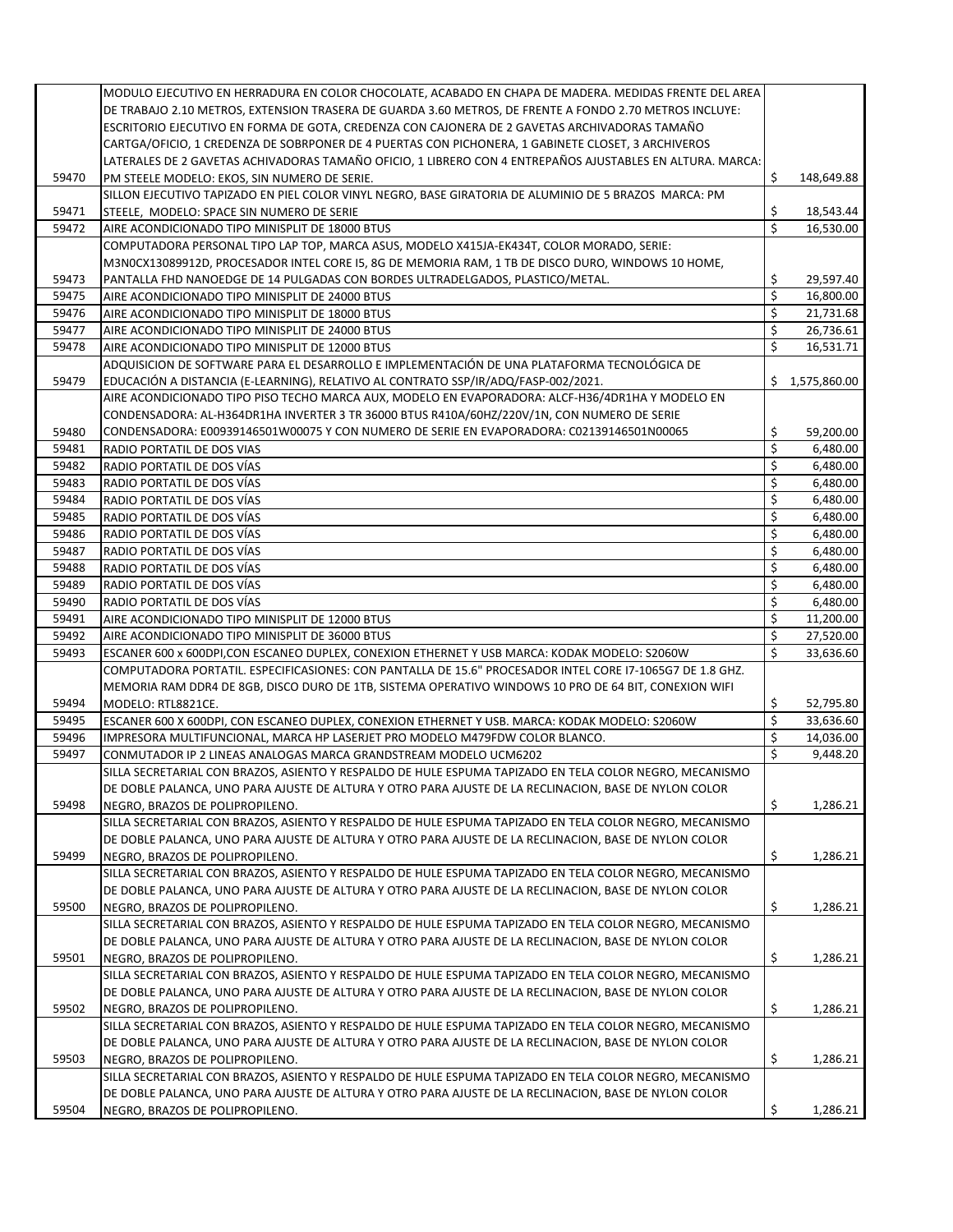|       | MODULO EJECUTIVO EN HERRADURA EN COLOR CHOCOLATE, ACABADO EN CHAPA DE MADERA. MEDIDAS FRENTE DEL AREA     |         |                |
|-------|-----------------------------------------------------------------------------------------------------------|---------|----------------|
|       | DE TRABAJO 2.10 METROS, EXTENSION TRASERA DE GUARDA 3.60 METROS, DE FRENTE A FONDO 2.70 METROS INCLUYE:   |         |                |
|       | ESCRITORIO EJECUTIVO EN FORMA DE GOTA, CREDENZA CON CAJONERA DE 2 GAVETAS ARCHIVADORAS TAMAÑO             |         |                |
|       | CARTGA/OFICIO, 1 CREDENZA DE SOBRPONER DE 4 PUERTAS CON PICHONERA, 1 GABINETE CLOSET, 3 ARCHIVEROS        |         |                |
|       | LATERALES DE 2 GAVETAS ACHIVADORAS TAMAÑO OFICIO, 1 LIBRERO CON 4 ENTREPAÑOS AJUSTABLES EN ALTURA. MARCA: |         |                |
| 59470 | PM STEELE MODELO: EKOS, SIN NUMERO DE SERIE.                                                              | \$      | 148,649.88     |
|       | SILLON EJECUTIVO TAPIZADO EN PIEL COLOR VINYL NEGRO, BASE GIRATORIA DE ALUMINIO DE 5 BRAZOS MARCA: PM     |         |                |
| 59471 |                                                                                                           |         | 18,543.44      |
|       | STEELE, MODELO: SPACE SIN NUMERO DE SERIE                                                                 | \$<br>Ś |                |
| 59472 | AIRE ACONDICIONADO TIPO MINISPLIT DE 18000 BTUS                                                           |         | 16,530.00      |
|       | COMPUTADORA PERSONAL TIPO LAP TOP, MARCA ASUS, MODELO X415JA-EK434T, COLOR MORADO, SERIE:                 |         |                |
|       | M3N0CX13089912D, PROCESADOR INTEL CORE 15, 8G DE MEMORIA RAM, 1 TB DE DISCO DURO, WINDOWS 10 HOME,        |         |                |
| 59473 | PANTALLA FHD NANOEDGE DE 14 PULGADAS CON BORDES ULTRADELGADOS, PLASTICO/METAL.                            | \$      | 29,597.40      |
| 59475 | AIRE ACONDICIONADO TIPO MINISPLIT DE 24000 BTUS                                                           | \$      | 16,800.00      |
| 59476 | AIRE ACONDICIONADO TIPO MINISPLIT DE 18000 BTUS                                                           | \$      | 21,731.68      |
| 59477 | AIRE ACONDICIONADO TIPO MINISPLIT DE 24000 BTUS                                                           | \$      | 26,736.61      |
| 59478 | AIRE ACONDICIONADO TIPO MINISPLIT DE 12000 BTUS                                                           | \$      | 16,531.71      |
|       | ADQUISICION DE SOFTWARE PARA EL DESARROLLO E IMPLEMENTACIÓN DE UNA PLATAFORMA TECNOLÓGICA DE              |         |                |
| 59479 | EDUCACIÓN A DISTANCIA (E-LEARNING), RELATIVO AL CONTRATO SSP/IR/ADQ/FASP-002/2021.                        |         | \$1,575,860.00 |
|       | AIRE ACONDICIONADO TIPO PISO TECHO MARCA AUX, MODELO EN EVAPORADORA: ALCF-H36/4DR1HA Y MODELO EN          |         |                |
|       | CONDENSADORA: AL-H364DR1HA INVERTER 3 TR 36000 BTUS R410A/60HZ/220V/1N, CON NUMERO DE SERIE               |         |                |
| 59480 | CONDENSADORA: E00939146501W00075 Y CON NUMERO DE SERIE EN EVAPORADORA: C02139146501N00065                 | \$      | 59,200.00      |
| 59481 | RADIO PORTATIL DE DOS VIAS                                                                                | \$      | 6,480.00       |
| 59482 | RADIO PORTATIL DE DOS VÍAS                                                                                | \$      | 6,480.00       |
| 59483 | RADIO PORTATIL DE DOS VÍAS                                                                                | \$      | 6,480.00       |
| 59484 | RADIO PORTATIL DE DOS VÍAS                                                                                | \$      | 6,480.00       |
| 59485 | RADIO PORTATIL DE DOS VÍAS                                                                                | \$      | 6,480.00       |
| 59486 | RADIO PORTATIL DE DOS VÍAS                                                                                | \$      | 6,480.00       |
| 59487 | RADIO PORTATIL DE DOS VÍAS                                                                                | \$      | 6,480.00       |
| 59488 | RADIO PORTATIL DE DOS VÍAS                                                                                | \$      | 6,480.00       |
| 59489 | RADIO PORTATIL DE DOS VÍAS                                                                                | \$      | 6,480.00       |
| 59490 | RADIO PORTATIL DE DOS VÍAS                                                                                | \$      | 6,480.00       |
| 59491 | AIRE ACONDICIONADO TIPO MINISPLIT DE 12000 BTUS                                                           | \$      | 11,200.00      |
| 59492 | AIRE ACONDICIONADO TIPO MINISPLIT DE 36000 BTUS                                                           | \$      | 27,520.00      |
| 59493 | ESCANER 600 x 600DPI, CON ESCANEO DUPLEX, CONEXION ETHERNET Y USB MARCA: KODAK MODELO: S2060W             | \$      | 33,636.60      |
|       | COMPUTADORA PORTATIL. ESPECIFICASIONES: CON PANTALLA DE 15.6" PROCESADOR INTEL CORE 17-1065G7 DE 1.8 GHZ. |         |                |
|       | MEMORIA RAM DDR4 DE 8GB, DISCO DURO DE 1TB, SISTEMA OPERATIVO WINDOWS 10 PRO DE 64 BIT, CONEXION WIFI     |         |                |
| 59494 | MODELO: RTL8821CE.                                                                                        | \$      | 52,795.80      |
| 59495 | ESCANER 600 X 600DPI, CON ESCANEO DUPLEX, CONEXION ETHERNET Y USB. MARCA: KODAK MODELO: S2060W            | \$      | 33,636.60      |
| 59496 |                                                                                                           | \$      |                |
|       | IMPRESORA MULTIFUNCIONAL, MARCA HP LASERJET PRO MODELO M479FDW COLOR BLANCO.                              |         | 14,036.00      |
| 59497 | CONMUTADOR IP 2 LINEAS ANALOGAS MARCA GRANDSTREAM MODELO UCM6202                                          | \$      | 9,448.20       |
|       | SILLA SECRETARIAL CON BRAZOS, ASIENTO Y RESPALDO DE HULE ESPUMA TAPIZADO EN TELA COLOR NEGRO, MECANISMO   |         |                |
|       | DE DOBLE PALANCA, UNO PARA AJUSTE DE ALTURA Y OTRO PARA AJUSTE DE LA RECLINACION, BASE DE NYLON COLOR     |         |                |
| 59498 | NEGRO, BRAZOS DE POLIPROPILENO.                                                                           | \$      | 1,286.21       |
|       | SILLA SECRETARIAL CON BRAZOS, ASIENTO Y RESPALDO DE HULE ESPUMA TAPIZADO EN TELA COLOR NEGRO, MECANISMO   |         |                |
|       | DE DOBLE PALANCA, UNO PARA AJUSTE DE ALTURA Y OTRO PARA AJUSTE DE LA RECLINACION, BASE DE NYLON COLOR     |         |                |
| 59499 | NEGRO, BRAZOS DE POLIPROPILENO.                                                                           | \$      | 1,286.21       |
|       | SILLA SECRETARIAL CON BRAZOS, ASIENTO Y RESPALDO DE HULE ESPUMA TAPIZADO EN TELA COLOR NEGRO, MECANISMO   |         |                |
|       | DE DOBLE PALANCA, UNO PARA AJUSTE DE ALTURA Y OTRO PARA AJUSTE DE LA RECLINACION, BASE DE NYLON COLOR     |         |                |
| 59500 | NEGRO, BRAZOS DE POLIPROPILENO.                                                                           | \$      | 1,286.21       |
|       | SILLA SECRETARIAL CON BRAZOS, ASIENTO Y RESPALDO DE HULE ESPUMA TAPIZADO EN TELA COLOR NEGRO, MECANISMO   |         |                |
|       | DE DOBLE PALANCA, UNO PARA AJUSTE DE ALTURA Y OTRO PARA AJUSTE DE LA RECLINACION, BASE DE NYLON COLOR     |         |                |
| 59501 | NEGRO, BRAZOS DE POLIPROPILENO.                                                                           | \$      | 1,286.21       |
|       | SILLA SECRETARIAL CON BRAZOS, ASIENTO Y RESPALDO DE HULE ESPUMA TAPIZADO EN TELA COLOR NEGRO, MECANISMO   |         |                |
|       | DE DOBLE PALANCA, UNO PARA AJUSTE DE ALTURA Y OTRO PARA AJUSTE DE LA RECLINACION, BASE DE NYLON COLOR     |         |                |
| 59502 | NEGRO, BRAZOS DE POLIPROPILENO.                                                                           | \$      | 1,286.21       |
|       | SILLA SECRETARIAL CON BRAZOS, ASIENTO Y RESPALDO DE HULE ESPUMA TAPIZADO EN TELA COLOR NEGRO, MECANISMO   |         |                |
|       | DE DOBLE PALANCA, UNO PARA AJUSTE DE ALTURA Y OTRO PARA AJUSTE DE LA RECLINACION, BASE DE NYLON COLOR     |         |                |
| 59503 | NEGRO, BRAZOS DE POLIPROPILENO.                                                                           | \$      | 1,286.21       |
|       | SILLA SECRETARIAL CON BRAZOS, ASIENTO Y RESPALDO DE HULE ESPUMA TAPIZADO EN TELA COLOR NEGRO, MECANISMO   |         |                |
|       | DE DOBLE PALANCA, UNO PARA AJUSTE DE ALTURA Y OTRO PARA AJUSTE DE LA RECLINACION, BASE DE NYLON COLOR     |         |                |
| 59504 | NEGRO, BRAZOS DE POLIPROPILENO.                                                                           | \$      | 1,286.21       |
|       |                                                                                                           |         |                |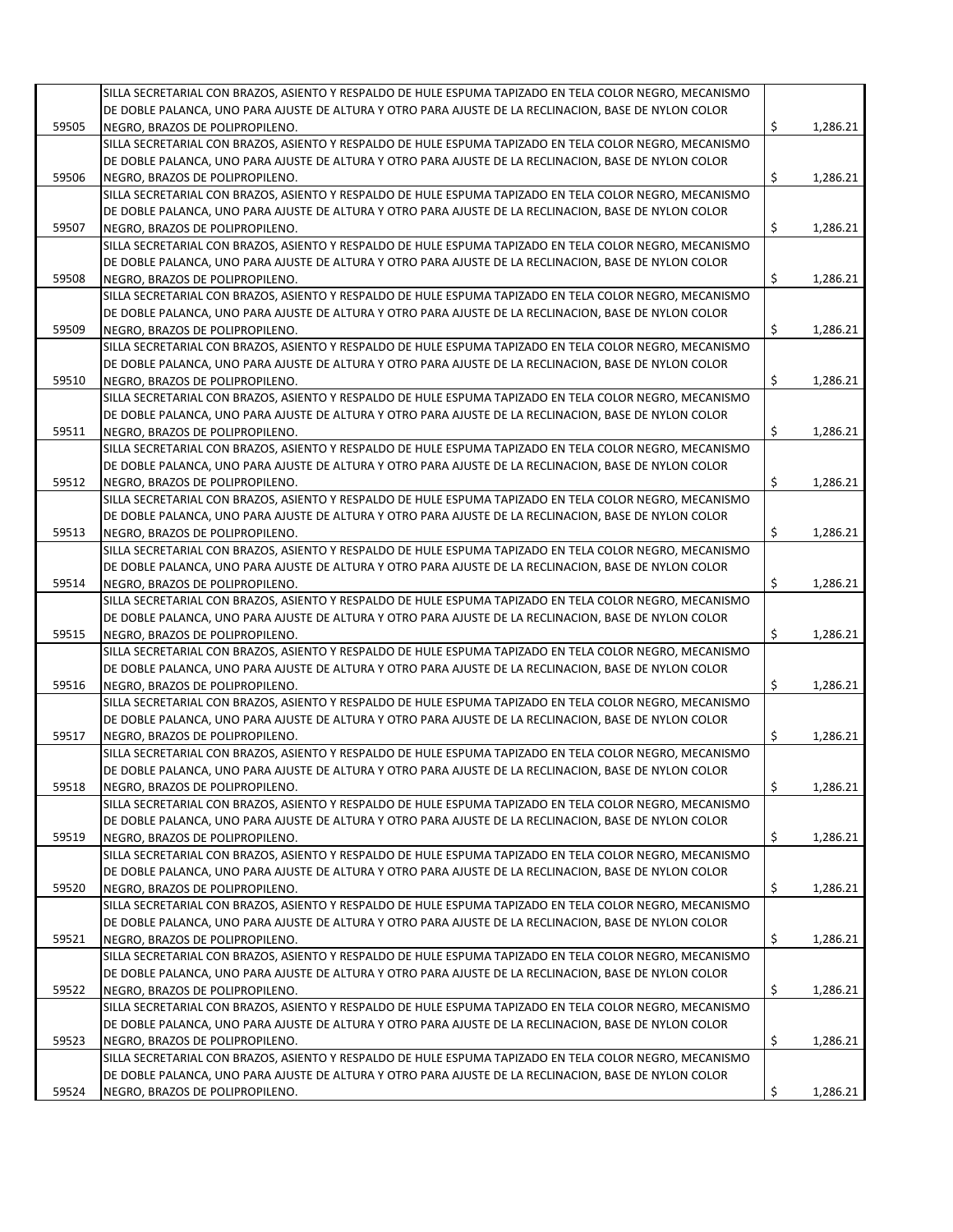|       | SILLA SECRETARIAL CON BRAZOS, ASIENTO Y RESPALDO DE HULE ESPUMA TAPIZADO EN TELA COLOR NEGRO, MECANISMO |                |
|-------|---------------------------------------------------------------------------------------------------------|----------------|
|       | DE DOBLE PALANCA, UNO PARA AJUSTE DE ALTURA Y OTRO PARA AJUSTE DE LA RECLINACION, BASE DE NYLON COLOR   |                |
| 59505 | NEGRO. BRAZOS DE POLIPROPILENO.                                                                         | \$<br>1,286.21 |
|       | SILLA SECRETARIAL CON BRAZOS, ASIENTO Y RESPALDO DE HULE ESPUMA TAPIZADO EN TELA COLOR NEGRO, MECANISMO |                |
|       | DE DOBLE PALANCA, UNO PARA AJUSTE DE ALTURA Y OTRO PARA AJUSTE DE LA RECLINACION, BASE DE NYLON COLOR   |                |
| 59506 | NEGRO, BRAZOS DE POLIPROPILENO.                                                                         | \$<br>1,286.21 |
|       | SILLA SECRETARIAL CON BRAZOS, ASIENTO Y RESPALDO DE HULE ESPUMA TAPIZADO EN TELA COLOR NEGRO, MECANISMO |                |
|       | DE DOBLE PALANCA, UNO PARA AJUSTE DE ALTURA Y OTRO PARA AJUSTE DE LA RECLINACION, BASE DE NYLON COLOR   |                |
| 59507 | NEGRO, BRAZOS DE POLIPROPILENO.                                                                         | \$<br>1,286.21 |
|       | SILLA SECRETARIAL CON BRAZOS, ASIENTO Y RESPALDO DE HULE ESPUMA TAPIZADO EN TELA COLOR NEGRO, MECANISMO |                |
|       | DE DOBLE PALANCA, UNO PARA AJUSTE DE ALTURA Y OTRO PARA AJUSTE DE LA RECLINACION, BASE DE NYLON COLOR   |                |
| 59508 | NEGRO, BRAZOS DE POLIPROPILENO.                                                                         | \$<br>1,286.21 |
|       | SILLA SECRETARIAL CON BRAZOS, ASIENTO Y RESPALDO DE HULE ESPUMA TAPIZADO EN TELA COLOR NEGRO, MECANISMO |                |
|       |                                                                                                         |                |
|       | DE DOBLE PALANCA, UNO PARA AJUSTE DE ALTURA Y OTRO PARA AJUSTE DE LA RECLINACION, BASE DE NYLON COLOR   |                |
| 59509 | NEGRO, BRAZOS DE POLIPROPILENO.                                                                         | \$<br>1,286.21 |
|       | SILLA SECRETARIAL CON BRAZOS, ASIENTO Y RESPALDO DE HULE ESPUMA TAPIZADO EN TELA COLOR NEGRO, MECANISMO |                |
|       | DE DOBLE PALANCA, UNO PARA AJUSTE DE ALTURA Y OTRO PARA AJUSTE DE LA RECLINACION, BASE DE NYLON COLOR   |                |
| 59510 | NEGRO, BRAZOS DE POLIPROPILENO.                                                                         | \$<br>1,286.21 |
|       | SILLA SECRETARIAL CON BRAZOS, ASIENTO Y RESPALDO DE HULE ESPUMA TAPIZADO EN TELA COLOR NEGRO, MECANISMO |                |
|       | DE DOBLE PALANCA, UNO PARA AJUSTE DE ALTURA Y OTRO PARA AJUSTE DE LA RECLINACION, BASE DE NYLON COLOR   |                |
| 59511 | NEGRO, BRAZOS DE POLIPROPILENO.                                                                         | \$<br>1,286.21 |
|       | SILLA SECRETARIAL CON BRAZOS, ASIENTO Y RESPALDO DE HULE ESPUMA TAPIZADO EN TELA COLOR NEGRO, MECANISMO |                |
|       | DE DOBLE PALANCA, UNO PARA AJUSTE DE ALTURA Y OTRO PARA AJUSTE DE LA RECLINACION, BASE DE NYLON COLOR   |                |
|       |                                                                                                         | \$             |
| 59512 | NEGRO, BRAZOS DE POLIPROPILENO.                                                                         | 1,286.21       |
|       | SILLA SECRETARIAL CON BRAZOS, ASIENTO Y RESPALDO DE HULE ESPUMA TAPIZADO EN TELA COLOR NEGRO, MECANISMO |                |
|       | DE DOBLE PALANCA, UNO PARA AJUSTE DE ALTURA Y OTRO PARA AJUSTE DE LA RECLINACION, BASE DE NYLON COLOR   |                |
| 59513 | NEGRO, BRAZOS DE POLIPROPILENO.                                                                         | \$<br>1,286.21 |
|       | SILLA SECRETARIAL CON BRAZOS, ASIENTO Y RESPALDO DE HULE ESPUMA TAPIZADO EN TELA COLOR NEGRO, MECANISMO |                |
|       | DE DOBLE PALANCA, UNO PARA AJUSTE DE ALTURA Y OTRO PARA AJUSTE DE LA RECLINACION, BASE DE NYLON COLOR   |                |
| 59514 | NEGRO, BRAZOS DE POLIPROPILENO.                                                                         | \$<br>1,286.21 |
|       | SILLA SECRETARIAL CON BRAZOS, ASIENTO Y RESPALDO DE HULE ESPUMA TAPIZADO EN TELA COLOR NEGRO, MECANISMO |                |
|       | DE DOBLE PALANCA, UNO PARA AJUSTE DE ALTURA Y OTRO PARA AJUSTE DE LA RECLINACION, BASE DE NYLON COLOR   |                |
| 59515 | NEGRO, BRAZOS DE POLIPROPILENO.                                                                         | \$<br>1,286.21 |
|       | SILLA SECRETARIAL CON BRAZOS, ASIENTO Y RESPALDO DE HULE ESPUMA TAPIZADO EN TELA COLOR NEGRO, MECANISMO |                |
|       | DE DOBLE PALANCA, UNO PARA AJUSTE DE ALTURA Y OTRO PARA AJUSTE DE LA RECLINACION, BASE DE NYLON COLOR   |                |
|       |                                                                                                         |                |
| 59516 | NEGRO, BRAZOS DE POLIPROPILENO.                                                                         | \$<br>1,286.21 |
|       | SILLA SECRETARIAL CON BRAZOS, ASIENTO Y RESPALDO DE HULE ESPUMA TAPIZADO EN TELA COLOR NEGRO, MECANISMO |                |
|       | DE DOBLE PALANCA, UNO PARA AJUSTE DE ALTURA Y OTRO PARA AJUSTE DE LA RECLINACION, BASE DE NYLON COLOR   |                |
| 59517 | NEGRO, BRAZOS DE POLIPROPILENO.                                                                         | \$<br>1,286.21 |
|       | SILLA SECRETARIAL CON BRAZOS, ASIENTO Y RESPALDO DE HULE ESPUMA TAPIZADO EN TELA COLOR NEGRO, MECANISMO |                |
|       | DE DOBLE PALANCA, UNO PARA AJUSTE DE ALTURA Y OTRO PARA AJUSTE DE LA RECLINACION, BASE DE NYLON COLOR   |                |
| 59518 | NEGRO, BRAZOS DE POLIPROPILENO.                                                                         | \$<br>1,286.21 |
|       | SILLA SECRETARIAL CON BRAZOS, ASIENTO Y RESPALDO DE HULE ESPUMA TAPIZADO EN TELA COLOR NEGRO, MECANISMO |                |
|       | DE DOBLE PALANCA, UNO PARA AJUSTE DE ALTURA Y OTRO PARA AJUSTE DE LA RECLINACION, BASE DE NYLON COLOR   |                |
| 59519 | NEGRO, BRAZOS DE POLIPROPILENO.                                                                         | \$<br>1,286.21 |
|       | SILLA SECRETARIAL CON BRAZOS, ASIENTO Y RESPALDO DE HULE ESPUMA TAPIZADO EN TELA COLOR NEGRO, MECANISMO |                |
|       |                                                                                                         |                |
|       | DE DOBLE PALANCA, UNO PARA AJUSTE DE ALTURA Y OTRO PARA AJUSTE DE LA RECLINACION, BASE DE NYLON COLOR   |                |
| 59520 | NEGRO, BRAZOS DE POLIPROPILENO.                                                                         | \$<br>1,286.21 |
|       | SILLA SECRETARIAL CON BRAZOS, ASIENTO Y RESPALDO DE HULE ESPUMA TAPIZADO EN TELA COLOR NEGRO, MECANISMO |                |
|       | DE DOBLE PALANCA, UNO PARA AJUSTE DE ALTURA Y OTRO PARA AJUSTE DE LA RECLINACION, BASE DE NYLON COLOR   |                |
| 59521 | NEGRO, BRAZOS DE POLIPROPILENO.                                                                         | \$<br>1,286.21 |
|       | SILLA SECRETARIAL CON BRAZOS, ASIENTO Y RESPALDO DE HULE ESPUMA TAPIZADO EN TELA COLOR NEGRO, MECANISMO |                |
|       | DE DOBLE PALANCA, UNO PARA AJUSTE DE ALTURA Y OTRO PARA AJUSTE DE LA RECLINACION, BASE DE NYLON COLOR   |                |
| 59522 | NEGRO, BRAZOS DE POLIPROPILENO.                                                                         | \$<br>1,286.21 |
|       | SILLA SECRETARIAL CON BRAZOS, ASIENTO Y RESPALDO DE HULE ESPUMA TAPIZADO EN TELA COLOR NEGRO, MECANISMO |                |
|       | DE DOBLE PALANCA, UNO PARA AJUSTE DE ALTURA Y OTRO PARA AJUSTE DE LA RECLINACION, BASE DE NYLON COLOR   |                |
|       |                                                                                                         |                |
| 59523 | NEGRO, BRAZOS DE POLIPROPILENO.                                                                         | \$<br>1,286.21 |
|       | SILLA SECRETARIAL CON BRAZOS, ASIENTO Y RESPALDO DE HULE ESPUMA TAPIZADO EN TELA COLOR NEGRO, MECANISMO |                |
|       | DE DOBLE PALANCA, UNO PARA AJUSTE DE ALTURA Y OTRO PARA AJUSTE DE LA RECLINACION, BASE DE NYLON COLOR   |                |
| 59524 | NEGRO, BRAZOS DE POLIPROPILENO.                                                                         | \$<br>1,286.21 |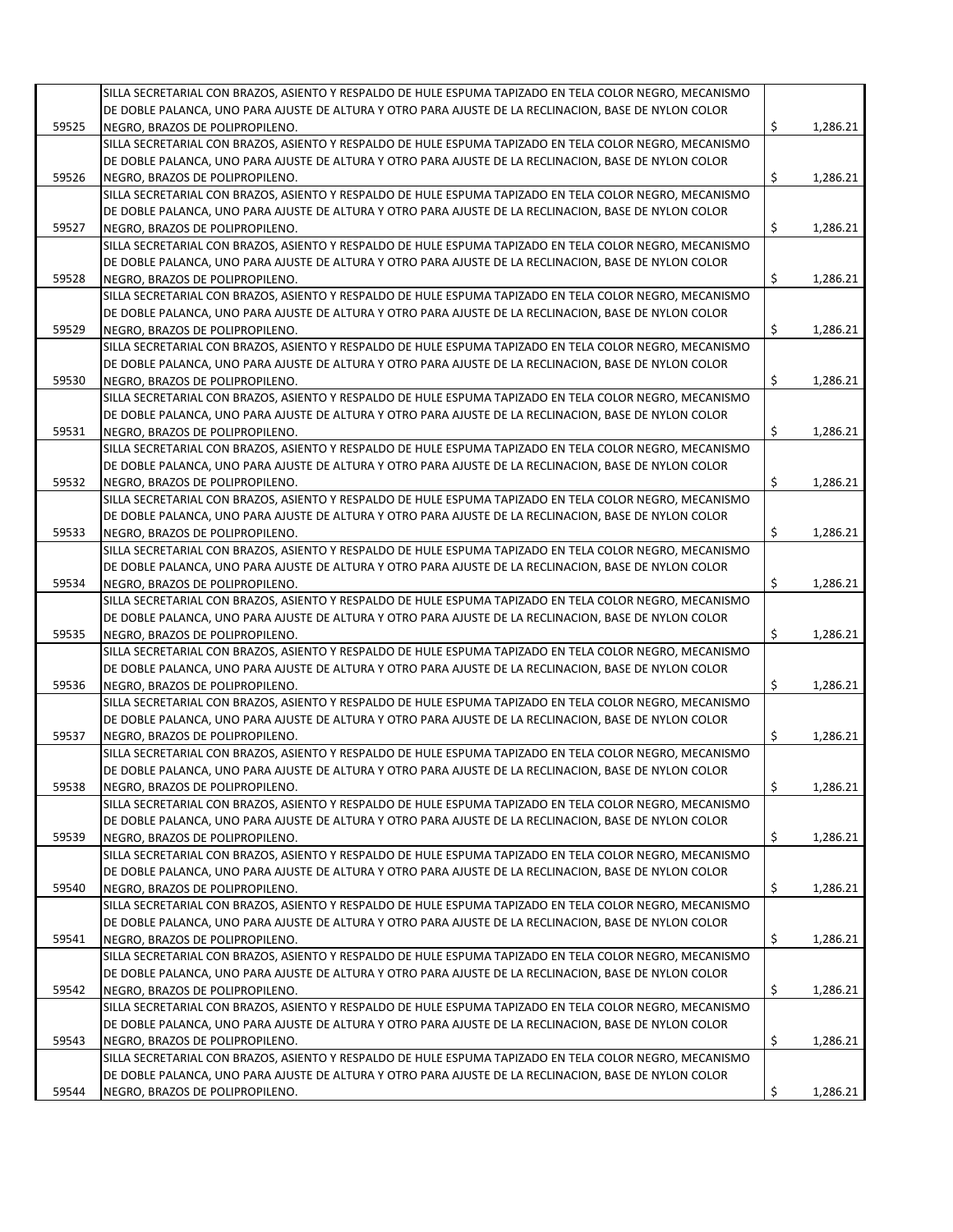|       | SILLA SECRETARIAL CON BRAZOS, ASIENTO Y RESPALDO DE HULE ESPUMA TAPIZADO EN TELA COLOR NEGRO, MECANISMO |                                              |
|-------|---------------------------------------------------------------------------------------------------------|----------------------------------------------|
|       | DE DOBLE PALANCA, UNO PARA AJUSTE DE ALTURA Y OTRO PARA AJUSTE DE LA RECLINACION, BASE DE NYLON COLOR   |                                              |
| 59525 | NEGRO. BRAZOS DE POLIPROPILENO.                                                                         | \$<br>1,286.21                               |
|       | SILLA SECRETARIAL CON BRAZOS, ASIENTO Y RESPALDO DE HULE ESPUMA TAPIZADO EN TELA COLOR NEGRO, MECANISMO |                                              |
|       | DE DOBLE PALANCA, UNO PARA AJUSTE DE ALTURA Y OTRO PARA AJUSTE DE LA RECLINACION, BASE DE NYLON COLOR   |                                              |
| 59526 | NEGRO, BRAZOS DE POLIPROPILENO.                                                                         | \$<br>1,286.21                               |
|       | SILLA SECRETARIAL CON BRAZOS, ASIENTO Y RESPALDO DE HULE ESPUMA TAPIZADO EN TELA COLOR NEGRO, MECANISMO |                                              |
|       | DE DOBLE PALANCA, UNO PARA AJUSTE DE ALTURA Y OTRO PARA AJUSTE DE LA RECLINACION, BASE DE NYLON COLOR   |                                              |
| 59527 | NEGRO, BRAZOS DE POLIPROPILENO.                                                                         | \$<br>1,286.21                               |
|       | SILLA SECRETARIAL CON BRAZOS, ASIENTO Y RESPALDO DE HULE ESPUMA TAPIZADO EN TELA COLOR NEGRO, MECANISMO |                                              |
|       | DE DOBLE PALANCA, UNO PARA AJUSTE DE ALTURA Y OTRO PARA AJUSTE DE LA RECLINACION, BASE DE NYLON COLOR   |                                              |
| 59528 | NEGRO, BRAZOS DE POLIPROPILENO.                                                                         | \$<br>1,286.21                               |
|       | SILLA SECRETARIAL CON BRAZOS, ASIENTO Y RESPALDO DE HULE ESPUMA TAPIZADO EN TELA COLOR NEGRO, MECANISMO |                                              |
|       | DE DOBLE PALANCA, UNO PARA AJUSTE DE ALTURA Y OTRO PARA AJUSTE DE LA RECLINACION, BASE DE NYLON COLOR   |                                              |
|       |                                                                                                         |                                              |
| 59529 | NEGRO, BRAZOS DE POLIPROPILENO.                                                                         | \$<br>1,286.21                               |
|       | SILLA SECRETARIAL CON BRAZOS, ASIENTO Y RESPALDO DE HULE ESPUMA TAPIZADO EN TELA COLOR NEGRO, MECANISMO |                                              |
|       | DE DOBLE PALANCA, UNO PARA AJUSTE DE ALTURA Y OTRO PARA AJUSTE DE LA RECLINACION, BASE DE NYLON COLOR   |                                              |
| 59530 | NEGRO, BRAZOS DE POLIPROPILENO.                                                                         | \$<br>1,286.21                               |
|       | SILLA SECRETARIAL CON BRAZOS, ASIENTO Y RESPALDO DE HULE ESPUMA TAPIZADO EN TELA COLOR NEGRO, MECANISMO |                                              |
|       | DE DOBLE PALANCA, UNO PARA AJUSTE DE ALTURA Y OTRO PARA AJUSTE DE LA RECLINACION, BASE DE NYLON COLOR   |                                              |
| 59531 | NEGRO, BRAZOS DE POLIPROPILENO.                                                                         | \$<br>1,286.21                               |
|       | SILLA SECRETARIAL CON BRAZOS, ASIENTO Y RESPALDO DE HULE ESPUMA TAPIZADO EN TELA COLOR NEGRO, MECANISMO |                                              |
|       | DE DOBLE PALANCA, UNO PARA AJUSTE DE ALTURA Y OTRO PARA AJUSTE DE LA RECLINACION, BASE DE NYLON COLOR   |                                              |
| 59532 | NEGRO, BRAZOS DE POLIPROPILENO.                                                                         | \$<br>1,286.21                               |
|       | SILLA SECRETARIAL CON BRAZOS, ASIENTO Y RESPALDO DE HULE ESPUMA TAPIZADO EN TELA COLOR NEGRO, MECANISMO |                                              |
|       |                                                                                                         |                                              |
|       | DE DOBLE PALANCA, UNO PARA AJUSTE DE ALTURA Y OTRO PARA AJUSTE DE LA RECLINACION, BASE DE NYLON COLOR   |                                              |
| 59533 | NEGRO, BRAZOS DE POLIPROPILENO.                                                                         | \$<br>1,286.21                               |
|       | SILLA SECRETARIAL CON BRAZOS, ASIENTO Y RESPALDO DE HULE ESPUMA TAPIZADO EN TELA COLOR NEGRO, MECANISMO |                                              |
|       | DE DOBLE PALANCA, UNO PARA AJUSTE DE ALTURA Y OTRO PARA AJUSTE DE LA RECLINACION, BASE DE NYLON COLOR   |                                              |
| 59534 | NEGRO, BRAZOS DE POLIPROPILENO.                                                                         | \$<br>1,286.21                               |
|       | SILLA SECRETARIAL CON BRAZOS, ASIENTO Y RESPALDO DE HULE ESPUMA TAPIZADO EN TELA COLOR NEGRO, MECANISMO |                                              |
|       | DE DOBLE PALANCA, UNO PARA AJUSTE DE ALTURA Y OTRO PARA AJUSTE DE LA RECLINACION, BASE DE NYLON COLOR   |                                              |
| 59535 | NEGRO, BRAZOS DE POLIPROPILENO.                                                                         | \$<br>1,286.21                               |
|       | SILLA SECRETARIAL CON BRAZOS, ASIENTO Y RESPALDO DE HULE ESPUMA TAPIZADO EN TELA COLOR NEGRO, MECANISMO |                                              |
|       | DE DOBLE PALANCA, UNO PARA AJUSTE DE ALTURA Y OTRO PARA AJUSTE DE LA RECLINACION, BASE DE NYLON COLOR   |                                              |
| 59536 | NEGRO, BRAZOS DE POLIPROPILENO.                                                                         | \$<br>1,286.21                               |
|       | SILLA SECRETARIAL CON BRAZOS, ASIENTO Y RESPALDO DE HULE ESPUMA TAPIZADO EN TELA COLOR NEGRO, MECANISMO |                                              |
|       | DE DOBLE PALANCA, UNO PARA AJUSTE DE ALTURA Y OTRO PARA AJUSTE DE LA RECLINACION, BASE DE NYLON COLOR   |                                              |
| 59537 | NEGRO, BRAZOS DE POLIPROPILENO.                                                                         | \$<br>1,286.21                               |
|       |                                                                                                         |                                              |
|       | SILLA SECRETARIAL CON BRAZOS, ASIENTO Y RESPALDO DE HULE ESPUMA TAPIZADO EN TELA COLOR NEGRO, MECANISMO |                                              |
|       | DE DOBLE PALANCA, UNO PARA AJUSTE DE ALTURA Y OTRO PARA AJUSTE DE LA RECLINACION, BASE DE NYLON COLOR   |                                              |
| 59538 | NEGRO, BRAZOS DE POLIPROPILENO.                                                                         | \$<br>1,286.21                               |
|       | SILLA SECRETARIAL CON BRAZOS, ASIENTO Y RESPALDO DE HULE ESPUMA TAPIZADO EN TELA COLOR NEGRO, MECANISMO |                                              |
|       |                                                                                                         |                                              |
|       | DE DOBLE PALANCA, UNO PARA AJUSTE DE ALTURA Y OTRO PARA AJUSTE DE LA RECLINACION, BASE DE NYLON COLOR   |                                              |
| 59539 | NEGRO, BRAZOS DE POLIPROPILENO.                                                                         | \$                                           |
|       | SILLA SECRETARIAL CON BRAZOS, ASIENTO Y RESPALDO DE HULE ESPUMA TAPIZADO EN TELA COLOR NEGRO, MECANISMO |                                              |
|       | DE DOBLE PALANCA, UNO PARA AJUSTE DE ALTURA Y OTRO PARA AJUSTE DE LA RECLINACION, BASE DE NYLON COLOR   |                                              |
| 59540 |                                                                                                         | \$                                           |
|       | NEGRO, BRAZOS DE POLIPROPILENO.                                                                         |                                              |
|       | SILLA SECRETARIAL CON BRAZOS, ASIENTO Y RESPALDO DE HULE ESPUMA TAPIZADO EN TELA COLOR NEGRO, MECANISMO |                                              |
|       | DE DOBLE PALANCA, UNO PARA AJUSTE DE ALTURA Y OTRO PARA AJUSTE DE LA RECLINACION, BASE DE NYLON COLOR   |                                              |
| 59541 | NEGRO, BRAZOS DE POLIPROPILENO.                                                                         | \$                                           |
|       | SILLA SECRETARIAL CON BRAZOS, ASIENTO Y RESPALDO DE HULE ESPUMA TAPIZADO EN TELA COLOR NEGRO, MECANISMO |                                              |
|       | DE DOBLE PALANCA, UNO PARA AJUSTE DE ALTURA Y OTRO PARA AJUSTE DE LA RECLINACION, BASE DE NYLON COLOR   |                                              |
| 59542 | NEGRO, BRAZOS DE POLIPROPILENO.                                                                         | \$                                           |
|       | SILLA SECRETARIAL CON BRAZOS, ASIENTO Y RESPALDO DE HULE ESPUMA TAPIZADO EN TELA COLOR NEGRO, MECANISMO |                                              |
|       | DE DOBLE PALANCA, UNO PARA AJUSTE DE ALTURA Y OTRO PARA AJUSTE DE LA RECLINACION, BASE DE NYLON COLOR   | 1,286.21                                     |
| 59543 | NEGRO, BRAZOS DE POLIPROPILENO.                                                                         | \$                                           |
|       | SILLA SECRETARIAL CON BRAZOS, ASIENTO Y RESPALDO DE HULE ESPUMA TAPIZADO EN TELA COLOR NEGRO, MECANISMO |                                              |
|       | DE DOBLE PALANCA, UNO PARA AJUSTE DE ALTURA Y OTRO PARA AJUSTE DE LA RECLINACION, BASE DE NYLON COLOR   | 1,286.21<br>1,286.21<br>1,286.21<br>1,286.21 |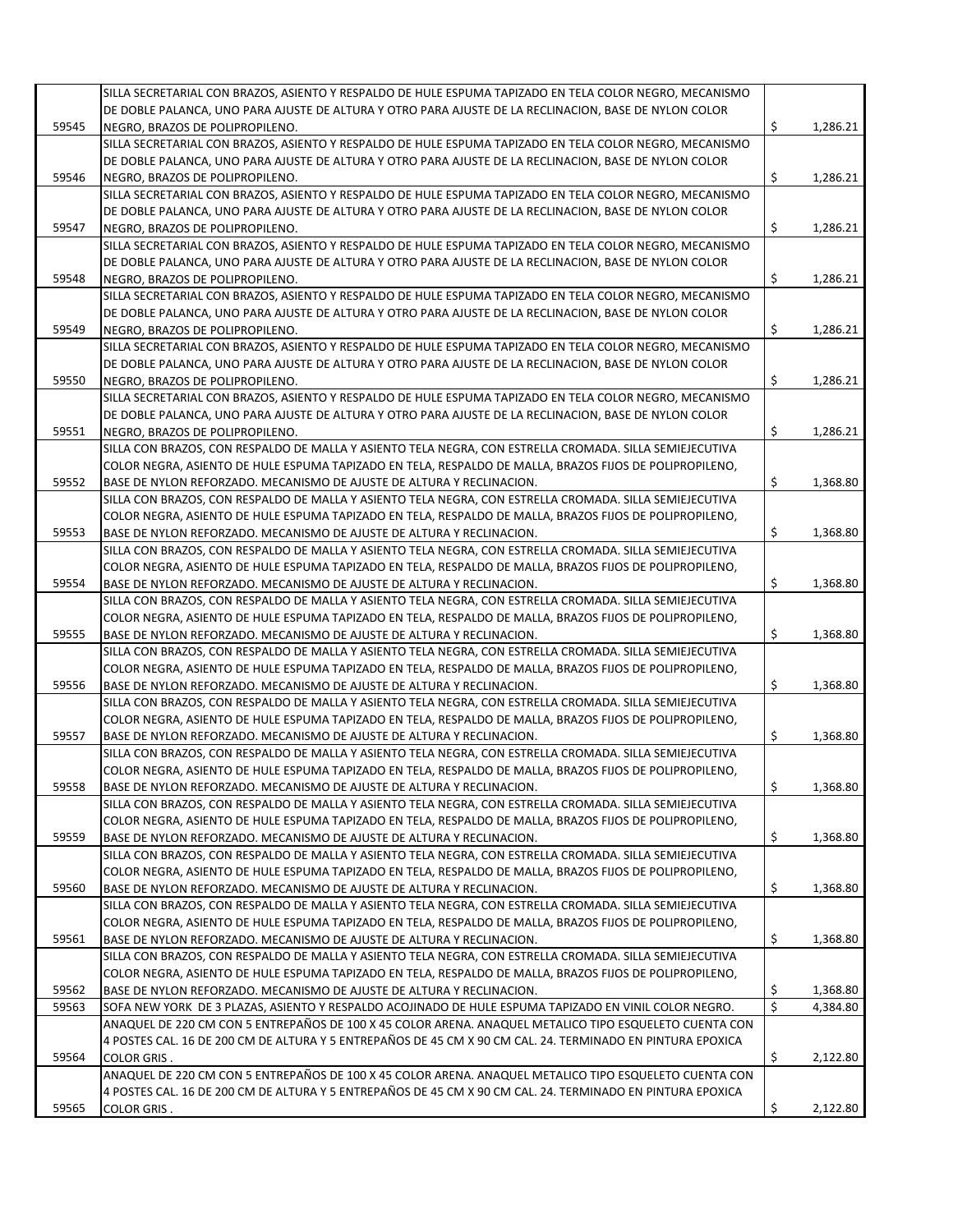|       | SILLA SECRETARIAL CON BRAZOS, ASIENTO Y RESPALDO DE HULE ESPUMA TAPIZADO EN TELA COLOR NEGRO, MECANISMO                                                                        |          |          |
|-------|--------------------------------------------------------------------------------------------------------------------------------------------------------------------------------|----------|----------|
|       | DE DOBLE PALANCA, UNO PARA AJUSTE DE ALTURA Y OTRO PARA AJUSTE DE LA RECLINACION, BASE DE NYLON COLOR                                                                          |          |          |
| 59545 | NEGRO, BRAZOS DE POLIPROPILENO.                                                                                                                                                | \$       | 1,286.21 |
|       | SILLA SECRETARIAL CON BRAZOS, ASIENTO Y RESPALDO DE HULE ESPUMA TAPIZADO EN TELA COLOR NEGRO, MECANISMO                                                                        |          |          |
|       | DE DOBLE PALANCA, UNO PARA AJUSTE DE ALTURA Y OTRO PARA AJUSTE DE LA RECLINACION, BASE DE NYLON COLOR                                                                          |          |          |
| 59546 | NEGRO, BRAZOS DE POLIPROPILENO.                                                                                                                                                | \$       | 1,286.21 |
|       | SILLA SECRETARIAL CON BRAZOS, ASIENTO Y RESPALDO DE HULE ESPUMA TAPIZADO EN TELA COLOR NEGRO, MECANISMO                                                                        |          |          |
|       | DE DOBLE PALANCA, UNO PARA AJUSTE DE ALTURA Y OTRO PARA AJUSTE DE LA RECLINACION, BASE DE NYLON COLOR                                                                          |          |          |
| 59547 | NEGRO, BRAZOS DE POLIPROPILENO.                                                                                                                                                | \$       | 1,286.21 |
|       | SILLA SECRETARIAL CON BRAZOS, ASIENTO Y RESPALDO DE HULE ESPUMA TAPIZADO EN TELA COLOR NEGRO, MECANISMO                                                                        |          |          |
|       | DE DOBLE PALANCA, UNO PARA AJUSTE DE ALTURA Y OTRO PARA AJUSTE DE LA RECLINACION, BASE DE NYLON COLOR                                                                          |          |          |
| 59548 | NEGRO, BRAZOS DE POLIPROPILENO.                                                                                                                                                | \$       | 1,286.21 |
|       | SILLA SECRETARIAL CON BRAZOS, ASIENTO Y RESPALDO DE HULE ESPUMA TAPIZADO EN TELA COLOR NEGRO, MECANISMO                                                                        |          |          |
|       | DE DOBLE PALANCA, UNO PARA AJUSTE DE ALTURA Y OTRO PARA AJUSTE DE LA RECLINACION, BASE DE NYLON COLOR                                                                          |          |          |
| 59549 | NEGRO, BRAZOS DE POLIPROPILENO.                                                                                                                                                | \$       | 1,286.21 |
|       | SILLA SECRETARIAL CON BRAZOS, ASIENTO Y RESPALDO DE HULE ESPUMA TAPIZADO EN TELA COLOR NEGRO, MECANISMO                                                                        |          |          |
|       | DE DOBLE PALANCA, UNO PARA AJUSTE DE ALTURA Y OTRO PARA AJUSTE DE LA RECLINACION, BASE DE NYLON COLOR                                                                          |          |          |
| 59550 | NEGRO, BRAZOS DE POLIPROPILENO.<br>SILLA SECRETARIAL CON BRAZOS, ASIENTO Y RESPALDO DE HULE ESPUMA TAPIZADO EN TELA COLOR NEGRO, MECANISMO                                     | \$       | 1,286.21 |
|       | DE DOBLE PALANCA, UNO PARA AJUSTE DE ALTURA Y OTRO PARA AJUSTE DE LA RECLINACION, BASE DE NYLON COLOR                                                                          |          |          |
| 59551 | NEGRO. BRAZOS DE POLIPROPILENO.                                                                                                                                                | \$       | 1,286.21 |
|       | SILLA CON BRAZOS, CON RESPALDO DE MALLA Y ASIENTO TELA NEGRA, CON ESTRELLA CROMADA. SILLA SEMIEJECUTIVA                                                                        |          |          |
|       | COLOR NEGRA, ASIENTO DE HULE ESPUMA TAPIZADO EN TELA, RESPALDO DE MALLA, BRAZOS FIJOS DE POLIPROPILENO,                                                                        |          |          |
| 59552 | BASE DE NYLON REFORZADO. MECANISMO DE AJUSTE DE ALTURA Y RECLINACION.                                                                                                          | \$       | 1,368.80 |
|       | SILLA CON BRAZOS, CON RESPALDO DE MALLA Y ASIENTO TELA NEGRA, CON ESTRELLA CROMADA. SILLA SEMIEJECUTIVA                                                                        |          |          |
|       | COLOR NEGRA, ASIENTO DE HULE ESPUMA TAPIZADO EN TELA, RESPALDO DE MALLA, BRAZOS FIJOS DE POLIPROPILENO,                                                                        |          |          |
| 59553 | BASE DE NYLON REFORZADO. MECANISMO DE AJUSTE DE ALTURA Y RECLINACION.                                                                                                          | \$       | 1,368.80 |
|       | SILLA CON BRAZOS, CON RESPALDO DE MALLA Y ASIENTO TELA NEGRA, CON ESTRELLA CROMADA. SILLA SEMIEJECUTIVA                                                                        |          |          |
|       | COLOR NEGRA, ASIENTO DE HULE ESPUMA TAPIZADO EN TELA, RESPALDO DE MALLA, BRAZOS FIJOS DE POLIPROPILENO,                                                                        |          |          |
| 59554 | BASE DE NYLON REFORZADO. MECANISMO DE AJUSTE DE ALTURA Y RECLINACION.                                                                                                          | \$       | 1,368.80 |
|       | SILLA CON BRAZOS, CON RESPALDO DE MALLA Y ASIENTO TELA NEGRA, CON ESTRELLA CROMADA. SILLA SEMIEJECUTIVA                                                                        |          |          |
|       | COLOR NEGRA, ASIENTO DE HULE ESPUMA TAPIZADO EN TELA, RESPALDO DE MALLA, BRAZOS FIJOS DE POLIPROPILENO,                                                                        |          |          |
| 59555 | BASE DE NYLON REFORZADO. MECANISMO DE AJUSTE DE ALTURA Y RECLINACION.                                                                                                          | \$       | 1,368.80 |
|       | SILLA CON BRAZOS, CON RESPALDO DE MALLA Y ASIENTO TELA NEGRA, CON ESTRELLA CROMADA. SILLA SEMIEJECUTIVA                                                                        |          |          |
|       | COLOR NEGRA, ASIENTO DE HULE ESPUMA TAPIZADO EN TELA, RESPALDO DE MALLA, BRAZOS FIJOS DE POLIPROPILENO,                                                                        |          |          |
| 59556 | BASE DE NYLON REFORZADO. MECANISMO DE AJUSTE DE ALTURA Y RECLINACION.                                                                                                          | \$       | 1,368.80 |
|       | SILLA CON BRAZOS, CON RESPALDO DE MALLA Y ASIENTO TELA NEGRA, CON ESTRELLA CROMADA. SILLA SEMIEJECUTIVA                                                                        |          |          |
|       | COLOR NEGRA, ASIENTO DE HULE ESPUMA TAPIZADO EN TELA, RESPALDO DE MALLA, BRAZOS FIJOS DE POLIPROPILENO,                                                                        |          |          |
| 59557 | BASE DE NYLON REFORZADO. MECANISMO DE AJUSTE DE ALTURA Y RECLINACION.                                                                                                          | \$       | 1,368.80 |
|       | SILLA CON BRAZOS, CON RESPALDO DE MALLA Y ASIENTO TELA NEGRA, CON ESTRELLA CROMADA. SILLA SEMIEJECUTIVA                                                                        |          |          |
|       | COLOR NEGRA, ASIENTO DE HULE ESPUMA TAPIZADO EN TELA, RESPALDO DE MALLA, BRAZOS FIJOS DE POLIPROPILENO,                                                                        |          |          |
| 59558 | BASE DE NYLON REFORZADO. MECANISMO DE AJUSTE DE ALTURA Y RECLINACION.                                                                                                          | \$       | 1,368.80 |
|       | SILLA CON BRAZOS, CON RESPALDO DE MALLA Y ASIENTO TELA NEGRA, CON ESTRELLA CROMADA. SILLA SEMIEJECUTIVA                                                                        |          |          |
|       | COLOR NEGRA, ASIENTO DE HULE ESPUMA TAPIZADO EN TELA, RESPALDO DE MALLA, BRAZOS FIJOS DE POLIPROPILENO,                                                                        |          |          |
| 59559 | BASE DE NYLON REFORZADO. MECANISMO DE AJUSTE DE ALTURA Y RECLINACION.                                                                                                          | \$       | 1,368.80 |
|       | SILLA CON BRAZOS, CON RESPALDO DE MALLA Y ASIENTO TELA NEGRA, CON ESTRELLA CROMADA. SILLA SEMIEJECUTIVA                                                                        |          |          |
|       | COLOR NEGRA, ASIENTO DE HULE ESPUMA TAPIZADO EN TELA, RESPALDO DE MALLA, BRAZOS FIJOS DE POLIPROPILENO,                                                                        |          |          |
| 59560 | BASE DE NYLON REFORZADO. MECANISMO DE AJUSTE DE ALTURA Y RECLINACION.                                                                                                          | \$       | 1,368.80 |
|       | SILLA CON BRAZOS, CON RESPALDO DE MALLA Y ASIENTO TELA NEGRA, CON ESTRELLA CROMADA. SILLA SEMIEJECUTIVA                                                                        |          |          |
|       | COLOR NEGRA, ASIENTO DE HULE ESPUMA TAPIZADO EN TELA, RESPALDO DE MALLA, BRAZOS FIJOS DE POLIPROPILENO,                                                                        |          |          |
| 59561 | BASE DE NYLON REFORZADO. MECANISMO DE AJUSTE DE ALTURA Y RECLINACION.                                                                                                          | \$       | 1,368.80 |
|       | SILLA CON BRAZOS, CON RESPALDO DE MALLA Y ASIENTO TELA NEGRA, CON ESTRELLA CROMADA. SILLA SEMIEJECUTIVA                                                                        |          |          |
| 59562 | COLOR NEGRA, ASIENTO DE HULE ESPUMA TAPIZADO EN TELA, RESPALDO DE MALLA, BRAZOS FIJOS DE POLIPROPILENO,                                                                        |          | 1,368.80 |
| 59563 | BASE DE NYLON REFORZADO. MECANISMO DE AJUSTE DE ALTURA Y RECLINACION.<br>SOFA NEW YORK DE 3 PLAZAS, ASIENTO Y RESPALDO ACOJINADO DE HULE ESPUMA TAPIZADO EN VINIL COLOR NEGRO. | \$<br>\$ | 4,384.80 |
|       | ANAQUEL DE 220 CM CON 5 ENTREPAÑOS DE 100 X 45 COLOR ARENA. ANAQUEL METALICO TIPO ESQUELETO CUENTA CON                                                                         |          |          |
|       | 4 POSTES CAL. 16 DE 200 CM DE ALTURA Y 5 ENTREPAÑOS DE 45 CM X 90 CM CAL. 24. TERMINADO EN PINTURA EPOXICA                                                                     |          |          |
| 59564 | <b>COLOR GRIS.</b>                                                                                                                                                             | \$       | 2,122.80 |
|       | ANAQUEL DE 220 CM CON 5 ENTREPAÑOS DE 100 X 45 COLOR ARENA. ANAQUEL METALICO TIPO ESQUELETO CUENTA CON                                                                         |          |          |
|       | 4 POSTES CAL. 16 DE 200 CM DE ALTURA Y 5 ENTREPAÑOS DE 45 CM X 90 CM CAL. 24. TERMINADO EN PINTURA EPOXICA                                                                     |          |          |
| 59565 | <b>COLOR GRIS.</b>                                                                                                                                                             | \$       | 2,122.80 |
|       |                                                                                                                                                                                |          |          |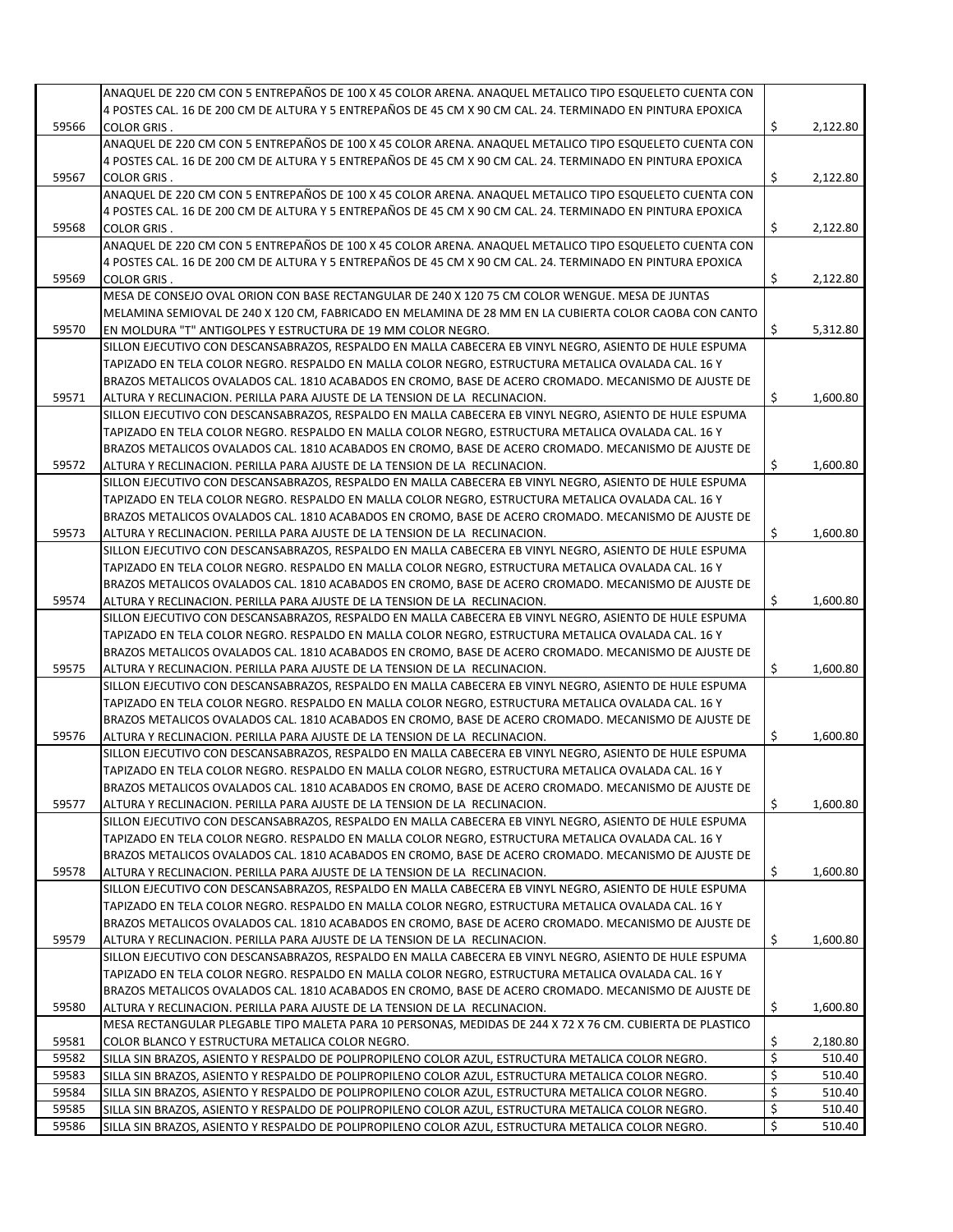|       | ANAQUEL DE 220 CM CON 5 ENTREPAÑOS DE 100 X 45 COLOR ARENA. ANAQUEL METALICO TIPO ESQUELETO CUENTA CON     |                |
|-------|------------------------------------------------------------------------------------------------------------|----------------|
|       | 4 POSTES CAL. 16 DE 200 CM DE ALTURA Y 5 ENTREPAÑOS DE 45 CM X 90 CM CAL. 24. TERMINADO EN PINTURA EPOXICA |                |
| 59566 | <b>COLOR GRIS.</b>                                                                                         | \$<br>2,122.80 |
|       |                                                                                                            |                |
|       | ANAQUEL DE 220 CM CON 5 ENTREPAÑOS DE 100 X 45 COLOR ARENA. ANAQUEL METALICO TIPO ESQUELETO CUENTA CON     |                |
|       | 4 POSTES CAL. 16 DE 200 CM DE ALTURA Y 5 ENTREPAÑOS DE 45 CM X 90 CM CAL. 24. TERMINADO EN PINTURA EPOXICA |                |
| 59567 | <b>COLOR GRIS.</b>                                                                                         | \$<br>2,122.80 |
|       | ANAQUEL DE 220 CM CON 5 ENTREPAÑOS DE 100 X 45 COLOR ARENA. ANAQUEL METALICO TIPO ESQUELETO CUENTA CON     |                |
|       | 4 POSTES CAL. 16 DE 200 CM DE ALTURA Y 5 ENTREPAÑOS DE 45 CM X 90 CM CAL. 24. TERMINADO EN PINTURA EPOXICA |                |
| 59568 | <b>COLOR GRIS.</b>                                                                                         | \$<br>2,122.80 |
|       | ANAQUEL DE 220 CM CON 5 ENTREPAÑOS DE 100 X 45 COLOR ARENA. ANAQUEL METALICO TIPO ESQUELETO CUENTA CON     |                |
|       | 4 POSTES CAL. 16 DE 200 CM DE ALTURA Y 5 ENTREPAÑOS DE 45 CM X 90 CM CAL. 24. TERMINADO EN PINTURA EPOXICA |                |
| 59569 | <b>COLOR GRIS.</b>                                                                                         | \$<br>2,122.80 |
|       | MESA DE CONSEJO OVAL ORION CON BASE RECTANGULAR DE 240 X 120 75 CM COLOR WENGUE. MESA DE JUNTAS            |                |
|       | MELAMINA SEMIOVAL DE 240 X 120 CM, FABRICADO EN MELAMINA DE 28 MM EN LA CUBIERTA COLOR CAOBA CON CANTO     |                |
|       |                                                                                                            |                |
| 59570 | EN MOLDURA "T" ANTIGOLPES Y ESTRUCTURA DE 19 MM COLOR NEGRO.                                               | \$<br>5,312.80 |
|       | SILLON EJECUTIVO CON DESCANSABRAZOS, RESPALDO EN MALLA CABECERA EB VINYL NEGRO, ASIENTO DE HULE ESPUMA     |                |
|       | TAPIZADO EN TELA COLOR NEGRO. RESPALDO EN MALLA COLOR NEGRO, ESTRUCTURA METALICA OVALADA CAL. 16 Y         |                |
|       | BRAZOS METALICOS OVALADOS CAL. 1810 ACABADOS EN CROMO, BASE DE ACERO CROMADO. MECANISMO DE AJUSTE DE       |                |
| 59571 | ALTURA Y RECLINACION. PERILLA PARA AJUSTE DE LA TENSION DE LA RECLINACION.                                 | \$<br>1,600.80 |
|       | SILLON EJECUTIVO CON DESCANSABRAZOS, RESPALDO EN MALLA CABECERA EB VINYL NEGRO, ASIENTO DE HULE ESPUMA     |                |
|       | TAPIZADO EN TELA COLOR NEGRO. RESPALDO EN MALLA COLOR NEGRO, ESTRUCTURA METALICA OVALADA CAL. 16 Y         |                |
|       | BRAZOS METALICOS OVALADOS CAL. 1810 ACABADOS EN CROMO, BASE DE ACERO CROMADO. MECANISMO DE AJUSTE DE       |                |
| 59572 | ALTURA Y RECLINACION. PERILLA PARA AJUSTE DE LA TENSION DE LA RECLINACION.                                 | \$<br>1,600.80 |
|       | SILLON EJECUTIVO CON DESCANSABRAZOS, RESPALDO EN MALLA CABECERA EB VINYL NEGRO, ASIENTO DE HULE ESPUMA     |                |
|       | TAPIZADO EN TELA COLOR NEGRO. RESPALDO EN MALLA COLOR NEGRO, ESTRUCTURA METALICA OVALADA CAL. 16 Y         |                |
|       |                                                                                                            |                |
|       | BRAZOS METALICOS OVALADOS CAL. 1810 ACABADOS EN CROMO, BASE DE ACERO CROMADO. MECANISMO DE AJUSTE DE       |                |
| 59573 | ALTURA Y RECLINACION. PERILLA PARA AJUSTE DE LA TENSION DE LA RECLINACION.                                 | \$<br>1,600.80 |
|       | SILLON EJECUTIVO CON DESCANSABRAZOS, RESPALDO EN MALLA CABECERA EB VINYL NEGRO, ASIENTO DE HULE ESPUMA     |                |
|       | TAPIZADO EN TELA COLOR NEGRO. RESPALDO EN MALLA COLOR NEGRO, ESTRUCTURA METALICA OVALADA CAL. 16 Y         |                |
|       | BRAZOS METALICOS OVALADOS CAL. 1810 ACABADOS EN CROMO, BASE DE ACERO CROMADO. MECANISMO DE AJUSTE DE       |                |
| 59574 | ALTURA Y RECLINACION. PERILLA PARA AJUSTE DE LA TENSION DE LA RECLINACION.                                 | \$<br>1,600.80 |
|       | SILLON EJECUTIVO CON DESCANSABRAZOS, RESPALDO EN MALLA CABECERA EB VINYL NEGRO, ASIENTO DE HULE ESPUMA     |                |
|       | TAPIZADO EN TELA COLOR NEGRO. RESPALDO EN MALLA COLOR NEGRO, ESTRUCTURA METALICA OVALADA CAL. 16 Y         |                |
|       | BRAZOS METALICOS OVALADOS CAL. 1810 ACABADOS EN CROMO, BASE DE ACERO CROMADO. MECANISMO DE AJUSTE DE       |                |
| 59575 | ALTURA Y RECLINACION. PERILLA PARA AJUSTE DE LA TENSION DE LA RECLINACION.                                 | \$<br>1,600.80 |
|       | SILLON EJECUTIVO CON DESCANSABRAZOS, RESPALDO EN MALLA CABECERA EB VINYL NEGRO, ASIENTO DE HULE ESPUMA     |                |
|       | TAPIZADO EN TELA COLOR NEGRO. RESPALDO EN MALLA COLOR NEGRO, ESTRUCTURA METALICA OVALADA CAL. 16 Y         |                |
|       |                                                                                                            |                |
|       | BRAZOS METALICOS OVALADOS CAL. 1810 ACABADOS EN CROMO, BASE DE ACERO CROMADO. MECANISMO DE AJUSTE DE       |                |
| 59576 | ALTURA Y RECLINACION. PERILLA PARA AJUSTE DE LA TENSION DE LA RECLINACION.                                 | \$<br>1,600.80 |
|       | SILLON EJECUTIVO CON DESCANSABRAZOS, RESPALDO EN MALLA CABECERA EB VINYL NEGRO, ASIENTO DE HULE ESPUMA     |                |
|       | TAPIZADO EN TELA COLOR NEGRO. RESPALDO EN MALLA COLOR NEGRO, ESTRUCTURA METALICA OVALADA CAL. 16 Y         |                |
|       | BRAZOS METALICOS OVALADOS CAL. 1810 ACABADOS EN CROMO, BASE DE ACERO CROMADO. MECANISMO DE AJUSTE DE       |                |
| 59577 | ALTURA Y RECLINACION. PERILLA PARA AJUSTE DE LA TENSION DE LA RECLINACION.                                 | \$<br>1,600.80 |
|       | SILLON EJECUTIVO CON DESCANSABRAZOS, RESPALDO EN MALLA CABECERA EB VINYL NEGRO, ASIENTO DE HULE ESPUMA     |                |
|       | TAPIZADO EN TELA COLOR NEGRO. RESPALDO EN MALLA COLOR NEGRO, ESTRUCTURA METALICA OVALADA CAL. 16 Y         |                |
|       | BRAZOS METALICOS OVALADOS CAL. 1810 ACABADOS EN CROMO, BASE DE ACERO CROMADO. MECANISMO DE AJUSTE DE       |                |
| 59578 | ALTURA Y RECLINACION. PERILLA PARA AJUSTE DE LA TENSION DE LA RECLINACION.                                 | \$<br>1,600.80 |
|       | SILLON EJECUTIVO CON DESCANSABRAZOS, RESPALDO EN MALLA CABECERA EB VINYL NEGRO, ASIENTO DE HULE ESPUMA     |                |
|       |                                                                                                            |                |
|       | TAPIZADO EN TELA COLOR NEGRO. RESPALDO EN MALLA COLOR NEGRO, ESTRUCTURA METALICA OVALADA CAL. 16 Y         |                |
|       | BRAZOS METALICOS OVALADOS CAL. 1810 ACABADOS EN CROMO, BASE DE ACERO CROMADO. MECANISMO DE AJUSTE DE       |                |
| 59579 | ALTURA Y RECLINACION. PERILLA PARA AJUSTE DE LA TENSION DE LA RECLINACION.                                 | \$<br>1,600.80 |
|       | SILLON EJECUTIVO CON DESCANSABRAZOS, RESPALDO EN MALLA CABECERA EB VINYL NEGRO, ASIENTO DE HULE ESPUMA     |                |
|       | TAPIZADO EN TELA COLOR NEGRO. RESPALDO EN MALLA COLOR NEGRO, ESTRUCTURA METALICA OVALADA CAL. 16 Y         |                |
|       | BRAZOS METALICOS OVALADOS CAL. 1810 ACABADOS EN CROMO, BASE DE ACERO CROMADO. MECANISMO DE AJUSTE DE       |                |
| 59580 | ALTURA Y RECLINACION. PERILLA PARA AJUSTE DE LA TENSION DE LA RECLINACION.                                 | \$<br>1,600.80 |
|       | MESA RECTANGULAR PLEGABLE TIPO MALETA PARA 10 PERSONAS, MEDIDAS DE 244 X 72 X 76 CM. CUBIERTA DE PLASTICO  |                |
| 59581 | COLOR BLANCO Y ESTRUCTURA METALICA COLOR NEGRO.                                                            | \$<br>2,180.80 |
| 59582 | SILLA SIN BRAZOS, ASIENTO Y RESPALDO DE POLIPROPILENO COLOR AZUL, ESTRUCTURA METALICA COLOR NEGRO.         | \$<br>510.40   |
|       |                                                                                                            |                |
| 59583 | SILLA SIN BRAZOS, ASIENTO Y RESPALDO DE POLIPROPILENO COLOR AZUL, ESTRUCTURA METALICA COLOR NEGRO.         | \$<br>510.40   |
| 59584 | SILLA SIN BRAZOS, ASIENTO Y RESPALDO DE POLIPROPILENO COLOR AZUL, ESTRUCTURA METALICA COLOR NEGRO.         | \$<br>510.40   |
| 59585 | SILLA SIN BRAZOS, ASIENTO Y RESPALDO DE POLIPROPILENO COLOR AZUL, ESTRUCTURA METALICA COLOR NEGRO.         | \$<br>510.40   |
| 59586 | SILLA SIN BRAZOS, ASIENTO Y RESPALDO DE POLIPROPILENO COLOR AZUL, ESTRUCTURA METALICA COLOR NEGRO.         | \$<br>510.40   |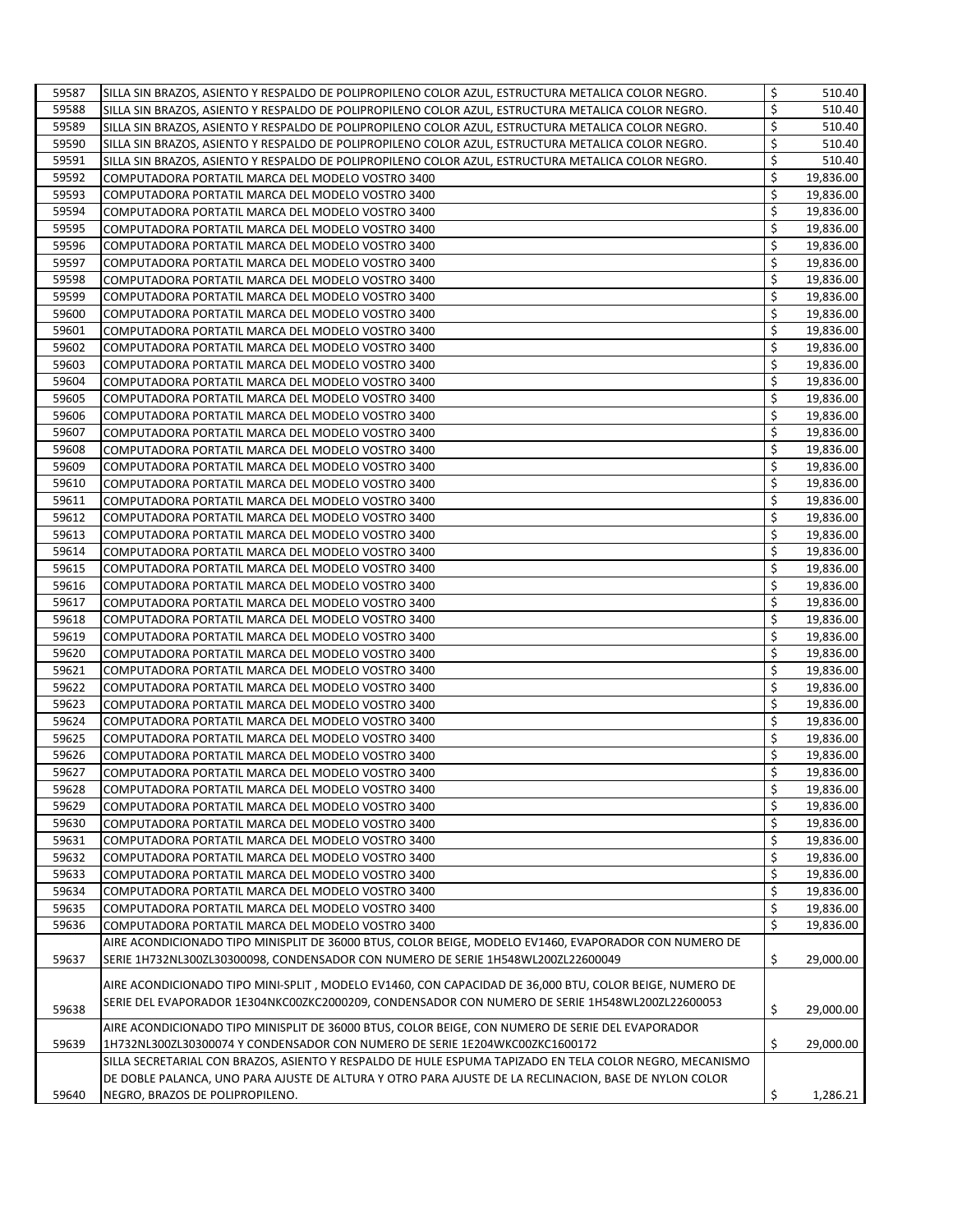| 59587 | SILLA SIN BRAZOS, ASIENTO Y RESPALDO DE POLIPROPILENO COLOR AZUL, ESTRUCTURA METALICA COLOR NEGRO.      | \$<br>510.40    |
|-------|---------------------------------------------------------------------------------------------------------|-----------------|
| 59588 | SILLA SIN BRAZOS, ASIENTO Y RESPALDO DE POLIPROPILENO COLOR AZUL, ESTRUCTURA METALICA COLOR NEGRO.      | \$<br>510.40    |
| 59589 | SILLA SIN BRAZOS, ASIENTO Y RESPALDO DE POLIPROPILENO COLOR AZUL, ESTRUCTURA METALICA COLOR NEGRO.      | \$<br>510.40    |
| 59590 | SILLA SIN BRAZOS, ASIENTO Y RESPALDO DE POLIPROPILENO COLOR AZUL, ESTRUCTURA METALICA COLOR NEGRO.      | \$<br>510.40    |
| 59591 | SILLA SIN BRAZOS, ASIENTO Y RESPALDO DE POLIPROPILENO COLOR AZUL, ESTRUCTURA METALICA COLOR NEGRO.      | \$<br>510.40    |
| 59592 | COMPUTADORA PORTATIL MARCA DEL MODELO VOSTRO 3400                                                       | \$<br>19,836.00 |
| 59593 | COMPUTADORA PORTATIL MARCA DEL MODELO VOSTRO 3400                                                       | \$<br>19,836.00 |
| 59594 | COMPUTADORA PORTATIL MARCA DEL MODELO VOSTRO 3400                                                       | \$<br>19,836.00 |
| 59595 | COMPUTADORA PORTATIL MARCA DEL MODELO VOSTRO 3400                                                       | \$<br>19,836.00 |
| 59596 | COMPUTADORA PORTATIL MARCA DEL MODELO VOSTRO 3400                                                       | \$<br>19,836.00 |
| 59597 | COMPUTADORA PORTATIL MARCA DEL MODELO VOSTRO 3400                                                       | \$<br>19,836.00 |
| 59598 | COMPUTADORA PORTATIL MARCA DEL MODELO VOSTRO 3400                                                       | \$<br>19,836.00 |
| 59599 | COMPUTADORA PORTATIL MARCA DEL MODELO VOSTRO 3400                                                       | \$<br>19,836.00 |
| 59600 | COMPUTADORA PORTATIL MARCA DEL MODELO VOSTRO 3400                                                       | \$<br>19,836.00 |
| 59601 | COMPUTADORA PORTATIL MARCA DEL MODELO VOSTRO 3400                                                       | \$<br>19,836.00 |
| 59602 | COMPUTADORA PORTATIL MARCA DEL MODELO VOSTRO 3400                                                       | \$<br>19,836.00 |
| 59603 | COMPUTADORA PORTATIL MARCA DEL MODELO VOSTRO 3400                                                       | \$<br>19,836.00 |
| 59604 | COMPUTADORA PORTATIL MARCA DEL MODELO VOSTRO 3400                                                       | \$<br>19,836.00 |
| 59605 | COMPUTADORA PORTATIL MARCA DEL MODELO VOSTRO 3400                                                       | \$<br>19,836.00 |
| 59606 | COMPUTADORA PORTATIL MARCA DEL MODELO VOSTRO 3400                                                       | \$<br>19,836.00 |
| 59607 | COMPUTADORA PORTATIL MARCA DEL MODELO VOSTRO 3400                                                       | \$<br>19,836.00 |
| 59608 | COMPUTADORA PORTATIL MARCA DEL MODELO VOSTRO 3400                                                       | \$<br>19,836.00 |
| 59609 | COMPUTADORA PORTATIL MARCA DEL MODELO VOSTRO 3400                                                       | \$<br>19,836.00 |
| 59610 | COMPUTADORA PORTATIL MARCA DEL MODELO VOSTRO 3400                                                       | \$<br>19,836.00 |
| 59611 | COMPUTADORA PORTATIL MARCA DEL MODELO VOSTRO 3400                                                       | \$<br>19,836.00 |
| 59612 | COMPUTADORA PORTATIL MARCA DEL MODELO VOSTRO 3400                                                       | \$<br>19,836.00 |
| 59613 | COMPUTADORA PORTATIL MARCA DEL MODELO VOSTRO 3400                                                       | \$<br>19,836.00 |
| 59614 | COMPUTADORA PORTATIL MARCA DEL MODELO VOSTRO 3400                                                       | \$<br>19,836.00 |
| 59615 | COMPUTADORA PORTATIL MARCA DEL MODELO VOSTRO 3400                                                       | \$<br>19,836.00 |
| 59616 | COMPUTADORA PORTATIL MARCA DEL MODELO VOSTRO 3400                                                       | \$<br>19,836.00 |
| 59617 | COMPUTADORA PORTATIL MARCA DEL MODELO VOSTRO 3400                                                       | \$<br>19,836.00 |
| 59618 | COMPUTADORA PORTATIL MARCA DEL MODELO VOSTRO 3400                                                       | \$<br>19,836.00 |
| 59619 | COMPUTADORA PORTATIL MARCA DEL MODELO VOSTRO 3400                                                       | \$<br>19,836.00 |
| 59620 | COMPUTADORA PORTATIL MARCA DEL MODELO VOSTRO 3400                                                       | \$<br>19,836.00 |
| 59621 | COMPUTADORA PORTATIL MARCA DEL MODELO VOSTRO 3400                                                       | \$<br>19,836.00 |
| 59622 | COMPUTADORA PORTATIL MARCA DEL MODELO VOSTRO 3400                                                       | \$<br>19,836.00 |
| 59623 | COMPUTADORA PORTATIL MARCA DEL MODELO VOSTRO 3400                                                       | \$<br>19,836.00 |
| 59624 | COMPUTADORA PORTATIL MARCA DEL MODELO VOSTRO 3400                                                       | \$<br>19,836.00 |
| 59625 | COMPUTADORA PORTATIL MARCA DEL MODELO VOSTRO 3400                                                       | \$<br>19,836.00 |
| 59626 | COMPUTADORA PORTATIL MARCA DEL MODELO VOSTRO 3400                                                       | \$<br>19,836.00 |
| 59627 | COMPUTADORA PORTATIL MARCA DEL MODELO VOSTRO 3400                                                       | \$<br>19,836.00 |
| 59628 | COMPUTADORA PORTATIL MARCA DEL MODELO VOSTRO 3400                                                       | \$<br>19,836.00 |
| 59629 | COMPUTADORA PORTATIL MARCA DEL MODELO VOSTRO 3400                                                       | \$<br>19,836.00 |
| 59630 | COMPUTADORA PORTATIL MARCA DEL MODELO VOSTRO 3400                                                       | \$<br>19,836.00 |
| 59631 | COMPUTADORA PORTATIL MARCA DEL MODELO VOSTRO 3400                                                       | \$<br>19,836.00 |
| 59632 | COMPUTADORA PORTATIL MARCA DEL MODELO VOSTRO 3400                                                       | \$<br>19,836.00 |
| 59633 | COMPUTADORA PORTATIL MARCA DEL MODELO VOSTRO 3400                                                       | \$<br>19,836.00 |
| 59634 | COMPUTADORA PORTATIL MARCA DEL MODELO VOSTRO 3400                                                       | \$<br>19,836.00 |
| 59635 | COMPUTADORA PORTATIL MARCA DEL MODELO VOSTRO 3400                                                       | \$<br>19,836.00 |
| 59636 | COMPUTADORA PORTATIL MARCA DEL MODELO VOSTRO 3400                                                       | \$<br>19,836.00 |
|       | AIRE ACONDICIONADO TIPO MINISPLIT DE 36000 BTUS, COLOR BEIGE, MODELO EV1460, EVAPORADOR CON NUMERO DE   |                 |
| 59637 | SERIE 1H732NL300ZL30300098, CONDENSADOR CON NUMERO DE SERIE 1H548WL200ZL22600049                        | \$<br>29,000.00 |
|       |                                                                                                         |                 |
|       | AIRE ACONDICIONADO TIPO MINI-SPLIT, MODELO EV1460, CON CAPACIDAD DE 36,000 BTU, COLOR BEIGE, NUMERO DE  |                 |
| 59638 | SERIE DEL EVAPORADOR 1E304NKC00ZKC2000209, CONDENSADOR CON NUMERO DE SERIE 1H548WL200ZL22600053         | \$<br>29,000.00 |
|       | AIRE ACONDICIONADO TIPO MINISPLIT DE 36000 BTUS, COLOR BEIGE, CON NUMERO DE SERIE DEL EVAPORADOR        |                 |
| 59639 | 1H732NL300ZL30300074 Y CONDENSADOR CON NUMERO DE SERIE 1E204WKC00ZKC1600172                             | \$<br>29,000.00 |
|       | SILLA SECRETARIAL CON BRAZOS, ASIENTO Y RESPALDO DE HULE ESPUMA TAPIZADO EN TELA COLOR NEGRO, MECANISMO |                 |
|       | DE DOBLE PALANCA, UNO PARA AJUSTE DE ALTURA Y OTRO PARA AJUSTE DE LA RECLINACION, BASE DE NYLON COLOR   |                 |
| 59640 | NEGRO, BRAZOS DE POLIPROPILENO.                                                                         | \$<br>1,286.21  |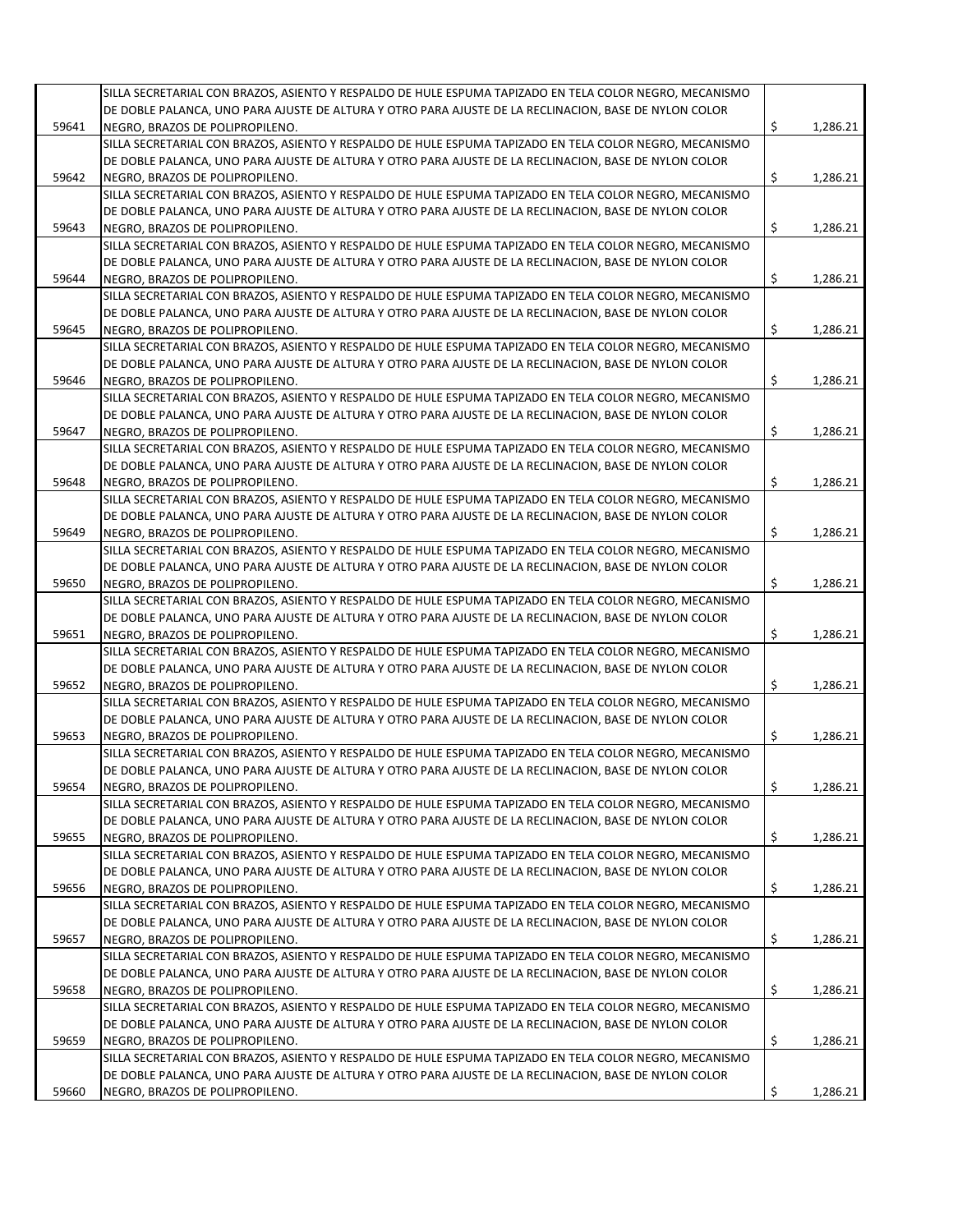|       | SILLA SECRETARIAL CON BRAZOS, ASIENTO Y RESPALDO DE HULE ESPUMA TAPIZADO EN TELA COLOR NEGRO, MECANISMO |                |
|-------|---------------------------------------------------------------------------------------------------------|----------------|
|       | DE DOBLE PALANCA, UNO PARA AJUSTE DE ALTURA Y OTRO PARA AJUSTE DE LA RECLINACION, BASE DE NYLON COLOR   |                |
|       | NEGRO. BRAZOS DE POLIPROPILENO.                                                                         |                |
| 59641 |                                                                                                         | \$<br>1,286.21 |
|       | SILLA SECRETARIAL CON BRAZOS, ASIENTO Y RESPALDO DE HULE ESPUMA TAPIZADO EN TELA COLOR NEGRO, MECANISMO |                |
|       | DE DOBLE PALANCA, UNO PARA AJUSTE DE ALTURA Y OTRO PARA AJUSTE DE LA RECLINACION, BASE DE NYLON COLOR   |                |
| 59642 | NEGRO, BRAZOS DE POLIPROPILENO.                                                                         | \$<br>1,286.21 |
|       | SILLA SECRETARIAL CON BRAZOS, ASIENTO Y RESPALDO DE HULE ESPUMA TAPIZADO EN TELA COLOR NEGRO, MECANISMO |                |
|       | DE DOBLE PALANCA, UNO PARA AJUSTE DE ALTURA Y OTRO PARA AJUSTE DE LA RECLINACION, BASE DE NYLON COLOR   |                |
| 59643 | NEGRO, BRAZOS DE POLIPROPILENO.                                                                         | \$<br>1,286.21 |
|       | SILLA SECRETARIAL CON BRAZOS, ASIENTO Y RESPALDO DE HULE ESPUMA TAPIZADO EN TELA COLOR NEGRO, MECANISMO |                |
|       | DE DOBLE PALANCA, UNO PARA AJUSTE DE ALTURA Y OTRO PARA AJUSTE DE LA RECLINACION, BASE DE NYLON COLOR   |                |
| 59644 | NEGRO, BRAZOS DE POLIPROPILENO.                                                                         | \$<br>1,286.21 |
|       | SILLA SECRETARIAL CON BRAZOS, ASIENTO Y RESPALDO DE HULE ESPUMA TAPIZADO EN TELA COLOR NEGRO, MECANISMO |                |
|       | DE DOBLE PALANCA, UNO PARA AJUSTE DE ALTURA Y OTRO PARA AJUSTE DE LA RECLINACION, BASE DE NYLON COLOR   |                |
| 59645 | NEGRO, BRAZOS DE POLIPROPILENO.                                                                         | 1,286.21       |
|       |                                                                                                         | \$             |
|       | SILLA SECRETARIAL CON BRAZOS, ASIENTO Y RESPALDO DE HULE ESPUMA TAPIZADO EN TELA COLOR NEGRO, MECANISMO |                |
|       | DE DOBLE PALANCA, UNO PARA AJUSTE DE ALTURA Y OTRO PARA AJUSTE DE LA RECLINACION, BASE DE NYLON COLOR   |                |
| 59646 | NEGRO, BRAZOS DE POLIPROPILENO.                                                                         | \$<br>1,286.21 |
|       | SILLA SECRETARIAL CON BRAZOS, ASIENTO Y RESPALDO DE HULE ESPUMA TAPIZADO EN TELA COLOR NEGRO, MECANISMO |                |
|       | DE DOBLE PALANCA, UNO PARA AJUSTE DE ALTURA Y OTRO PARA AJUSTE DE LA RECLINACION, BASE DE NYLON COLOR   |                |
| 59647 | NEGRO, BRAZOS DE POLIPROPILENO.                                                                         | \$<br>1,286.21 |
|       | SILLA SECRETARIAL CON BRAZOS, ASIENTO Y RESPALDO DE HULE ESPUMA TAPIZADO EN TELA COLOR NEGRO, MECANISMO |                |
|       | DE DOBLE PALANCA, UNO PARA AJUSTE DE ALTURA Y OTRO PARA AJUSTE DE LA RECLINACION, BASE DE NYLON COLOR   |                |
| 59648 | NEGRO, BRAZOS DE POLIPROPILENO.                                                                         | \$<br>1,286.21 |
|       | SILLA SECRETARIAL CON BRAZOS, ASIENTO Y RESPALDO DE HULE ESPUMA TAPIZADO EN TELA COLOR NEGRO, MECANISMO |                |
|       |                                                                                                         |                |
|       | DE DOBLE PALANCA, UNO PARA AJUSTE DE ALTURA Y OTRO PARA AJUSTE DE LA RECLINACION, BASE DE NYLON COLOR   |                |
| 59649 | NEGRO, BRAZOS DE POLIPROPILENO.                                                                         | \$<br>1,286.21 |
|       | SILLA SECRETARIAL CON BRAZOS, ASIENTO Y RESPALDO DE HULE ESPUMA TAPIZADO EN TELA COLOR NEGRO, MECANISMO |                |
|       | DE DOBLE PALANCA, UNO PARA AJUSTE DE ALTURA Y OTRO PARA AJUSTE DE LA RECLINACION, BASE DE NYLON COLOR   |                |
| 59650 | NEGRO, BRAZOS DE POLIPROPILENO.                                                                         | \$<br>1,286.21 |
|       | SILLA SECRETARIAL CON BRAZOS, ASIENTO Y RESPALDO DE HULE ESPUMA TAPIZADO EN TELA COLOR NEGRO, MECANISMO |                |
|       | DE DOBLE PALANCA, UNO PARA AJUSTE DE ALTURA Y OTRO PARA AJUSTE DE LA RECLINACION, BASE DE NYLON COLOR   |                |
| 59651 | NEGRO, BRAZOS DE POLIPROPILENO.                                                                         | \$<br>1,286.21 |
|       | SILLA SECRETARIAL CON BRAZOS, ASIENTO Y RESPALDO DE HULE ESPUMA TAPIZADO EN TELA COLOR NEGRO, MECANISMO |                |
|       | DE DOBLE PALANCA, UNO PARA AJUSTE DE ALTURA Y OTRO PARA AJUSTE DE LA RECLINACION, BASE DE NYLON COLOR   |                |
| 59652 | NEGRO, BRAZOS DE POLIPROPILENO.                                                                         | \$<br>1,286.21 |
|       |                                                                                                         |                |
|       | SILLA SECRETARIAL CON BRAZOS, ASIENTO Y RESPALDO DE HULE ESPUMA TAPIZADO EN TELA COLOR NEGRO, MECANISMO |                |
|       | DE DOBLE PALANCA, UNO PARA AJUSTE DE ALTURA Y OTRO PARA AJUSTE DE LA RECLINACION, BASE DE NYLON COLOR   |                |
| 59653 | NEGRO, BRAZOS DE POLIPROPILENO.                                                                         | \$<br>1,286.21 |
|       | SILLA SECRETARIAL CON BRAZOS, ASIENTO Y RESPALDO DE HULE ESPUMA TAPIZADO EN TELA COLOR NEGRO, MECANISMO |                |
|       | DE DOBLE PALANCA, UNO PARA AJUSTE DE ALTURA Y OTRO PARA AJUSTE DE LA RECLINACION, BASE DE NYLON COLOR   |                |
| 59654 | NEGRO, BRAZOS DE POLIPROPILENO.                                                                         | \$<br>1,286.21 |
|       | SILLA SECRETARIAL CON BRAZOS, ASIENTO Y RESPALDO DE HULE ESPUMA TAPIZADO EN TELA COLOR NEGRO, MECANISMO |                |
|       | DE DOBLE PALANCA, UNO PARA AJUSTE DE ALTURA Y OTRO PARA AJUSTE DE LA RECLINACION, BASE DE NYLON COLOR   |                |
| 59655 | NEGRO, BRAZOS DE POLIPROPILENO.                                                                         | \$<br>1,286.21 |
|       | SILLA SECRETARIAL CON BRAZOS, ASIENTO Y RESPALDO DE HULE ESPUMA TAPIZADO EN TELA COLOR NEGRO, MECANISMO |                |
|       |                                                                                                         |                |
|       | DE DOBLE PALANCA, UNO PARA AJUSTE DE ALTURA Y OTRO PARA AJUSTE DE LA RECLINACION, BASE DE NYLON COLOR   |                |
| 59656 | NEGRO, BRAZOS DE POLIPROPILENO.                                                                         | \$<br>1,286.21 |
|       | SILLA SECRETARIAL CON BRAZOS, ASIENTO Y RESPALDO DE HULE ESPUMA TAPIZADO EN TELA COLOR NEGRO, MECANISMO |                |
|       | DE DOBLE PALANCA, UNO PARA AJUSTE DE ALTURA Y OTRO PARA AJUSTE DE LA RECLINACION, BASE DE NYLON COLOR   |                |
| 59657 | NEGRO, BRAZOS DE POLIPROPILENO.                                                                         | \$<br>1,286.21 |
|       | SILLA SECRETARIAL CON BRAZOS, ASIENTO Y RESPALDO DE HULE ESPUMA TAPIZADO EN TELA COLOR NEGRO, MECANISMO |                |
|       | DE DOBLE PALANCA, UNO PARA AJUSTE DE ALTURA Y OTRO PARA AJUSTE DE LA RECLINACION, BASE DE NYLON COLOR   |                |
| 59658 | NEGRO, BRAZOS DE POLIPROPILENO.                                                                         | \$<br>1,286.21 |
|       | SILLA SECRETARIAL CON BRAZOS, ASIENTO Y RESPALDO DE HULE ESPUMA TAPIZADO EN TELA COLOR NEGRO, MECANISMO |                |
|       | DE DOBLE PALANCA, UNO PARA AJUSTE DE ALTURA Y OTRO PARA AJUSTE DE LA RECLINACION, BASE DE NYLON COLOR   |                |
|       |                                                                                                         |                |
| 59659 | NEGRO, BRAZOS DE POLIPROPILENO.                                                                         | \$<br>1,286.21 |
|       | SILLA SECRETARIAL CON BRAZOS, ASIENTO Y RESPALDO DE HULE ESPUMA TAPIZADO EN TELA COLOR NEGRO, MECANISMO |                |
|       | DE DOBLE PALANCA, UNO PARA AJUSTE DE ALTURA Y OTRO PARA AJUSTE DE LA RECLINACION, BASE DE NYLON COLOR   |                |
| 59660 | NEGRO, BRAZOS DE POLIPROPILENO.                                                                         | \$<br>1,286.21 |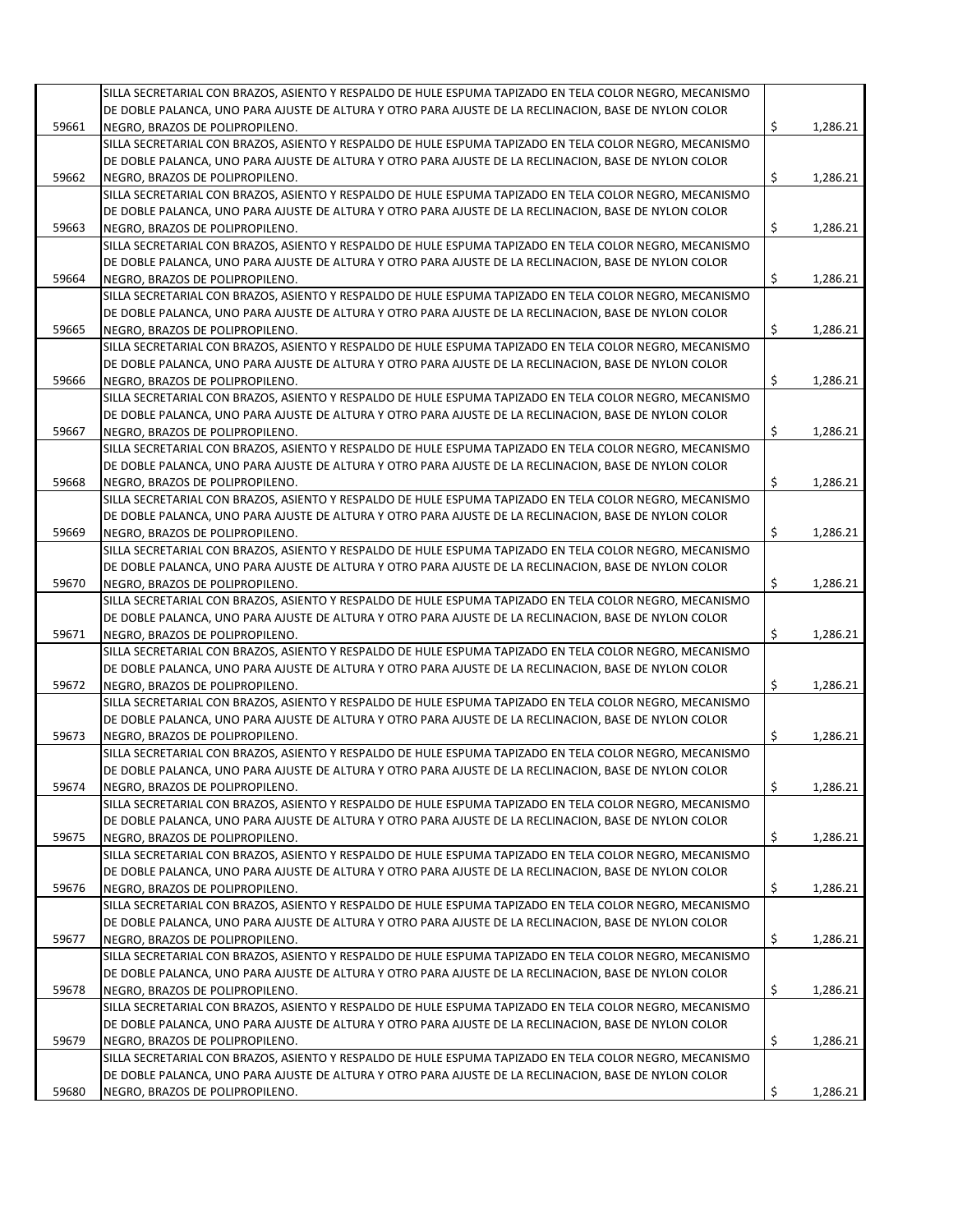|       | SILLA SECRETARIAL CON BRAZOS, ASIENTO Y RESPALDO DE HULE ESPUMA TAPIZADO EN TELA COLOR NEGRO, MECANISMO |                |
|-------|---------------------------------------------------------------------------------------------------------|----------------|
|       | DE DOBLE PALANCA, UNO PARA AJUSTE DE ALTURA Y OTRO PARA AJUSTE DE LA RECLINACION, BASE DE NYLON COLOR   |                |
|       |                                                                                                         |                |
| 59661 | NEGRO, BRAZOS DE POLIPROPILENO.                                                                         | \$<br>1,286.21 |
|       | SILLA SECRETARIAL CON BRAZOS, ASIENTO Y RESPALDO DE HULE ESPUMA TAPIZADO EN TELA COLOR NEGRO, MECANISMO |                |
|       | DE DOBLE PALANCA, UNO PARA AJUSTE DE ALTURA Y OTRO PARA AJUSTE DE LA RECLINACION, BASE DE NYLON COLOR   |                |
| 59662 | NEGRO, BRAZOS DE POLIPROPILENO.                                                                         | \$<br>1,286.21 |
|       | SILLA SECRETARIAL CON BRAZOS, ASIENTO Y RESPALDO DE HULE ESPUMA TAPIZADO EN TELA COLOR NEGRO, MECANISMO |                |
|       | DE DOBLE PALANCA, UNO PARA AJUSTE DE ALTURA Y OTRO PARA AJUSTE DE LA RECLINACION, BASE DE NYLON COLOR   |                |
| 59663 | NEGRO, BRAZOS DE POLIPROPILENO.                                                                         | \$<br>1,286.21 |
|       | SILLA SECRETARIAL CON BRAZOS, ASIENTO Y RESPALDO DE HULE ESPUMA TAPIZADO EN TELA COLOR NEGRO, MECANISMO |                |
|       | DE DOBLE PALANCA, UNO PARA AJUSTE DE ALTURA Y OTRO PARA AJUSTE DE LA RECLINACION, BASE DE NYLON COLOR   |                |
| 59664 | NEGRO, BRAZOS DE POLIPROPILENO.                                                                         | \$<br>1,286.21 |
|       | SILLA SECRETARIAL CON BRAZOS, ASIENTO Y RESPALDO DE HULE ESPUMA TAPIZADO EN TELA COLOR NEGRO, MECANISMO |                |
|       | DE DOBLE PALANCA, UNO PARA AJUSTE DE ALTURA Y OTRO PARA AJUSTE DE LA RECLINACION, BASE DE NYLON COLOR   |                |
|       |                                                                                                         |                |
| 59665 | NEGRO, BRAZOS DE POLIPROPILENO.                                                                         | \$<br>1,286.21 |
|       | SILLA SECRETARIAL CON BRAZOS, ASIENTO Y RESPALDO DE HULE ESPUMA TAPIZADO EN TELA COLOR NEGRO, MECANISMO |                |
|       | DE DOBLE PALANCA, UNO PARA AJUSTE DE ALTURA Y OTRO PARA AJUSTE DE LA RECLINACION, BASE DE NYLON COLOR   |                |
| 59666 | NEGRO, BRAZOS DE POLIPROPILENO.                                                                         | \$<br>1,286.21 |
|       | SILLA SECRETARIAL CON BRAZOS, ASIENTO Y RESPALDO DE HULE ESPUMA TAPIZADO EN TELA COLOR NEGRO, MECANISMO |                |
|       | DE DOBLE PALANCA, UNO PARA AJUSTE DE ALTURA Y OTRO PARA AJUSTE DE LA RECLINACION, BASE DE NYLON COLOR   |                |
| 59667 | NEGRO, BRAZOS DE POLIPROPILENO.                                                                         | \$<br>1,286.21 |
|       | SILLA SECRETARIAL CON BRAZOS, ASIENTO Y RESPALDO DE HULE ESPUMA TAPIZADO EN TELA COLOR NEGRO, MECANISMO |                |
|       | DE DOBLE PALANCA, UNO PARA AJUSTE DE ALTURA Y OTRO PARA AJUSTE DE LA RECLINACION, BASE DE NYLON COLOR   |                |
| 59668 | NEGRO, BRAZOS DE POLIPROPILENO.                                                                         | \$<br>1,286.21 |
|       | SILLA SECRETARIAL CON BRAZOS, ASIENTO Y RESPALDO DE HULE ESPUMA TAPIZADO EN TELA COLOR NEGRO, MECANISMO |                |
|       |                                                                                                         |                |
|       | DE DOBLE PALANCA, UNO PARA AJUSTE DE ALTURA Y OTRO PARA AJUSTE DE LA RECLINACION, BASE DE NYLON COLOR   |                |
| 59669 | NEGRO, BRAZOS DE POLIPROPILENO.                                                                         | \$<br>1,286.21 |
|       | SILLA SECRETARIAL CON BRAZOS, ASIENTO Y RESPALDO DE HULE ESPUMA TAPIZADO EN TELA COLOR NEGRO, MECANISMO |                |
|       | DE DOBLE PALANCA, UNO PARA AJUSTE DE ALTURA Y OTRO PARA AJUSTE DE LA RECLINACION, BASE DE NYLON COLOR   |                |
| 59670 | NEGRO, BRAZOS DE POLIPROPILENO.                                                                         | \$<br>1,286.21 |
|       | SILLA SECRETARIAL CON BRAZOS, ASIENTO Y RESPALDO DE HULE ESPUMA TAPIZADO EN TELA COLOR NEGRO, MECANISMO |                |
|       | DE DOBLE PALANCA, UNO PARA AJUSTE DE ALTURA Y OTRO PARA AJUSTE DE LA RECLINACION, BASE DE NYLON COLOR   |                |
| 59671 | NEGRO, BRAZOS DE POLIPROPILENO.                                                                         | \$<br>1,286.21 |
|       | SILLA SECRETARIAL CON BRAZOS, ASIENTO Y RESPALDO DE HULE ESPUMA TAPIZADO EN TELA COLOR NEGRO, MECANISMO |                |
|       | DE DOBLE PALANCA, UNO PARA AJUSTE DE ALTURA Y OTRO PARA AJUSTE DE LA RECLINACION, BASE DE NYLON COLOR   |                |
| 59672 | NEGRO, BRAZOS DE POLIPROPILENO.                                                                         | \$<br>1,286.21 |
|       |                                                                                                         |                |
|       | SILLA SECRETARIAL CON BRAZOS, ASIENTO Y RESPALDO DE HULE ESPUMA TAPIZADO EN TELA COLOR NEGRO, MECANISMO |                |
|       | DE DOBLE PALANCA, UNO PARA AJUSTE DE ALTURA Y OTRO PARA AJUSTE DE LA RECLINACION, BASE DE NYLON COLOR   |                |
| 59673 | NEGRO, BRAZOS DE POLIPROPILENO.                                                                         | \$<br>1,286.21 |
|       | SILLA SECRETARIAL CON BRAZOS, ASIENTO Y RESPALDO DE HULE ESPUMA TAPIZADO EN TELA COLOR NEGRO, MECANISMO |                |
|       | DE DOBLE PALANCA, UNO PARA AJUSTE DE ALTURA Y OTRO PARA AJUSTE DE LA RECLINACION, BASE DE NYLON COLOR   |                |
| 59674 | NEGRO, BRAZOS DE POLIPROPILENO.                                                                         | \$<br>1,286.21 |
|       | SILLA SECRETARIAL CON BRAZOS, ASIENTO Y RESPALDO DE HULE ESPUMA TAPIZADO EN TELA COLOR NEGRO, MECANISMO |                |
|       | DE DOBLE PALANCA, UNO PARA AJUSTE DE ALTURA Y OTRO PARA AJUSTE DE LA RECLINACION, BASE DE NYLON COLOR   |                |
| 59675 | NEGRO, BRAZOS DE POLIPROPILENO.                                                                         | \$<br>1,286.21 |
|       | SILLA SECRETARIAL CON BRAZOS, ASIENTO Y RESPALDO DE HULE ESPUMA TAPIZADO EN TELA COLOR NEGRO, MECANISMO |                |
|       | DE DOBLE PALANCA, UNO PARA AJUSTE DE ALTURA Y OTRO PARA AJUSTE DE LA RECLINACION, BASE DE NYLON COLOR   |                |
| 59676 | NEGRO, BRAZOS DE POLIPROPILENO.                                                                         | \$<br>1,286.21 |
|       |                                                                                                         |                |
|       | SILLA SECRETARIAL CON BRAZOS, ASIENTO Y RESPALDO DE HULE ESPUMA TAPIZADO EN TELA COLOR NEGRO, MECANISMO |                |
|       | DE DOBLE PALANCA, UNO PARA AJUSTE DE ALTURA Y OTRO PARA AJUSTE DE LA RECLINACION, BASE DE NYLON COLOR   |                |
| 59677 | NEGRO, BRAZOS DE POLIPROPILENO.                                                                         | \$<br>1,286.21 |
|       | SILLA SECRETARIAL CON BRAZOS, ASIENTO Y RESPALDO DE HULE ESPUMA TAPIZADO EN TELA COLOR NEGRO, MECANISMO |                |
|       | DE DOBLE PALANCA, UNO PARA AJUSTE DE ALTURA Y OTRO PARA AJUSTE DE LA RECLINACION, BASE DE NYLON COLOR   |                |
| 59678 | NEGRO, BRAZOS DE POLIPROPILENO.                                                                         | \$<br>1,286.21 |
|       | SILLA SECRETARIAL CON BRAZOS, ASIENTO Y RESPALDO DE HULE ESPUMA TAPIZADO EN TELA COLOR NEGRO, MECANISMO |                |
|       | DE DOBLE PALANCA, UNO PARA AJUSTE DE ALTURA Y OTRO PARA AJUSTE DE LA RECLINACION, BASE DE NYLON COLOR   |                |
| 59679 | NEGRO, BRAZOS DE POLIPROPILENO.                                                                         | \$<br>1,286.21 |
|       | SILLA SECRETARIAL CON BRAZOS, ASIENTO Y RESPALDO DE HULE ESPUMA TAPIZADO EN TELA COLOR NEGRO, MECANISMO |                |
|       | DE DOBLE PALANCA, UNO PARA AJUSTE DE ALTURA Y OTRO PARA AJUSTE DE LA RECLINACION, BASE DE NYLON COLOR   |                |
|       |                                                                                                         |                |
| 59680 | NEGRO, BRAZOS DE POLIPROPILENO.                                                                         | \$<br>1,286.21 |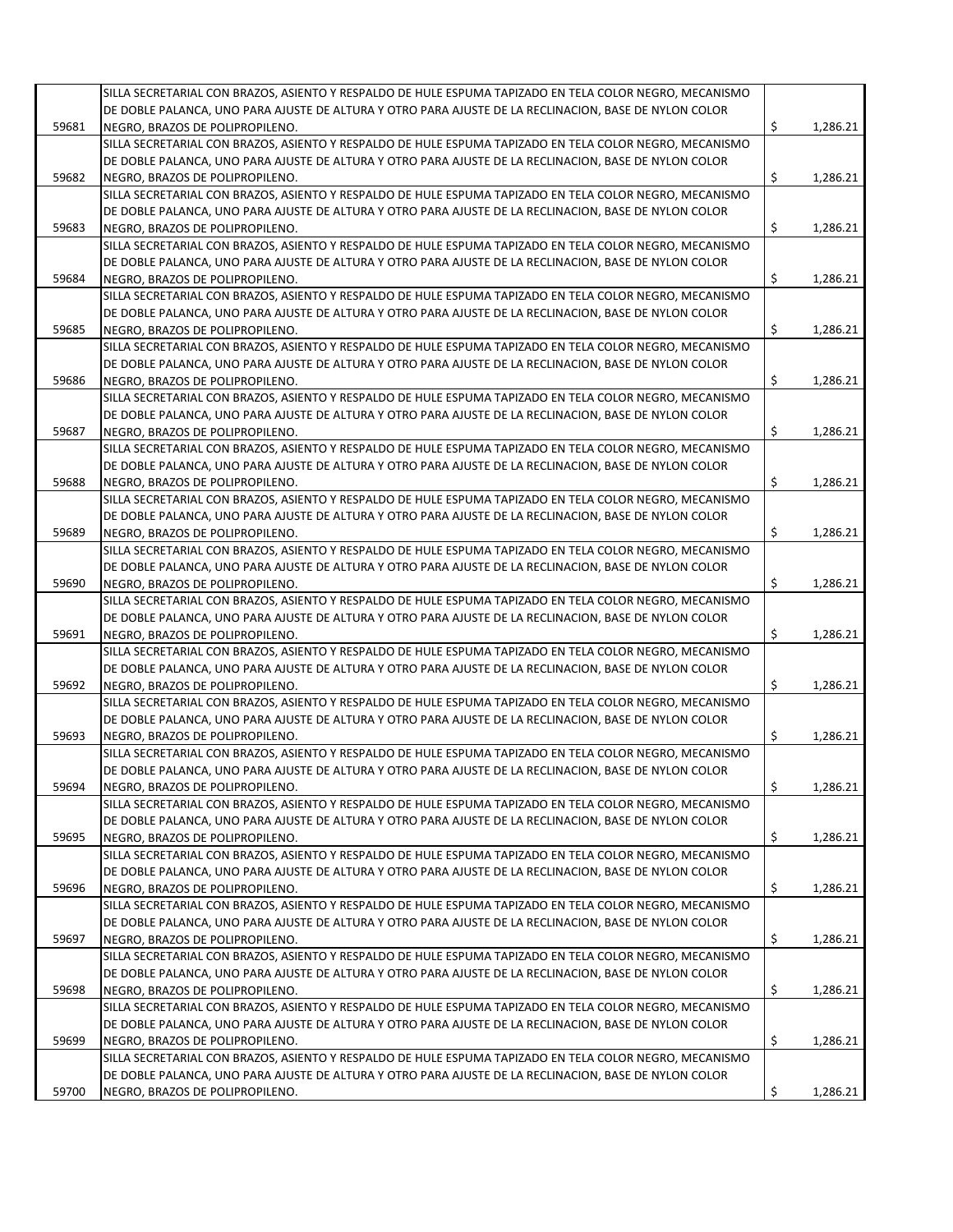|       | SILLA SECRETARIAL CON BRAZOS, ASIENTO Y RESPALDO DE HULE ESPUMA TAPIZADO EN TELA COLOR NEGRO, MECANISMO                                                                                                          |                |
|-------|------------------------------------------------------------------------------------------------------------------------------------------------------------------------------------------------------------------|----------------|
|       | DE DOBLE PALANCA, UNO PARA AJUSTE DE ALTURA Y OTRO PARA AJUSTE DE LA RECLINACION, BASE DE NYLON COLOR                                                                                                            |                |
|       | NEGRO. BRAZOS DE POLIPROPILENO.                                                                                                                                                                                  |                |
| 59681 |                                                                                                                                                                                                                  | \$<br>1,286.21 |
|       | SILLA SECRETARIAL CON BRAZOS, ASIENTO Y RESPALDO DE HULE ESPUMA TAPIZADO EN TELA COLOR NEGRO, MECANISMO                                                                                                          |                |
|       | DE DOBLE PALANCA, UNO PARA AJUSTE DE ALTURA Y OTRO PARA AJUSTE DE LA RECLINACION, BASE DE NYLON COLOR                                                                                                            |                |
| 59682 | NEGRO, BRAZOS DE POLIPROPILENO.                                                                                                                                                                                  | \$<br>1,286.21 |
|       | SILLA SECRETARIAL CON BRAZOS, ASIENTO Y RESPALDO DE HULE ESPUMA TAPIZADO EN TELA COLOR NEGRO, MECANISMO                                                                                                          |                |
|       | DE DOBLE PALANCA, UNO PARA AJUSTE DE ALTURA Y OTRO PARA AJUSTE DE LA RECLINACION, BASE DE NYLON COLOR                                                                                                            |                |
| 59683 | NEGRO, BRAZOS DE POLIPROPILENO.                                                                                                                                                                                  | \$<br>1,286.21 |
|       | SILLA SECRETARIAL CON BRAZOS, ASIENTO Y RESPALDO DE HULE ESPUMA TAPIZADO EN TELA COLOR NEGRO, MECANISMO                                                                                                          |                |
|       | DE DOBLE PALANCA, UNO PARA AJUSTE DE ALTURA Y OTRO PARA AJUSTE DE LA RECLINACION, BASE DE NYLON COLOR                                                                                                            |                |
| 59684 | NEGRO, BRAZOS DE POLIPROPILENO.                                                                                                                                                                                  | \$<br>1,286.21 |
|       | SILLA SECRETARIAL CON BRAZOS, ASIENTO Y RESPALDO DE HULE ESPUMA TAPIZADO EN TELA COLOR NEGRO, MECANISMO                                                                                                          |                |
|       | DE DOBLE PALANCA, UNO PARA AJUSTE DE ALTURA Y OTRO PARA AJUSTE DE LA RECLINACION, BASE DE NYLON COLOR                                                                                                            |                |
| 59685 | NEGRO, BRAZOS DE POLIPROPILENO.                                                                                                                                                                                  | \$<br>1,286.21 |
|       |                                                                                                                                                                                                                  |                |
|       | SILLA SECRETARIAL CON BRAZOS, ASIENTO Y RESPALDO DE HULE ESPUMA TAPIZADO EN TELA COLOR NEGRO, MECANISMO                                                                                                          |                |
|       | DE DOBLE PALANCA, UNO PARA AJUSTE DE ALTURA Y OTRO PARA AJUSTE DE LA RECLINACION, BASE DE NYLON COLOR                                                                                                            |                |
| 59686 | NEGRO, BRAZOS DE POLIPROPILENO.                                                                                                                                                                                  | \$<br>1,286.21 |
|       | SILLA SECRETARIAL CON BRAZOS, ASIENTO Y RESPALDO DE HULE ESPUMA TAPIZADO EN TELA COLOR NEGRO, MECANISMO                                                                                                          |                |
|       | DE DOBLE PALANCA, UNO PARA AJUSTE DE ALTURA Y OTRO PARA AJUSTE DE LA RECLINACION, BASE DE NYLON COLOR                                                                                                            |                |
| 59687 | NEGRO, BRAZOS DE POLIPROPILENO.                                                                                                                                                                                  | \$<br>1,286.21 |
|       | SILLA SECRETARIAL CON BRAZOS, ASIENTO Y RESPALDO DE HULE ESPUMA TAPIZADO EN TELA COLOR NEGRO, MECANISMO                                                                                                          |                |
|       | DE DOBLE PALANCA, UNO PARA AJUSTE DE ALTURA Y OTRO PARA AJUSTE DE LA RECLINACION, BASE DE NYLON COLOR                                                                                                            |                |
| 59688 | NEGRO, BRAZOS DE POLIPROPILENO.                                                                                                                                                                                  | \$<br>1,286.21 |
|       | SILLA SECRETARIAL CON BRAZOS, ASIENTO Y RESPALDO DE HULE ESPUMA TAPIZADO EN TELA COLOR NEGRO, MECANISMO                                                                                                          |                |
|       | DE DOBLE PALANCA, UNO PARA AJUSTE DE ALTURA Y OTRO PARA AJUSTE DE LA RECLINACION, BASE DE NYLON COLOR                                                                                                            |                |
|       |                                                                                                                                                                                                                  | 1,286.21       |
| 59689 | NEGRO, BRAZOS DE POLIPROPILENO.                                                                                                                                                                                  | \$             |
|       | SILLA SECRETARIAL CON BRAZOS, ASIENTO Y RESPALDO DE HULE ESPUMA TAPIZADO EN TELA COLOR NEGRO, MECANISMO                                                                                                          |                |
|       | DE DOBLE PALANCA, UNO PARA AJUSTE DE ALTURA Y OTRO PARA AJUSTE DE LA RECLINACION, BASE DE NYLON COLOR                                                                                                            |                |
| 59690 | NEGRO, BRAZOS DE POLIPROPILENO.                                                                                                                                                                                  | \$<br>1,286.21 |
|       | SILLA SECRETARIAL CON BRAZOS, ASIENTO Y RESPALDO DE HULE ESPUMA TAPIZADO EN TELA COLOR NEGRO, MECANISMO                                                                                                          |                |
|       | DE DOBLE PALANCA, UNO PARA AJUSTE DE ALTURA Y OTRO PARA AJUSTE DE LA RECLINACION, BASE DE NYLON COLOR                                                                                                            |                |
| 59691 | NEGRO, BRAZOS DE POLIPROPILENO.                                                                                                                                                                                  | \$<br>1,286.21 |
|       | SILLA SECRETARIAL CON BRAZOS, ASIENTO Y RESPALDO DE HULE ESPUMA TAPIZADO EN TELA COLOR NEGRO, MECANISMO                                                                                                          |                |
|       | DE DOBLE PALANCA, UNO PARA AJUSTE DE ALTURA Y OTRO PARA AJUSTE DE LA RECLINACION, BASE DE NYLON COLOR                                                                                                            |                |
| 59692 | NEGRO, BRAZOS DE POLIPROPILENO.                                                                                                                                                                                  | \$<br>1,286.21 |
|       | SILLA SECRETARIAL CON BRAZOS, ASIENTO Y RESPALDO DE HULE ESPUMA TAPIZADO EN TELA COLOR NEGRO, MECANISMO                                                                                                          |                |
|       |                                                                                                                                                                                                                  |                |
|       |                                                                                                                                                                                                                  |                |
|       | DE DOBLE PALANCA, UNO PARA AJUSTE DE ALTURA Y OTRO PARA AJUSTE DE LA RECLINACION, BASE DE NYLON COLOR                                                                                                            |                |
| 59693 | NEGRO, BRAZOS DE POLIPROPILENO.                                                                                                                                                                                  | \$<br>1,286.21 |
|       | SILLA SECRETARIAL CON BRAZOS, ASIENTO Y RESPALDO DE HULE ESPUMA TAPIZADO EN TELA COLOR NEGRO, MECANISMO                                                                                                          |                |
|       | DE DOBLE PALANCA, UNO PARA AJUSTE DE ALTURA Y OTRO PARA AJUSTE DE LA RECLINACION, BASE DE NYLON COLOR                                                                                                            |                |
| 59694 | NEGRO, BRAZOS DE POLIPROPILENO.                                                                                                                                                                                  | \$<br>1,286.21 |
|       | SILLA SECRETARIAL CON BRAZOS, ASIENTO Y RESPALDO DE HULE ESPUMA TAPIZADO EN TELA COLOR NEGRO, MECANISMO                                                                                                          |                |
|       | DE DOBLE PALANCA, UNO PARA AJUSTE DE ALTURA Y OTRO PARA AJUSTE DE LA RECLINACION, BASE DE NYLON COLOR                                                                                                            |                |
| 59695 | NEGRO, BRAZOS DE POLIPROPILENO.                                                                                                                                                                                  | \$<br>1,286.21 |
|       |                                                                                                                                                                                                                  |                |
|       | SILLA SECRETARIAL CON BRAZOS, ASIENTO Y RESPALDO DE HULE ESPUMA TAPIZADO EN TELA COLOR NEGRO, MECANISMO                                                                                                          |                |
|       | DE DOBLE PALANCA, UNO PARA AJUSTE DE ALTURA Y OTRO PARA AJUSTE DE LA RECLINACION, BASE DE NYLON COLOR                                                                                                            |                |
| 59696 | NEGRO, BRAZOS DE POLIPROPILENO.                                                                                                                                                                                  | \$<br>1,286.21 |
|       | SILLA SECRETARIAL CON BRAZOS, ASIENTO Y RESPALDO DE HULE ESPUMA TAPIZADO EN TELA COLOR NEGRO, MECANISMO                                                                                                          |                |
|       | DE DOBLE PALANCA, UNO PARA AJUSTE DE ALTURA Y OTRO PARA AJUSTE DE LA RECLINACION, BASE DE NYLON COLOR                                                                                                            |                |
| 59697 | NEGRO, BRAZOS DE POLIPROPILENO.                                                                                                                                                                                  | \$<br>1,286.21 |
|       | SILLA SECRETARIAL CON BRAZOS, ASIENTO Y RESPALDO DE HULE ESPUMA TAPIZADO EN TELA COLOR NEGRO, MECANISMO                                                                                                          |                |
|       | DE DOBLE PALANCA, UNO PARA AJUSTE DE ALTURA Y OTRO PARA AJUSTE DE LA RECLINACION, BASE DE NYLON COLOR                                                                                                            |                |
| 59698 | NEGRO, BRAZOS DE POLIPROPILENO.                                                                                                                                                                                  | \$<br>1,286.21 |
|       | SILLA SECRETARIAL CON BRAZOS, ASIENTO Y RESPALDO DE HULE ESPUMA TAPIZADO EN TELA COLOR NEGRO, MECANISMO                                                                                                          |                |
|       |                                                                                                                                                                                                                  |                |
|       | DE DOBLE PALANCA, UNO PARA AJUSTE DE ALTURA Y OTRO PARA AJUSTE DE LA RECLINACION, BASE DE NYLON COLOR                                                                                                            |                |
| 59699 | NEGRO, BRAZOS DE POLIPROPILENO.                                                                                                                                                                                  | \$<br>1,286.21 |
|       | SILLA SECRETARIAL CON BRAZOS, ASIENTO Y RESPALDO DE HULE ESPUMA TAPIZADO EN TELA COLOR NEGRO, MECANISMO<br>DE DOBLE PALANCA, UNO PARA AJUSTE DE ALTURA Y OTRO PARA AJUSTE DE LA RECLINACION, BASE DE NYLON COLOR |                |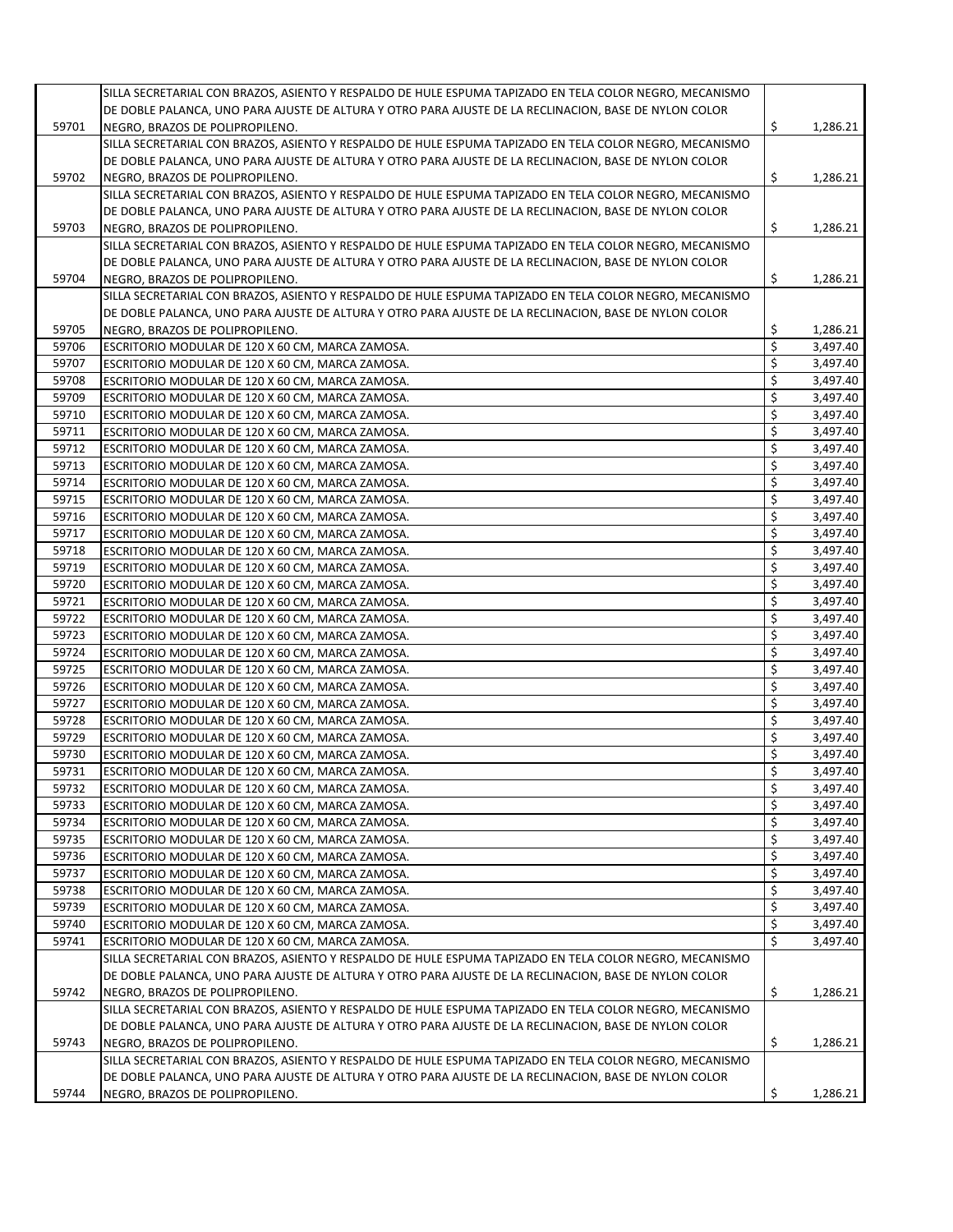|       | SILLA SECRETARIAL CON BRAZOS, ASIENTO Y RESPALDO DE HULE ESPUMA TAPIZADO EN TELA COLOR NEGRO, MECANISMO |                |
|-------|---------------------------------------------------------------------------------------------------------|----------------|
|       | DE DOBLE PALANCA, UNO PARA AJUSTE DE ALTURA Y OTRO PARA AJUSTE DE LA RECLINACION, BASE DE NYLON COLOR   |                |
| 59701 | NEGRO, BRAZOS DE POLIPROPILENO.                                                                         | \$<br>1,286.21 |
|       |                                                                                                         |                |
|       | SILLA SECRETARIAL CON BRAZOS, ASIENTO Y RESPALDO DE HULE ESPUMA TAPIZADO EN TELA COLOR NEGRO, MECANISMO |                |
|       | DE DOBLE PALANCA, UNO PARA AJUSTE DE ALTURA Y OTRO PARA AJUSTE DE LA RECLINACION, BASE DE NYLON COLOR   |                |
| 59702 | NEGRO, BRAZOS DE POLIPROPILENO.                                                                         | \$<br>1,286.21 |
|       | SILLA SECRETARIAL CON BRAZOS, ASIENTO Y RESPALDO DE HULE ESPUMA TAPIZADO EN TELA COLOR NEGRO, MECANISMO |                |
|       | DE DOBLE PALANCA, UNO PARA AJUSTE DE ALTURA Y OTRO PARA AJUSTE DE LA RECLINACION, BASE DE NYLON COLOR   |                |
| 59703 | NEGRO, BRAZOS DE POLIPROPILENO.                                                                         | \$<br>1,286.21 |
|       | SILLA SECRETARIAL CON BRAZOS, ASIENTO Y RESPALDO DE HULE ESPUMA TAPIZADO EN TELA COLOR NEGRO, MECANISMO |                |
|       | DE DOBLE PALANCA, UNO PARA AJUSTE DE ALTURA Y OTRO PARA AJUSTE DE LA RECLINACION, BASE DE NYLON COLOR   |                |
|       |                                                                                                         | \$             |
| 59704 | NEGRO, BRAZOS DE POLIPROPILENO.                                                                         | 1,286.21       |
|       | SILLA SECRETARIAL CON BRAZOS, ASIENTO Y RESPALDO DE HULE ESPUMA TAPIZADO EN TELA COLOR NEGRO, MECANISMO |                |
|       | DE DOBLE PALANCA, UNO PARA AJUSTE DE ALTURA Y OTRO PARA AJUSTE DE LA RECLINACION, BASE DE NYLON COLOR   |                |
| 59705 | NEGRO, BRAZOS DE POLIPROPILENO.                                                                         | \$<br>1,286.21 |
| 59706 | ESCRITORIO MODULAR DE 120 X 60 CM, MARCA ZAMOSA.                                                        | \$<br>3,497.40 |
| 59707 | ESCRITORIO MODULAR DE 120 X 60 CM, MARCA ZAMOSA.                                                        | \$<br>3,497.40 |
| 59708 | ESCRITORIO MODULAR DE 120 X 60 CM, MARCA ZAMOSA.                                                        | \$<br>3,497.40 |
| 59709 | ESCRITORIO MODULAR DE 120 X 60 CM, MARCA ZAMOSA.                                                        | \$<br>3,497.40 |
|       |                                                                                                         | \$             |
| 59710 | ESCRITORIO MODULAR DE 120 X 60 CM, MARCA ZAMOSA.                                                        | 3,497.40       |
| 59711 | ESCRITORIO MODULAR DE 120 X 60 CM, MARCA ZAMOSA.                                                        | \$<br>3,497.40 |
| 59712 | ESCRITORIO MODULAR DE 120 X 60 CM, MARCA ZAMOSA.                                                        | \$<br>3,497.40 |
| 59713 | ESCRITORIO MODULAR DE 120 X 60 CM, MARCA ZAMOSA.                                                        | \$<br>3,497.40 |
| 59714 | ESCRITORIO MODULAR DE 120 X 60 CM, MARCA ZAMOSA.                                                        | \$<br>3,497.40 |
| 59715 | ESCRITORIO MODULAR DE 120 X 60 CM, MARCA ZAMOSA.                                                        | \$<br>3.497.40 |
| 59716 | ESCRITORIO MODULAR DE 120 X 60 CM, MARCA ZAMOSA.                                                        | \$<br>3,497.40 |
| 59717 |                                                                                                         | \$<br>3,497.40 |
|       | ESCRITORIO MODULAR DE 120 X 60 CM, MARCA ZAMOSA.                                                        |                |
| 59718 | ESCRITORIO MODULAR DE 120 X 60 CM, MARCA ZAMOSA.                                                        | \$<br>3,497.40 |
| 59719 | ESCRITORIO MODULAR DE 120 X 60 CM, MARCA ZAMOSA.                                                        | \$<br>3,497.40 |
| 59720 | ESCRITORIO MODULAR DE 120 X 60 CM, MARCA ZAMOSA.                                                        | \$<br>3,497.40 |
| 59721 | ESCRITORIO MODULAR DE 120 X 60 CM, MARCA ZAMOSA.                                                        | \$<br>3,497.40 |
| 59722 | ESCRITORIO MODULAR DE 120 X 60 CM, MARCA ZAMOSA.                                                        | \$<br>3,497.40 |
| 59723 | ESCRITORIO MODULAR DE 120 X 60 CM, MARCA ZAMOSA.                                                        | \$<br>3,497.40 |
| 59724 | ESCRITORIO MODULAR DE 120 X 60 CM, MARCA ZAMOSA.                                                        | \$<br>3,497.40 |
| 59725 | ESCRITORIO MODULAR DE 120 X 60 CM, MARCA ZAMOSA.                                                        | \$<br>3,497.40 |
| 59726 |                                                                                                         | \$<br>3,497.40 |
|       | ESCRITORIO MODULAR DE 120 X 60 CM, MARCA ZAMOSA.                                                        |                |
| 59727 | ESCRITORIO MODULAR DE 120 X 60 CM, MARCA ZAMOSA.                                                        | \$<br>3,497.40 |
| 59728 | ESCRITORIO MODULAR DE 120 X 60 CM, MARCA ZAMOSA.                                                        | \$<br>3,497.40 |
| 59729 | ESCRITORIO MODULAR DE 120 X 60 CM, MARCA ZAMOSA.                                                        | \$<br>3,497.40 |
| 59730 | ESCRITORIO MODULAR DE 120 X 60 CM, MARCA ZAMOSA.                                                        | \$<br>3,497.40 |
| 59731 | ESCRITORIO MODULAR DE 120 X 60 CM, MARCA ZAMOSA.                                                        | \$<br>3,497.40 |
| 59732 | ESCRITORIO MODULAR DE 120 X 60 CM, MARCA ZAMOSA.                                                        | \$<br>3,497.40 |
| 59733 | ESCRITORIO MODULAR DE 120 X 60 CM, MARCA ZAMOSA.                                                        | \$<br>3,497.40 |
| 59734 |                                                                                                         | \$             |
|       | ESCRITORIO MODULAR DE 120 X 60 CM, MARCA ZAMOSA.                                                        | 3,497.40       |
| 59735 | ESCRITORIO MODULAR DE 120 X 60 CM, MARCA ZAMOSA.                                                        | \$<br>3,497.40 |
| 59736 | ESCRITORIO MODULAR DE 120 X 60 CM, MARCA ZAMOSA.                                                        | \$<br>3,497.40 |
| 59737 | ESCRITORIO MODULAR DE 120 X 60 CM, MARCA ZAMOSA.                                                        | \$<br>3,497.40 |
| 59738 | ESCRITORIO MODULAR DE 120 X 60 CM, MARCA ZAMOSA.                                                        | \$<br>3,497.40 |
| 59739 | ESCRITORIO MODULAR DE 120 X 60 CM, MARCA ZAMOSA.                                                        | \$<br>3,497.40 |
| 59740 | ESCRITORIO MODULAR DE 120 X 60 CM, MARCA ZAMOSA.                                                        | \$<br>3,497.40 |
| 59741 | ESCRITORIO MODULAR DE 120 X 60 CM, MARCA ZAMOSA.                                                        | \$<br>3,497.40 |
|       |                                                                                                         |                |
|       | SILLA SECRETARIAL CON BRAZOS, ASIENTO Y RESPALDO DE HULE ESPUMA TAPIZADO EN TELA COLOR NEGRO, MECANISMO |                |
|       | DE DOBLE PALANCA, UNO PARA AJUSTE DE ALTURA Y OTRO PARA AJUSTE DE LA RECLINACION, BASE DE NYLON COLOR   |                |
| 59742 | NEGRO, BRAZOS DE POLIPROPILENO.                                                                         | \$<br>1,286.21 |
|       | SILLA SECRETARIAL CON BRAZOS, ASIENTO Y RESPALDO DE HULE ESPUMA TAPIZADO EN TELA COLOR NEGRO, MECANISMO |                |
|       | DE DOBLE PALANCA, UNO PARA AJUSTE DE ALTURA Y OTRO PARA AJUSTE DE LA RECLINACION, BASE DE NYLON COLOR   |                |
| 59743 | NEGRO, BRAZOS DE POLIPROPILENO.                                                                         | \$<br>1,286.21 |
|       | SILLA SECRETARIAL CON BRAZOS, ASIENTO Y RESPALDO DE HULE ESPUMA TAPIZADO EN TELA COLOR NEGRO, MECANISMO |                |
|       | DE DOBLE PALANCA, UNO PARA AJUSTE DE ALTURA Y OTRO PARA AJUSTE DE LA RECLINACION, BASE DE NYLON COLOR   |                |
| 59744 | NEGRO, BRAZOS DE POLIPROPILENO.                                                                         | \$<br>1,286.21 |
|       |                                                                                                         |                |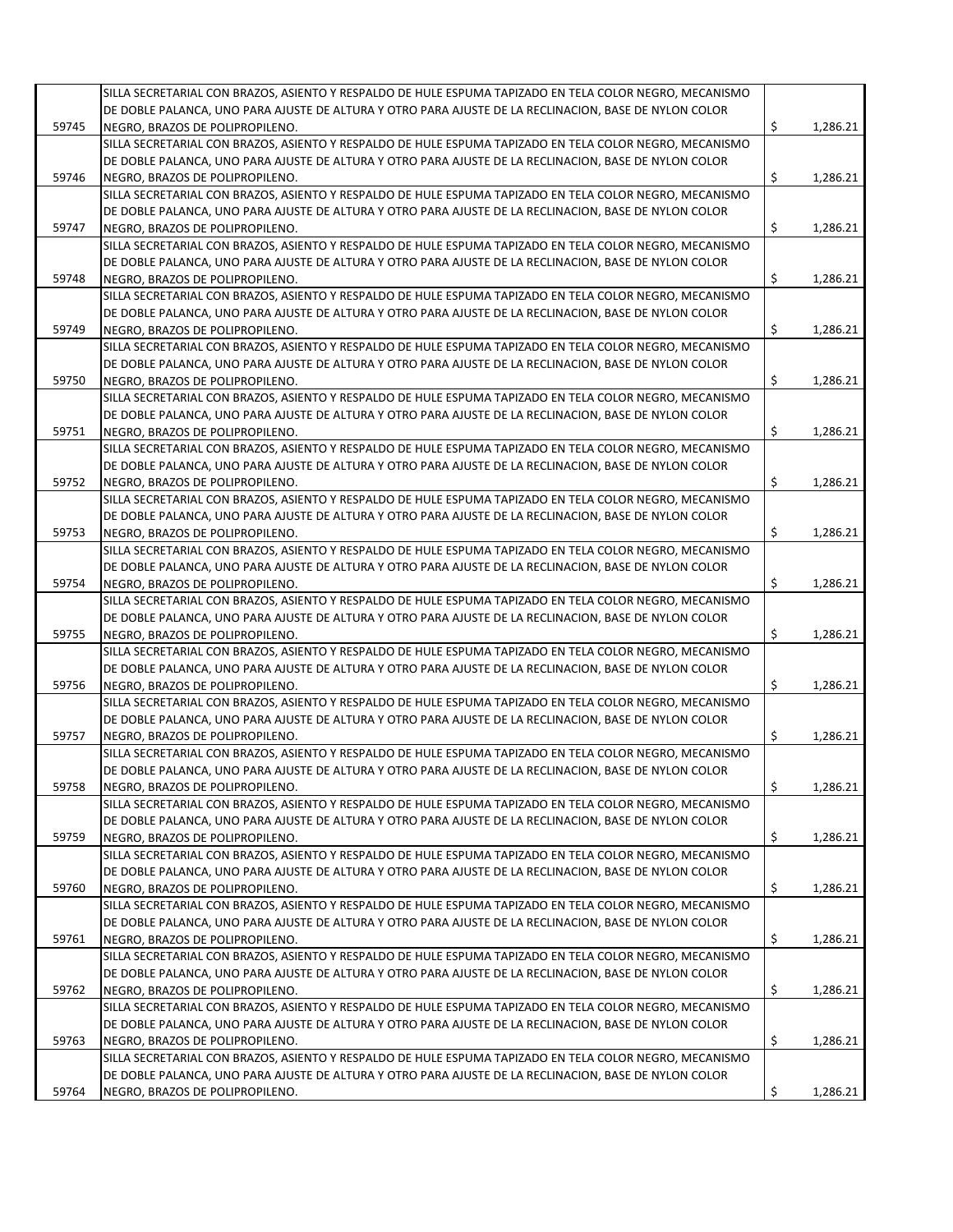|       | SILLA SECRETARIAL CON BRAZOS, ASIENTO Y RESPALDO DE HULE ESPUMA TAPIZADO EN TELA COLOR NEGRO, MECANISMO |                |
|-------|---------------------------------------------------------------------------------------------------------|----------------|
|       | DE DOBLE PALANCA, UNO PARA AJUSTE DE ALTURA Y OTRO PARA AJUSTE DE LA RECLINACION, BASE DE NYLON COLOR   |                |
| 59745 | NEGRO. BRAZOS DE POLIPROPILENO.                                                                         |                |
|       |                                                                                                         | \$<br>1,286.21 |
|       | SILLA SECRETARIAL CON BRAZOS, ASIENTO Y RESPALDO DE HULE ESPUMA TAPIZADO EN TELA COLOR NEGRO, MECANISMO |                |
|       | DE DOBLE PALANCA, UNO PARA AJUSTE DE ALTURA Y OTRO PARA AJUSTE DE LA RECLINACION, BASE DE NYLON COLOR   |                |
| 59746 | NEGRO, BRAZOS DE POLIPROPILENO.                                                                         | \$<br>1,286.21 |
|       | SILLA SECRETARIAL CON BRAZOS, ASIENTO Y RESPALDO DE HULE ESPUMA TAPIZADO EN TELA COLOR NEGRO, MECANISMO |                |
|       | DE DOBLE PALANCA, UNO PARA AJUSTE DE ALTURA Y OTRO PARA AJUSTE DE LA RECLINACION, BASE DE NYLON COLOR   |                |
| 59747 | NEGRO, BRAZOS DE POLIPROPILENO.                                                                         | \$<br>1,286.21 |
|       | SILLA SECRETARIAL CON BRAZOS, ASIENTO Y RESPALDO DE HULE ESPUMA TAPIZADO EN TELA COLOR NEGRO, MECANISMO |                |
|       | DE DOBLE PALANCA, UNO PARA AJUSTE DE ALTURA Y OTRO PARA AJUSTE DE LA RECLINACION, BASE DE NYLON COLOR   |                |
| 59748 | NEGRO, BRAZOS DE POLIPROPILENO.                                                                         | \$<br>1,286.21 |
|       | SILLA SECRETARIAL CON BRAZOS, ASIENTO Y RESPALDO DE HULE ESPUMA TAPIZADO EN TELA COLOR NEGRO, MECANISMO |                |
|       |                                                                                                         |                |
|       | DE DOBLE PALANCA, UNO PARA AJUSTE DE ALTURA Y OTRO PARA AJUSTE DE LA RECLINACION, BASE DE NYLON COLOR   |                |
| 59749 | NEGRO, BRAZOS DE POLIPROPILENO.                                                                         | \$<br>1,286.21 |
|       | SILLA SECRETARIAL CON BRAZOS, ASIENTO Y RESPALDO DE HULE ESPUMA TAPIZADO EN TELA COLOR NEGRO, MECANISMO |                |
|       | DE DOBLE PALANCA, UNO PARA AJUSTE DE ALTURA Y OTRO PARA AJUSTE DE LA RECLINACION, BASE DE NYLON COLOR   |                |
| 59750 | NEGRO, BRAZOS DE POLIPROPILENO.                                                                         | \$<br>1,286.21 |
|       | SILLA SECRETARIAL CON BRAZOS, ASIENTO Y RESPALDO DE HULE ESPUMA TAPIZADO EN TELA COLOR NEGRO, MECANISMO |                |
|       | DE DOBLE PALANCA, UNO PARA AJUSTE DE ALTURA Y OTRO PARA AJUSTE DE LA RECLINACION, BASE DE NYLON COLOR   |                |
| 59751 | NEGRO, BRAZOS DE POLIPROPILENO.                                                                         | \$<br>1,286.21 |
|       | SILLA SECRETARIAL CON BRAZOS, ASIENTO Y RESPALDO DE HULE ESPUMA TAPIZADO EN TELA COLOR NEGRO, MECANISMO |                |
|       |                                                                                                         |                |
|       | DE DOBLE PALANCA, UNO PARA AJUSTE DE ALTURA Y OTRO PARA AJUSTE DE LA RECLINACION, BASE DE NYLON COLOR   |                |
| 59752 | NEGRO, BRAZOS DE POLIPROPILENO.                                                                         | \$<br>1,286.21 |
|       | SILLA SECRETARIAL CON BRAZOS, ASIENTO Y RESPALDO DE HULE ESPUMA TAPIZADO EN TELA COLOR NEGRO, MECANISMO |                |
|       | DE DOBLE PALANCA, UNO PARA AJUSTE DE ALTURA Y OTRO PARA AJUSTE DE LA RECLINACION, BASE DE NYLON COLOR   |                |
| 59753 | NEGRO, BRAZOS DE POLIPROPILENO.                                                                         | \$<br>1,286.21 |
|       | SILLA SECRETARIAL CON BRAZOS, ASIENTO Y RESPALDO DE HULE ESPUMA TAPIZADO EN TELA COLOR NEGRO, MECANISMO |                |
|       | DE DOBLE PALANCA, UNO PARA AJUSTE DE ALTURA Y OTRO PARA AJUSTE DE LA RECLINACION, BASE DE NYLON COLOR   |                |
| 59754 | NEGRO, BRAZOS DE POLIPROPILENO.                                                                         | \$<br>1,286.21 |
|       | SILLA SECRETARIAL CON BRAZOS, ASIENTO Y RESPALDO DE HULE ESPUMA TAPIZADO EN TELA COLOR NEGRO, MECANISMO |                |
|       | DE DOBLE PALANCA, UNO PARA AJUSTE DE ALTURA Y OTRO PARA AJUSTE DE LA RECLINACION, BASE DE NYLON COLOR   |                |
|       |                                                                                                         |                |
| 59755 | NEGRO, BRAZOS DE POLIPROPILENO.                                                                         | \$<br>1,286.21 |
|       | SILLA SECRETARIAL CON BRAZOS, ASIENTO Y RESPALDO DE HULE ESPUMA TAPIZADO EN TELA COLOR NEGRO, MECANISMO |                |
|       | DE DOBLE PALANCA, UNO PARA AJUSTE DE ALTURA Y OTRO PARA AJUSTE DE LA RECLINACION, BASE DE NYLON COLOR   |                |
| 59756 | NEGRO, BRAZOS DE POLIPROPILENO.                                                                         | \$<br>1,286.21 |
|       | SILLA SECRETARIAL CON BRAZOS, ASIENTO Y RESPALDO DE HULE ESPUMA TAPIZADO EN TELA COLOR NEGRO, MECANISMO |                |
|       | DE DOBLE PALANCA, UNO PARA AJUSTE DE ALTURA Y OTRO PARA AJUSTE DE LA RECLINACION, BASE DE NYLON COLOR   |                |
| 59757 | NEGRO, BRAZOS DE POLIPROPILENO.                                                                         | \$<br>1,286.21 |
|       | SILLA SECRETARIAL CON BRAZOS, ASIENTO Y RESPALDO DE HULE ESPUMA TAPIZADO EN TELA COLOR NEGRO, MECANISMO |                |
|       | DE DOBLE PALANCA, UNO PARA AJUSTE DE ALTURA Y OTRO PARA AJUSTE DE LA RECLINACION, BASE DE NYLON COLOR   |                |
|       |                                                                                                         |                |
| 59758 | NEGRO, BRAZOS DE POLIPROPILENO.                                                                         | \$<br>1,286.21 |
|       | SILLA SECRETARIAL CON BRAZOS, ASIENTO Y RESPALDO DE HULE ESPUMA TAPIZADO EN TELA COLOR NEGRO, MECANISMO |                |
|       | DE DOBLE PALANCA, UNO PARA AJUSTE DE ALTURA Y OTRO PARA AJUSTE DE LA RECLINACION, BASE DE NYLON COLOR   |                |
| 59759 | NEGRO, BRAZOS DE POLIPROPILENO.                                                                         | \$<br>1,286.21 |
|       | SILLA SECRETARIAL CON BRAZOS, ASIENTO Y RESPALDO DE HULE ESPUMA TAPIZADO EN TELA COLOR NEGRO, MECANISMO |                |
|       | DE DOBLE PALANCA, UNO PARA AJUSTE DE ALTURA Y OTRO PARA AJUSTE DE LA RECLINACION, BASE DE NYLON COLOR   |                |
| 59760 | NEGRO, BRAZOS DE POLIPROPILENO.                                                                         | \$<br>1,286.21 |
|       | SILLA SECRETARIAL CON BRAZOS, ASIENTO Y RESPALDO DE HULE ESPUMA TAPIZADO EN TELA COLOR NEGRO, MECANISMO |                |
|       | DE DOBLE PALANCA, UNO PARA AJUSTE DE ALTURA Y OTRO PARA AJUSTE DE LA RECLINACION, BASE DE NYLON COLOR   |                |
|       |                                                                                                         |                |
| 59761 | NEGRO, BRAZOS DE POLIPROPILENO.                                                                         | \$<br>1,286.21 |
|       | SILLA SECRETARIAL CON BRAZOS, ASIENTO Y RESPALDO DE HULE ESPUMA TAPIZADO EN TELA COLOR NEGRO, MECANISMO |                |
|       | DE DOBLE PALANCA, UNO PARA AJUSTE DE ALTURA Y OTRO PARA AJUSTE DE LA RECLINACION, BASE DE NYLON COLOR   |                |
| 59762 | NEGRO, BRAZOS DE POLIPROPILENO.                                                                         | \$<br>1,286.21 |
|       | SILLA SECRETARIAL CON BRAZOS, ASIENTO Y RESPALDO DE HULE ESPUMA TAPIZADO EN TELA COLOR NEGRO, MECANISMO |                |
|       | DE DOBLE PALANCA, UNO PARA AJUSTE DE ALTURA Y OTRO PARA AJUSTE DE LA RECLINACION, BASE DE NYLON COLOR   |                |
| 59763 | NEGRO, BRAZOS DE POLIPROPILENO.                                                                         | \$<br>1,286.21 |
|       | SILLA SECRETARIAL CON BRAZOS, ASIENTO Y RESPALDO DE HULE ESPUMA TAPIZADO EN TELA COLOR NEGRO, MECANISMO |                |
|       | DE DOBLE PALANCA, UNO PARA AJUSTE DE ALTURA Y OTRO PARA AJUSTE DE LA RECLINACION, BASE DE NYLON COLOR   |                |
|       |                                                                                                         |                |
| 59764 | NEGRO, BRAZOS DE POLIPROPILENO.                                                                         | \$<br>1,286.21 |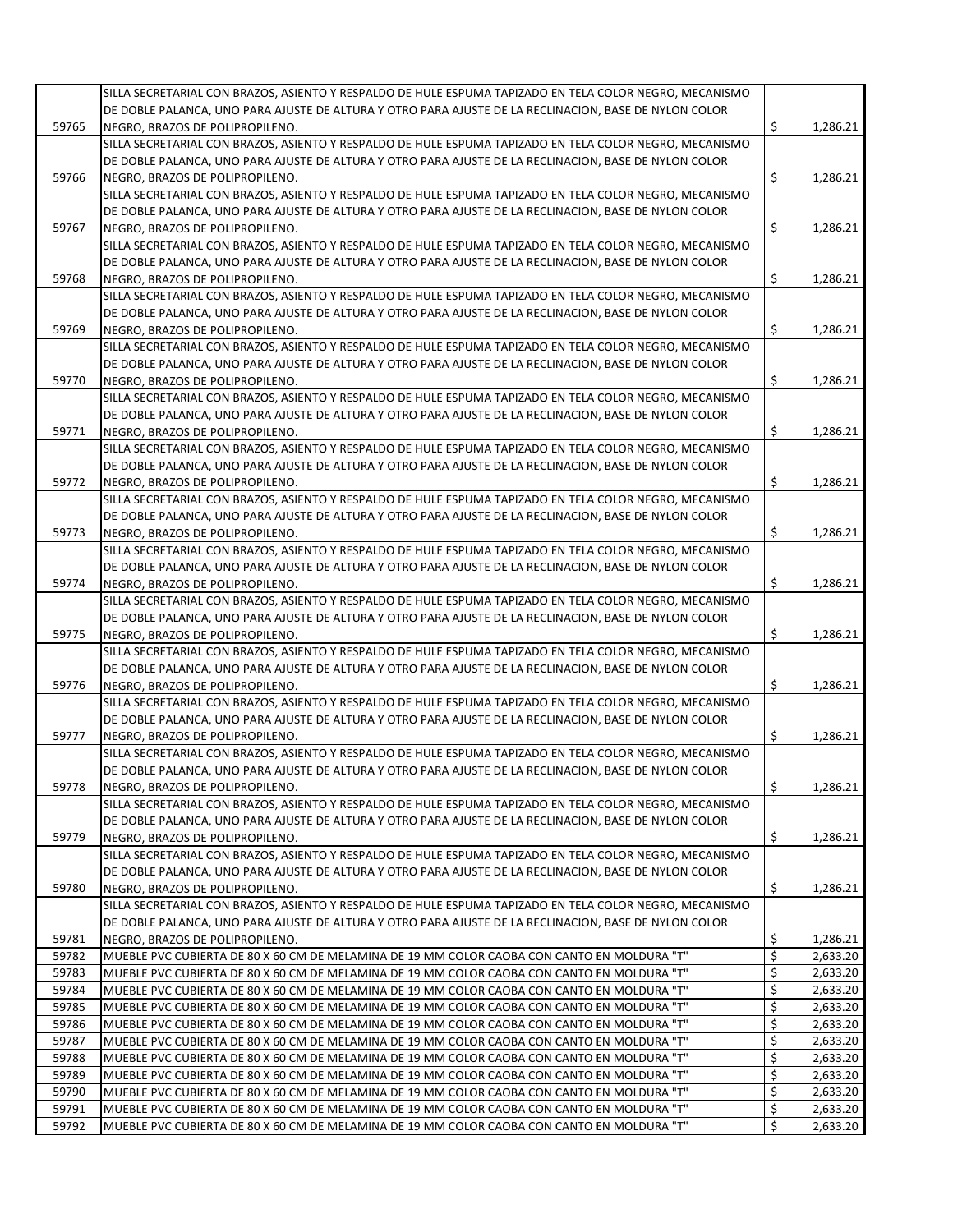|       | SILLA SECRETARIAL CON BRAZOS, ASIENTO Y RESPALDO DE HULE ESPUMA TAPIZADO EN TELA COLOR NEGRO, MECANISMO |     |          |
|-------|---------------------------------------------------------------------------------------------------------|-----|----------|
|       | DE DOBLE PALANCA, UNO PARA AJUSTE DE ALTURA Y OTRO PARA AJUSTE DE LA RECLINACION, BASE DE NYLON COLOR   |     |          |
| 59765 | NEGRO, BRAZOS DE POLIPROPILENO.                                                                         | \$  | 1,286.21 |
|       | SILLA SECRETARIAL CON BRAZOS, ASIENTO Y RESPALDO DE HULE ESPUMA TAPIZADO EN TELA COLOR NEGRO, MECANISMO |     |          |
|       | DE DOBLE PALANCA, UNO PARA AJUSTE DE ALTURA Y OTRO PARA AJUSTE DE LA RECLINACION, BASE DE NYLON COLOR   |     |          |
| 59766 | NEGRO, BRAZOS DE POLIPROPILENO.                                                                         | \$  | 1,286.21 |
|       | SILLA SECRETARIAL CON BRAZOS, ASIENTO Y RESPALDO DE HULE ESPUMA TAPIZADO EN TELA COLOR NEGRO, MECANISMO |     |          |
|       | DE DOBLE PALANCA, UNO PARA AJUSTE DE ALTURA Y OTRO PARA AJUSTE DE LA RECLINACION, BASE DE NYLON COLOR   |     |          |
| 59767 | NEGRO, BRAZOS DE POLIPROPILENO.                                                                         | \$  | 1,286.21 |
|       | SILLA SECRETARIAL CON BRAZOS, ASIENTO Y RESPALDO DE HULE ESPUMA TAPIZADO EN TELA COLOR NEGRO, MECANISMO |     |          |
|       | DE DOBLE PALANCA, UNO PARA AJUSTE DE ALTURA Y OTRO PARA AJUSTE DE LA RECLINACION, BASE DE NYLON COLOR   |     |          |
| 59768 | NEGRO, BRAZOS DE POLIPROPILENO.                                                                         | \$  | 1,286.21 |
|       | SILLA SECRETARIAL CON BRAZOS, ASIENTO Y RESPALDO DE HULE ESPUMA TAPIZADO EN TELA COLOR NEGRO, MECANISMO |     |          |
|       | DE DOBLE PALANCA, UNO PARA AJUSTE DE ALTURA Y OTRO PARA AJUSTE DE LA RECLINACION, BASE DE NYLON COLOR   |     |          |
| 59769 | NEGRO, BRAZOS DE POLIPROPILENO.                                                                         | \$  | 1,286.21 |
|       | SILLA SECRETARIAL CON BRAZOS, ASIENTO Y RESPALDO DE HULE ESPUMA TAPIZADO EN TELA COLOR NEGRO, MECANISMO |     |          |
|       |                                                                                                         |     |          |
|       | DE DOBLE PALANCA, UNO PARA AJUSTE DE ALTURA Y OTRO PARA AJUSTE DE LA RECLINACION, BASE DE NYLON COLOR   |     |          |
| 59770 | NEGRO, BRAZOS DE POLIPROPILENO.                                                                         | \$  | 1,286.21 |
|       | SILLA SECRETARIAL CON BRAZOS, ASIENTO Y RESPALDO DE HULE ESPUMA TAPIZADO EN TELA COLOR NEGRO, MECANISMO |     |          |
|       | DE DOBLE PALANCA, UNO PARA AJUSTE DE ALTURA Y OTRO PARA AJUSTE DE LA RECLINACION, BASE DE NYLON COLOR   |     |          |
| 59771 | NEGRO. BRAZOS DE POLIPROPILENO.                                                                         | \$. | 1,286.21 |
|       | SILLA SECRETARIAL CON BRAZOS, ASIENTO Y RESPALDO DE HULE ESPUMA TAPIZADO EN TELA COLOR NEGRO, MECANISMO |     |          |
|       | DE DOBLE PALANCA, UNO PARA AJUSTE DE ALTURA Y OTRO PARA AJUSTE DE LA RECLINACION, BASE DE NYLON COLOR   |     |          |
| 59772 | NEGRO, BRAZOS DE POLIPROPILENO.                                                                         | \$  | 1,286.21 |
|       | SILLA SECRETARIAL CON BRAZOS, ASIENTO Y RESPALDO DE HULE ESPUMA TAPIZADO EN TELA COLOR NEGRO, MECANISMO |     |          |
|       | DE DOBLE PALANCA, UNO PARA AJUSTE DE ALTURA Y OTRO PARA AJUSTE DE LA RECLINACION, BASE DE NYLON COLOR   |     |          |
| 59773 | NEGRO, BRAZOS DE POLIPROPILENO.                                                                         | \$  | 1,286.21 |
|       | SILLA SECRETARIAL CON BRAZOS, ASIENTO Y RESPALDO DE HULE ESPUMA TAPIZADO EN TELA COLOR NEGRO, MECANISMO |     |          |
|       | DE DOBLE PALANCA, UNO PARA AJUSTE DE ALTURA Y OTRO PARA AJUSTE DE LA RECLINACION, BASE DE NYLON COLOR   |     |          |
| 59774 | NEGRO, BRAZOS DE POLIPROPILENO.                                                                         | \$  | 1,286.21 |
|       | SILLA SECRETARIAL CON BRAZOS, ASIENTO Y RESPALDO DE HULE ESPUMA TAPIZADO EN TELA COLOR NEGRO, MECANISMO |     |          |
|       | DE DOBLE PALANCA, UNO PARA AJUSTE DE ALTURA Y OTRO PARA AJUSTE DE LA RECLINACION, BASE DE NYLON COLOR   |     |          |
| 59775 | NEGRO, BRAZOS DE POLIPROPILENO.                                                                         | \$  | 1,286.21 |
|       | SILLA SECRETARIAL CON BRAZOS, ASIENTO Y RESPALDO DE HULE ESPUMA TAPIZADO EN TELA COLOR NEGRO, MECANISMO |     |          |
|       | DE DOBLE PALANCA, UNO PARA AJUSTE DE ALTURA Y OTRO PARA AJUSTE DE LA RECLINACION, BASE DE NYLON COLOR   |     |          |
| 59776 | NEGRO, BRAZOS DE POLIPROPILENO.                                                                         | \$  | 1,286.21 |
|       | SILLA SECRETARIAL CON BRAZOS, ASIENTO Y RESPALDO DE HULE ESPUMA TAPIZADO EN TELA COLOR NEGRO, MECANISMO |     |          |
|       | DE DOBLE PALANCA, UNO PARA AJUSTE DE ALTURA Y OTRO PARA AJUSTE DE LA RECLINACION, BASE DE NYLON COLOR   |     |          |
| 59777 | NEGRO, BRAZOS DE POLIPROPILENO.                                                                         | \$  | 1,286.21 |
|       | SILLA SECRETARIAL CON BRAZOS, ASIENTO Y RESPALDO DE HULE ESPUMA TAPIZADO EN TELA COLOR NEGRO, MECANISMO |     |          |
|       | DE DOBLE PALANCA, UNO PARA AJUSTE DE ALTURA Y OTRO PARA AJUSTE DE LA RECLINACION, BASE DE NYLON COLOR   |     |          |
| 59778 | NEGRO, BRAZOS DE POLIPROPILENO.                                                                         | \$  | 1,286.21 |
|       | SILLA SECRETARIAL CON BRAZOS, ASIENTO Y RESPALDO DE HULE ESPUMA TAPIZADO EN TELA COLOR NEGRO, MECANISMO |     |          |
|       | DE DOBLE PALANCA, UNO PARA AJUSTE DE ALTURA Y OTRO PARA AJUSTE DE LA RECLINACION, BASE DE NYLON COLOR   |     |          |
| 59779 | NEGRO, BRAZOS DE POLIPROPILENO.                                                                         | \$  | 1,286.21 |
|       | SILLA SECRETARIAL CON BRAZOS, ASIENTO Y RESPALDO DE HULE ESPUMA TAPIZADO EN TELA COLOR NEGRO, MECANISMO |     |          |
|       | DE DOBLE PALANCA, UNO PARA AJUSTE DE ALTURA Y OTRO PARA AJUSTE DE LA RECLINACION, BASE DE NYLON COLOR   |     |          |
| 59780 | NEGRO, BRAZOS DE POLIPROPILENO.                                                                         | \$  | 1,286.21 |
|       | SILLA SECRETARIAL CON BRAZOS, ASIENTO Y RESPALDO DE HULE ESPUMA TAPIZADO EN TELA COLOR NEGRO, MECANISMO |     |          |
|       | DE DOBLE PALANCA, UNO PARA AJUSTE DE ALTURA Y OTRO PARA AJUSTE DE LA RECLINACION, BASE DE NYLON COLOR   |     |          |
| 59781 | NEGRO, BRAZOS DE POLIPROPILENO.                                                                         | \$  | 1,286.21 |
| 59782 | MUEBLE PVC CUBIERTA DE 80 X 60 CM DE MELAMINA DE 19 MM COLOR CAOBA CON CANTO EN MOLDURA "T"             | \$  | 2,633.20 |
| 59783 | MUEBLE PVC CUBIERTA DE 80 X 60 CM DE MELAMINA DE 19 MM COLOR CAOBA CON CANTO EN MOLDURA "T"             | \$  | 2,633.20 |
| 59784 | MUEBLE PVC CUBIERTA DE 80 X 60 CM DE MELAMINA DE 19 MM COLOR CAOBA CON CANTO EN MOLDURA "T"             | \$  | 2,633.20 |
| 59785 | MUEBLE PVC CUBIERTA DE 80 X 60 CM DE MELAMINA DE 19 MM COLOR CAOBA CON CANTO EN MOLDURA "T"             | \$  | 2,633.20 |
| 59786 | MUEBLE PVC CUBIERTA DE 80 X 60 CM DE MELAMINA DE 19 MM COLOR CAOBA CON CANTO EN MOLDURA "T"             | \$  | 2,633.20 |
| 59787 | MUEBLE PVC CUBIERTA DE 80 X 60 CM DE MELAMINA DE 19 MM COLOR CAOBA CON CANTO EN MOLDURA "T"             | \$  | 2,633.20 |
| 59788 | MUEBLE PVC CUBIERTA DE 80 X 60 CM DE MELAMINA DE 19 MM COLOR CAOBA CON CANTO EN MOLDURA "T"             | \$  | 2,633.20 |
| 59789 | MUEBLE PVC CUBIERTA DE 80 X 60 CM DE MELAMINA DE 19 MM COLOR CAOBA CON CANTO EN MOLDURA "T"             | \$  | 2,633.20 |
| 59790 | MUEBLE PVC CUBIERTA DE 80 X 60 CM DE MELAMINA DE 19 MM COLOR CAOBA CON CANTO EN MOLDURA "T"             | \$  | 2,633.20 |
| 59791 |                                                                                                         | \$  | 2,633.20 |
|       | MUEBLE PVC CUBIERTA DE 80 X 60 CM DE MELAMINA DE 19 MM COLOR CAOBA CON CANTO EN MOLDURA "T"             | \$  |          |
| 59792 | MUEBLE PVC CUBIERTA DE 80 X 60 CM DE MELAMINA DE 19 MM COLOR CAOBA CON CANTO EN MOLDURA "T"             |     | 2,633.20 |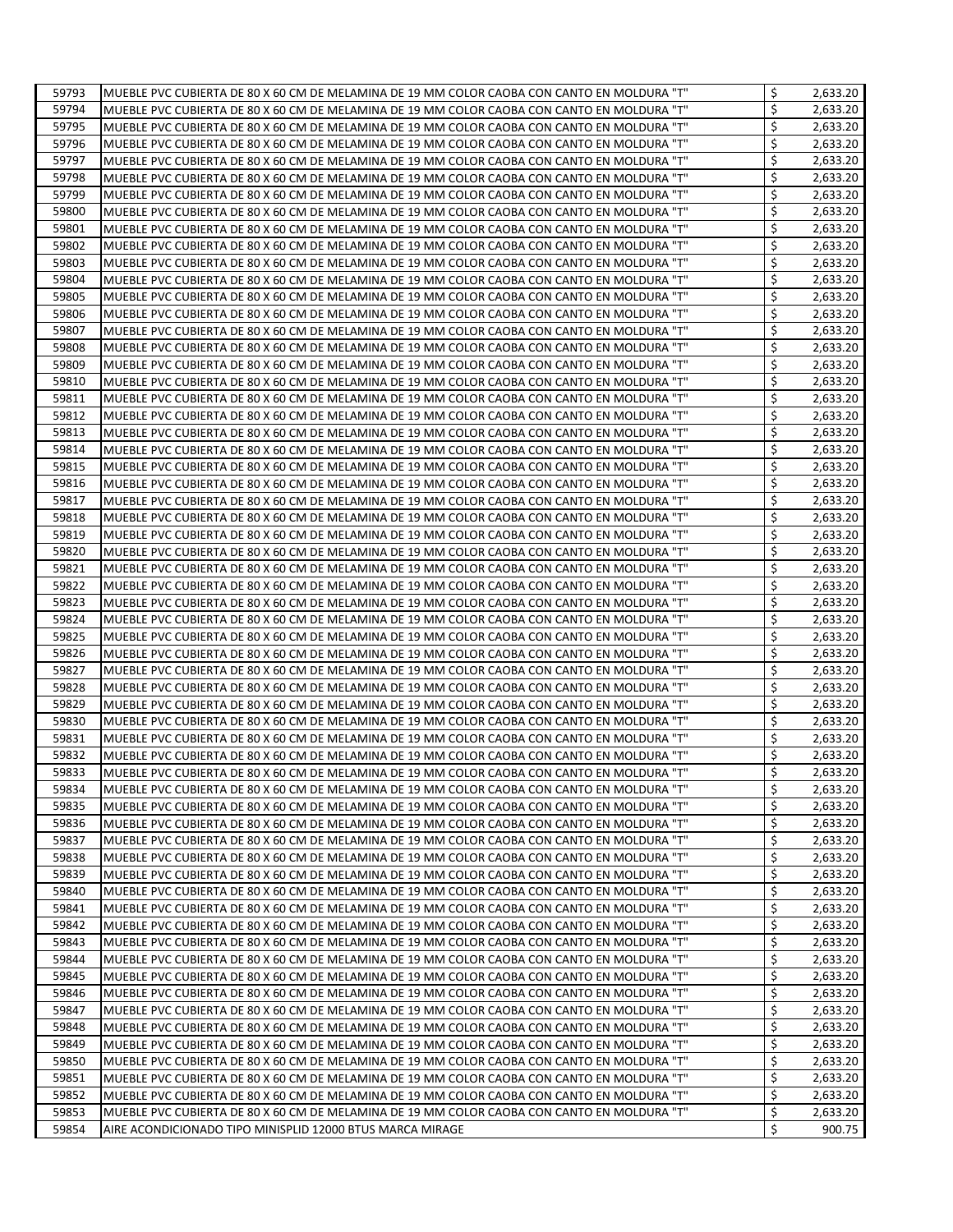| 59793          | MUEBLE PVC CUBIERTA DE 80 X 60 CM DE MELAMINA DE 19 MM COLOR CAOBA CON CANTO EN MOLDURA "T" | \$       | 2,633.20             |
|----------------|---------------------------------------------------------------------------------------------|----------|----------------------|
| 59794          | MUEBLE PVC CUBIERTA DE 80 X 60 CM DE MELAMINA DE 19 MM COLOR CAOBA CON CANTO EN MOLDURA "T" | \$       | 2,633.20             |
| 59795          | MUEBLE PVC CUBIERTA DE 80 X 60 CM DE MELAMINA DE 19 MM COLOR CAOBA CON CANTO EN MOLDURA "T" | \$       | 2,633.20             |
| 59796          | MUEBLE PVC CUBIERTA DE 80 X 60 CM DE MELAMINA DE 19 MM COLOR CAOBA CON CANTO EN MOLDURA "T" | \$       | 2,633.20             |
| 59797          | MUEBLE PVC CUBIERTA DE 80 X 60 CM DE MELAMINA DE 19 MM COLOR CAOBA CON CANTO EN MOLDURA "T" | \$       | 2,633.20             |
| 59798          | MUEBLE PVC CUBIERTA DE 80 X 60 CM DE MELAMINA DE 19 MM COLOR CAOBA CON CANTO EN MOLDURA "T" | \$       | 2,633.20             |
| 59799          | MUEBLE PVC CUBIERTA DE 80 X 60 CM DE MELAMINA DE 19 MM COLOR CAOBA CON CANTO EN MOLDURA "T" | \$       | 2,633.20             |
| 59800          | MUEBLE PVC CUBIERTA DE 80 X 60 CM DE MELAMINA DE 19 MM COLOR CAOBA CON CANTO EN MOLDURA "T" | \$       | 2,633.20             |
| 59801          | MUEBLE PVC CUBIERTA DE 80 X 60 CM DE MELAMINA DE 19 MM COLOR CAOBA CON CANTO EN MOLDURA "T" | \$       | 2,633.20             |
| 59802          | MUEBLE PVC CUBIERTA DE 80 X 60 CM DE MELAMINA DE 19 MM COLOR CAOBA CON CANTO EN MOLDURA "T" | \$       | 2,633.20             |
| 59803          | MUEBLE PVC CUBIERTA DE 80 X 60 CM DE MELAMINA DE 19 MM COLOR CAOBA CON CANTO EN MOLDURA "T" | \$       | 2,633.20             |
| 59804          | MUEBLE PVC CUBIERTA DE 80 X 60 CM DE MELAMINA DE 19 MM COLOR CAOBA CON CANTO EN MOLDURA "T" | \$       | 2,633.20             |
| 59805          | MUEBLE PVC CUBIERTA DE 80 X 60 CM DE MELAMINA DE 19 MM COLOR CAOBA CON CANTO EN MOLDURA "T" | Ś        | 2,633.20             |
| 59806          | MUEBLE PVC CUBIERTA DE 80 X 60 CM DE MELAMINA DE 19 MM COLOR CAOBA CON CANTO EN MOLDURA "T" | \$       | 2,633.20             |
| 59807          | MUEBLE PVC CUBIERTA DE 80 X 60 CM DE MELAMINA DE 19 MM COLOR CAOBA CON CANTO EN MOLDURA "T" | \$       | 2,633.20             |
| 59808          | MUEBLE PVC CUBIERTA DE 80 X 60 CM DE MELAMINA DE 19 MM COLOR CAOBA CON CANTO EN MOLDURA "T" | \$       | 2,633.20             |
| 59809          | MUEBLE PVC CUBIERTA DE 80 X 60 CM DE MELAMINA DE 19 MM COLOR CAOBA CON CANTO EN MOLDURA "T" | \$       | 2,633.20             |
| 59810          | MUEBLE PVC CUBIERTA DE 80 X 60 CM DE MELAMINA DE 19 MM COLOR CAOBA CON CANTO EN MOLDURA "T" | \$       | 2,633.20             |
| 59811          | MUEBLE PVC CUBIERTA DE 80 X 60 CM DE MELAMINA DE 19 MM COLOR CAOBA CON CANTO EN MOLDURA "T" | \$       | 2,633.20             |
| 59812          | MUEBLE PVC CUBIERTA DE 80 X 60 CM DE MELAMINA DE 19 MM COLOR CAOBA CON CANTO EN MOLDURA "T" | \$       | 2,633.20             |
| 59813          | MUEBLE PVC CUBIERTA DE 80 X 60 CM DE MELAMINA DE 19 MM COLOR CAOBA CON CANTO EN MOLDURA "T" | \$       | 2,633.20             |
| 59814          | MUEBLE PVC CUBIERTA DE 80 X 60 CM DE MELAMINA DE 19 MM COLOR CAOBA CON CANTO EN MOLDURA "T" | \$       | 2,633.20             |
| 59815          | MUEBLE PVC CUBIERTA DE 80 X 60 CM DE MELAMINA DE 19 MM COLOR CAOBA CON CANTO EN MOLDURA "T" | \$       | 2,633.20             |
| 59816          | MUEBLE PVC CUBIERTA DE 80 X 60 CM DE MELAMINA DE 19 MM COLOR CAOBA CON CANTO EN MOLDURA "T" | \$       | 2,633.20             |
| 59817          | MUEBLE PVC CUBIERTA DE 80 X 60 CM DE MELAMINA DE 19 MM COLOR CAOBA CON CANTO EN MOLDURA "T" | \$       | 2,633.20             |
| 59818          | MUEBLE PVC CUBIERTA DE 80 X 60 CM DE MELAMINA DE 19 MM COLOR CAOBA CON CANTO EN MOLDURA "T" | \$       | 2,633.20             |
| 59819          | MUEBLE PVC CUBIERTA DE 80 X 60 CM DE MELAMINA DE 19 MM COLOR CAOBA CON CANTO EN MOLDURA "T" | \$       | 2,633.20             |
| 59820          | MUEBLE PVC CUBIERTA DE 80 X 60 CM DE MELAMINA DE 19 MM COLOR CAOBA CON CANTO EN MOLDURA "T" | \$       | 2,633.20             |
| 59821          | MUEBLE PVC CUBIERTA DE 80 X 60 CM DE MELAMINA DE 19 MM COLOR CAOBA CON CANTO EN MOLDURA "T" | \$       | 2,633.20             |
| 59822          | MUEBLE PVC CUBIERTA DE 80 X 60 CM DE MELAMINA DE 19 MM COLOR CAOBA CON CANTO EN MOLDURA "T" | \$       | 2,633.20             |
| 59823          | MUEBLE PVC CUBIERTA DE 80 X 60 CM DE MELAMINA DE 19 MM COLOR CAOBA CON CANTO EN MOLDURA "T" | \$       | 2,633.20             |
| 59824          | MUEBLE PVC CUBIERTA DE 80 X 60 CM DE MELAMINA DE 19 MM COLOR CAOBA CON CANTO EN MOLDURA "T" | \$       | 2,633.20             |
| 59825          | MUEBLE PVC CUBIERTA DE 80 X 60 CM DE MELAMINA DE 19 MM COLOR CAOBA CON CANTO EN MOLDURA "T" | \$       | 2,633.20             |
| 59826          | MUEBLE PVC CUBIERTA DE 80 X 60 CM DE MELAMINA DE 19 MM COLOR CAOBA CON CANTO EN MOLDURA "T" | \$       | 2,633.20             |
| 59827          | MUEBLE PVC CUBIERTA DE 80 X 60 CM DE MELAMINA DE 19 MM COLOR CAOBA CON CANTO EN MOLDURA "T" | \$       | 2,633.20             |
| 59828          | MUEBLE PVC CUBIERTA DE 80 X 60 CM DE MELAMINA DE 19 MM COLOR CAOBA CON CANTO EN MOLDURA "T" | \$       | 2,633.20             |
| 59829          | MUEBLE PVC CUBIERTA DE 80 X 60 CM DE MELAMINA DE 19 MM COLOR CAOBA CON CANTO EN MOLDURA "T" | \$       | 2,633.20             |
| 59830          | MUEBLE PVC CUBIERTA DE 80 X 60 CM DE MELAMINA DE 19 MM COLOR CAOBA CON CANTO EN MOLDURA "T" | \$       | 2,633.20             |
| 59831          | MUEBLE PVC CUBIERTA DE 80 X 60 CM DE MELAMINA DE 19 MM COLOR CAOBA CON CANTO EN MOLDURA "T" | \$       | 2,633.20             |
| 59832          | MUEBLE PVC CUBIERTA DE 80 X 60 CM DE MELAMINA DE 19 MM COLOR CAOBA CON CANTO EN MOLDURA "T" | \$       | 2,633.20             |
| 59833          | MUEBLE PVC CUBIERTA DE 80 X 60 CM DE MELAMINA DE 19 MM COLOR CAOBA CON CANTO EN MOLDURA "T" | \$       | 2,633.20             |
|                |                                                                                             |          |                      |
| 59834          | MUEBLE PVC CUBIERTA DE 80 X 60 CM DE MELAMINA DE 19 MM COLOR CAOBA CON CANTO EN MOLDURA "T" | \$<br>\$ | 2,633.20             |
| 59835          | MUEBLE PVC CUBIERTA DE 80 X 60 CM DE MELAMINA DE 19 MM COLOR CAOBA CON CANTO EN MOLDURA "T" |          | 2,633.20             |
| 59836          | MUEBLE PVC CUBIERTA DE 80 X 60 CM DE MELAMINA DE 19 MM COLOR CAOBA CON CANTO EN MOLDURA "T" | \$<br>\$ | 2,633.20             |
| 59837          | MUEBLE PVC CUBIERTA DE 80 X 60 CM DE MELAMINA DE 19 MM COLOR CAOBA CON CANTO EN MOLDURA "T" | \$       | 2,633.20<br>2,633.20 |
| 59838          | MUEBLE PVC CUBIERTA DE 80 X 60 CM DE MELAMINA DE 19 MM COLOR CAOBA CON CANTO EN MOLDURA "T" | \$       |                      |
| 59839<br>59840 | MUEBLE PVC CUBIERTA DE 80 X 60 CM DE MELAMINA DE 19 MM COLOR CAOBA CON CANTO EN MOLDURA "T" | \$       | 2,633.20             |
| 59841          | MUEBLE PVC CUBIERTA DE 80 X 60 CM DE MELAMINA DE 19 MM COLOR CAOBA CON CANTO EN MOLDURA "T" | \$       | 2,633.20             |
|                | MUEBLE PVC CUBIERTA DE 80 X 60 CM DE MELAMINA DE 19 MM COLOR CAOBA CON CANTO EN MOLDURA "T" |          | 2,633.20             |
| 59842          | MUEBLE PVC CUBIERTA DE 80 X 60 CM DE MELAMINA DE 19 MM COLOR CAOBA CON CANTO EN MOLDURA "T" | \$       | 2,633.20             |
| 59843          | MUEBLE PVC CUBIERTA DE 80 X 60 CM DE MELAMINA DE 19 MM COLOR CAOBA CON CANTO EN MOLDURA "T" | \$<br>\$ | 2,633.20             |
| 59844          | MUEBLE PVC CUBIERTA DE 80 X 60 CM DE MELAMINA DE 19 MM COLOR CAOBA CON CANTO EN MOLDURA "T" | \$       | 2,633.20             |
| 59845          | MUEBLE PVC CUBIERTA DE 80 X 60 CM DE MELAMINA DE 19 MM COLOR CAOBA CON CANTO EN MOLDURA "T" | \$       | 2,633.20             |
| 59846          | MUEBLE PVC CUBIERTA DE 80 X 60 CM DE MELAMINA DE 19 MM COLOR CAOBA CON CANTO EN MOLDURA "T" | \$       | 2,633.20             |
| 59847          | MUEBLE PVC CUBIERTA DE 80 X 60 CM DE MELAMINA DE 19 MM COLOR CAOBA CON CANTO EN MOLDURA "T" | \$       | 2,633.20             |
| 59848          | MUEBLE PVC CUBIERTA DE 80 X 60 CM DE MELAMINA DE 19 MM COLOR CAOBA CON CANTO EN MOLDURA "T" | \$       | 2,633.20             |
| 59849          | MUEBLE PVC CUBIERTA DE 80 X 60 CM DE MELAMINA DE 19 MM COLOR CAOBA CON CANTO EN MOLDURA "T" | \$       | 2,633.20             |
| 59850          | MUEBLE PVC CUBIERTA DE 80 X 60 CM DE MELAMINA DE 19 MM COLOR CAOBA CON CANTO EN MOLDURA "T" | \$       | 2,633.20             |
| 59851          | MUEBLE PVC CUBIERTA DE 80 X 60 CM DE MELAMINA DE 19 MM COLOR CAOBA CON CANTO EN MOLDURA "T" |          | 2,633.20             |
| 59852          | MUEBLE PVC CUBIERTA DE 80 X 60 CM DE MELAMINA DE 19 MM COLOR CAOBA CON CANTO EN MOLDURA "T" | \$       | 2,633.20             |
| 59853          | MUEBLE PVC CUBIERTA DE 80 X 60 CM DE MELAMINA DE 19 MM COLOR CAOBA CON CANTO EN MOLDURA "T" | \$<br>\$ | 2,633.20             |
| 59854          | AIRE ACONDICIONADO TIPO MINISPLID 12000 BTUS MARCA MIRAGE                                   |          | 900.75               |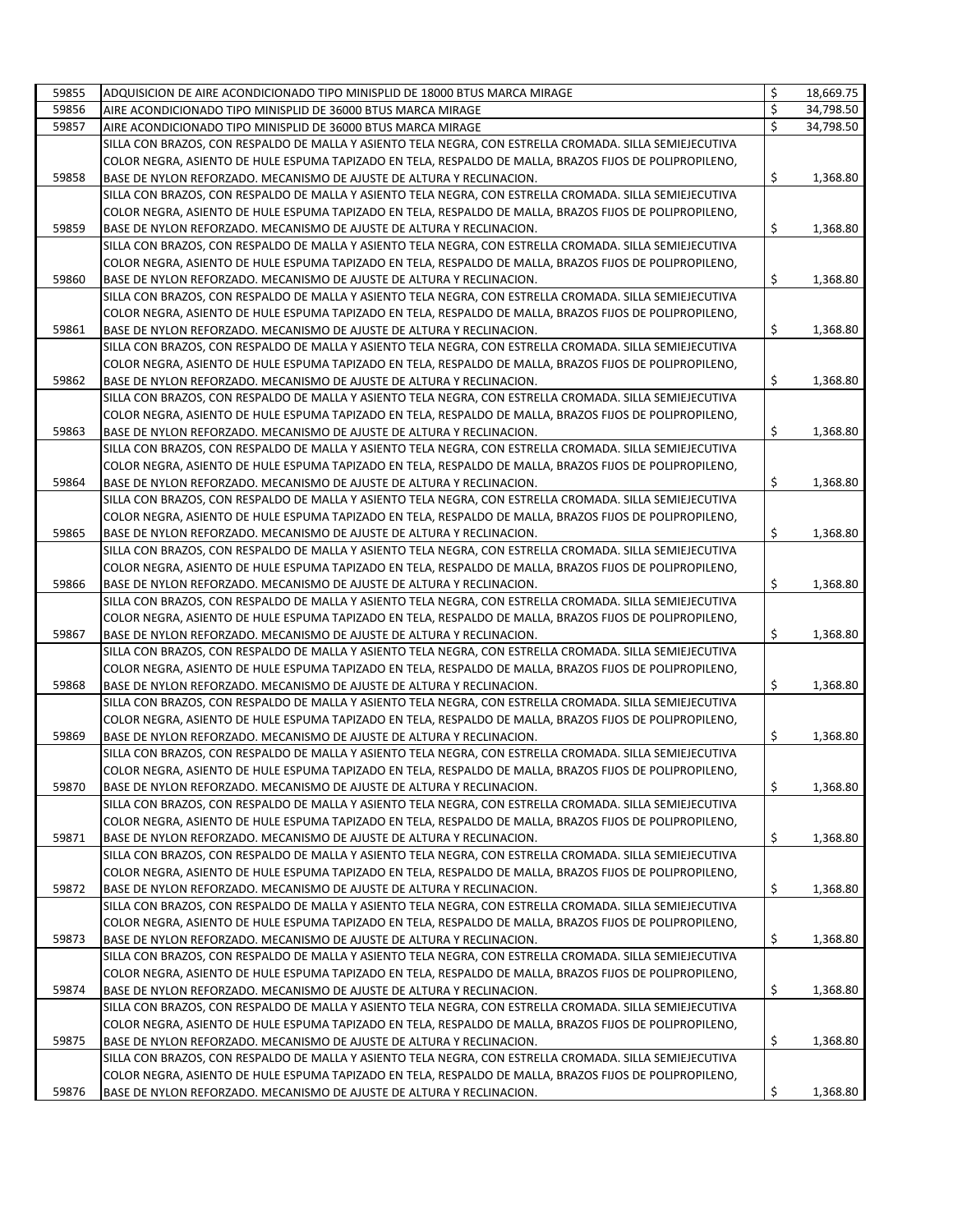| 59855 | ADQUISICION DE AIRE ACONDICIONADO TIPO MINISPLID DE 18000 BTUS MARCA MIRAGE                                                                                                      | \$  | 18,669.75 |
|-------|----------------------------------------------------------------------------------------------------------------------------------------------------------------------------------|-----|-----------|
| 59856 | AIRE ACONDICIONADO TIPO MINISPLID DE 36000 BTUS MARCA MIRAGE                                                                                                                     | \$  | 34,798.50 |
| 59857 | AIRE ACONDICIONADO TIPO MINISPLID DE 36000 BTUS MARCA MIRAGE                                                                                                                     | Ś   | 34,798.50 |
|       | SILLA CON BRAZOS, CON RESPALDO DE MALLA Y ASIENTO TELA NEGRA, CON ESTRELLA CROMADA. SILLA SEMIEJECUTIVA                                                                          |     |           |
|       | COLOR NEGRA, ASIENTO DE HULE ESPUMA TAPIZADO EN TELA, RESPALDO DE MALLA, BRAZOS FIJOS DE POLIPROPILENO,                                                                          |     |           |
| 59858 | BASE DE NYLON REFORZADO. MECANISMO DE AJUSTE DE ALTURA Y RECLINACION.                                                                                                            | \$  | 1,368.80  |
|       | SILLA CON BRAZOS, CON RESPALDO DE MALLA Y ASIENTO TELA NEGRA, CON ESTRELLA CROMADA. SILLA SEMIEJECUTIVA                                                                          |     |           |
|       | COLOR NEGRA, ASIENTO DE HULE ESPUMA TAPIZADO EN TELA, RESPALDO DE MALLA, BRAZOS FIJOS DE POLIPROPILENO,                                                                          |     |           |
| 59859 | BASE DE NYLON REFORZADO. MECANISMO DE AJUSTE DE ALTURA Y RECLINACION.                                                                                                            | \$  | 1,368.80  |
|       | SILLA CON BRAZOS, CON RESPALDO DE MALLA Y ASIENTO TELA NEGRA, CON ESTRELLA CROMADA. SILLA SEMIEJECUTIVA                                                                          |     |           |
|       | COLOR NEGRA, ASIENTO DE HULE ESPUMA TAPIZADO EN TELA, RESPALDO DE MALLA, BRAZOS FIJOS DE POLIPROPILENO,                                                                          |     |           |
| 59860 | BASE DE NYLON REFORZADO. MECANISMO DE AJUSTE DE ALTURA Y RECLINACION.                                                                                                            | \$  | 1,368.80  |
|       | SILLA CON BRAZOS, CON RESPALDO DE MALLA Y ASIENTO TELA NEGRA, CON ESTRELLA CROMADA. SILLA SEMIEJECUTIVA                                                                          |     |           |
|       | COLOR NEGRA, ASIENTO DE HULE ESPUMA TAPIZADO EN TELA, RESPALDO DE MALLA, BRAZOS FIJOS DE POLIPROPILENO,                                                                          |     |           |
| 59861 | BASE DE NYLON REFORZADO. MECANISMO DE AJUSTE DE ALTURA Y RECLINACION.                                                                                                            | \$  | 1,368.80  |
|       | SILLA CON BRAZOS, CON RESPALDO DE MALLA Y ASIENTO TELA NEGRA, CON ESTRELLA CROMADA. SILLA SEMIEJECUTIVA                                                                          |     |           |
|       | COLOR NEGRA, ASIENTO DE HULE ESPUMA TAPIZADO EN TELA, RESPALDO DE MALLA, BRAZOS FIJOS DE POLIPROPILENO,                                                                          |     |           |
| 59862 | BASE DE NYLON REFORZADO. MECANISMO DE AJUSTE DE ALTURA Y RECLINACION.                                                                                                            | \$  | 1,368.80  |
|       | SILLA CON BRAZOS, CON RESPALDO DE MALLA Y ASIENTO TELA NEGRA, CON ESTRELLA CROMADA. SILLA SEMIEJECUTIVA                                                                          |     |           |
|       | COLOR NEGRA, ASIENTO DE HULE ESPUMA TAPIZADO EN TELA, RESPALDO DE MALLA, BRAZOS FIJOS DE POLIPROPILENO,                                                                          |     |           |
| 59863 | BASE DE NYLON REFORZADO. MECANISMO DE AJUSTE DE ALTURA Y RECLINACION.                                                                                                            | \$  | 1,368.80  |
|       | SILLA CON BRAZOS, CON RESPALDO DE MALLA Y ASIENTO TELA NEGRA, CON ESTRELLA CROMADA. SILLA SEMIEJECUTIVA                                                                          |     |           |
|       | COLOR NEGRA, ASIENTO DE HULE ESPUMA TAPIZADO EN TELA, RESPALDO DE MALLA, BRAZOS FIJOS DE POLIPROPILENO,                                                                          |     |           |
| 59864 | BASE DE NYLON REFORZADO. MECANISMO DE AJUSTE DE ALTURA Y RECLINACION.                                                                                                            | \$  | 1,368.80  |
|       | SILLA CON BRAZOS, CON RESPALDO DE MALLA Y ASIENTO TELA NEGRA, CON ESTRELLA CROMADA. SILLA SEMIEJECUTIVA                                                                          |     |           |
|       | COLOR NEGRA, ASIENTO DE HULE ESPUMA TAPIZADO EN TELA, RESPALDO DE MALLA, BRAZOS FIJOS DE POLIPROPILENO,                                                                          |     |           |
| 59865 | BASE DE NYLON REFORZADO. MECANISMO DE AJUSTE DE ALTURA Y RECLINACION.                                                                                                            | \$  | 1,368.80  |
|       | SILLA CON BRAZOS, CON RESPALDO DE MALLA Y ASIENTO TELA NEGRA, CON ESTRELLA CROMADA. SILLA SEMIEJECUTIVA                                                                          |     |           |
|       | COLOR NEGRA, ASIENTO DE HULE ESPUMA TAPIZADO EN TELA, RESPALDO DE MALLA, BRAZOS FIJOS DE POLIPROPILENO,                                                                          |     |           |
| 59866 | BASE DE NYLON REFORZADO. MECANISMO DE AJUSTE DE ALTURA Y RECLINACION.                                                                                                            | \$  | 1,368.80  |
|       | SILLA CON BRAZOS, CON RESPALDO DE MALLA Y ASIENTO TELA NEGRA, CON ESTRELLA CROMADA. SILLA SEMIEJECUTIVA                                                                          |     |           |
| 59867 | COLOR NEGRA, ASIENTO DE HULE ESPUMA TAPIZADO EN TELA, RESPALDO DE MALLA, BRAZOS FIJOS DE POLIPROPILENO,                                                                          | \$  |           |
|       | BASE DE NYLON REFORZADO. MECANISMO DE AJUSTE DE ALTURA Y RECLINACION.                                                                                                            |     | 1,368.80  |
|       | SILLA CON BRAZOS, CON RESPALDO DE MALLA Y ASIENTO TELA NEGRA, CON ESTRELLA CROMADA. SILLA SEMIEJECUTIVA                                                                          |     |           |
| 59868 | COLOR NEGRA, ASIENTO DE HULE ESPUMA TAPIZADO EN TELA, RESPALDO DE MALLA, BRAZOS FIJOS DE POLIPROPILENO,                                                                          | \$  | 1,368.80  |
|       | BASE DE NYLON REFORZADO. MECANISMO DE AJUSTE DE ALTURA Y RECLINACION.<br>SILLA CON BRAZOS, CON RESPALDO DE MALLA Y ASIENTO TELA NEGRA, CON ESTRELLA CROMADA. SILLA SEMIEJECUTIVA |     |           |
|       | COLOR NEGRA, ASIENTO DE HULE ESPUMA TAPIZADO EN TELA, RESPALDO DE MALLA, BRAZOS FIJOS DE POLIPROPILENO,                                                                          |     |           |
| 59869 | BASE DE NYLON REFORZADO. MECANISMO DE AJUSTE DE ALTURA Y RECLINACION.                                                                                                            | \$  | 1,368.80  |
|       | SILLA CON BRAZOS, CON RESPALDO DE MALLA Y ASIENTO TELA NEGRA, CON ESTRELLA CROMADA. SILLA SEMIEJECUTIVA                                                                          |     |           |
|       | COLOR NEGRA, ASIENTO DE HULE ESPUMA TAPIZADO EN TELA, RESPALDO DE MALLA, BRAZOS FIJOS DE POLIPROPILENO,                                                                          |     |           |
| 59870 | BASE DE NYLON REFORZADO. MECANISMO DE AJUSTE DE ALTURA Y RECLINACION.                                                                                                            | \$  | 1,368.80  |
|       | SILLA CON BRAZOS, CON RESPALDO DE MALLA Y ASIENTO TELA NEGRA, CON ESTRELLA CROMADA. SILLA SEMIEJECUTIVA                                                                          |     |           |
|       | COLOR NEGRA, ASIENTO DE HULE ESPUMA TAPIZADO EN TELA, RESPALDO DE MALLA, BRAZOS FIJOS DE POLIPROPILENO,                                                                          |     |           |
| 59871 | BASE DE NYLON REFORZADO. MECANISMO DE AJUSTE DE ALTURA Y RECLINACION.                                                                                                            | \$  | 1,368.80  |
|       | SILLA CON BRAZOS, CON RESPALDO DE MALLA Y ASIENTO TELA NEGRA, CON ESTRELLA CROMADA. SILLA SEMIEJECUTIVA                                                                          |     |           |
|       | COLOR NEGRA, ASIENTO DE HULE ESPUMA TAPIZADO EN TELA, RESPALDO DE MALLA, BRAZOS FIJOS DE POLIPROPILENO,                                                                          |     |           |
| 59872 | BASE DE NYLON REFORZADO. MECANISMO DE AJUSTE DE ALTURA Y RECLINACION.                                                                                                            | \$  | 1,368.80  |
|       | SILLA CON BRAZOS, CON RESPALDO DE MALLA Y ASIENTO TELA NEGRA, CON ESTRELLA CROMADA. SILLA SEMIEJECUTIVA                                                                          |     |           |
|       | COLOR NEGRA, ASIENTO DE HULE ESPUMA TAPIZADO EN TELA, RESPALDO DE MALLA, BRAZOS FIJOS DE POLIPROPILENO,                                                                          |     |           |
| 59873 | BASE DE NYLON REFORZADO. MECANISMO DE AJUSTE DE ALTURA Y RECLINACION.                                                                                                            | \$  | 1,368.80  |
|       | SILLA CON BRAZOS, CON RESPALDO DE MALLA Y ASIENTO TELA NEGRA, CON ESTRELLA CROMADA. SILLA SEMIEJECUTIVA                                                                          |     |           |
|       | COLOR NEGRA, ASIENTO DE HULE ESPUMA TAPIZADO EN TELA, RESPALDO DE MALLA, BRAZOS FIJOS DE POLIPROPILENO,                                                                          |     |           |
| 59874 | BASE DE NYLON REFORZADO. MECANISMO DE AJUSTE DE ALTURA Y RECLINACION.                                                                                                            | \$  | 1,368.80  |
|       | SILLA CON BRAZOS, CON RESPALDO DE MALLA Y ASIENTO TELA NEGRA, CON ESTRELLA CROMADA. SILLA SEMIEJECUTIVA                                                                          |     |           |
|       | COLOR NEGRA, ASIENTO DE HULE ESPUMA TAPIZADO EN TELA, RESPALDO DE MALLA, BRAZOS FIJOS DE POLIPROPILENO,                                                                          |     |           |
| 59875 | BASE DE NYLON REFORZADO. MECANISMO DE AJUSTE DE ALTURA Y RECLINACION.                                                                                                            | \$, | 1,368.80  |
|       | SILLA CON BRAZOS, CON RESPALDO DE MALLA Y ASIENTO TELA NEGRA, CON ESTRELLA CROMADA. SILLA SEMIEJECUTIVA                                                                          |     |           |
|       | COLOR NEGRA, ASIENTO DE HULE ESPUMA TAPIZADO EN TELA, RESPALDO DE MALLA, BRAZOS FIJOS DE POLIPROPILENO,                                                                          |     |           |
| 59876 | BASE DE NYLON REFORZADO. MECANISMO DE AJUSTE DE ALTURA Y RECLINACION.                                                                                                            | \$  | 1,368.80  |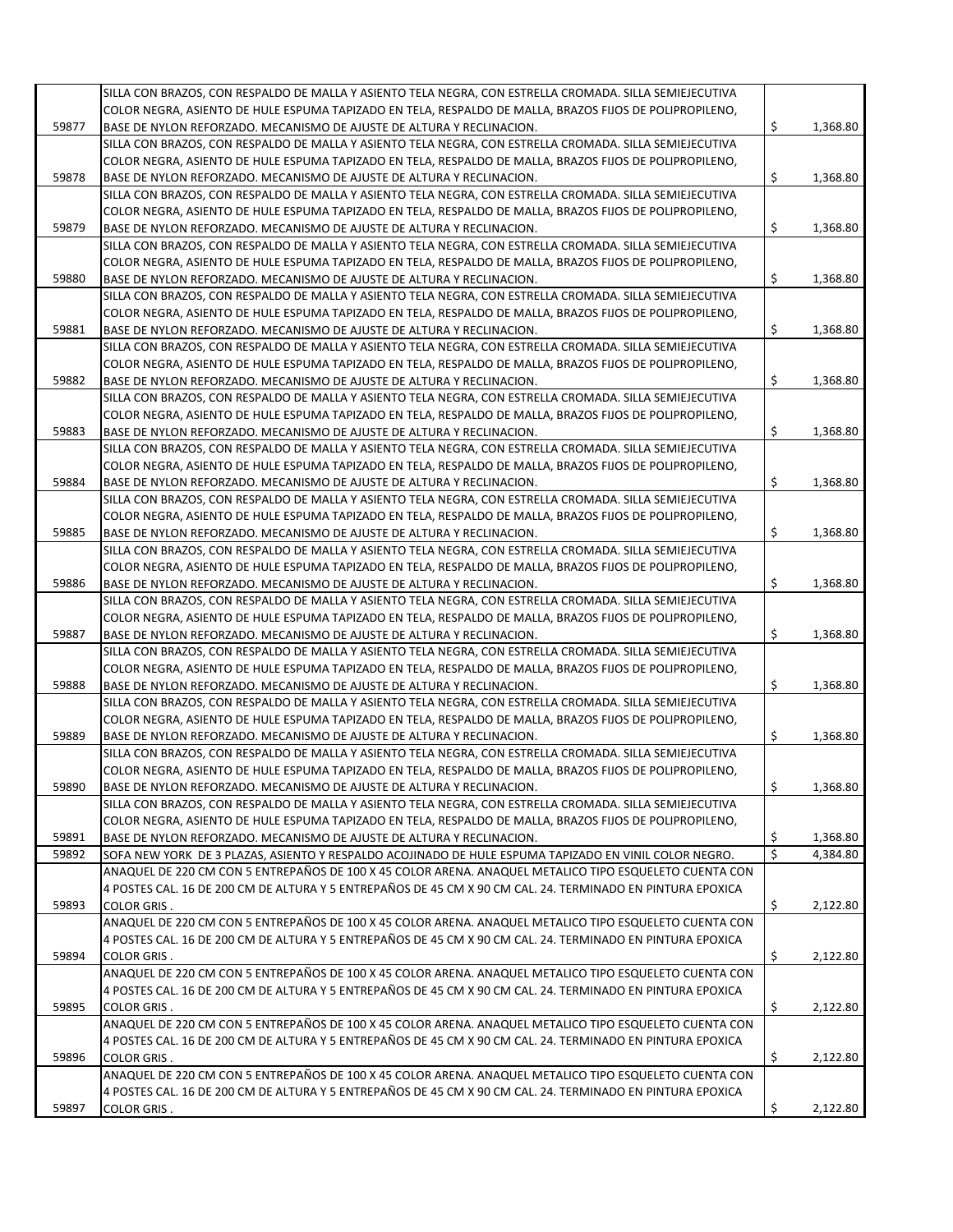|       | SILLA CON BRAZOS, CON RESPALDO DE MALLA Y ASIENTO TELA NEGRA, CON ESTRELLA CROMADA. SILLA SEMIEJECUTIVA                                                                                                              |                         |          |
|-------|----------------------------------------------------------------------------------------------------------------------------------------------------------------------------------------------------------------------|-------------------------|----------|
|       | COLOR NEGRA, ASIENTO DE HULE ESPUMA TAPIZADO EN TELA, RESPALDO DE MALLA, BRAZOS FIJOS DE POLIPROPILENO,                                                                                                              |                         |          |
| 59877 | BASE DE NYLON REFORZADO. MECANISMO DE AJUSTE DE ALTURA Y RECLINACION.                                                                                                                                                | \$                      | 1,368.80 |
|       | SILLA CON BRAZOS, CON RESPALDO DE MALLA Y ASIENTO TELA NEGRA, CON ESTRELLA CROMADA. SILLA SEMIEJECUTIVA                                                                                                              |                         |          |
|       | COLOR NEGRA, ASIENTO DE HULE ESPUMA TAPIZADO EN TELA, RESPALDO DE MALLA, BRAZOS FIJOS DE POLIPROPILENO,                                                                                                              |                         |          |
| 59878 | BASE DE NYLON REFORZADO. MECANISMO DE AJUSTE DE ALTURA Y RECLINACION.                                                                                                                                                | \$                      | 1,368.80 |
|       | SILLA CON BRAZOS, CON RESPALDO DE MALLA Y ASIENTO TELA NEGRA, CON ESTRELLA CROMADA. SILLA SEMIEJECUTIVA                                                                                                              |                         |          |
|       | COLOR NEGRA, ASIENTO DE HULE ESPUMA TAPIZADO EN TELA, RESPALDO DE MALLA, BRAZOS FIJOS DE POLIPROPILENO,                                                                                                              |                         |          |
| 59879 | BASE DE NYLON REFORZADO. MECANISMO DE AJUSTE DE ALTURA Y RECLINACION.                                                                                                                                                | \$                      | 1,368.80 |
|       | SILLA CON BRAZOS, CON RESPALDO DE MALLA Y ASIENTO TELA NEGRA, CON ESTRELLA CROMADA. SILLA SEMIEJECUTIVA                                                                                                              |                         |          |
|       | COLOR NEGRA, ASIENTO DE HULE ESPUMA TAPIZADO EN TELA, RESPALDO DE MALLA, BRAZOS FIJOS DE POLIPROPILENO,                                                                                                              |                         |          |
| 59880 | BASE DE NYLON REFORZADO. MECANISMO DE AJUSTE DE ALTURA Y RECLINACION.                                                                                                                                                | \$                      | 1,368.80 |
|       | SILLA CON BRAZOS, CON RESPALDO DE MALLA Y ASIENTO TELA NEGRA, CON ESTRELLA CROMADA. SILLA SEMIEJECUTIVA                                                                                                              |                         |          |
|       | COLOR NEGRA, ASIENTO DE HULE ESPUMA TAPIZADO EN TELA, RESPALDO DE MALLA, BRAZOS FIJOS DE POLIPROPILENO,                                                                                                              |                         |          |
| 59881 | BASE DE NYLON REFORZADO. MECANISMO DE AJUSTE DE ALTURA Y RECLINACION.                                                                                                                                                | \$                      | 1,368.80 |
|       | SILLA CON BRAZOS, CON RESPALDO DE MALLA Y ASIENTO TELA NEGRA, CON ESTRELLA CROMADA. SILLA SEMIEJECUTIVA                                                                                                              |                         |          |
|       | COLOR NEGRA, ASIENTO DE HULE ESPUMA TAPIZADO EN TELA, RESPALDO DE MALLA, BRAZOS FIJOS DE POLIPROPILENO,                                                                                                              |                         |          |
| 59882 | BASE DE NYLON REFORZADO. MECANISMO DE AJUSTE DE ALTURA Y RECLINACION.                                                                                                                                                | \$                      | 1,368.80 |
|       | SILLA CON BRAZOS, CON RESPALDO DE MALLA Y ASIENTO TELA NEGRA, CON ESTRELLA CROMADA. SILLA SEMIEJECUTIVA                                                                                                              |                         |          |
|       | COLOR NEGRA, ASIENTO DE HULE ESPUMA TAPIZADO EN TELA, RESPALDO DE MALLA, BRAZOS FIJOS DE POLIPROPILENO,                                                                                                              |                         |          |
| 59883 | BASE DE NYLON REFORZADO. MECANISMO DE AJUSTE DE ALTURA Y RECLINACION.                                                                                                                                                | \$                      | 1,368.80 |
|       | SILLA CON BRAZOS, CON RESPALDO DE MALLA Y ASIENTO TELA NEGRA, CON ESTRELLA CROMADA. SILLA SEMIEJECUTIVA                                                                                                              |                         |          |
|       | COLOR NEGRA, ASIENTO DE HULE ESPUMA TAPIZADO EN TELA, RESPALDO DE MALLA, BRAZOS FIJOS DE POLIPROPILENO,                                                                                                              |                         |          |
| 59884 | BASE DE NYLON REFORZADO. MECANISMO DE AJUSTE DE ALTURA Y RECLINACION.                                                                                                                                                | \$                      | 1,368.80 |
|       | SILLA CON BRAZOS, CON RESPALDO DE MALLA Y ASIENTO TELA NEGRA, CON ESTRELLA CROMADA. SILLA SEMIEJECUTIVA                                                                                                              |                         |          |
| 59885 | COLOR NEGRA, ASIENTO DE HULE ESPUMA TAPIZADO EN TELA, RESPALDO DE MALLA, BRAZOS FIJOS DE POLIPROPILENO,<br>BASE DE NYLON REFORZADO. MECANISMO DE AJUSTE DE ALTURA Y RECLINACION.                                     | \$                      | 1,368.80 |
|       | SILLA CON BRAZOS, CON RESPALDO DE MALLA Y ASIENTO TELA NEGRA, CON ESTRELLA CROMADA. SILLA SEMIEJECUTIVA                                                                                                              |                         |          |
|       | COLOR NEGRA, ASIENTO DE HULE ESPUMA TAPIZADO EN TELA, RESPALDO DE MALLA, BRAZOS FIJOS DE POLIPROPILENO,                                                                                                              |                         |          |
| 59886 | BASE DE NYLON REFORZADO. MECANISMO DE AJUSTE DE ALTURA Y RECLINACION.                                                                                                                                                | \$                      | 1,368.80 |
|       | SILLA CON BRAZOS, CON RESPALDO DE MALLA Y ASIENTO TELA NEGRA, CON ESTRELLA CROMADA. SILLA SEMIEJECUTIVA                                                                                                              |                         |          |
|       | COLOR NEGRA, ASIENTO DE HULE ESPUMA TAPIZADO EN TELA, RESPALDO DE MALLA, BRAZOS FIJOS DE POLIPROPILENO,                                                                                                              |                         |          |
| 59887 | BASE DE NYLON REFORZADO. MECANISMO DE AJUSTE DE ALTURA Y RECLINACION.                                                                                                                                                | \$                      | 1,368.80 |
|       | SILLA CON BRAZOS, CON RESPALDO DE MALLA Y ASIENTO TELA NEGRA, CON ESTRELLA CROMADA. SILLA SEMIEJECUTIVA                                                                                                              |                         |          |
|       | COLOR NEGRA, ASIENTO DE HULE ESPUMA TAPIZADO EN TELA, RESPALDO DE MALLA, BRAZOS FIJOS DE POLIPROPILENO,                                                                                                              |                         |          |
| 59888 | BASE DE NYLON REFORZADO. MECANISMO DE AJUSTE DE ALTURA Y RECLINACION.                                                                                                                                                | \$                      | 1,368.80 |
|       | SILLA CON BRAZOS, CON RESPALDO DE MALLA Y ASIENTO TELA NEGRA, CON ESTRELLA CROMADA. SILLA SEMIEJECUTIVA                                                                                                              |                         |          |
|       | COLOR NEGRA, ASIENTO DE HULE ESPUMA TAPIZADO EN TELA, RESPALDO DE MALLA, BRAZOS FIJOS DE POLIPROPILENO,                                                                                                              |                         |          |
| 59889 | BASE DE NYLON REFORZADO. MECANISMO DE AJUSTE DE ALTURA Y RECLINACION.                                                                                                                                                | \$                      | 1,368.80 |
|       | SILLA CON BRAZOS, CON RESPALDO DE MALLA Y ASIENTO TELA NEGRA, CON ESTRELLA CROMADA. SILLA SEMIEJECUTIVA                                                                                                              |                         |          |
|       | COLOR NEGRA, ASIENTO DE HULE ESPUMA TAPIZADO EN TELA, RESPALDO DE MALLA, BRAZOS FIJOS DE POLIPROPILENO,                                                                                                              |                         |          |
| 59890 | BASE DE NYLON REFORZADO. MECANISMO DE AJUSTE DE ALTURA Y RECLINACION.                                                                                                                                                | \$                      | 1,368.80 |
|       | SILLA CON BRAZOS, CON RESPALDO DE MALLA Y ASIENTO TELA NEGRA, CON ESTRELLA CROMADA. SILLA SEMIEJECUTIVA                                                                                                              |                         |          |
|       | COLOR NEGRA, ASIENTO DE HULE ESPUMA TAPIZADO EN TELA, RESPALDO DE MALLA, BRAZOS FIJOS DE POLIPROPILENO,                                                                                                              |                         |          |
| 59891 | BASE DE NYLON REFORZADO. MECANISMO DE AJUSTE DE ALTURA Y RECLINACION.                                                                                                                                                | \$                      | 1,368.80 |
| 59892 | SOFA NEW YORK DE 3 PLAZAS, ASIENTO Y RESPALDO ACOJINADO DE HULE ESPUMA TAPIZADO EN VINIL COLOR NEGRO.                                                                                                                | $\overline{\mathsf{S}}$ | 4,384.80 |
|       | ANAQUEL DE 220 CM CON 5 ENTREPAÑOS DE 100 X 45 COLOR ARENA. ANAQUEL METALICO TIPO ESQUELETO CUENTA CON                                                                                                               |                         |          |
|       | 4 POSTES CAL. 16 DE 200 CM DE ALTURA Y 5 ENTREPAÑOS DE 45 CM X 90 CM CAL. 24. TERMINADO EN PINTURA EPOXICA                                                                                                           |                         |          |
| 59893 | <b>COLOR GRIS.</b>                                                                                                                                                                                                   | \$                      | 2,122.80 |
|       | ANAQUEL DE 220 CM CON 5 ENTREPAÑOS DE 100 X 45 COLOR ARENA. ANAQUEL METALICO TIPO ESQUELETO CUENTA CON<br>4 POSTES CAL. 16 DE 200 CM DE ALTURA Y 5 ENTREPAÑOS DE 45 CM X 90 CM CAL. 24. TERMINADO EN PINTURA EPOXICA |                         |          |
| 59894 | <b>COLOR GRIS.</b>                                                                                                                                                                                                   | \$                      | 2,122.80 |
|       | ANAQUEL DE 220 CM CON 5 ENTREPAÑOS DE 100 X 45 COLOR ARENA. ANAQUEL METALICO TIPO ESQUELETO CUENTA CON                                                                                                               |                         |          |
|       | 4 POSTES CAL. 16 DE 200 CM DE ALTURA Y 5 ENTREPAÑOS DE 45 CM X 90 CM CAL. 24. TERMINADO EN PINTURA EPOXICA                                                                                                           |                         |          |
| 59895 | <b>COLOR GRIS.</b>                                                                                                                                                                                                   | \$                      | 2,122.80 |
|       | ANAQUEL DE 220 CM CON 5 ENTREPAÑOS DE 100 X 45 COLOR ARENA. ANAQUEL METALICO TIPO ESQUELETO CUENTA CON                                                                                                               |                         |          |
|       | 4 POSTES CAL. 16 DE 200 CM DE ALTURA Y 5 ENTREPAÑOS DE 45 CM X 90 CM CAL. 24. TERMINADO EN PINTURA EPOXICA                                                                                                           |                         |          |
| 59896 | <b>COLOR GRIS.</b>                                                                                                                                                                                                   | \$                      | 2,122.80 |
|       | ANAQUEL DE 220 CM CON 5 ENTREPAÑOS DE 100 X 45 COLOR ARENA. ANAQUEL METALICO TIPO ESQUELETO CUENTA CON                                                                                                               |                         |          |
|       | 4 POSTES CAL. 16 DE 200 CM DE ALTURA Y 5 ENTREPAÑOS DE 45 CM X 90 CM CAL. 24. TERMINADO EN PINTURA EPOXICA                                                                                                           |                         |          |
| 59897 | <b>COLOR GRIS.</b>                                                                                                                                                                                                   | \$                      | 2,122.80 |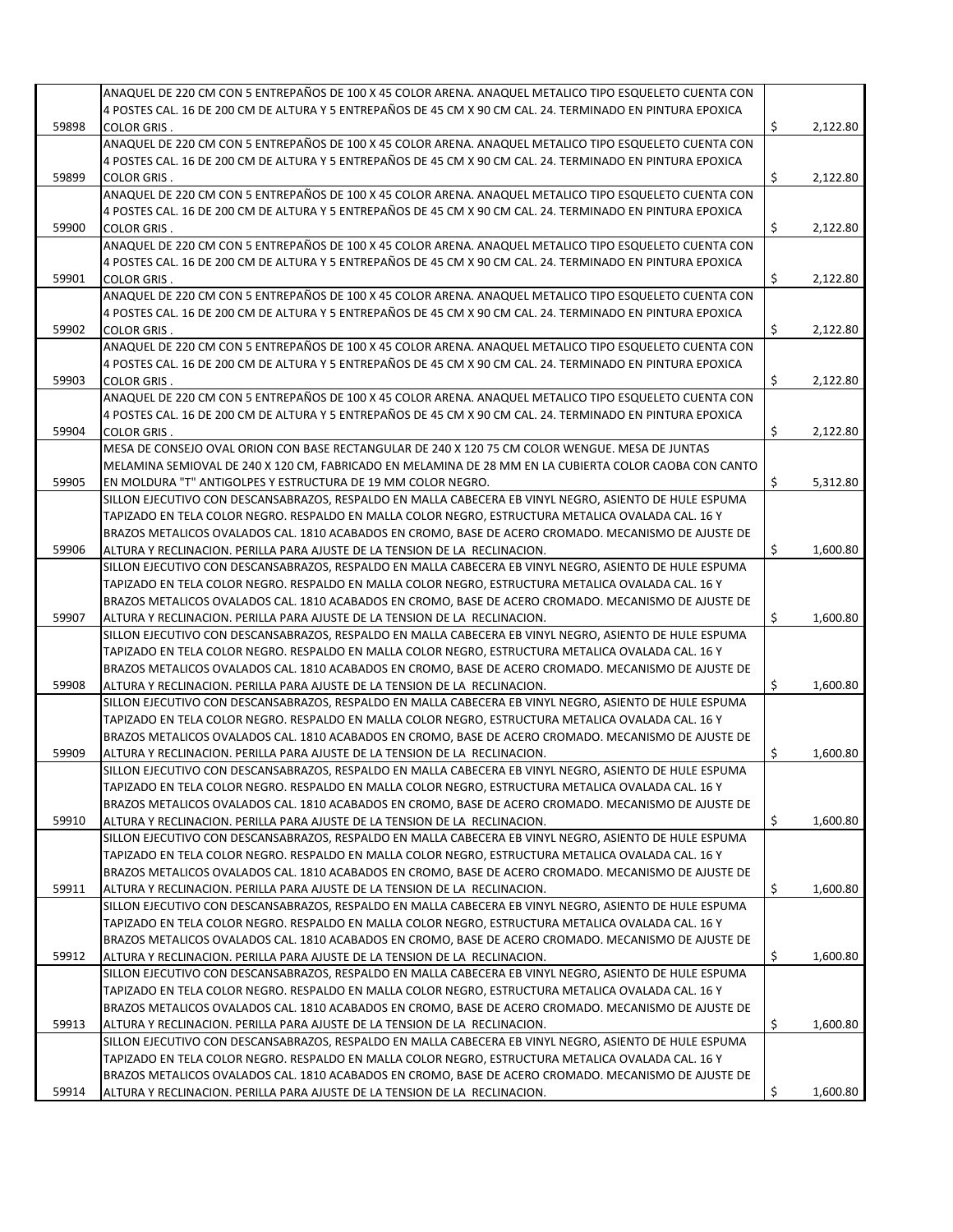|       | ANAQUEL DE 220 CM CON 5 ENTREPAÑOS DE 100 X 45 COLOR ARENA. ANAQUEL METALICO TIPO ESQUELETO CUENTA CON     |    |          |
|-------|------------------------------------------------------------------------------------------------------------|----|----------|
|       | 4 POSTES CAL. 16 DE 200 CM DE ALTURA Y 5 ENTREPAÑOS DE 45 CM X 90 CM CAL. 24. TERMINADO EN PINTURA EPOXICA |    |          |
| 59898 | <b>COLOR GRIS.</b>                                                                                         | \$ | 2,122.80 |
|       | ANAQUEL DE 220 CM CON 5 ENTREPAÑOS DE 100 X 45 COLOR ARENA. ANAQUEL METALICO TIPO ESQUELETO CUENTA CON     |    |          |
|       | 4 POSTES CAL. 16 DE 200 CM DE ALTURA Y 5 ENTREPAÑOS DE 45 CM X 90 CM CAL. 24. TERMINADO EN PINTURA EPOXICA |    |          |
| 59899 | <b>COLOR GRIS.</b>                                                                                         | \$ | 2,122.80 |
|       | ANAQUEL DE 220 CM CON 5 ENTREPAÑOS DE 100 X 45 COLOR ARENA. ANAQUEL METALICO TIPO ESQUELETO CUENTA CON     |    |          |
|       | 4 POSTES CAL. 16 DE 200 CM DE ALTURA Y 5 ENTREPAÑOS DE 45 CM X 90 CM CAL. 24. TERMINADO EN PINTURA EPOXICA |    |          |
|       |                                                                                                            |    |          |
| 59900 | <b>COLOR GRIS.</b>                                                                                         | \$ | 2,122.80 |
|       | ANAQUEL DE 220 CM CON 5 ENTREPAÑOS DE 100 X 45 COLOR ARENA. ANAQUEL METALICO TIPO ESQUELETO CUENTA CON     |    |          |
|       | 4 POSTES CAL. 16 DE 200 CM DE ALTURA Y 5 ENTREPAÑOS DE 45 CM X 90 CM CAL. 24. TERMINADO EN PINTURA EPOXICA |    |          |
| 59901 | <b>COLOR GRIS.</b>                                                                                         | \$ | 2,122.80 |
|       | ANAQUEL DE 220 CM CON 5 ENTREPAÑOS DE 100 X 45 COLOR ARENA. ANAQUEL METALICO TIPO ESQUELETO CUENTA CON     |    |          |
|       | 4 POSTES CAL. 16 DE 200 CM DE ALTURA Y 5 ENTREPAÑOS DE 45 CM X 90 CM CAL. 24. TERMINADO EN PINTURA EPOXICA |    |          |
| 59902 | <b>COLOR GRIS.</b>                                                                                         | \$ | 2,122.80 |
|       | ANAQUEL DE 220 CM CON 5 ENTREPAÑOS DE 100 X 45 COLOR ARENA. ANAQUEL METALICO TIPO ESQUELETO CUENTA CON     |    |          |
|       | 4 POSTES CAL. 16 DE 200 CM DE ALTURA Y 5 ENTREPAÑOS DE 45 CM X 90 CM CAL. 24. TERMINADO EN PINTURA EPOXICA |    |          |
|       |                                                                                                            |    |          |
| 59903 | <b>COLOR GRIS.</b>                                                                                         | \$ | 2,122.80 |
|       | ANAQUEL DE 220 CM CON 5 ENTREPAÑOS DE 100 X 45 COLOR ARENA. ANAQUEL METALICO TIPO ESQUELETO CUENTA CON     |    |          |
|       | 4 POSTES CAL. 16 DE 200 CM DE ALTURA Y 5 ENTREPAÑOS DE 45 CM X 90 CM CAL. 24. TERMINADO EN PINTURA EPOXICA |    |          |
| 59904 | <b>COLOR GRIS.</b>                                                                                         | \$ | 2,122.80 |
|       | MESA DE CONSEJO OVAL ORION CON BASE RECTANGULAR DE 240 X 120 75 CM COLOR WENGUE. MESA DE JUNTAS            |    |          |
|       | MELAMINA SEMIOVAL DE 240 X 120 CM, FABRICADO EN MELAMINA DE 28 MM EN LA CUBIERTA COLOR CAOBA CON CANTO     |    |          |
| 59905 | EN MOLDURA "T" ANTIGOLPES Y ESTRUCTURA DE 19 MM COLOR NEGRO.                                               | \$ | 5,312.80 |
|       | SILLON EJECUTIVO CON DESCANSABRAZOS, RESPALDO EN MALLA CABECERA EB VINYL NEGRO, ASIENTO DE HULE ESPUMA     |    |          |
|       |                                                                                                            |    |          |
|       | TAPIZADO EN TELA COLOR NEGRO. RESPALDO EN MALLA COLOR NEGRO, ESTRUCTURA METALICA OVALADA CAL. 16 Y         |    |          |
|       | BRAZOS METALICOS OVALADOS CAL. 1810 ACABADOS EN CROMO, BASE DE ACERO CROMADO. MECANISMO DE AJUSTE DE       |    |          |
| 59906 | ALTURA Y RECLINACION. PERILLA PARA AJUSTE DE LA TENSION DE LA RECLINACION.                                 | \$ | 1,600.80 |
|       | SILLON EJECUTIVO CON DESCANSABRAZOS, RESPALDO EN MALLA CABECERA EB VINYL NEGRO, ASIENTO DE HULE ESPUMA     |    |          |
|       | TAPIZADO EN TELA COLOR NEGRO. RESPALDO EN MALLA COLOR NEGRO, ESTRUCTURA METALICA OVALADA CAL. 16 Y         |    |          |
|       | BRAZOS METALICOS OVALADOS CAL. 1810 ACABADOS EN CROMO, BASE DE ACERO CROMADO. MECANISMO DE AJUSTE DE       |    |          |
| 59907 | ALTURA Y RECLINACION. PERILLA PARA AJUSTE DE LA TENSION DE LA RECLINACION.                                 | Ś. | 1,600.80 |
|       | SILLON EJECUTIVO CON DESCANSABRAZOS, RESPALDO EN MALLA CABECERA EB VINYL NEGRO, ASIENTO DE HULE ESPUMA     |    |          |
|       | TAPIZADO EN TELA COLOR NEGRO. RESPALDO EN MALLA COLOR NEGRO, ESTRUCTURA METALICA OVALADA CAL. 16 Y         |    |          |
|       | BRAZOS METALICOS OVALADOS CAL. 1810 ACABADOS EN CROMO, BASE DE ACERO CROMADO. MECANISMO DE AJUSTE DE       |    |          |
|       |                                                                                                            | \$ | 1,600.80 |
| 59908 | ALTURA Y RECLINACION. PERILLA PARA AJUSTE DE LA TENSION DE LA RECLINACION.                                 |    |          |
|       | SILLON EJECUTIVO CON DESCANSABRAZOS, RESPALDO EN MALLA CABECERA EB VINYL NEGRO, ASIENTO DE HULE ESPUMA     |    |          |
|       | TAPIZADO EN TELA COLOR NEGRO. RESPALDO EN MALLA COLOR NEGRO, ESTRUCTURA METALICA OVALADA CAL. 16 Y         |    |          |
|       | BRAZOS METALICOS OVALADOS CAL. 1810 ACABADOS EN CROMO, BASE DE ACERO CROMADO. MECANISMO DE AJUSTE DE       |    |          |
| 59909 | ALTURA Y RECLINACION. PERILLA PARA AJUSTE DE LA TENSION DE LA RECLINACION.                                 | \$ | 1,600.80 |
|       | SILLON EJECUTIVO CON DESCANSABRAZOS, RESPALDO EN MALLA CABECERA EB VINYL NEGRO, ASIENTO DE HULE ESPUMA     |    |          |
|       | TAPIZADO EN TELA COLOR NEGRO. RESPALDO EN MALLA COLOR NEGRO, ESTRUCTURA METALICA OVALADA CAL. 16 Y         |    |          |
|       | BRAZOS METALICOS OVALADOS CAL. 1810 ACABADOS EN CROMO, BASE DE ACERO CROMADO. MECANISMO DE AJUSTE DE       |    |          |
| 59910 | ALTURA Y RECLINACION. PERILLA PARA AJUSTE DE LA TENSION DE LA RECLINACION.                                 | \$ | 1,600.80 |
|       | SILLON EJECUTIVO CON DESCANSABRAZOS, RESPALDO EN MALLA CABECERA EB VINYL NEGRO, ASIENTO DE HULE ESPUMA     |    |          |
|       |                                                                                                            |    |          |
|       | TAPIZADO EN TELA COLOR NEGRO. RESPALDO EN MALLA COLOR NEGRO, ESTRUCTURA METALICA OVALADA CAL. 16 Y         |    |          |
|       | BRAZOS METALICOS OVALADOS CAL. 1810 ACABADOS EN CROMO, BASE DE ACERO CROMADO. MECANISMO DE AJUSTE DE       |    |          |
| 59911 | ALTURA Y RECLINACION. PERILLA PARA AJUSTE DE LA TENSION DE LA RECLINACION.                                 | \$ | 1,600.80 |
|       | SILLON EJECUTIVO CON DESCANSABRAZOS, RESPALDO EN MALLA CABECERA EB VINYL NEGRO, ASIENTO DE HULE ESPUMA     |    |          |
|       | TAPIZADO EN TELA COLOR NEGRO. RESPALDO EN MALLA COLOR NEGRO, ESTRUCTURA METALICA OVALADA CAL. 16 Y         |    |          |
|       | BRAZOS METALICOS OVALADOS CAL. 1810 ACABADOS EN CROMO, BASE DE ACERO CROMADO. MECANISMO DE AJUSTE DE       |    |          |
| 59912 | ALTURA Y RECLINACION. PERILLA PARA AJUSTE DE LA TENSION DE LA RECLINACION.                                 | \$ | 1,600.80 |
|       | SILLON EJECUTIVO CON DESCANSABRAZOS, RESPALDO EN MALLA CABECERA EB VINYL NEGRO, ASIENTO DE HULE ESPUMA     |    |          |
|       | TAPIZADO EN TELA COLOR NEGRO. RESPALDO EN MALLA COLOR NEGRO, ESTRUCTURA METALICA OVALADA CAL. 16 Y         |    |          |
|       | BRAZOS METALICOS OVALADOS CAL. 1810 ACABADOS EN CROMO, BASE DE ACERO CROMADO. MECANISMO DE AJUSTE DE       |    |          |
|       |                                                                                                            |    |          |
| 59913 | ALTURA Y RECLINACION. PERILLA PARA AJUSTE DE LA TENSION DE LA RECLINACION.                                 | \$ | 1,600.80 |
|       |                                                                                                            |    |          |
|       | SILLON EJECUTIVO CON DESCANSABRAZOS, RESPALDO EN MALLA CABECERA EB VINYL NEGRO, ASIENTO DE HULE ESPUMA     |    |          |
|       | TAPIZADO EN TELA COLOR NEGRO. RESPALDO EN MALLA COLOR NEGRO, ESTRUCTURA METALICA OVALADA CAL. 16 Y         |    |          |
|       | BRAZOS METALICOS OVALADOS CAL. 1810 ACABADOS EN CROMO, BASE DE ACERO CROMADO. MECANISMO DE AJUSTE DE       |    |          |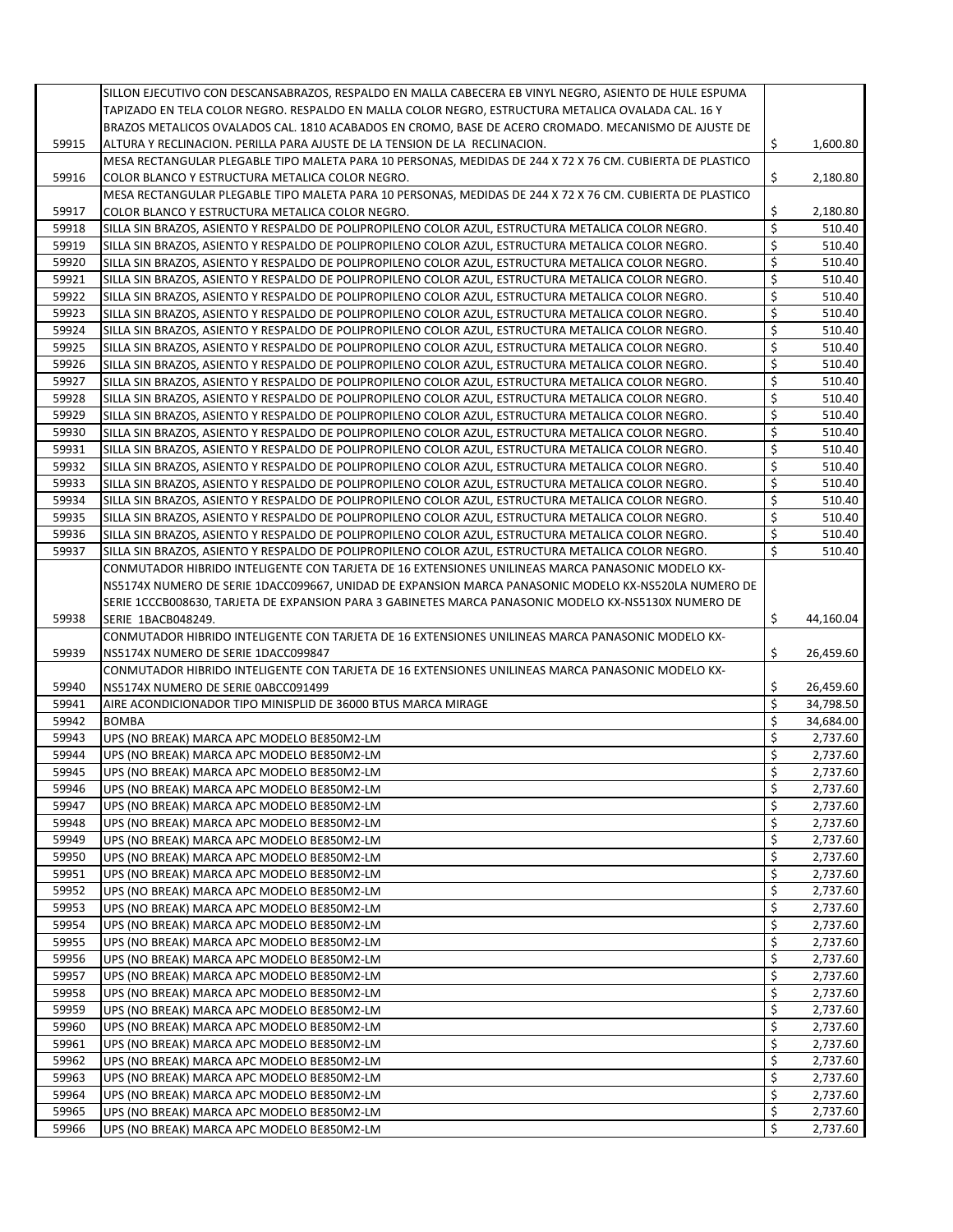|                | SILLON EJECUTIVO CON DESCANSABRAZOS, RESPALDO EN MALLA CABECERA EB VINYL NEGRO, ASIENTO DE HULE ESPUMA    |                          |                      |
|----------------|-----------------------------------------------------------------------------------------------------------|--------------------------|----------------------|
|                | TAPIZADO EN TELA COLOR NEGRO. RESPALDO EN MALLA COLOR NEGRO, ESTRUCTURA METALICA OVALADA CAL. 16 Y        |                          |                      |
|                | BRAZOS METALICOS OVALADOS CAL. 1810 ACABADOS EN CROMO, BASE DE ACERO CROMADO. MECANISMO DE AJUSTE DE      |                          |                      |
| 59915          | ALTURA Y RECLINACION. PERILLA PARA AJUSTE DE LA TENSION DE LA RECLINACION.                                | Ŝ.                       | 1,600.80             |
|                |                                                                                                           |                          |                      |
|                | MESA RECTANGULAR PLEGABLE TIPO MALETA PARA 10 PERSONAS, MEDIDAS DE 244 X 72 X 76 CM. CUBIERTA DE PLASTICO |                          |                      |
| 59916          | COLOR BLANCO Y ESTRUCTURA METALICA COLOR NEGRO.                                                           | \$                       | 2,180.80             |
|                | MESA RECTANGULAR PLEGABLE TIPO MALETA PARA 10 PERSONAS, MEDIDAS DE 244 X 72 X 76 CM. CUBIERTA DE PLASTICO |                          |                      |
| 59917          | COLOR BLANCO Y ESTRUCTURA METALICA COLOR NEGRO.                                                           | \$                       | 2,180.80             |
| 59918          | SILLA SIN BRAZOS, ASIENTO Y RESPALDO DE POLIPROPILENO COLOR AZUL, ESTRUCTURA METALICA COLOR NEGRO.        | $\overline{\mathsf{S}}$  | 510.40               |
| 59919          | SILLA SIN BRAZOS, ASIENTO Y RESPALDO DE POLIPROPILENO COLOR AZUL, ESTRUCTURA METALICA COLOR NEGRO.        | \$                       | 510.40               |
| 59920          | SILLA SIN BRAZOS, ASIENTO Y RESPALDO DE POLIPROPILENO COLOR AZUL, ESTRUCTURA METALICA COLOR NEGRO.        | \$                       | 510.40               |
| 59921          | SILLA SIN BRAZOS, ASIENTO Y RESPALDO DE POLIPROPILENO COLOR AZUL, ESTRUCTURA METALICA COLOR NEGRO.        | \$                       | 510.40               |
| 59922          | SILLA SIN BRAZOS, ASIENTO Y RESPALDO DE POLIPROPILENO COLOR AZUL, ESTRUCTURA METALICA COLOR NEGRO.        | \$                       | 510.40               |
|                |                                                                                                           |                          |                      |
| 59923          | SILLA SIN BRAZOS, ASIENTO Y RESPALDO DE POLIPROPILENO COLOR AZUL, ESTRUCTURA METALICA COLOR NEGRO.        | \$                       | 510.40               |
| 59924          | SILLA SIN BRAZOS, ASIENTO Y RESPALDO DE POLIPROPILENO COLOR AZUL, ESTRUCTURA METALICA COLOR NEGRO.        | \$                       | 510.40               |
| 59925          | SILLA SIN BRAZOS, ASIENTO Y RESPALDO DE POLIPROPILENO COLOR AZUL, ESTRUCTURA METALICA COLOR NEGRO.        | \$                       | 510.40               |
| 59926          | SILLA SIN BRAZOS, ASIENTO Y RESPALDO DE POLIPROPILENO COLOR AZUL, ESTRUCTURA METALICA COLOR NEGRO.        | \$                       | 510.40               |
| 59927          | SILLA SIN BRAZOS, ASIENTO Y RESPALDO DE POLIPROPILENO COLOR AZUL, ESTRUCTURA METALICA COLOR NEGRO.        | \$                       | 510.40               |
| 59928          | SILLA SIN BRAZOS, ASIENTO Y RESPALDO DE POLIPROPILENO COLOR AZUL, ESTRUCTURA METALICA COLOR NEGRO.        | \$                       | 510.40               |
| 59929          | SILLA SIN BRAZOS. ASIENTO Y RESPALDO DE POLIPROPILENO COLOR AZUL. ESTRUCTURA METALICA COLOR NEGRO.        | \$                       | 510.40               |
| 59930          | SILLA SIN BRAZOS, ASIENTO Y RESPALDO DE POLIPROPILENO COLOR AZUL, ESTRUCTURA METALICA COLOR NEGRO.        | \$                       | 510.40               |
| 59931          |                                                                                                           | \$                       | 510.40               |
|                | SILLA SIN BRAZOS, ASIENTO Y RESPALDO DE POLIPROPILENO COLOR AZUL, ESTRUCTURA METALICA COLOR NEGRO.        |                          |                      |
| 59932          | SILLA SIN BRAZOS, ASIENTO Y RESPALDO DE POLIPROPILENO COLOR AZUL, ESTRUCTURA METALICA COLOR NEGRO.        | \$                       | 510.40               |
| 59933          | SILLA SIN BRAZOS, ASIENTO Y RESPALDO DE POLIPROPILENO COLOR AZUL, ESTRUCTURA METALICA COLOR NEGRO.        | \$                       | 510.40               |
| 59934          | SILLA SIN BRAZOS, ASIENTO Y RESPALDO DE POLIPROPILENO COLOR AZUL, ESTRUCTURA METALICA COLOR NEGRO.        | \$                       | 510.40               |
| 59935          | SILLA SIN BRAZOS, ASIENTO Y RESPALDO DE POLIPROPILENO COLOR AZUL, ESTRUCTURA METALICA COLOR NEGRO.        | \$                       | 510.40               |
| 59936          | SILLA SIN BRAZOS, ASIENTO Y RESPALDO DE POLIPROPILENO COLOR AZUL, ESTRUCTURA METALICA COLOR NEGRO.        | \$                       | 510.40               |
| 59937          | SILLA SIN BRAZOS, ASIENTO Y RESPALDO DE POLIPROPILENO COLOR AZUL, ESTRUCTURA METALICA COLOR NEGRO.        | \$                       | 510.40               |
|                | CONMUTADOR HIBRIDO INTELIGENTE CON TARJETA DE 16 EXTENSIONES UNILINEAS MARCA PANASONIC MODELO KX-         |                          |                      |
|                | NS5174X NUMERO DE SERIE 1DACC099667, UNIDAD DE EXPANSION MARCA PANASONIC MODELO KX-NS520LA NUMERO DE      |                          |                      |
|                | SERIE 1CCCB008630, TARJETA DE EXPANSION PARA 3 GABINETES MARCA PANASONIC MODELO KX-NS5130X NUMERO DE      |                          |                      |
|                |                                                                                                           |                          |                      |
| 59938          | SERIE 1BACB048249.                                                                                        | Ŝ.                       | 44,160.04            |
|                | CONMUTADOR HIBRIDO INTELIGENTE CON TARJETA DE 16 EXTENSIONES UNILINEAS MARCA PANASONIC MODELO KX-         |                          |                      |
| 59939          | NS5174X NUMERO DE SERIE 1DACC099847                                                                       | \$                       | 26,459.60            |
|                | CONMUTADOR HIBRIDO INTELIGENTE CON TARJETA DE 16 EXTENSIONES UNILINEAS MARCA PANASONIC MODELO KX-         |                          |                      |
| 59940          | NS5174X NUMERO DE SERIE 0ABCC091499                                                                       | \$                       | 26,459.60            |
| 59941          | AIRE ACONDICIONADOR TIPO MINISPLID DE 36000 BTUS MARCA MIRAGE                                             | $\overline{\mathcal{S}}$ | 34,798.50            |
| 59942          | <b>BOMBA</b>                                                                                              | \$                       | 34,684.00            |
| 59943          | UPS (NO BREAK) MARCA APC MODELO BE850M2-LM                                                                | \$                       | 2,737.60             |
| 59944          | UPS (NO BREAK) MARCA APC MODELO BE850M2-LM                                                                | \$                       | 2,737.60             |
| 59945          | UPS (NO BREAK) MARCA APC MODELO BE850M2-LM                                                                | \$                       | 2,737.60             |
|                |                                                                                                           | \$                       | 2,737.60             |
| 59946          | UPS (NO BREAK) MARCA APC MODELO BE850M2-LM                                                                |                          |                      |
| 59947          |                                                                                                           |                          |                      |
| 59948          | UPS (NO BREAK) MARCA APC MODELO BE850M2-LM                                                                | \$                       | 2,737.60             |
|                | UPS (NO BREAK) MARCA APC MODELO BE850M2-LM                                                                | \$                       | 2,737.60             |
| 59949          | UPS (NO BREAK) MARCA APC MODELO BE850M2-LM                                                                | \$                       | 2,737.60             |
| 59950          | UPS (NO BREAK) MARCA APC MODELO BE850M2-LM                                                                | \$                       | 2,737.60             |
| 59951          | UPS (NO BREAK) MARCA APC MODELO BE850M2-LM                                                                | \$                       | 2,737.60             |
| 59952          | UPS (NO BREAK) MARCA APC MODELO BE850M2-LM                                                                |                          | 2,737.60             |
|                |                                                                                                           | \$                       |                      |
| 59953          | UPS (NO BREAK) MARCA APC MODELO BE850M2-LM                                                                | \$                       | 2,737.60             |
| 59954          | UPS (NO BREAK) MARCA APC MODELO BE850M2-LM                                                                | \$                       | 2,737.60             |
| 59955          | UPS (NO BREAK) MARCA APC MODELO BE850M2-LM                                                                | \$                       | 2,737.60             |
| 59956          | UPS (NO BREAK) MARCA APC MODELO BE850M2-LM                                                                | \$                       | 2,737.60             |
| 59957          | UPS (NO BREAK) MARCA APC MODELO BE850M2-LM                                                                | \$                       | 2,737.60             |
| 59958          | UPS (NO BREAK) MARCA APC MODELO BE850M2-LM                                                                | \$                       | 2,737.60             |
| 59959          | UPS (NO BREAK) MARCA APC MODELO BE850M2-LM                                                                | \$                       | 2,737.60             |
| 59960          | UPS (NO BREAK) MARCA APC MODELO BE850M2-LM                                                                | \$                       | 2,737.60             |
| 59961          | UPS (NO BREAK) MARCA APC MODELO BE850M2-LM                                                                | \$                       | 2,737.60             |
| 59962          | UPS (NO BREAK) MARCA APC MODELO BE850M2-LM                                                                | \$                       | 2,737.60             |
|                |                                                                                                           | \$                       |                      |
| 59963          | UPS (NO BREAK) MARCA APC MODELO BE850M2-LM                                                                |                          | 2,737.60             |
| 59964          | UPS (NO BREAK) MARCA APC MODELO BE850M2-LM                                                                | \$                       | 2,737.60             |
| 59965<br>59966 | UPS (NO BREAK) MARCA APC MODELO BE850M2-LM<br>UPS (NO BREAK) MARCA APC MODELO BE850M2-LM                  | \$<br>\$                 | 2,737.60<br>2,737.60 |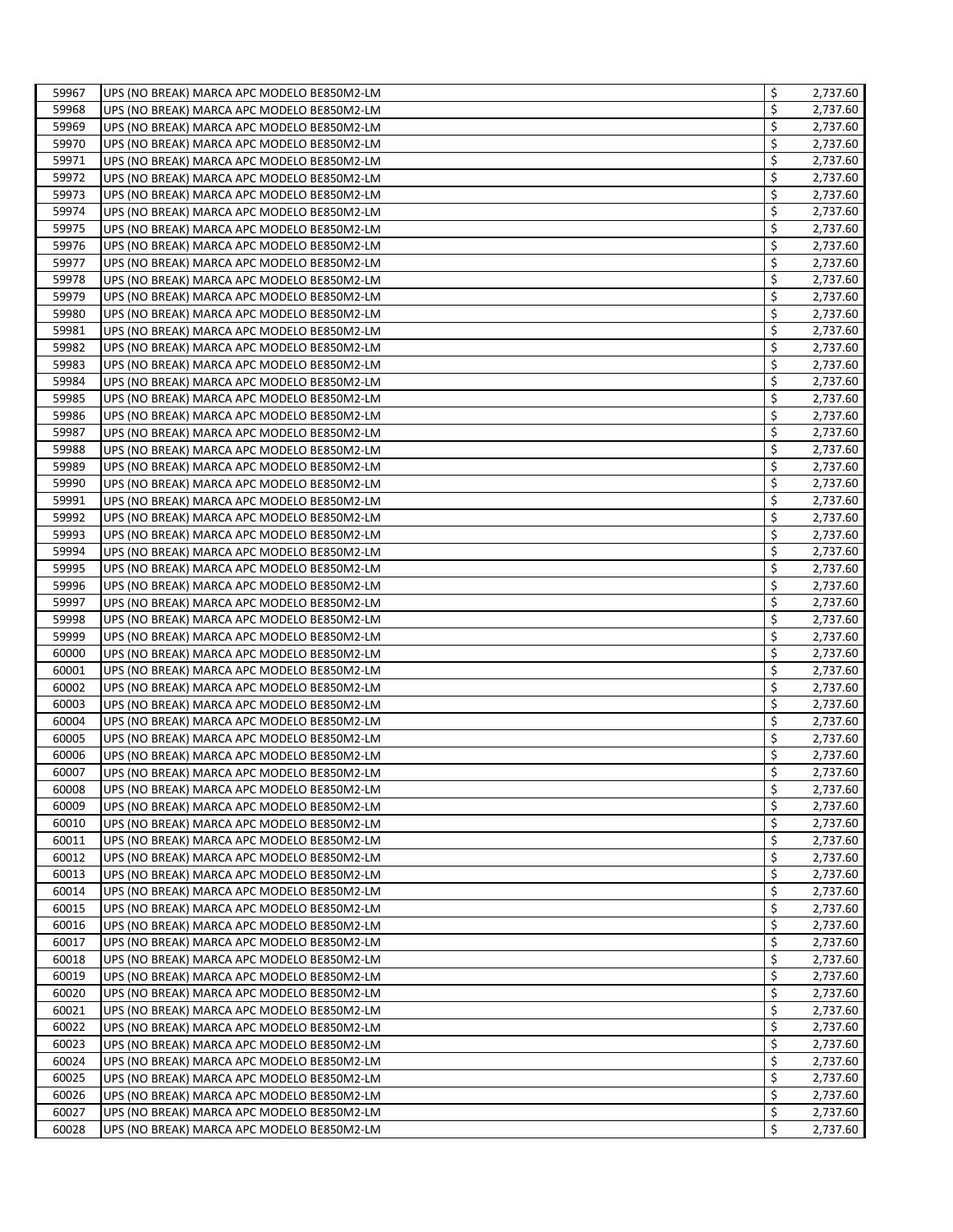| 59967 | UPS (NO BREAK) MARCA APC MODELO BE850M2-LM | \$ | 2,737.60 |
|-------|--------------------------------------------|----|----------|
| 59968 | UPS (NO BREAK) MARCA APC MODELO BE850M2-LM | \$ | 2,737.60 |
| 59969 | UPS (NO BREAK) MARCA APC MODELO BE850M2-LM | \$ | 2,737.60 |
| 59970 | UPS (NO BREAK) MARCA APC MODELO BE850M2-LM | \$ | 2,737.60 |
| 59971 | UPS (NO BREAK) MARCA APC MODELO BE850M2-LM | \$ | 2,737.60 |
| 59972 | UPS (NO BREAK) MARCA APC MODELO BE850M2-LM | \$ | 2,737.60 |
| 59973 | UPS (NO BREAK) MARCA APC MODELO BE850M2-LM | \$ | 2,737.60 |
| 59974 | UPS (NO BREAK) MARCA APC MODELO BE850M2-LM | \$ | 2,737.60 |
| 59975 | UPS (NO BREAK) MARCA APC MODELO BE850M2-LM | \$ | 2,737.60 |
| 59976 | UPS (NO BREAK) MARCA APC MODELO BE850M2-LM | \$ | 2,737.60 |
| 59977 | UPS (NO BREAK) MARCA APC MODELO BE850M2-LM | \$ | 2,737.60 |
| 59978 | UPS (NO BREAK) MARCA APC MODELO BE850M2-LM | \$ | 2,737.60 |
| 59979 | UPS (NO BREAK) MARCA APC MODELO BE850M2-LM | Ś  | 2,737.60 |
| 59980 | UPS (NO BREAK) MARCA APC MODELO BE850M2-LM | \$ | 2,737.60 |
| 59981 | UPS (NO BREAK) MARCA APC MODELO BE850M2-LM | \$ | 2,737.60 |
| 59982 | UPS (NO BREAK) MARCA APC MODELO BE850M2-LM | \$ | 2,737.60 |
| 59983 |                                            | \$ | 2,737.60 |
| 59984 | UPS (NO BREAK) MARCA APC MODELO BE850M2-LM | \$ | 2,737.60 |
| 59985 | UPS (NO BREAK) MARCA APC MODELO BE850M2-LM | \$ |          |
|       | UPS (NO BREAK) MARCA APC MODELO BE850M2-LM | \$ | 2,737.60 |
| 59986 | UPS (NO BREAK) MARCA APC MODELO BE850M2-LM |    | 2,737.60 |
| 59987 | UPS (NO BREAK) MARCA APC MODELO BE850M2-LM | \$ | 2,737.60 |
| 59988 | UPS (NO BREAK) MARCA APC MODELO BE850M2-LM | \$ | 2,737.60 |
| 59989 | UPS (NO BREAK) MARCA APC MODELO BE850M2-LM | \$ | 2,737.60 |
| 59990 | UPS (NO BREAK) MARCA APC MODELO BE850M2-LM | \$ | 2,737.60 |
| 59991 | UPS (NO BREAK) MARCA APC MODELO BE850M2-LM | \$ | 2,737.60 |
| 59992 | UPS (NO BREAK) MARCA APC MODELO BE850M2-LM | \$ | 2,737.60 |
| 59993 | UPS (NO BREAK) MARCA APC MODELO BE850M2-LM | \$ | 2,737.60 |
| 59994 | UPS (NO BREAK) MARCA APC MODELO BE850M2-LM | \$ | 2,737.60 |
| 59995 | UPS (NO BREAK) MARCA APC MODELO BE850M2-LM | \$ | 2,737.60 |
| 59996 | UPS (NO BREAK) MARCA APC MODELO BE850M2-LM | \$ | 2,737.60 |
| 59997 | UPS (NO BREAK) MARCA APC MODELO BE850M2-LM | \$ | 2,737.60 |
| 59998 | UPS (NO BREAK) MARCA APC MODELO BE850M2-LM | \$ | 2,737.60 |
| 59999 | UPS (NO BREAK) MARCA APC MODELO BE850M2-LM | \$ | 2,737.60 |
| 60000 | UPS (NO BREAK) MARCA APC MODELO BE850M2-LM | \$ | 2,737.60 |
| 60001 | UPS (NO BREAK) MARCA APC MODELO BE850M2-LM | \$ | 2,737.60 |
| 60002 | UPS (NO BREAK) MARCA APC MODELO BE850M2-LM | \$ | 2,737.60 |
| 60003 | UPS (NO BREAK) MARCA APC MODELO BE850M2-LM | \$ | 2,737.60 |
| 60004 | UPS (NO BREAK) MARCA APC MODELO BE850M2-LM | \$ | 2,737.60 |
| 60005 | UPS (NO BREAK) MARCA APC MODELO BE850M2-LM | \$ | 2,737.60 |
| 60006 | UPS (NO BREAK) MARCA APC MODELO BE850M2-LM | \$ | 2,737.60 |
| 60007 | UPS (NO BREAK) MARCA APC MODELO BE850M2-LM | \$ | 2,737.60 |
| 60008 | UPS (NO BREAK) MARCA APC MODELO BE850M2-LM | \$ | 2,737.60 |
| 60009 | UPS (NO BREAK) MARCA APC MODELO BE850M2-LM | \$ | 2,737.60 |
| 60010 | UPS (NO BREAK) MARCA APC MODELO BE850M2-LM | \$ | 2,737.60 |
| 60011 | UPS (NO BREAK) MARCA APC MODELO BE850M2-LM | \$ | 2,737.60 |
| 60012 | UPS (NO BREAK) MARCA APC MODELO BE850M2-LM | \$ | 2,737.60 |
| 60013 | UPS (NO BREAK) MARCA APC MODELO BE850M2-LM | \$ | 2,737.60 |
| 60014 | UPS (NO BREAK) MARCA APC MODELO BE850M2-LM | \$ | 2,737.60 |
| 60015 | UPS (NO BREAK) MARCA APC MODELO BE850M2-LM | \$ | 2,737.60 |
| 60016 | UPS (NO BREAK) MARCA APC MODELO BE850M2-LM | \$ | 2,737.60 |
| 60017 | UPS (NO BREAK) MARCA APC MODELO BE850M2-LM | \$ | 2,737.60 |
| 60018 | UPS (NO BREAK) MARCA APC MODELO BE850M2-LM | \$ | 2,737.60 |
| 60019 | UPS (NO BREAK) MARCA APC MODELO BE850M2-LM | \$ | 2,737.60 |
| 60020 | UPS (NO BREAK) MARCA APC MODELO BE850M2-LM | \$ | 2,737.60 |
| 60021 | UPS (NO BREAK) MARCA APC MODELO BE850M2-LM | \$ | 2,737.60 |
| 60022 | UPS (NO BREAK) MARCA APC MODELO BE850M2-LM | \$ | 2,737.60 |
| 60023 | UPS (NO BREAK) MARCA APC MODELO BE850M2-LM | \$ | 2,737.60 |
| 60024 | UPS (NO BREAK) MARCA APC MODELO BE850M2-LM | \$ | 2,737.60 |
| 60025 | UPS (NO BREAK) MARCA APC MODELO BE850M2-LM | \$ | 2,737.60 |
| 60026 | UPS (NO BREAK) MARCA APC MODELO BE850M2-LM | \$ | 2,737.60 |
| 60027 | UPS (NO BREAK) MARCA APC MODELO BE850M2-LM | \$ | 2,737.60 |
| 60028 | UPS (NO BREAK) MARCA APC MODELO BE850M2-LM | \$ | 2,737.60 |
|       |                                            |    |          |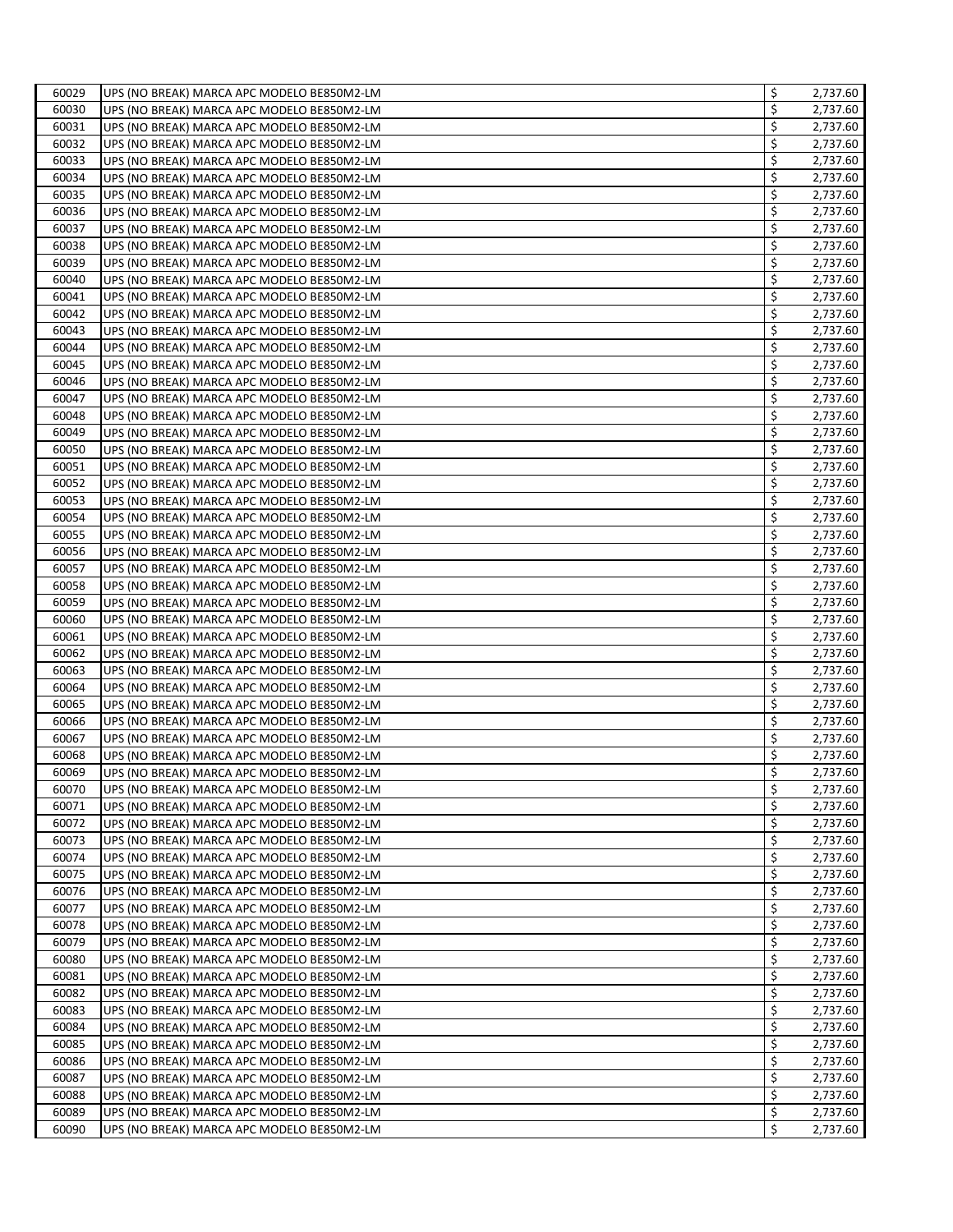| 60029          | UPS (NO BREAK) MARCA APC MODELO BE850M2-LM                                               | \$       | 2,737.60             |
|----------------|------------------------------------------------------------------------------------------|----------|----------------------|
| 60030          | UPS (NO BREAK) MARCA APC MODELO BE850M2-LM                                               | \$       | 2,737.60             |
| 60031          | UPS (NO BREAK) MARCA APC MODELO BE850M2-LM                                               | \$       | 2,737.60             |
| 60032          | UPS (NO BREAK) MARCA APC MODELO BE850M2-LM                                               | \$       | 2,737.60             |
| 60033          | UPS (NO BREAK) MARCA APC MODELO BE850M2-LM                                               | \$       | 2,737.60             |
| 60034          | UPS (NO BREAK) MARCA APC MODELO BE850M2-LM                                               | \$       | 2,737.60             |
| 60035          | UPS (NO BREAK) MARCA APC MODELO BE850M2-LM                                               | \$       | 2,737.60             |
| 60036          | UPS (NO BREAK) MARCA APC MODELO BE850M2-LM                                               | \$       | 2,737.60             |
| 60037          | UPS (NO BREAK) MARCA APC MODELO BE850M2-LM                                               | \$       | 2,737.60             |
| 60038          | UPS (NO BREAK) MARCA APC MODELO BE850M2-LM                                               | \$       | 2,737.60             |
| 60039          | UPS (NO BREAK) MARCA APC MODELO BE850M2-LM                                               | \$       | 2,737.60             |
| 60040          | UPS (NO BREAK) MARCA APC MODELO BE850M2-LM                                               | \$       | 2,737.60             |
| 60041          | UPS (NO BREAK) MARCA APC MODELO BE850M2-LM                                               | \$       | 2,737.60             |
| 60042          | UPS (NO BREAK) MARCA APC MODELO BE850M2-LM                                               | \$       | 2,737.60             |
| 60043          | UPS (NO BREAK) MARCA APC MODELO BE850M2-LM                                               | \$       | 2,737.60             |
| 60044          | UPS (NO BREAK) MARCA APC MODELO BE850M2-LM                                               | \$       | 2,737.60             |
| 60045          | UPS (NO BREAK) MARCA APC MODELO BE850M2-LM                                               | \$       | 2,737.60             |
| 60046          | UPS (NO BREAK) MARCA APC MODELO BE850M2-LM                                               | \$       | 2,737.60             |
| 60047          | UPS (NO BREAK) MARCA APC MODELO BE850M2-LM                                               | \$       | 2,737.60             |
| 60048          | UPS (NO BREAK) MARCA APC MODELO BE850M2-LM                                               | \$       | 2,737.60             |
| 60049          | UPS (NO BREAK) MARCA APC MODELO BE850M2-LM                                               | \$       | 2,737.60             |
| 60050          | UPS (NO BREAK) MARCA APC MODELO BE850M2-LM                                               | \$       | 2,737.60             |
| 60051          | UPS (NO BREAK) MARCA APC MODELO BE850M2-LM                                               | \$       | 2,737.60             |
| 60052          | UPS (NO BREAK) MARCA APC MODELO BE850M2-LM                                               | \$       | 2,737.60             |
| 60053          | UPS (NO BREAK) MARCA APC MODELO BE850M2-LM                                               | \$       | 2,737.60             |
| 60054          | UPS (NO BREAK) MARCA APC MODELO BE850M2-LM                                               | \$       | 2,737.60             |
| 60055          | UPS (NO BREAK) MARCA APC MODELO BE850M2-LM                                               | \$       | 2,737.60             |
| 60056          | UPS (NO BREAK) MARCA APC MODELO BE850M2-LM                                               | \$       | 2,737.60             |
| 60057          | UPS (NO BREAK) MARCA APC MODELO BE850M2-LM                                               | \$       | 2,737.60             |
| 60058          | UPS (NO BREAK) MARCA APC MODELO BE850M2-LM                                               | \$       | 2,737.60             |
| 60059          | UPS (NO BREAK) MARCA APC MODELO BE850M2-LM                                               | \$       | 2,737.60             |
| 60060          | UPS (NO BREAK) MARCA APC MODELO BE850M2-LM                                               | \$       | 2,737.60             |
| 60061          | UPS (NO BREAK) MARCA APC MODELO BE850M2-LM                                               | \$       | 2,737.60             |
| 60062          | UPS (NO BREAK) MARCA APC MODELO BE850M2-LM                                               | \$       | 2,737.60             |
| 60063          | UPS (NO BREAK) MARCA APC MODELO BE850M2-LM                                               | \$       | 2,737.60             |
| 60064          | UPS (NO BREAK) MARCA APC MODELO BE850M2-LM                                               | \$       | 2,737.60             |
| 60065          | UPS (NO BREAK) MARCA APC MODELO BE850M2-LM                                               | \$       | 2,737.60             |
| 60066          | UPS (NO BREAK) MARCA APC MODELO BE850M2-LM                                               | \$       | 2,737.60             |
| 60067          | UPS (NO BREAK) MARCA APC MODELO BE850M2-LM                                               | \$       | 2,737.60             |
| 60068          | UPS (NO BREAK) MARCA APC MODELO BE850M2-LM                                               | \$       | 2,737.60             |
| 60069          | UPS (NO BREAK) MARCA APC MODELO BE850M2-LM                                               | \$       | 2,737.60             |
| 60070          | UPS (NO BREAK) MARCA APC MODELO BE850M2-LM                                               | \$       | 2,737.60             |
| 60071          | UPS (NO BREAK) MARCA APC MODELO BE850M2-LM                                               | \$       | 2,737.60             |
| 60072          |                                                                                          | \$       | 2,737.60             |
| 60073          | UPS (NO BREAK) MARCA APC MODELO BE850M2-LM<br>UPS (NO BREAK) MARCA APC MODELO BE850M2-LM | \$       | 2,737.60             |
| 60074          |                                                                                          | \$       | 2,737.60             |
| 60075          | UPS (NO BREAK) MARCA APC MODELO BE850M2-LM                                               | \$       | 2,737.60             |
| 60076          | UPS (NO BREAK) MARCA APC MODELO BE850M2-LM<br>UPS (NO BREAK) MARCA APC MODELO BE850M2-LM | \$       | 2,737.60             |
| 60077          |                                                                                          | \$       | 2,737.60             |
|                | UPS (NO BREAK) MARCA APC MODELO BE850M2-LM                                               |          |                      |
| 60078<br>60079 | UPS (NO BREAK) MARCA APC MODELO BE850M2-LM<br>UPS (NO BREAK) MARCA APC MODELO BE850M2-LM | \$<br>\$ | 2,737.60<br>2,737.60 |
|                |                                                                                          | \$       | 2,737.60             |
| 60080<br>60081 | UPS (NO BREAK) MARCA APC MODELO BE850M2-LM<br>UPS (NO BREAK) MARCA APC MODELO BE850M2-LM | \$       | 2,737.60             |
| 60082          |                                                                                          | \$       |                      |
| 60083          | UPS (NO BREAK) MARCA APC MODELO BE850M2-LM                                               | \$       | 2,737.60             |
| 60084          | UPS (NO BREAK) MARCA APC MODELO BE850M2-LM                                               | \$       | 2,737.60<br>2,737.60 |
| 60085          | UPS (NO BREAK) MARCA APC MODELO BE850M2-LM                                               | \$       | 2,737.60             |
|                | UPS (NO BREAK) MARCA APC MODELO BE850M2-LM                                               | \$       |                      |
| 60086          | UPS (NO BREAK) MARCA APC MODELO BE850M2-LM                                               | \$       | 2,737.60             |
| 60087          | UPS (NO BREAK) MARCA APC MODELO BE850M2-LM                                               | \$       | 2,737.60             |
| 60088          | UPS (NO BREAK) MARCA APC MODELO BE850M2-LM                                               | \$       | 2,737.60             |
| 60089          | UPS (NO BREAK) MARCA APC MODELO BE850M2-LM                                               | Ś        | 2,737.60             |
| 60090          | UPS (NO BREAK) MARCA APC MODELO BE850M2-LM                                               |          | 2,737.60             |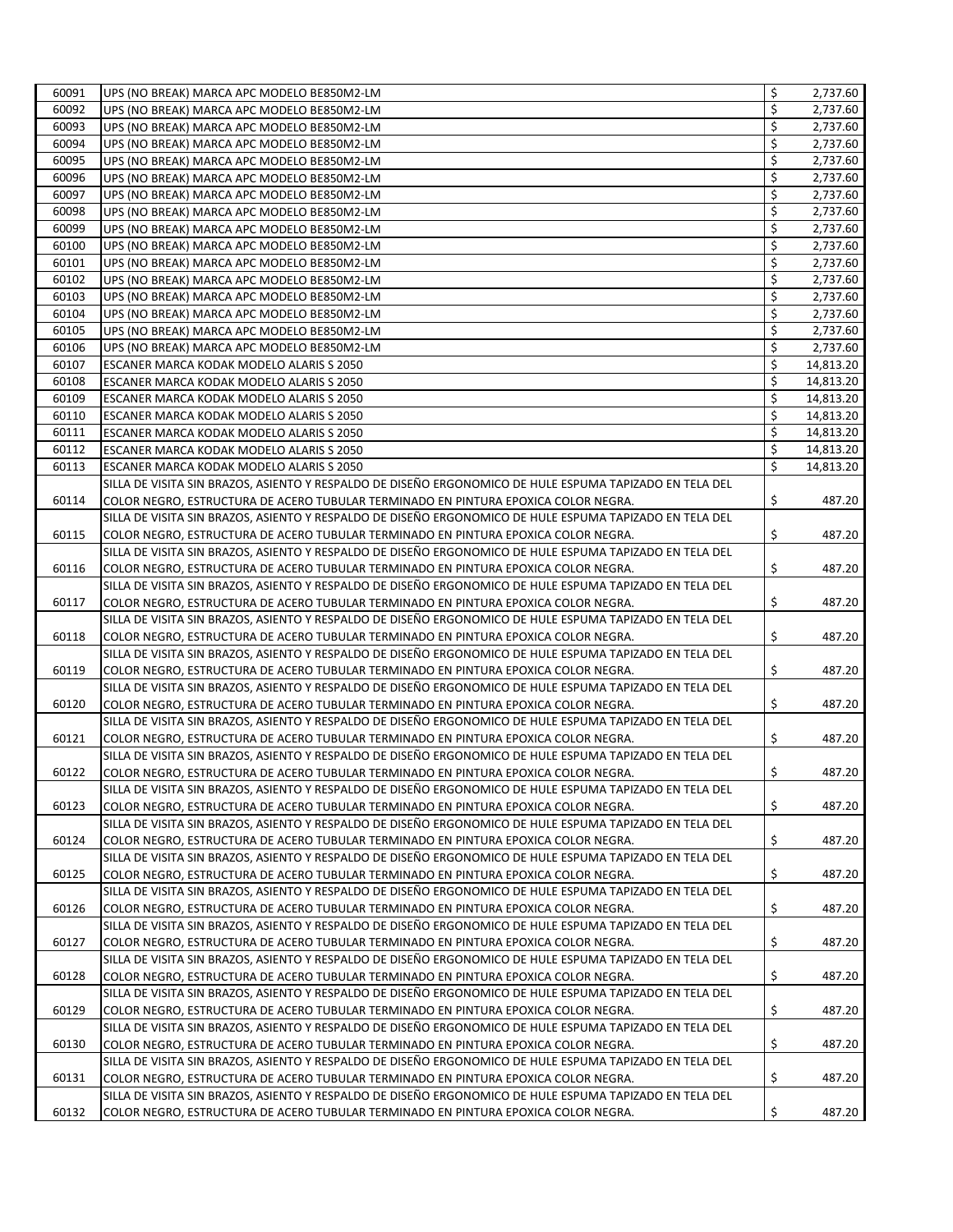| 60091 | UPS (NO BREAK) MARCA APC MODELO BE850M2-LM                                                              | \$<br>2,737.60  |
|-------|---------------------------------------------------------------------------------------------------------|-----------------|
| 60092 | UPS (NO BREAK) MARCA APC MODELO BE850M2-LM                                                              | \$<br>2,737.60  |
| 60093 | UPS (NO BREAK) MARCA APC MODELO BE850M2-LM                                                              | \$<br>2,737.60  |
| 60094 | UPS (NO BREAK) MARCA APC MODELO BE850M2-LM                                                              | \$<br>2,737.60  |
| 60095 | UPS (NO BREAK) MARCA APC MODELO BE850M2-LM                                                              | \$<br>2,737.60  |
| 60096 | UPS (NO BREAK) MARCA APC MODELO BE850M2-LM                                                              | \$<br>2,737.60  |
| 60097 | UPS (NO BREAK) MARCA APC MODELO BE850M2-LM                                                              | \$<br>2,737.60  |
| 60098 | UPS (NO BREAK) MARCA APC MODELO BE850M2-LM                                                              | \$<br>2,737.60  |
| 60099 | UPS (NO BREAK) MARCA APC MODELO BE850M2-LM                                                              | \$<br>2,737.60  |
| 60100 | UPS (NO BREAK) MARCA APC MODELO BE850M2-LM                                                              | \$<br>2,737.60  |
| 60101 | UPS (NO BREAK) MARCA APC MODELO BE850M2-LM                                                              | \$<br>2,737.60  |
| 60102 | UPS (NO BREAK) MARCA APC MODELO BE850M2-LM                                                              | \$<br>2,737.60  |
| 60103 | UPS (NO BREAK) MARCA APC MODELO BE850M2-LM                                                              | \$<br>2,737.60  |
| 60104 | UPS (NO BREAK) MARCA APC MODELO BE850M2-LM                                                              | \$<br>2,737.60  |
| 60105 | UPS (NO BREAK) MARCA APC MODELO BE850M2-LM                                                              | \$<br>2,737.60  |
| 60106 | UPS (NO BREAK) MARCA APC MODELO BE850M2-LM                                                              | \$<br>2,737.60  |
| 60107 | ESCANER MARCA KODAK MODELO ALARIS S 2050                                                                | \$<br>14,813.20 |
| 60108 | ESCANER MARCA KODAK MODELO ALARIS S 2050                                                                | \$<br>14,813.20 |
| 60109 | ESCANER MARCA KODAK MODELO ALARIS S 2050                                                                | \$<br>14,813.20 |
| 60110 | ESCANER MARCA KODAK MODELO ALARIS S 2050                                                                | \$<br>14,813.20 |
| 60111 | ESCANER MARCA KODAK MODELO ALARIS S 2050                                                                | \$<br>14,813.20 |
| 60112 | ESCANER MARCA KODAK MODELO ALARIS S 2050                                                                | \$<br>14,813.20 |
| 60113 | ESCANER MARCA KODAK MODELO ALARIS S 2050                                                                | \$<br>14,813.20 |
|       | SILLA DE VISITA SIN BRAZOS, ASIENTO Y RESPALDO DE DISEÑO ERGONOMICO DE HULE ESPUMA TAPIZADO EN TELA DEL |                 |
| 60114 | COLOR NEGRO, ESTRUCTURA DE ACERO TUBULAR TERMINADO EN PINTURA EPOXICA COLOR NEGRA.                      | \$<br>487.20    |
|       | SILLA DE VISITA SIN BRAZOS, ASIENTO Y RESPALDO DE DISEÑO ERGONOMICO DE HULE ESPUMA TAPIZADO EN TELA DEL |                 |
| 60115 | COLOR NEGRO, ESTRUCTURA DE ACERO TUBULAR TERMINADO EN PINTURA EPOXICA COLOR NEGRA.                      | \$<br>487.20    |
|       | SILLA DE VISITA SIN BRAZOS, ASIENTO Y RESPALDO DE DISEÑO ERGONOMICO DE HULE ESPUMA TAPIZADO EN TELA DEL |                 |
| 60116 | COLOR NEGRO, ESTRUCTURA DE ACERO TUBULAR TERMINADO EN PINTURA EPOXICA COLOR NEGRA.                      | \$<br>487.20    |
|       | SILLA DE VISITA SIN BRAZOS, ASIENTO Y RESPALDO DE DISEÑO ERGONOMICO DE HULE ESPUMA TAPIZADO EN TELA DEL |                 |
| 60117 | COLOR NEGRO, ESTRUCTURA DE ACERO TUBULAR TERMINADO EN PINTURA EPOXICA COLOR NEGRA.                      | \$<br>487.20    |
|       | SILLA DE VISITA SIN BRAZOS, ASIENTO Y RESPALDO DE DISEÑO ERGONOMICO DE HULE ESPUMA TAPIZADO EN TELA DEL |                 |
| 60118 | COLOR NEGRO, ESTRUCTURA DE ACERO TUBULAR TERMINADO EN PINTURA EPOXICA COLOR NEGRA.                      | \$<br>487.20    |
|       | SILLA DE VISITA SIN BRAZOS, ASIENTO Y RESPALDO DE DISEÑO ERGONOMICO DE HULE ESPUMA TAPIZADO EN TELA DEL |                 |
| 60119 | COLOR NEGRO, ESTRUCTURA DE ACERO TUBULAR TERMINADO EN PINTURA EPOXICA COLOR NEGRA.                      | \$<br>487.20    |
|       | SILLA DE VISITA SIN BRAZOS, ASIENTO Y RESPALDO DE DISEÑO ERGONOMICO DE HULE ESPUMA TAPIZADO EN TELA DEL |                 |
| 60120 | COLOR NEGRO, ESTRUCTURA DE ACERO TUBULAR TERMINADO EN PINTURA EPOXICA COLOR NEGRA.                      | \$<br>487.20    |
|       | SILLA DE VISITA SIN BRAZOS, ASIENTO Y RESPALDO DE DISEÑO ERGONOMICO DE HULE ESPUMA TAPIZADO EN TELA DEL |                 |
| 60121 | COLOR NEGRO, ESTRUCTURA DE ACERO TUBULAR TERMINADO EN PINTURA EPOXICA COLOR NEGRA.                      | \$<br>487.20    |
|       | SILLA DE VISITA SIN BRAZOS, ASIENTO Y RESPALDO DE DISEÑO ERGONOMICO DE HULE ESPUMA TAPIZADO EN TELA DEL |                 |
| 60122 | COLOR NEGRO, ESTRUCTURA DE ACERO TUBULAR TERMINADO EN PINTURA EPOXICA COLOR NEGRA.                      | \$<br>487.20    |
|       | SILLA DE VISITA SIN BRAZOS, ASIENTO Y RESPALDO DE DISEÑO ERGONOMICO DE HULE ESPUMA TAPIZADO EN TELA DEL |                 |
| 60123 | COLOR NEGRO, ESTRUCTURA DE ACERO TUBULAR TERMINADO EN PINTURA EPOXICA COLOR NEGRA.                      | \$<br>487.20    |
|       | SILLA DE VISITA SIN BRAZOS, ASIENTO Y RESPALDO DE DISEÑO ERGONOMICO DE HULE ESPUMA TAPIZADO EN TELA DEL |                 |
| 60124 | COLOR NEGRO, ESTRUCTURA DE ACERO TUBULAR TERMINADO EN PINTURA EPOXICA COLOR NEGRA.                      | \$<br>487.20    |
|       | SILLA DE VISITA SIN BRAZOS, ASIENTO Y RESPALDO DE DISEÑO ERGONOMICO DE HULE ESPUMA TAPIZADO EN TELA DEL |                 |
| 60125 | COLOR NEGRO, ESTRUCTURA DE ACERO TUBULAR TERMINADO EN PINTURA EPOXICA COLOR NEGRA.                      | \$<br>487.20    |
|       | SILLA DE VISITA SIN BRAZOS, ASIENTO Y RESPALDO DE DISEÑO ERGONOMICO DE HULE ESPUMA TAPIZADO EN TELA DEL |                 |
| 60126 | COLOR NEGRO, ESTRUCTURA DE ACERO TUBULAR TERMINADO EN PINTURA EPOXICA COLOR NEGRA.                      | \$<br>487.20    |
|       | SILLA DE VISITA SIN BRAZOS, ASIENTO Y RESPALDO DE DISEÑO ERGONOMICO DE HULE ESPUMA TAPIZADO EN TELA DEL |                 |
| 60127 | COLOR NEGRO, ESTRUCTURA DE ACERO TUBULAR TERMINADO EN PINTURA EPOXICA COLOR NEGRA.                      | \$<br>487.20    |
|       | SILLA DE VISITA SIN BRAZOS, ASIENTO Y RESPALDO DE DISEÑO ERGONOMICO DE HULE ESPUMA TAPIZADO EN TELA DEL |                 |
| 60128 | COLOR NEGRO, ESTRUCTURA DE ACERO TUBULAR TERMINADO EN PINTURA EPOXICA COLOR NEGRA.                      | \$<br>487.20    |
|       | SILLA DE VISITA SIN BRAZOS, ASIENTO Y RESPALDO DE DISEÑO ERGONOMICO DE HULE ESPUMA TAPIZADO EN TELA DEL |                 |
| 60129 | COLOR NEGRO, ESTRUCTURA DE ACERO TUBULAR TERMINADO EN PINTURA EPOXICA COLOR NEGRA.                      | \$<br>487.20    |
|       | SILLA DE VISITA SIN BRAZOS, ASIENTO Y RESPALDO DE DISEÑO ERGONOMICO DE HULE ESPUMA TAPIZADO EN TELA DEL |                 |
| 60130 | COLOR NEGRO, ESTRUCTURA DE ACERO TUBULAR TERMINADO EN PINTURA EPOXICA COLOR NEGRA.                      | \$<br>487.20    |
|       | SILLA DE VISITA SIN BRAZOS, ASIENTO Y RESPALDO DE DISEÑO ERGONOMICO DE HULE ESPUMA TAPIZADO EN TELA DEL |                 |
| 60131 | COLOR NEGRO, ESTRUCTURA DE ACERO TUBULAR TERMINADO EN PINTURA EPOXICA COLOR NEGRA.                      | \$<br>487.20    |
|       | SILLA DE VISITA SIN BRAZOS, ASIENTO Y RESPALDO DE DISEÑO ERGONOMICO DE HULE ESPUMA TAPIZADO EN TELA DEL |                 |
| 60132 | COLOR NEGRO, ESTRUCTURA DE ACERO TUBULAR TERMINADO EN PINTURA EPOXICA COLOR NEGRA.                      | \$<br>487.20    |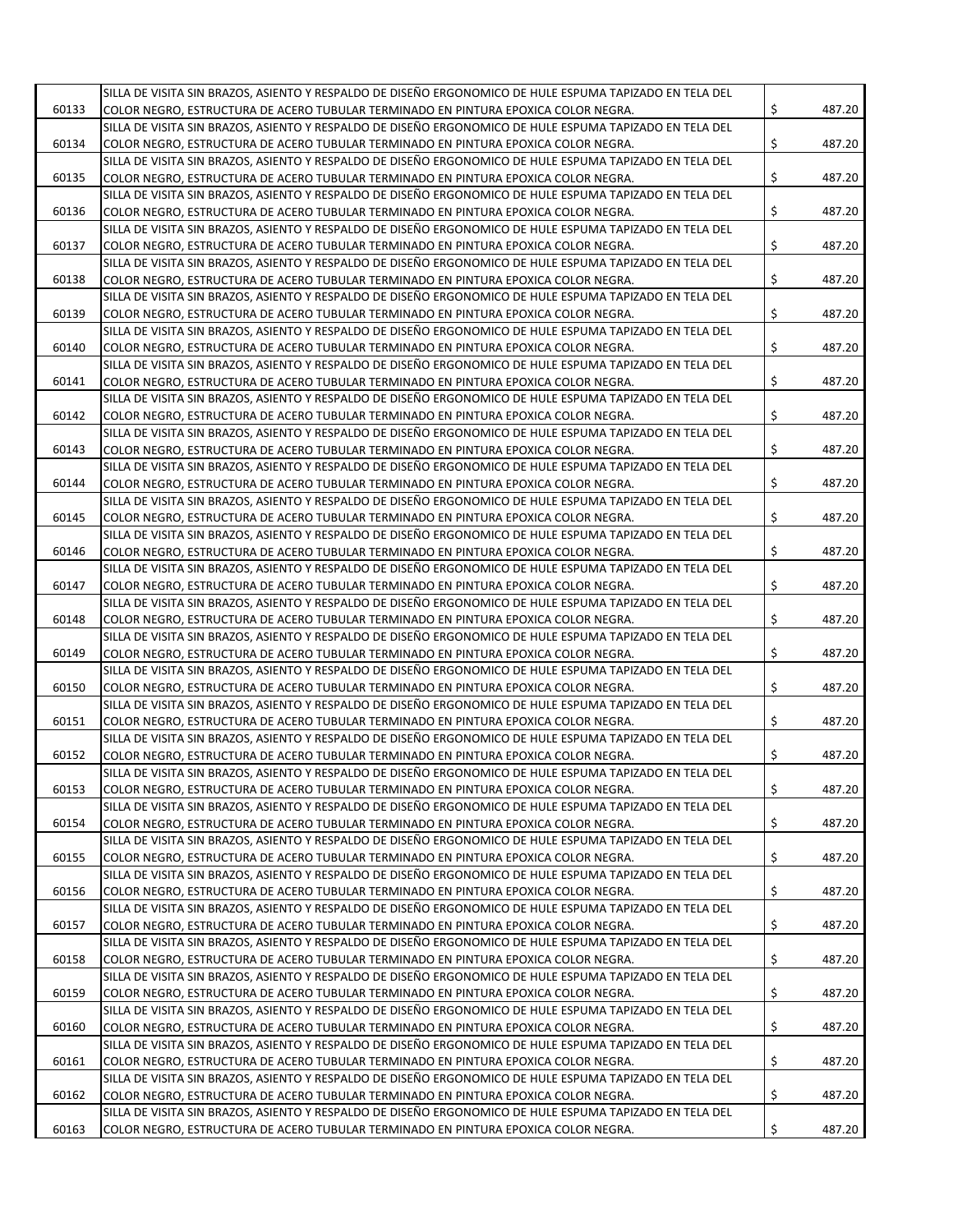|       | SILLA DE VISITA SIN BRAZOS, ASIENTO Y RESPALDO DE DISEÑO ERGONOMICO DE HULE ESPUMA TAPIZADO EN TELA DEL |              |
|-------|---------------------------------------------------------------------------------------------------------|--------------|
| 60133 | COLOR NEGRO, ESTRUCTURA DE ACERO TUBULAR TERMINADO EN PINTURA EPOXICA COLOR NEGRA.                      | \$<br>487.20 |
|       | SILLA DE VISITA SIN BRAZOS, ASIENTO Y RESPALDO DE DISEÑO ERGONOMICO DE HULE ESPUMA TAPIZADO EN TELA DEL |              |
|       |                                                                                                         | \$           |
| 60134 | COLOR NEGRO, ESTRUCTURA DE ACERO TUBULAR TERMINADO EN PINTURA EPOXICA COLOR NEGRA.                      | 487.20       |
|       | SILLA DE VISITA SIN BRAZOS, ASIENTO Y RESPALDO DE DISEÑO ERGONOMICO DE HULE ESPUMA TAPIZADO EN TELA DEL |              |
| 60135 | COLOR NEGRO, ESTRUCTURA DE ACERO TUBULAR TERMINADO EN PINTURA EPOXICA COLOR NEGRA.                      | \$<br>487.20 |
|       | SILLA DE VISITA SIN BRAZOS, ASIENTO Y RESPALDO DE DISEÑO ERGONOMICO DE HULE ESPUMA TAPIZADO EN TELA DEL |              |
| 60136 | COLOR NEGRO, ESTRUCTURA DE ACERO TUBULAR TERMINADO EN PINTURA EPOXICA COLOR NEGRA.                      | \$<br>487.20 |
|       | SILLA DE VISITA SIN BRAZOS, ASIENTO Y RESPALDO DE DISEÑO ERGONOMICO DE HULE ESPUMA TAPIZADO EN TELA DEL |              |
| 60137 | COLOR NEGRO, ESTRUCTURA DE ACERO TUBULAR TERMINADO EN PINTURA EPOXICA COLOR NEGRA.                      | \$<br>487.20 |
|       | SILLA DE VISITA SIN BRAZOS, ASIENTO Y RESPALDO DE DISEÑO ERGONOMICO DE HULE ESPUMA TAPIZADO EN TELA DEL |              |
| 60138 | COLOR NEGRO, ESTRUCTURA DE ACERO TUBULAR TERMINADO EN PINTURA EPOXICA COLOR NEGRA.                      | \$<br>487.20 |
|       | SILLA DE VISITA SIN BRAZOS, ASIENTO Y RESPALDO DE DISEÑO ERGONOMICO DE HULE ESPUMA TAPIZADO EN TELA DEL |              |
| 60139 | COLOR NEGRO, ESTRUCTURA DE ACERO TUBULAR TERMINADO EN PINTURA EPOXICA COLOR NEGRA.                      | \$<br>487.20 |
|       | SILLA DE VISITA SIN BRAZOS, ASIENTO Y RESPALDO DE DISEÑO ERGONOMICO DE HULE ESPUMA TAPIZADO EN TELA DEL |              |
| 60140 | COLOR NEGRO, ESTRUCTURA DE ACERO TUBULAR TERMINADO EN PINTURA EPOXICA COLOR NEGRA.                      | \$<br>487.20 |
|       | SILLA DE VISITA SIN BRAZOS, ASIENTO Y RESPALDO DE DISEÑO ERGONOMICO DE HULE ESPUMA TAPIZADO EN TELA DEL |              |
|       |                                                                                                         | \$           |
| 60141 | COLOR NEGRO, ESTRUCTURA DE ACERO TUBULAR TERMINADO EN PINTURA EPOXICA COLOR NEGRA.                      | 487.20       |
|       | SILLA DE VISITA SIN BRAZOS, ASIENTO Y RESPALDO DE DISEÑO ERGONOMICO DE HULE ESPUMA TAPIZADO EN TELA DEL |              |
| 60142 | COLOR NEGRO, ESTRUCTURA DE ACERO TUBULAR TERMINADO EN PINTURA EPOXICA COLOR NEGRA.                      | \$<br>487.20 |
|       | SILLA DE VISITA SIN BRAZOS, ASIENTO Y RESPALDO DE DISEÑO ERGONOMICO DE HULE ESPUMA TAPIZADO EN TELA DEL |              |
| 60143 | COLOR NEGRO, ESTRUCTURA DE ACERO TUBULAR TERMINADO EN PINTURA EPOXICA COLOR NEGRA.                      | \$<br>487.20 |
|       | SILLA DE VISITA SIN BRAZOS, ASIENTO Y RESPALDO DE DISEÑO ERGONOMICO DE HULE ESPUMA TAPIZADO EN TELA DEL |              |
| 60144 | COLOR NEGRO, ESTRUCTURA DE ACERO TUBULAR TERMINADO EN PINTURA EPOXICA COLOR NEGRA.                      | \$<br>487.20 |
|       | SILLA DE VISITA SIN BRAZOS, ASIENTO Y RESPALDO DE DISEÑO ERGONOMICO DE HULE ESPUMA TAPIZADO EN TELA DEL |              |
| 60145 | COLOR NEGRO, ESTRUCTURA DE ACERO TUBULAR TERMINADO EN PINTURA EPOXICA COLOR NEGRA.                      | \$<br>487.20 |
|       | SILLA DE VISITA SIN BRAZOS, ASIENTO Y RESPALDO DE DISEÑO ERGONOMICO DE HULE ESPUMA TAPIZADO EN TELA DEL |              |
| 60146 | COLOR NEGRO, ESTRUCTURA DE ACERO TUBULAR TERMINADO EN PINTURA EPOXICA COLOR NEGRA.                      | \$<br>487.20 |
|       | SILLA DE VISITA SIN BRAZOS, ASIENTO Y RESPALDO DE DISEÑO ERGONOMICO DE HULE ESPUMA TAPIZADO EN TELA DEL |              |
| 60147 |                                                                                                         | \$<br>487.20 |
|       | COLOR NEGRO, ESTRUCTURA DE ACERO TUBULAR TERMINADO EN PINTURA EPOXICA COLOR NEGRA.                      |              |
|       | SILLA DE VISITA SIN BRAZOS, ASIENTO Y RESPALDO DE DISEÑO ERGONOMICO DE HULE ESPUMA TAPIZADO EN TELA DEL |              |
| 60148 | COLOR NEGRO, ESTRUCTURA DE ACERO TUBULAR TERMINADO EN PINTURA EPOXICA COLOR NEGRA.                      | \$<br>487.20 |
|       | SILLA DE VISITA SIN BRAZOS, ASIENTO Y RESPALDO DE DISEÑO ERGONOMICO DE HULE ESPUMA TAPIZADO EN TELA DEL |              |
| 60149 | COLOR NEGRO, ESTRUCTURA DE ACERO TUBULAR TERMINADO EN PINTURA EPOXICA COLOR NEGRA.                      | \$<br>487.20 |
|       | SILLA DE VISITA SIN BRAZOS, ASIENTO Y RESPALDO DE DISEÑO ERGONOMICO DE HULE ESPUMA TAPIZADO EN TELA DEL |              |
| 60150 | COLOR NEGRO, ESTRUCTURA DE ACERO TUBULAR TERMINADO EN PINTURA EPOXICA COLOR NEGRA.                      | \$<br>487.20 |
|       | SILLA DE VISITA SIN BRAZOS, ASIENTO Y RESPALDO DE DISEÑO ERGONOMICO DE HULE ESPUMA TAPIZADO EN TELA DEL |              |
| 60151 | COLOR NEGRO, ESTRUCTURA DE ACERO TUBULAR TERMINADO EN PINTURA EPOXICA COLOR NEGRA.                      | \$<br>487.20 |
|       | SILLA DE VISITA SIN BRAZOS, ASIENTO Y RESPALDO DE DISEÑO ERGONOMICO DE HULE ESPUMA TAPIZADO EN TELA DEL |              |
| 60152 | COLOR NEGRO, ESTRUCTURA DE ACERO TUBULAR TERMINADO EN PINTURA EPOXICA COLOR NEGRA.                      | \$<br>487.20 |
|       | SILLA DE VISITA SIN BRAZOS, ASIENTO Y RESPALDO DE DISEÑO ERGONOMICO DE HULE ESPUMA TAPIZADO EN TELA DEL |              |
| 60153 | COLOR NEGRO, ESTRUCTURA DE ACERO TUBULAR TERMINADO EN PINTURA EPOXICA COLOR NEGRA.                      | \$<br>487.20 |
|       | SILLA DE VISITA SIN BRAZOS, ASIENTO Y RESPALDO DE DISEÑO ERGONOMICO DE HULE ESPUMA TAPIZADO EN TELA DEL |              |
| 60154 | COLOR NEGRO, ESTRUCTURA DE ACERO TUBULAR TERMINADO EN PINTURA EPOXICA COLOR NEGRA.                      | \$<br>487.20 |
|       |                                                                                                         |              |
|       | SILLA DE VISITA SIN BRAZOS, ASIENTO Y RESPALDO DE DISEÑO ERGONOMICO DE HULE ESPUMA TAPIZADO EN TELA DEL |              |
| 60155 | COLOR NEGRO, ESTRUCTURA DE ACERO TUBULAR TERMINADO EN PINTURA EPOXICA COLOR NEGRA.                      | \$<br>487.20 |
|       | SILLA DE VISITA SIN BRAZOS, ASIENTO Y RESPALDO DE DISEÑO ERGONOMICO DE HULE ESPUMA TAPIZADO EN TELA DEL |              |
| 60156 | COLOR NEGRO, ESTRUCTURA DE ACERO TUBULAR TERMINADO EN PINTURA EPOXICA COLOR NEGRA.                      | \$<br>487.20 |
|       | SILLA DE VISITA SIN BRAZOS, ASIENTO Y RESPALDO DE DISEÑO ERGONOMICO DE HULE ESPUMA TAPIZADO EN TELA DEL |              |
| 60157 | COLOR NEGRO, ESTRUCTURA DE ACERO TUBULAR TERMINADO EN PINTURA EPOXICA COLOR NEGRA.                      | \$<br>487.20 |
|       | SILLA DE VISITA SIN BRAZOS, ASIENTO Y RESPALDO DE DISEÑO ERGONOMICO DE HULE ESPUMA TAPIZADO EN TELA DEL |              |
| 60158 | COLOR NEGRO, ESTRUCTURA DE ACERO TUBULAR TERMINADO EN PINTURA EPOXICA COLOR NEGRA.                      | \$<br>487.20 |
|       | SILLA DE VISITA SIN BRAZOS, ASIENTO Y RESPALDO DE DISEÑO ERGONOMICO DE HULE ESPUMA TAPIZADO EN TELA DEL |              |
| 60159 | COLOR NEGRO, ESTRUCTURA DE ACERO TUBULAR TERMINADO EN PINTURA EPOXICA COLOR NEGRA.                      | \$<br>487.20 |
|       | SILLA DE VISITA SIN BRAZOS, ASIENTO Y RESPALDO DE DISEÑO ERGONOMICO DE HULE ESPUMA TAPIZADO EN TELA DEL |              |
| 60160 | COLOR NEGRO, ESTRUCTURA DE ACERO TUBULAR TERMINADO EN PINTURA EPOXICA COLOR NEGRA.                      | \$<br>487.20 |
|       | SILLA DE VISITA SIN BRAZOS, ASIENTO Y RESPALDO DE DISEÑO ERGONOMICO DE HULE ESPUMA TAPIZADO EN TELA DEL |              |
|       |                                                                                                         |              |
| 60161 | COLOR NEGRO, ESTRUCTURA DE ACERO TUBULAR TERMINADO EN PINTURA EPOXICA COLOR NEGRA.                      | \$<br>487.20 |
|       | SILLA DE VISITA SIN BRAZOS, ASIENTO Y RESPALDO DE DISEÑO ERGONOMICO DE HULE ESPUMA TAPIZADO EN TELA DEL |              |
| 60162 | COLOR NEGRO, ESTRUCTURA DE ACERO TUBULAR TERMINADO EN PINTURA EPOXICA COLOR NEGRA.                      | \$<br>487.20 |
|       | SILLA DE VISITA SIN BRAZOS, ASIENTO Y RESPALDO DE DISEÑO ERGONOMICO DE HULE ESPUMA TAPIZADO EN TELA DEL |              |
| 60163 | COLOR NEGRO, ESTRUCTURA DE ACERO TUBULAR TERMINADO EN PINTURA EPOXICA COLOR NEGRA.                      | \$<br>487.20 |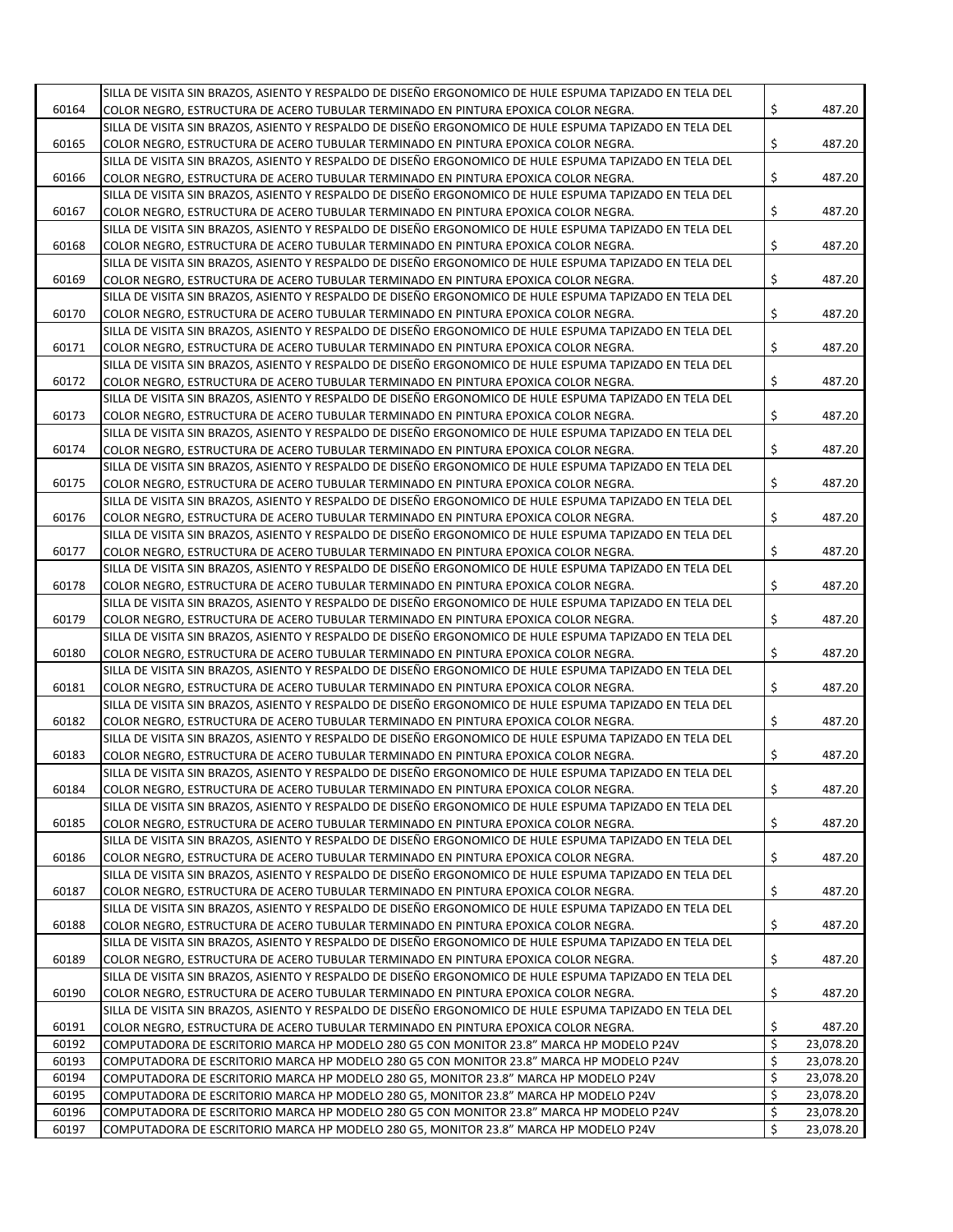|       | SILLA DE VISITA SIN BRAZOS, ASIENTO Y RESPALDO DE DISEÑO ERGONOMICO DE HULE ESPUMA TAPIZADO EN TELA DEL |                 |
|-------|---------------------------------------------------------------------------------------------------------|-----------------|
| 60164 | COLOR NEGRO, ESTRUCTURA DE ACERO TUBULAR TERMINADO EN PINTURA EPOXICA COLOR NEGRA.                      | \$<br>487.20    |
|       | SILLA DE VISITA SIN BRAZOS. ASIENTO Y RESPALDO DE DISEÑO ERGONOMICO DE HULE ESPUMA TAPIZADO EN TELA DEL |                 |
| 60165 | COLOR NEGRO, ESTRUCTURA DE ACERO TUBULAR TERMINADO EN PINTURA EPOXICA COLOR NEGRA.                      | \$<br>487.20    |
|       |                                                                                                         |                 |
|       | SILLA DE VISITA SIN BRAZOS, ASIENTO Y RESPALDO DE DISEÑO ERGONOMICO DE HULE ESPUMA TAPIZADO EN TELA DEL |                 |
| 60166 | COLOR NEGRO, ESTRUCTURA DE ACERO TUBULAR TERMINADO EN PINTURA EPOXICA COLOR NEGRA.                      | \$<br>487.20    |
|       | SILLA DE VISITA SIN BRAZOS, ASIENTO Y RESPALDO DE DISEÑO ERGONOMICO DE HULE ESPUMA TAPIZADO EN TELA DEL |                 |
| 60167 | COLOR NEGRO, ESTRUCTURA DE ACERO TUBULAR TERMINADO EN PINTURA EPOXICA COLOR NEGRA.                      | \$<br>487.20    |
|       | SILLA DE VISITA SIN BRAZOS, ASIENTO Y RESPALDO DE DISEÑO ERGONOMICO DE HULE ESPUMA TAPIZADO EN TELA DEL |                 |
| 60168 | COLOR NEGRO, ESTRUCTURA DE ACERO TUBULAR TERMINADO EN PINTURA EPOXICA COLOR NEGRA.                      | \$<br>487.20    |
|       | SILLA DE VISITA SIN BRAZOS, ASIENTO Y RESPALDO DE DISEÑO ERGONOMICO DE HULE ESPUMA TAPIZADO EN TELA DEL |                 |
| 60169 | COLOR NEGRO, ESTRUCTURA DE ACERO TUBULAR TERMINADO EN PINTURA EPOXICA COLOR NEGRA.                      | \$<br>487.20    |
|       | SILLA DE VISITA SIN BRAZOS, ASIENTO Y RESPALDO DE DISEÑO ERGONOMICO DE HULE ESPUMA TAPIZADO EN TELA DEL |                 |
| 60170 | COLOR NEGRO, ESTRUCTURA DE ACERO TUBULAR TERMINADO EN PINTURA EPOXICA COLOR NEGRA.                      | \$<br>487.20    |
|       | SILLA DE VISITA SIN BRAZOS, ASIENTO Y RESPALDO DE DISEÑO ERGONOMICO DE HULE ESPUMA TAPIZADO EN TELA DEL |                 |
|       |                                                                                                         |                 |
| 60171 | COLOR NEGRO, ESTRUCTURA DE ACERO TUBULAR TERMINADO EN PINTURA EPOXICA COLOR NEGRA.                      | \$<br>487.20    |
|       | SILLA DE VISITA SIN BRAZOS, ASIENTO Y RESPALDO DE DISEÑO ERGONOMICO DE HULE ESPUMA TAPIZADO EN TELA DEL |                 |
| 60172 | COLOR NEGRO, ESTRUCTURA DE ACERO TUBULAR TERMINADO EN PINTURA EPOXICA COLOR NEGRA.                      | \$<br>487.20    |
|       | SILLA DE VISITA SIN BRAZOS, ASIENTO Y RESPALDO DE DISEÑO ERGONOMICO DE HULE ESPUMA TAPIZADO EN TELA DEL |                 |
| 60173 | COLOR NEGRO, ESTRUCTURA DE ACERO TUBULAR TERMINADO EN PINTURA EPOXICA COLOR NEGRA.                      | \$<br>487.20    |
|       | SILLA DE VISITA SIN BRAZOS, ASIENTO Y RESPALDO DE DISEÑO ERGONOMICO DE HULE ESPUMA TAPIZADO EN TELA DEL |                 |
| 60174 | COLOR NEGRO, ESTRUCTURA DE ACERO TUBULAR TERMINADO EN PINTURA EPOXICA COLOR NEGRA.                      | \$<br>487.20    |
|       | SILLA DE VISITA SIN BRAZOS, ASIENTO Y RESPALDO DE DISEÑO ERGONOMICO DE HULE ESPUMA TAPIZADO EN TELA DEL |                 |
| 60175 | COLOR NEGRO, ESTRUCTURA DE ACERO TUBULAR TERMINADO EN PINTURA EPOXICA COLOR NEGRA.                      | \$<br>487.20    |
|       | SILLA DE VISITA SIN BRAZOS, ASIENTO Y RESPALDO DE DISEÑO ERGONOMICO DE HULE ESPUMA TAPIZADO EN TELA DEL |                 |
| 60176 | COLOR NEGRO, ESTRUCTURA DE ACERO TUBULAR TERMINADO EN PINTURA EPOXICA COLOR NEGRA.                      | 487.20          |
|       |                                                                                                         | \$              |
|       | SILLA DE VISITA SIN BRAZOS, ASIENTO Y RESPALDO DE DISEÑO ERGONOMICO DE HULE ESPUMA TAPIZADO EN TELA DEL |                 |
| 60177 | COLOR NEGRO, ESTRUCTURA DE ACERO TUBULAR TERMINADO EN PINTURA EPOXICA COLOR NEGRA.                      | \$<br>487.20    |
|       | SILLA DE VISITA SIN BRAZOS, ASIENTO Y RESPALDO DE DISEÑO ERGONOMICO DE HULE ESPUMA TAPIZADO EN TELA DEL |                 |
| 60178 | COLOR NEGRO, ESTRUCTURA DE ACERO TUBULAR TERMINADO EN PINTURA EPOXICA COLOR NEGRA.                      | \$<br>487.20    |
|       | SILLA DE VISITA SIN BRAZOS, ASIENTO Y RESPALDO DE DISEÑO ERGONOMICO DE HULE ESPUMA TAPIZADO EN TELA DEL |                 |
| 60179 | COLOR NEGRO, ESTRUCTURA DE ACERO TUBULAR TERMINADO EN PINTURA EPOXICA COLOR NEGRA.                      | \$<br>487.20    |
|       | SILLA DE VISITA SIN BRAZOS, ASIENTO Y RESPALDO DE DISEÑO ERGONOMICO DE HULE ESPUMA TAPIZADO EN TELA DEL |                 |
| 60180 | COLOR NEGRO, ESTRUCTURA DE ACERO TUBULAR TERMINADO EN PINTURA EPOXICA COLOR NEGRA.                      | \$<br>487.20    |
|       | SILLA DE VISITA SIN BRAZOS, ASIENTO Y RESPALDO DE DISEÑO ERGONOMICO DE HULE ESPUMA TAPIZADO EN TELA DEL |                 |
| 60181 | COLOR NEGRO, ESTRUCTURA DE ACERO TUBULAR TERMINADO EN PINTURA EPOXICA COLOR NEGRA.                      | \$<br>487.20    |
|       | SILLA DE VISITA SIN BRAZOS, ASIENTO Y RESPALDO DE DISEÑO ERGONOMICO DE HULE ESPUMA TAPIZADO EN TELA DEL |                 |
|       |                                                                                                         |                 |
| 60182 | COLOR NEGRO, ESTRUCTURA DE ACERO TUBULAR TERMINADO EN PINTURA EPOXICA COLOR NEGRA.                      | \$<br>487.20    |
|       | SILLA DE VISITA SIN BRAZOS, ASIENTO Y RESPALDO DE DISEÑO ERGONOMICO DE HULE ESPUMA TAPIZADO EN TELA DEL |                 |
| 60183 | COLOR NEGRO, ESTRUCTURA DE ACERO TUBULAR TERMINADO EN PINTURA EPOXICA COLOR NEGRA.                      | \$<br>487.20    |
|       | SILLA DE VISITA SIN BRAZOS, ASIENTO Y RESPALDO DE DISEÑO ERGONOMICO DE HULE ESPUMA TAPIZADO EN TELA DEL |                 |
| 60184 | COLOR NEGRO, ESTRUCTURA DE ACERO TUBULAR TERMINADO EN PINTURA EPOXICA COLOR NEGRA.                      | \$<br>487.20    |
|       | SILLA DE VISITA SIN BRAZOS, ASIENTO Y RESPALDO DE DISEÑO ERGONOMICO DE HULE ESPUMA TAPIZADO EN TELA DEL |                 |
| 60185 | COLOR NEGRO, ESTRUCTURA DE ACERO TUBULAR TERMINADO EN PINTURA EPOXICA COLOR NEGRA.                      | \$<br>487.20    |
|       | SILLA DE VISITA SIN BRAZOS, ASIENTO Y RESPALDO DE DISEÑO ERGONOMICO DE HULE ESPUMA TAPIZADO EN TELA DEL |                 |
| 60186 | COLOR NEGRO, ESTRUCTURA DE ACERO TUBULAR TERMINADO EN PINTURA EPOXICA COLOR NEGRA.                      | \$<br>487.20    |
|       | SILLA DE VISITA SIN BRAZOS, ASIENTO Y RESPALDO DE DISEÑO ERGONOMICO DE HULE ESPUMA TAPIZADO EN TELA DEL |                 |
| 60187 | COLOR NEGRO, ESTRUCTURA DE ACERO TUBULAR TERMINADO EN PINTURA EPOXICA COLOR NEGRA.                      | \$<br>487.20    |
|       | SILLA DE VISITA SIN BRAZOS, ASIENTO Y RESPALDO DE DISEÑO ERGONOMICO DE HULE ESPUMA TAPIZADO EN TELA DEL |                 |
|       |                                                                                                         |                 |
| 60188 | COLOR NEGRO, ESTRUCTURA DE ACERO TUBULAR TERMINADO EN PINTURA EPOXICA COLOR NEGRA.                      | \$<br>487.20    |
|       | SILLA DE VISITA SIN BRAZOS, ASIENTO Y RESPALDO DE DISEÑO ERGONOMICO DE HULE ESPUMA TAPIZADO EN TELA DEL |                 |
| 60189 | COLOR NEGRO, ESTRUCTURA DE ACERO TUBULAR TERMINADO EN PINTURA EPOXICA COLOR NEGRA.                      | \$<br>487.20    |
|       | SILLA DE VISITA SIN BRAZOS, ASIENTO Y RESPALDO DE DISEÑO ERGONOMICO DE HULE ESPUMA TAPIZADO EN TELA DEL |                 |
| 60190 | COLOR NEGRO, ESTRUCTURA DE ACERO TUBULAR TERMINADO EN PINTURA EPOXICA COLOR NEGRA.                      | \$<br>487.20    |
|       | SILLA DE VISITA SIN BRAZOS, ASIENTO Y RESPALDO DE DISEÑO ERGONOMICO DE HULE ESPUMA TAPIZADO EN TELA DEL |                 |
| 60191 | COLOR NEGRO, ESTRUCTURA DE ACERO TUBULAR TERMINADO EN PINTURA EPOXICA COLOR NEGRA.                      | \$<br>487.20    |
| 60192 | COMPUTADORA DE ESCRITORIO MARCA HP MODELO 280 G5 CON MONITOR 23.8" MARCA HP MODELO P24V                 | \$<br>23,078.20 |
| 60193 | COMPUTADORA DE ESCRITORIO MARCA HP MODELO 280 G5 CON MONITOR 23.8" MARCA HP MODELO P24V                 | \$<br>23,078.20 |
|       |                                                                                                         | \$              |
| 60194 | COMPUTADORA DE ESCRITORIO MARCA HP MODELO 280 G5, MONITOR 23.8" MARCA HP MODELO P24V                    | 23,078.20       |
| 60195 | COMPUTADORA DE ESCRITORIO MARCA HP MODELO 280 G5, MONITOR 23.8" MARCA HP MODELO P24V                    | \$<br>23,078.20 |
| 60196 | COMPUTADORA DE ESCRITORIO MARCA HP MODELO 280 G5 CON MONITOR 23.8" MARCA HP MODELO P24V                 | \$<br>23,078.20 |
| 60197 | COMPUTADORA DE ESCRITORIO MARCA HP MODELO 280 G5, MONITOR 23.8" MARCA HP MODELO P24V                    | \$<br>23,078.20 |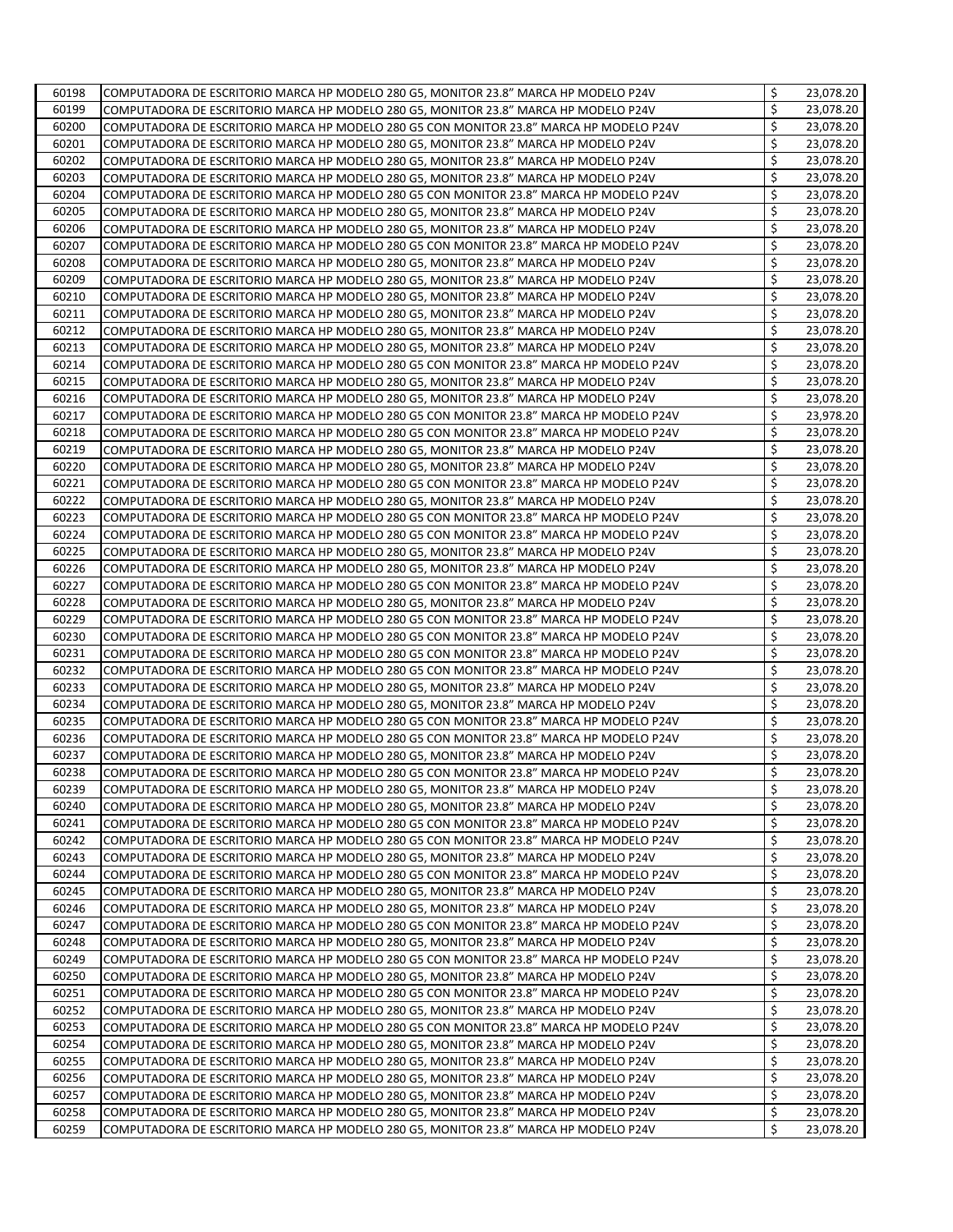| 60198 | COMPUTADORA DE ESCRITORIO MARCA HP MODELO 280 G5, MONITOR 23.8" MARCA HP MODELO P24V    | \$<br>23,078.20 |
|-------|-----------------------------------------------------------------------------------------|-----------------|
| 60199 | COMPUTADORA DE ESCRITORIO MARCA HP MODELO 280 G5, MONITOR 23.8" MARCA HP MODELO P24V    | \$<br>23,078.20 |
| 60200 | COMPUTADORA DE ESCRITORIO MARCA HP MODELO 280 G5 CON MONITOR 23.8" MARCA HP MODELO P24V | \$<br>23,078.20 |
| 60201 | COMPUTADORA DE ESCRITORIO MARCA HP MODELO 280 G5, MONITOR 23.8" MARCA HP MODELO P24V    | \$<br>23,078.20 |
| 60202 | COMPUTADORA DE ESCRITORIO MARCA HP MODELO 280 G5, MONITOR 23.8" MARCA HP MODELO P24V    | \$<br>23,078.20 |
| 60203 | COMPUTADORA DE ESCRITORIO MARCA HP MODELO 280 G5, MONITOR 23.8" MARCA HP MODELO P24V    | \$<br>23,078.20 |
| 60204 | COMPUTADORA DE ESCRITORIO MARCA HP MODELO 280 G5 CON MONITOR 23.8" MARCA HP MODELO P24V | \$<br>23,078.20 |
| 60205 | COMPUTADORA DE ESCRITORIO MARCA HP MODELO 280 G5, MONITOR 23.8" MARCA HP MODELO P24V    | \$<br>23,078.20 |
| 60206 | COMPUTADORA DE ESCRITORIO MARCA HP MODELO 280 G5, MONITOR 23.8" MARCA HP MODELO P24V    | \$<br>23,078.20 |
| 60207 | COMPUTADORA DE ESCRITORIO MARCA HP MODELO 280 G5 CON MONITOR 23.8" MARCA HP MODELO P24V | \$<br>23,078.20 |
| 60208 | COMPUTADORA DE ESCRITORIO MARCA HP MODELO 280 G5, MONITOR 23.8" MARCA HP MODELO P24V    | \$<br>23,078.20 |
| 60209 | COMPUTADORA DE ESCRITORIO MARCA HP MODELO 280 G5, MONITOR 23.8" MARCA HP MODELO P24V    | \$<br>23,078.20 |
| 60210 | COMPUTADORA DE ESCRITORIO MARCA HP MODELO 280 G5, MONITOR 23.8" MARCA HP MODELO P24V    | \$<br>23,078.20 |
| 60211 | COMPUTADORA DE ESCRITORIO MARCA HP MODELO 280 G5, MONITOR 23.8" MARCA HP MODELO P24V    | \$<br>23,078.20 |
| 60212 | COMPUTADORA DE ESCRITORIO MARCA HP MODELO 280 G5, MONITOR 23.8" MARCA HP MODELO P24V    | \$<br>23,078.20 |
| 60213 | COMPUTADORA DE ESCRITORIO MARCA HP MODELO 280 G5, MONITOR 23.8" MARCA HP MODELO P24V    | \$<br>23,078.20 |
| 60214 | COMPUTADORA DE ESCRITORIO MARCA HP MODELO 280 G5 CON MONITOR 23.8" MARCA HP MODELO P24V | \$<br>23,078.20 |
| 60215 | COMPUTADORA DE ESCRITORIO MARCA HP MODELO 280 G5, MONITOR 23.8" MARCA HP MODELO P24V    | \$<br>23,078.20 |
| 60216 | COMPUTADORA DE ESCRITORIO MARCA HP MODELO 280 G5, MONITOR 23.8" MARCA HP MODELO P24V    | \$<br>23,078.20 |
| 60217 | COMPUTADORA DE ESCRITORIO MARCA HP MODELO 280 G5 CON MONITOR 23.8" MARCA HP MODELO P24V | \$<br>23,978.20 |
| 60218 |                                                                                         | \$<br>23,078.20 |
|       | COMPUTADORA DE ESCRITORIO MARCA HP MODELO 280 G5 CON MONITOR 23.8" MARCA HP MODELO P24V | \$              |
| 60219 | COMPUTADORA DE ESCRITORIO MARCA HP MODELO 280 G5, MONITOR 23.8" MARCA HP MODELO P24V    | \$<br>23,078.20 |
| 60220 | COMPUTADORA DE ESCRITORIO MARCA HP MODELO 280 G5, MONITOR 23.8" MARCA HP MODELO P24V    | 23,078.20       |
| 60221 | COMPUTADORA DE ESCRITORIO MARCA HP MODELO 280 G5 CON MONITOR 23.8" MARCA HP MODELO P24V | \$<br>23,078.20 |
| 60222 | COMPUTADORA DE ESCRITORIO MARCA HP MODELO 280 G5, MONITOR 23.8" MARCA HP MODELO P24V    | \$<br>23,078.20 |
| 60223 | COMPUTADORA DE ESCRITORIO MARCA HP MODELO 280 G5 CON MONITOR 23.8" MARCA HP MODELO P24V | \$<br>23,078.20 |
| 60224 | COMPUTADORA DE ESCRITORIO MARCA HP MODELO 280 G5 CON MONITOR 23.8" MARCA HP MODELO P24V | \$<br>23,078.20 |
| 60225 | COMPUTADORA DE ESCRITORIO MARCA HP MODELO 280 G5, MONITOR 23.8" MARCA HP MODELO P24V    | \$<br>23,078.20 |
| 60226 | COMPUTADORA DE ESCRITORIO MARCA HP MODELO 280 G5, MONITOR 23.8" MARCA HP MODELO P24V    | \$<br>23,078.20 |
| 60227 | COMPUTADORA DE ESCRITORIO MARCA HP MODELO 280 G5 CON MONITOR 23.8" MARCA HP MODELO P24V | \$<br>23,078.20 |
| 60228 | COMPUTADORA DE ESCRITORIO MARCA HP MODELO 280 G5, MONITOR 23.8" MARCA HP MODELO P24V    | \$<br>23,078.20 |
| 60229 | COMPUTADORA DE ESCRITORIO MARCA HP MODELO 280 G5 CON MONITOR 23.8" MARCA HP MODELO P24V | \$<br>23,078.20 |
| 60230 | COMPUTADORA DE ESCRITORIO MARCA HP MODELO 280 G5 CON MONITOR 23.8" MARCA HP MODELO P24V | \$<br>23,078.20 |
| 60231 | COMPUTADORA DE ESCRITORIO MARCA HP MODELO 280 G5 CON MONITOR 23.8" MARCA HP MODELO P24V | \$<br>23,078.20 |
| 60232 | COMPUTADORA DE ESCRITORIO MARCA HP MODELO 280 G5 CON MONITOR 23.8" MARCA HP MODELO P24V | \$<br>23,078.20 |
| 60233 | COMPUTADORA DE ESCRITORIO MARCA HP MODELO 280 G5, MONITOR 23.8" MARCA HP MODELO P24V    | \$<br>23,078.20 |
| 60234 | COMPUTADORA DE ESCRITORIO MARCA HP MODELO 280 G5, MONITOR 23.8" MARCA HP MODELO P24V    | \$<br>23,078.20 |
| 60235 | COMPUTADORA DE ESCRITORIO MARCA HP MODELO 280 G5 CON MONITOR 23.8" MARCA HP MODELO P24V | \$<br>23,078.20 |
| 60236 | COMPUTADORA DE ESCRITORIO MARCA HP MODELO 280 G5 CON MONITOR 23.8" MARCA HP MODELO P24V | \$<br>23,078.20 |
| 60237 | COMPUTADORA DE ESCRITORIO MARCA HP MODELO 280 G5, MONITOR 23.8" MARCA HP MODELO P24V    | \$<br>23,078.20 |
| 60238 | COMPUTADORA DE ESCRITORIO MARCA HP MODELO 280 G5 CON MONITOR 23.8" MARCA HP MODELO P24V | \$<br>23,078.20 |
| 60239 | COMPUTADORA DE ESCRITORIO MARCA HP MODELO 280 G5, MONITOR 23.8" MARCA HP MODELO P24V    | \$<br>23,078.20 |
| 60240 | COMPUTADORA DE ESCRITORIO MARCA HP MODELO 280 G5, MONITOR 23.8" MARCA HP MODELO P24V    | \$<br>23,078.20 |
| 60241 | COMPUTADORA DE ESCRITORIO MARCA HP MODELO 280 G5 CON MONITOR 23.8" MARCA HP MODELO P24V | \$<br>23,078.20 |
| 60242 | COMPUTADORA DE ESCRITORIO MARCA HP MODELO 280 G5 CON MONITOR 23.8" MARCA HP MODELO P24V | \$<br>23,078.20 |
| 60243 | COMPUTADORA DE ESCRITORIO MARCA HP MODELO 280 G5, MONITOR 23.8" MARCA HP MODELO P24V    | \$<br>23,078.20 |
| 60244 | COMPUTADORA DE ESCRITORIO MARCA HP MODELO 280 G5 CON MONITOR 23.8" MARCA HP MODELO P24V | \$<br>23,078.20 |
| 60245 | COMPUTADORA DE ESCRITORIO MARCA HP MODELO 280 G5, MONITOR 23.8" MARCA HP MODELO P24V    | \$<br>23,078.20 |
| 60246 | COMPUTADORA DE ESCRITORIO MARCA HP MODELO 280 G5, MONITOR 23.8" MARCA HP MODELO P24V    | \$<br>23,078.20 |
| 60247 | COMPUTADORA DE ESCRITORIO MARCA HP MODELO 280 G5 CON MONITOR 23.8" MARCA HP MODELO P24V | \$<br>23,078.20 |
| 60248 | COMPUTADORA DE ESCRITORIO MARCA HP MODELO 280 G5, MONITOR 23.8" MARCA HP MODELO P24V    | \$<br>23,078.20 |
| 60249 | COMPUTADORA DE ESCRITORIO MARCA HP MODELO 280 G5 CON MONITOR 23.8" MARCA HP MODELO P24V | \$<br>23,078.20 |
| 60250 | COMPUTADORA DE ESCRITORIO MARCA HP MODELO 280 G5, MONITOR 23.8" MARCA HP MODELO P24V    | \$<br>23,078.20 |
| 60251 | COMPUTADORA DE ESCRITORIO MARCA HP MODELO 280 G5 CON MONITOR 23.8" MARCA HP MODELO P24V | \$<br>23,078.20 |
| 60252 | COMPUTADORA DE ESCRITORIO MARCA HP MODELO 280 G5, MONITOR 23.8" MARCA HP MODELO P24V    | \$<br>23,078.20 |
| 60253 | COMPUTADORA DE ESCRITORIO MARCA HP MODELO 280 G5 CON MONITOR 23.8" MARCA HP MODELO P24V | \$<br>23,078.20 |
| 60254 | COMPUTADORA DE ESCRITORIO MARCA HP MODELO 280 G5, MONITOR 23.8" MARCA HP MODELO P24V    | \$<br>23,078.20 |
| 60255 | COMPUTADORA DE ESCRITORIO MARCA HP MODELO 280 G5, MONITOR 23.8" MARCA HP MODELO P24V    | \$<br>23,078.20 |
| 60256 | COMPUTADORA DE ESCRITORIO MARCA HP MODELO 280 G5, MONITOR 23.8" MARCA HP MODELO P24V    | \$<br>23,078.20 |
| 60257 | COMPUTADORA DE ESCRITORIO MARCA HP MODELO 280 G5, MONITOR 23.8" MARCA HP MODELO P24V    | \$<br>23,078.20 |
| 60258 | COMPUTADORA DE ESCRITORIO MARCA HP MODELO 280 G5, MONITOR 23.8" MARCA HP MODELO P24V    | \$<br>23,078.20 |
| 60259 | COMPUTADORA DE ESCRITORIO MARCA HP MODELO 280 G5, MONITOR 23.8" MARCA HP MODELO P24V    | \$<br>23,078.20 |
|       |                                                                                         |                 |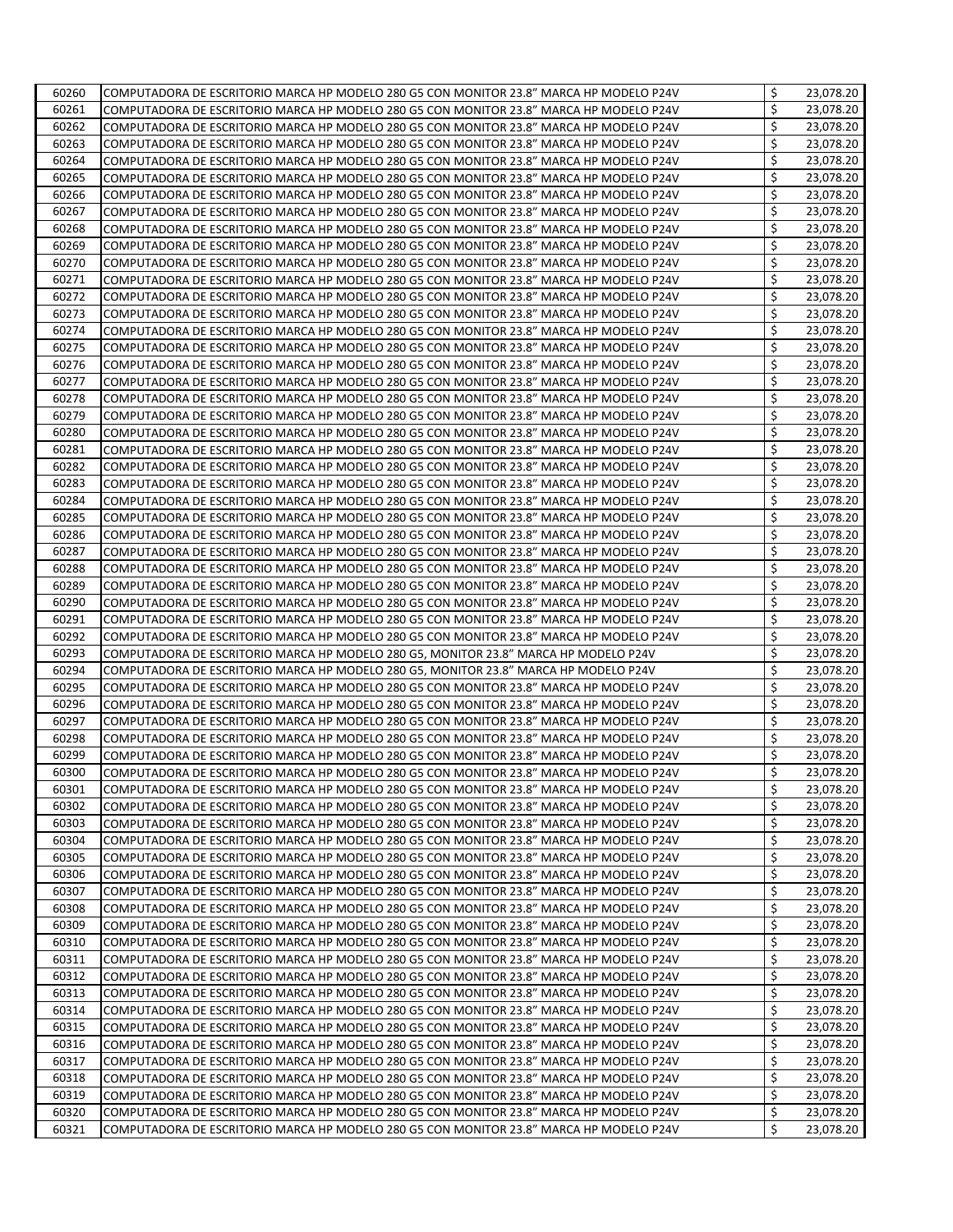| 60260 | COMPUTADORA DE ESCRITORIO MARCA HP MODELO 280 G5 CON MONITOR 23.8" MARCA HP MODELO P24V | \$<br>23,078.20 |
|-------|-----------------------------------------------------------------------------------------|-----------------|
| 60261 | COMPUTADORA DE ESCRITORIO MARCA HP MODELO 280 G5 CON MONITOR 23.8" MARCA HP MODELO P24V | \$<br>23,078.20 |
| 60262 | COMPUTADORA DE ESCRITORIO MARCA HP MODELO 280 G5 CON MONITOR 23.8" MARCA HP MODELO P24V | \$<br>23,078.20 |
| 60263 | COMPUTADORA DE ESCRITORIO MARCA HP MODELO 280 G5 CON MONITOR 23.8" MARCA HP MODELO P24V | \$<br>23,078.20 |
| 60264 | COMPUTADORA DE ESCRITORIO MARCA HP MODELO 280 G5 CON MONITOR 23.8" MARCA HP MODELO P24V | \$<br>23,078.20 |
| 60265 | COMPUTADORA DE ESCRITORIO MARCA HP MODELO 280 G5 CON MONITOR 23.8" MARCA HP MODELO P24V | \$<br>23,078.20 |
| 60266 | COMPUTADORA DE ESCRITORIO MARCA HP MODELO 280 G5 CON MONITOR 23.8" MARCA HP MODELO P24V | \$<br>23,078.20 |
| 60267 | COMPUTADORA DE ESCRITORIO MARCA HP MODELO 280 G5 CON MONITOR 23.8" MARCA HP MODELO P24V | \$<br>23,078.20 |
| 60268 | COMPUTADORA DE ESCRITORIO MARCA HP MODELO 280 G5 CON MONITOR 23.8" MARCA HP MODELO P24V | \$<br>23,078.20 |
| 60269 | COMPUTADORA DE ESCRITORIO MARCA HP MODELO 280 G5 CON MONITOR 23.8" MARCA HP MODELO P24V | \$<br>23,078.20 |
| 60270 | COMPUTADORA DE ESCRITORIO MARCA HP MODELO 280 G5 CON MONITOR 23.8" MARCA HP MODELO P24V | \$<br>23,078.20 |
| 60271 | COMPUTADORA DE ESCRITORIO MARCA HP MODELO 280 G5 CON MONITOR 23.8" MARCA HP MODELO P24V | \$<br>23,078.20 |
| 60272 | COMPUTADORA DE ESCRITORIO MARCA HP MODELO 280 G5 CON MONITOR 23.8" MARCA HP MODELO P24V | \$<br>23,078.20 |
| 60273 | COMPUTADORA DE ESCRITORIO MARCA HP MODELO 280 G5 CON MONITOR 23.8" MARCA HP MODELO P24V | \$<br>23,078.20 |
| 60274 | COMPUTADORA DE ESCRITORIO MARCA HP MODELO 280 G5 CON MONITOR 23.8" MARCA HP MODELO P24V | \$<br>23,078.20 |
| 60275 | COMPUTADORA DE ESCRITORIO MARCA HP MODELO 280 G5 CON MONITOR 23.8" MARCA HP MODELO P24V | \$<br>23,078.20 |
| 60276 | COMPUTADORA DE ESCRITORIO MARCA HP MODELO 280 G5 CON MONITOR 23.8" MARCA HP MODELO P24V | \$<br>23,078.20 |
| 60277 |                                                                                         | \$<br>23,078.20 |
|       | COMPUTADORA DE ESCRITORIO MARCA HP MODELO 280 G5 CON MONITOR 23.8" MARCA HP MODELO P24V | \$              |
| 60278 | COMPUTADORA DE ESCRITORIO MARCA HP MODELO 280 G5 CON MONITOR 23.8" MARCA HP MODELO P24V | \$<br>23,078.20 |
| 60279 | COMPUTADORA DE ESCRITORIO MARCA HP MODELO 280 G5 CON MONITOR 23.8" MARCA HP MODELO P24V | 23,078.20       |
| 60280 | COMPUTADORA DE ESCRITORIO MARCA HP MODELO 280 G5 CON MONITOR 23.8" MARCA HP MODELO P24V | \$<br>23,078.20 |
| 60281 | COMPUTADORA DE ESCRITORIO MARCA HP MODELO 280 G5 CON MONITOR 23.8" MARCA HP MODELO P24V | \$<br>23,078.20 |
| 60282 | COMPUTADORA DE ESCRITORIO MARCA HP MODELO 280 G5 CON MONITOR 23.8" MARCA HP MODELO P24V | \$<br>23,078.20 |
| 60283 | COMPUTADORA DE ESCRITORIO MARCA HP MODELO 280 G5 CON MONITOR 23.8" MARCA HP MODELO P24V | \$<br>23,078.20 |
| 60284 | COMPUTADORA DE ESCRITORIO MARCA HP MODELO 280 G5 CON MONITOR 23.8" MARCA HP MODELO P24V | \$<br>23,078.20 |
| 60285 | COMPUTADORA DE ESCRITORIO MARCA HP MODELO 280 G5 CON MONITOR 23.8" MARCA HP MODELO P24V | \$<br>23,078.20 |
| 60286 | COMPUTADORA DE ESCRITORIO MARCA HP MODELO 280 G5 CON MONITOR 23.8" MARCA HP MODELO P24V | \$<br>23,078.20 |
| 60287 | COMPUTADORA DE ESCRITORIO MARCA HP MODELO 280 G5 CON MONITOR 23.8" MARCA HP MODELO P24V | \$<br>23,078.20 |
| 60288 | COMPUTADORA DE ESCRITORIO MARCA HP MODELO 280 G5 CON MONITOR 23.8" MARCA HP MODELO P24V | \$<br>23,078.20 |
| 60289 | COMPUTADORA DE ESCRITORIO MARCA HP MODELO 280 G5 CON MONITOR 23.8" MARCA HP MODELO P24V | \$<br>23,078.20 |
| 60290 | COMPUTADORA DE ESCRITORIO MARCA HP MODELO 280 G5 CON MONITOR 23.8" MARCA HP MODELO P24V | \$<br>23,078.20 |
| 60291 | COMPUTADORA DE ESCRITORIO MARCA HP MODELO 280 G5 CON MONITOR 23.8" MARCA HP MODELO P24V | \$<br>23,078.20 |
| 60292 | COMPUTADORA DE ESCRITORIO MARCA HP MODELO 280 G5 CON MONITOR 23.8" MARCA HP MODELO P24V | \$<br>23,078.20 |
| 60293 | COMPUTADORA DE ESCRITORIO MARCA HP MODELO 280 G5, MONITOR 23.8" MARCA HP MODELO P24V    | \$<br>23,078.20 |
| 60294 | COMPUTADORA DE ESCRITORIO MARCA HP MODELO 280 G5, MONITOR 23.8" MARCA HP MODELO P24V    | \$<br>23,078.20 |
| 60295 | COMPUTADORA DE ESCRITORIO MARCA HP MODELO 280 G5 CON MONITOR 23.8" MARCA HP MODELO P24V | \$<br>23,078.20 |
| 60296 | COMPUTADORA DE ESCRITORIO MARCA HP MODELO 280 G5 CON MONITOR 23.8" MARCA HP MODELO P24V | \$<br>23,078.20 |
| 60297 | COMPUTADORA DE ESCRITORIO MARCA HP MODELO 280 G5 CON MONITOR 23.8" MARCA HP MODELO P24V | \$<br>23,078.20 |
| 60298 | COMPUTADORA DE ESCRITORIO MARCA HP MODELO 280 G5 CON MONITOR 23.8" MARCA HP MODELO P24V | \$<br>23,078.20 |
| 60299 | COMPUTADORA DE ESCRITORIO MARCA HP MODELO 280 G5 CON MONITOR 23.8" MARCA HP MODELO P24V | \$<br>23,078.20 |
| 60300 | COMPUTADORA DE ESCRITORIO MARCA HP MODELO 280 G5 CON MONITOR 23.8" MARCA HP MODELO P24V | \$<br>23,078.20 |
| 60301 | COMPUTADORA DE ESCRITORIO MARCA HP MODELO 280 G5 CON MONITOR 23.8" MARCA HP MODELO P24V | \$<br>23,078.20 |
| 60302 | COMPUTADORA DE ESCRITORIO MARCA HP MODELO 280 G5 CON MONITOR 23.8" MARCA HP MODELO P24V | \$<br>23,078.20 |
| 60303 | COMPUTADORA DE ESCRITORIO MARCA HP MODELO 280 G5 CON MONITOR 23.8" MARCA HP MODELO P24V | \$<br>23,078.20 |
| 60304 | COMPUTADORA DE ESCRITORIO MARCA HP MODELO 280 G5 CON MONITOR 23.8" MARCA HP MODELO P24V | \$<br>23,078.20 |
| 60305 | COMPUTADORA DE ESCRITORIO MARCA HP MODELO 280 G5 CON MONITOR 23.8" MARCA HP MODELO P24V | \$<br>23,078.20 |
| 60306 | COMPUTADORA DE ESCRITORIO MARCA HP MODELO 280 G5 CON MONITOR 23.8" MARCA HP MODELO P24V | \$<br>23,078.20 |
| 60307 | COMPUTADORA DE ESCRITORIO MARCA HP MODELO 280 G5 CON MONITOR 23.8" MARCA HP MODELO P24V | \$<br>23,078.20 |
| 60308 | COMPUTADORA DE ESCRITORIO MARCA HP MODELO 280 G5 CON MONITOR 23.8" MARCA HP MODELO P24V | \$<br>23,078.20 |
| 60309 | COMPUTADORA DE ESCRITORIO MARCA HP MODELO 280 G5 CON MONITOR 23.8" MARCA HP MODELO P24V | \$<br>23,078.20 |
| 60310 | COMPUTADORA DE ESCRITORIO MARCA HP MODELO 280 G5 CON MONITOR 23.8" MARCA HP MODELO P24V | \$<br>23,078.20 |
| 60311 | COMPUTADORA DE ESCRITORIO MARCA HP MODELO 280 G5 CON MONITOR 23.8" MARCA HP MODELO P24V | \$<br>23,078.20 |
| 60312 | COMPUTADORA DE ESCRITORIO MARCA HP MODELO 280 G5 CON MONITOR 23.8" MARCA HP MODELO P24V | \$<br>23,078.20 |
| 60313 | COMPUTADORA DE ESCRITORIO MARCA HP MODELO 280 G5 CON MONITOR 23.8" MARCA HP MODELO P24V | \$<br>23,078.20 |
| 60314 | COMPUTADORA DE ESCRITORIO MARCA HP MODELO 280 G5 CON MONITOR 23.8" MARCA HP MODELO P24V | \$<br>23,078.20 |
| 60315 | COMPUTADORA DE ESCRITORIO MARCA HP MODELO 280 G5 CON MONITOR 23.8" MARCA HP MODELO P24V | \$<br>23,078.20 |
| 60316 | COMPUTADORA DE ESCRITORIO MARCA HP MODELO 280 G5 CON MONITOR 23.8" MARCA HP MODELO P24V | \$<br>23,078.20 |
| 60317 | COMPUTADORA DE ESCRITORIO MARCA HP MODELO 280 G5 CON MONITOR 23.8" MARCA HP MODELO P24V | \$<br>23,078.20 |
| 60318 | COMPUTADORA DE ESCRITORIO MARCA HP MODELO 280 G5 CON MONITOR 23.8" MARCA HP MODELO P24V | \$<br>23,078.20 |
| 60319 | COMPUTADORA DE ESCRITORIO MARCA HP MODELO 280 G5 CON MONITOR 23.8" MARCA HP MODELO P24V | \$<br>23,078.20 |
| 60320 |                                                                                         | \$<br>23,078.20 |
|       | COMPUTADORA DE ESCRITORIO MARCA HP MODELO 280 G5 CON MONITOR 23.8" MARCA HP MODELO P24V | \$              |
| 60321 | COMPUTADORA DE ESCRITORIO MARCA HP MODELO 280 G5 CON MONITOR 23.8" MARCA HP MODELO P24V | 23,078.20       |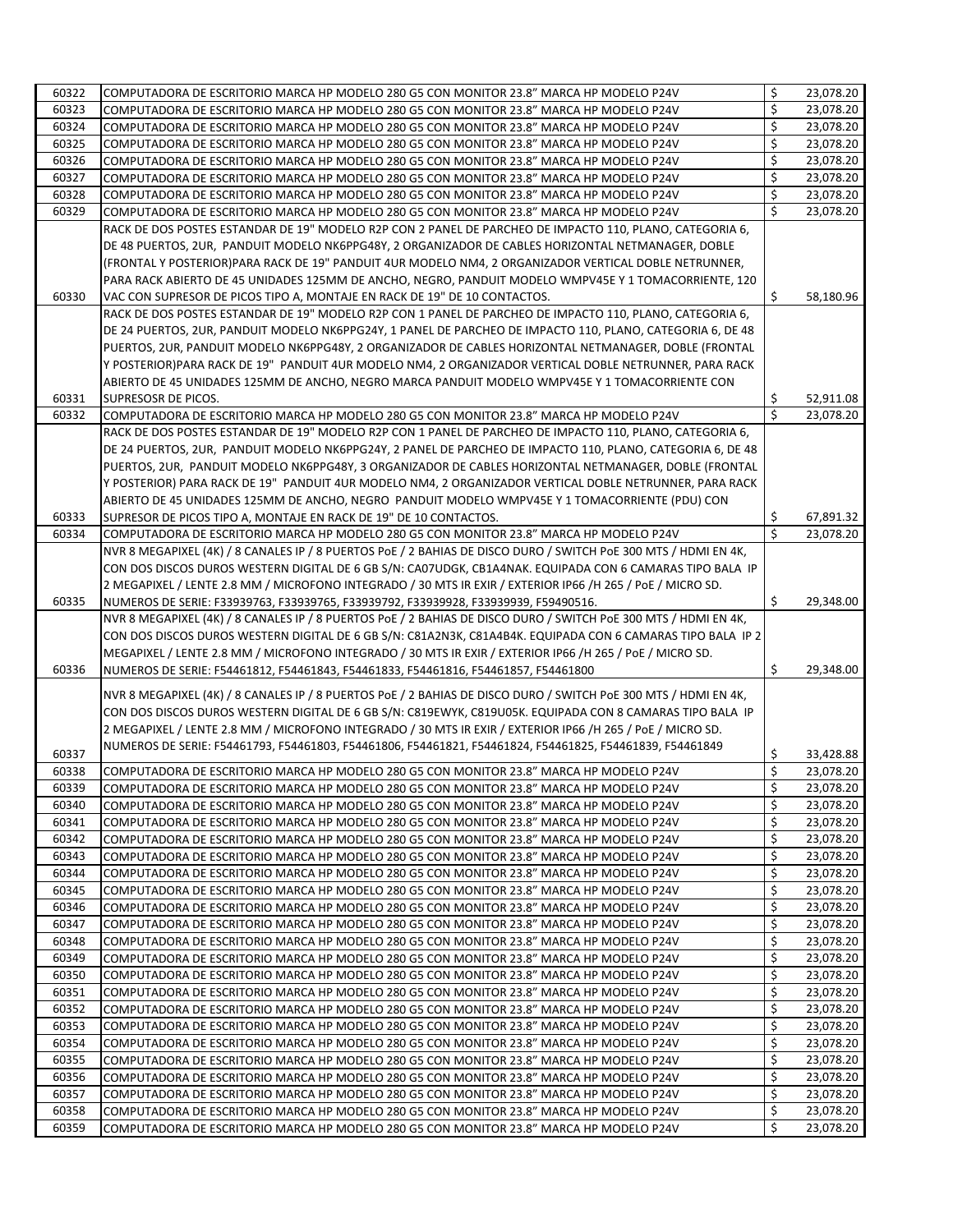| 60322          | COMPUTADORA DE ESCRITORIO MARCA HP MODELO 280 G5 CON MONITOR 23.8" MARCA HP MODELO P24V                                                                                            | \$                 | 23,078.20              |
|----------------|------------------------------------------------------------------------------------------------------------------------------------------------------------------------------------|--------------------|------------------------|
| 60323          | COMPUTADORA DE ESCRITORIO MARCA HP MODELO 280 G5 CON MONITOR 23.8" MARCA HP MODELO P24V                                                                                            | \$                 | 23,078.20              |
| 60324          | COMPUTADORA DE ESCRITORIO MARCA HP MODELO 280 G5 CON MONITOR 23.8" MARCA HP MODELO P24V                                                                                            | \$                 | 23,078.20              |
| 60325          | COMPUTADORA DE ESCRITORIO MARCA HP MODELO 280 G5 CON MONITOR 23.8" MARCA HP MODELO P24V                                                                                            | \$                 | 23,078.20              |
| 60326          | COMPUTADORA DE ESCRITORIO MARCA HP MODELO 280 G5 CON MONITOR 23.8" MARCA HP MODELO P24V                                                                                            | \$                 | 23,078.20              |
| 60327          | COMPUTADORA DE ESCRITORIO MARCA HP MODELO 280 G5 CON MONITOR 23.8" MARCA HP MODELO P24V                                                                                            | \$                 | 23,078.20              |
| 60328          | COMPUTADORA DE ESCRITORIO MARCA HP MODELO 280 G5 CON MONITOR 23.8" MARCA HP MODELO P24V                                                                                            | \$                 | 23,078.20              |
| 60329          | COMPUTADORA DE ESCRITORIO MARCA HP MODELO 280 G5 CON MONITOR 23.8" MARCA HP MODELO P24V                                                                                            | Ś                  | 23,078.20              |
|                | RACK DE DOS POSTES ESTANDAR DE 19" MODELO R2P CON 2 PANEL DE PARCHEO DE IMPACTO 110, PLANO, CATEGORIA 6,                                                                           |                    |                        |
|                | DE 48 PUERTOS, 2UR, PANDUIT MODELO NK6PPG48Y, 2 ORGANIZADOR DE CABLES HORIZONTAL NETMANAGER, DOBLE                                                                                 |                    |                        |
|                | (FRONTAL Y POSTERIOR)PARA RACK DE 19" PANDUIT 4UR MODELO NM4, 2 ORGANIZADOR VERTICAL DOBLE NETRUNNER,                                                                              |                    |                        |
|                | PARA RACK ABIERTO DE 45 UNIDADES 125MM DE ANCHO, NEGRO, PANDUIT MODELO WMPV45E Y 1 TOMACORRIENTE, 120                                                                              |                    |                        |
| 60330          | VAC CON SUPRESOR DE PICOS TIPO A, MONTAJE EN RACK DE 19" DE 10 CONTACTOS.                                                                                                          | \$                 | 58,180.96              |
|                | RACK DE DOS POSTES ESTANDAR DE 19" MODELO R2P CON 1 PANEL DE PARCHEO DE IMPACTO 110, PLANO, CATEGORIA 6,                                                                           |                    |                        |
|                | DE 24 PUERTOS, 2UR, PANDUIT MODELO NK6PPG24Y, 1 PANEL DE PARCHEO DE IMPACTO 110, PLANO, CATEGORIA 6, DE 48                                                                         |                    |                        |
|                | PUERTOS, 2UR, PANDUIT MODELO NK6PPG48Y, 2 ORGANIZADOR DE CABLES HORIZONTAL NETMANAGER, DOBLE (FRONTAL                                                                              |                    |                        |
|                | Y POSTERIOR)PARA RACK DE 19" PANDUIT 4UR MODELO NM4, 2 ORGANIZADOR VERTICAL DOBLE NETRUNNER, PARA RACK                                                                             |                    |                        |
|                | ABIERTO DE 45 UNIDADES 125MM DE ANCHO, NEGRO MARCA PANDUIT MODELO WMPV45E Y 1 TOMACORRIENTE CON                                                                                    |                    |                        |
| 60331          | SUPRESOSR DE PICOS.                                                                                                                                                                | \$                 | 52,911.08              |
| 60332          | COMPUTADORA DE ESCRITORIO MARCA HP MODELO 280 G5 CON MONITOR 23.8" MARCA HP MODELO P24V                                                                                            | $\mathsf{\hat{S}}$ | 23,078.20              |
|                | RACK DE DOS POSTES ESTANDAR DE 19" MODELO R2P CON 1 PANEL DE PARCHEO DE IMPACTO 110. PLANO. CATEGORIA 6.                                                                           |                    |                        |
|                | DE 24 PUERTOS, 2UR, PANDUIT MODELO NK6PPG24Y, 2 PANEL DE PARCHEO DE IMPACTO 110, PLANO, CATEGORIA 6, DE 48                                                                         |                    |                        |
|                | PUERTOS, 2UR, PANDUIT MODELO NK6PPG48Y, 3 ORGANIZADOR DE CABLES HORIZONTAL NETMANAGER, DOBLE (FRONTAL                                                                              |                    |                        |
|                | Y POSTERIOR) PARA RACK DE 19" PANDUIT 4UR MODELO NM4, 2 ORGANIZADOR VERTICAL DOBLE NETRUNNER, PARA RACK                                                                            |                    |                        |
|                | ABIERTO DE 45 UNIDADES 125MM DE ANCHO, NEGRO PANDUIT MODELO WMPV45E Y 1 TOMACORRIENTE (PDU) CON                                                                                    |                    |                        |
| 60333          | SUPRESOR DE PICOS TIPO A, MONTAJE EN RACK DE 19" DE 10 CONTACTOS.                                                                                                                  | \$.                | 67,891.32              |
| 60334          | COMPUTADORA DE ESCRITORIO MARCA HP MODELO 280 G5 CON MONITOR 23.8" MARCA HP MODELO P24V                                                                                            | Ś                  | 23,078.20              |
|                | NVR 8 MEGAPIXEL (4K) / 8 CANALES IP / 8 PUERTOS POE / 2 BAHIAS DE DISCO DURO / SWITCH POE 300 MTS / HDMI EN 4K,                                                                    |                    |                        |
|                | CON DOS DISCOS DUROS WESTERN DIGITAL DE 6 GB S/N: CA07UDGK, CB1A4NAK. EQUIPADA CON 6 CAMARAS TIPO BALA IP                                                                          |                    |                        |
|                | 2 MEGAPIXEL / LENTE 2.8 MM / MICROFONO INTEGRADO / 30 MTS IR EXIR / EXTERIOR IP66 /H 265 / PoE / MICRO SD.                                                                         |                    |                        |
| 60335          | NUMEROS DE SERIE: F33939763, F33939765, F33939792, F33939928, F33939939, F59490516.                                                                                                | Ŝ.                 | 29,348.00              |
|                | NVR 8 MEGAPIXEL (4K) / 8 CANALES IP / 8 PUERTOS POE / 2 BAHIAS DE DISCO DURO / SWITCH POE 300 MTS / HDMI EN 4K,                                                                    |                    |                        |
|                | CON DOS DISCOS DUROS WESTERN DIGITAL DE 6 GB S/N: C81A2N3K, C81A4B4K. EQUIPADA CON 6 CAMARAS TIPO BALA IP 2                                                                        |                    |                        |
|                | MEGAPIXEL / LENTE 2.8 MM / MICROFONO INTEGRADO / 30 MTS IR EXIR / EXTERIOR IP66 /H 265 / PoE / MICRO SD.                                                                           |                    |                        |
| 60336          | NUMEROS DE SERIE: F54461812, F54461843, F54461833, F54461816, F54461857, F54461800                                                                                                 | \$                 | 29,348.00              |
|                |                                                                                                                                                                                    |                    |                        |
|                | NVR 8 MEGAPIXEL (4K) / 8 CANALES IP / 8 PUERTOS POE / 2 BAHIAS DE DISCO DURO / SWITCH POE 300 MTS / HDMI EN 4K,                                                                    |                    |                        |
|                | CON DOS DISCOS DUROS WESTERN DIGITAL DE 6 GB S/N: C819EWYK, C819U05K. EQUIPADA CON 8 CAMARAS TIPO BALA IP                                                                          |                    |                        |
|                | 2 MEGAPIXEL / LENTE 2.8 MM / MICROFONO INTEGRADO / 30 MTS IR EXIR / EXTERIOR IP66 /H 265 / PoE / MICRO SD.                                                                         |                    |                        |
| 60337          | NUMEROS DE SERIE: F54461793, F54461803, F54461806, F54461821, F54461824, F54461825, F54461839, F54461849                                                                           | \$                 | 33,428.88              |
| 60338          | COMPUTADORA DE ESCRITORIO MARCA HP MODELO 280 G5 CON MONITOR 23.8" MARCA HP MODELO P24V                                                                                            | \$                 | 23.078.20              |
| 60339          | COMPUTADORA DE ESCRITORIO MARCA HP MODELO 280 G5 CON MONITOR 23.8" MARCA HP MODELO P24V                                                                                            | \$                 | 23,078.20              |
| 60340          | COMPUTADORA DE ESCRITORIO MARCA HP MODELO 280 G5 CON MONITOR 23.8" MARCA HP MODELO P24V                                                                                            | \$                 | 23,078.20              |
| 60341          | COMPUTADORA DE ESCRITORIO MARCA HP MODELO 280 G5 CON MONITOR 23.8" MARCA HP MODELO P24V                                                                                            | \$                 | 23,078.20              |
| 60342          | COMPUTADORA DE ESCRITORIO MARCA HP MODELO 280 G5 CON MONITOR 23.8" MARCA HP MODELO P24V                                                                                            | \$                 | 23,078.20              |
| 60343          | COMPUTADORA DE ESCRITORIO MARCA HP MODELO 280 G5 CON MONITOR 23.8" MARCA HP MODELO P24V                                                                                            | \$                 | 23,078.20              |
| 60344          | COMPUTADORA DE ESCRITORIO MARCA HP MODELO 280 G5 CON MONITOR 23.8" MARCA HP MODELO P24V                                                                                            | \$                 | 23,078.20              |
| 60345          | COMPUTADORA DE ESCRITORIO MARCA HP MODELO 280 G5 CON MONITOR 23.8" MARCA HP MODELO P24V                                                                                            | \$                 | 23,078.20              |
| 60346          | COMPUTADORA DE ESCRITORIO MARCA HP MODELO 280 G5 CON MONITOR 23.8" MARCA HP MODELO P24V                                                                                            | \$                 | 23,078.20              |
| 60347          | COMPUTADORA DE ESCRITORIO MARCA HP MODELO 280 G5 CON MONITOR 23.8" MARCA HP MODELO P24V                                                                                            | \$                 | 23,078.20              |
| 60348          | COMPUTADORA DE ESCRITORIO MARCA HP MODELO 280 G5 CON MONITOR 23.8" MARCA HP MODELO P24V                                                                                            | \$                 | 23,078.20              |
| 60349          | COMPUTADORA DE ESCRITORIO MARCA HP MODELO 280 G5 CON MONITOR 23.8" MARCA HP MODELO P24V                                                                                            | \$                 | 23,078.20              |
| 60350          | COMPUTADORA DE ESCRITORIO MARCA HP MODELO 280 G5 CON MONITOR 23.8" MARCA HP MODELO P24V                                                                                            | \$                 | 23,078.20              |
| 60351          | COMPUTADORA DE ESCRITORIO MARCA HP MODELO 280 G5 CON MONITOR 23.8" MARCA HP MODELO P24V                                                                                            | \$                 | 23,078.20              |
| 60352          | COMPUTADORA DE ESCRITORIO MARCA HP MODELO 280 G5 CON MONITOR 23.8" MARCA HP MODELO P24V                                                                                            | \$                 | 23,078.20              |
| 60353          | COMPUTADORA DE ESCRITORIO MARCA HP MODELO 280 G5 CON MONITOR 23.8" MARCA HP MODELO P24V                                                                                            | \$                 | 23,078.20              |
| 60354          | COMPUTADORA DE ESCRITORIO MARCA HP MODELO 280 G5 CON MONITOR 23.8" MARCA HP MODELO P24V                                                                                            | \$                 | 23,078.20              |
| 60355          | COMPUTADORA DE ESCRITORIO MARCA HP MODELO 280 G5 CON MONITOR 23.8" MARCA HP MODELO P24V                                                                                            | \$                 | 23,078.20              |
| 60356          | COMPUTADORA DE ESCRITORIO MARCA HP MODELO 280 G5 CON MONITOR 23.8" MARCA HP MODELO P24V                                                                                            | \$                 | 23,078.20              |
| 60357          | COMPUTADORA DE ESCRITORIO MARCA HP MODELO 280 G5 CON MONITOR 23.8" MARCA HP MODELO P24V                                                                                            | \$                 | 23,078.20              |
|                |                                                                                                                                                                                    |                    |                        |
|                |                                                                                                                                                                                    |                    |                        |
| 60358<br>60359 | COMPUTADORA DE ESCRITORIO MARCA HP MODELO 280 G5 CON MONITOR 23.8" MARCA HP MODELO P24V<br>COMPUTADORA DE ESCRITORIO MARCA HP MODELO 280 G5 CON MONITOR 23.8" MARCA HP MODELO P24V | \$<br>\$           | 23,078.20<br>23,078.20 |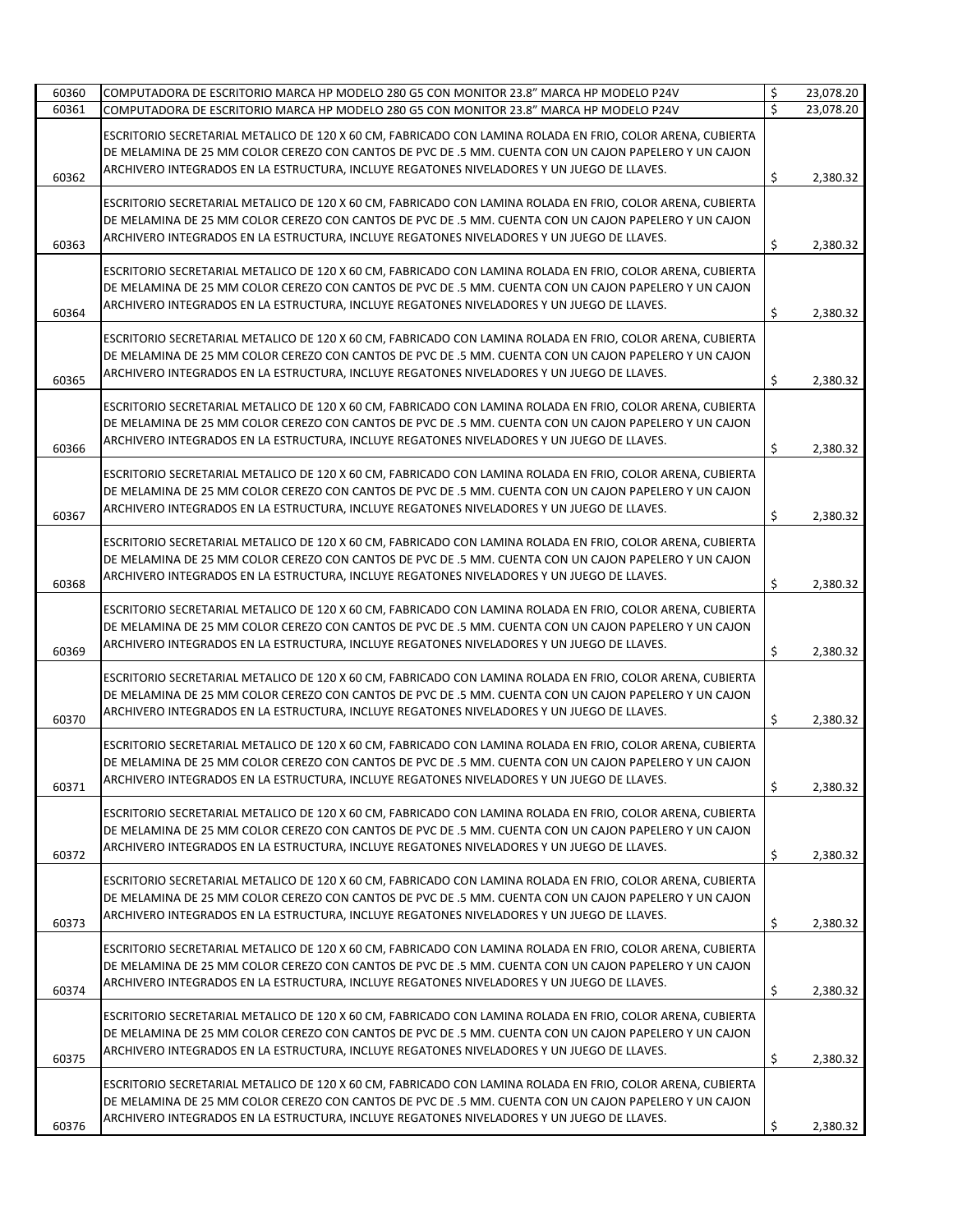| 60360 | COMPUTADORA DE ESCRITORIO MARCA HP MODELO 280 G5 CON MONITOR 23.8" MARCA HP MODELO P24V                                                                                                                                                                                                                           | \$  | 23,078.20 |
|-------|-------------------------------------------------------------------------------------------------------------------------------------------------------------------------------------------------------------------------------------------------------------------------------------------------------------------|-----|-----------|
| 60361 | COMPUTADORA DE ESCRITORIO MARCA HP MODELO 280 G5 CON MONITOR 23.8" MARCA HP MODELO P24V                                                                                                                                                                                                                           | Ś   | 23,078.20 |
| 60362 | ESCRITORIO SECRETARIAL METALICO DE 120 X 60 CM, FABRICADO CON LAMINA ROLADA EN FRIO, COLOR ARENA, CUBIERTA<br>DE MELAMINA DE 25 MM COLOR CEREZO CON CANTOS DE PVC DE .5 MM. CUENTA CON UN CAJON PAPELERO Y UN CAJON<br>ARCHIVERO INTEGRADOS EN LA ESTRUCTURA, INCLUYE REGATONES NIVELADORES Y UN JUEGO DE LLAVES. | \$  | 2,380.32  |
| 60363 | ESCRITORIO SECRETARIAL METALICO DE 120 X 60 CM, FABRICADO CON LAMINA ROLADA EN FRIO, COLOR ARENA, CUBIERTA<br>DE MELAMINA DE 25 MM COLOR CEREZO CON CANTOS DE PVC DE .5 MM. CUENTA CON UN CAJON PAPELERO Y UN CAJON<br>ARCHIVERO INTEGRADOS EN LA ESTRUCTURA, INCLUYE REGATONES NIVELADORES Y UN JUEGO DE LLAVES. | Ŝ.  | 2,380.32  |
| 60364 | ESCRITORIO SECRETARIAL METALICO DE 120 X 60 CM, FABRICADO CON LAMINA ROLADA EN FRIO, COLOR ARENA, CUBIERTA<br>DE MELAMINA DE 25 MM COLOR CEREZO CON CANTOS DE PVC DE .5 MM. CUENTA CON UN CAJON PAPELERO Y UN CAJON<br>ARCHIVERO INTEGRADOS EN LA ESTRUCTURA, INCLUYE REGATONES NIVELADORES Y UN JUEGO DE LLAVES. | \$  | 2,380.32  |
| 60365 | ESCRITORIO SECRETARIAL METALICO DE 120 X 60 CM, FABRICADO CON LAMINA ROLADA EN FRIO, COLOR ARENA, CUBIERTA<br>DE MELAMINA DE 25 MM COLOR CEREZO CON CANTOS DE PVC DE .5 MM. CUENTA CON UN CAJON PAPELERO Y UN CAJON<br>ARCHIVERO INTEGRADOS EN LA ESTRUCTURA, INCLUYE REGATONES NIVELADORES Y UN JUEGO DE LLAVES. | \$  | 2,380.32  |
| 60366 | ESCRITORIO SECRETARIAL METALICO DE 120 X 60 CM, FABRICADO CON LAMINA ROLADA EN FRIO, COLOR ARENA, CUBIERTA<br>DE MELAMINA DE 25 MM COLOR CEREZO CON CANTOS DE PVC DE .5 MM. CUENTA CON UN CAJON PAPELERO Y UN CAJON<br>ARCHIVERO INTEGRADOS EN LA ESTRUCTURA, INCLUYE REGATONES NIVELADORES Y UN JUEGO DE LLAVES. | \$  | 2,380.32  |
| 60367 | ESCRITORIO SECRETARIAL METALICO DE 120 X 60 CM, FABRICADO CON LAMINA ROLADA EN FRIO, COLOR ARENA, CUBIERTA<br>DE MELAMINA DE 25 MM COLOR CEREZO CON CANTOS DE PVC DE .5 MM. CUENTA CON UN CAJON PAPELERO Y UN CAJON<br>ARCHIVERO INTEGRADOS EN LA ESTRUCTURA, INCLUYE REGATONES NIVELADORES Y UN JUEGO DE LLAVES. | Ŝ.  | 2,380.32  |
| 60368 | ESCRITORIO SECRETARIAL METALICO DE 120 X 60 CM, FABRICADO CON LAMINA ROLADA EN FRIO, COLOR ARENA, CUBIERTA<br>DE MELAMINA DE 25 MM COLOR CEREZO CON CANTOS DE PVC DE .5 MM. CUENTA CON UN CAJON PAPELERO Y UN CAJON<br>ARCHIVERO INTEGRADOS EN LA ESTRUCTURA, INCLUYE REGATONES NIVELADORES Y UN JUEGO DE LLAVES. | \$. | 2,380.32  |
| 60369 | ESCRITORIO SECRETARIAL METALICO DE 120 X 60 CM, FABRICADO CON LAMINA ROLADA EN FRIO, COLOR ARENA, CUBIERTA<br>DE MELAMINA DE 25 MM COLOR CEREZO CON CANTOS DE PVC DE .5 MM. CUENTA CON UN CAJON PAPELERO Y UN CAJON<br>ARCHIVERO INTEGRADOS EN LA ESTRUCTURA, INCLUYE REGATONES NIVELADORES Y UN JUEGO DE LLAVES. | Ŝ.  | 2,380.32  |
| 60370 | ESCRITORIO SECRETARIAL METALICO DE 120 X 60 CM, FABRICADO CON LAMINA ROLADA EN FRIO, COLOR ARENA, CUBIERTA<br>DE MELAMINA DE 25 MM COLOR CEREZO CON CANTOS DE PVC DE .5 MM. CUENTA CON UN CAJON PAPELERO Y UN CAJON<br>ARCHIVERO INTEGRADOS EN LA ESTRUCTURA, INCLUYE REGATONES NIVELADORES Y UN JUEGO DE LLAVES. | \$  | 2,380.32  |
| 60371 | ESCRITORIO SECRETARIAL METALICO DE 120 X 60 CM, FABRICADO CON LAMINA ROLADA EN FRIO, COLOR ARENA, CUBIERTA<br>DE MELAMINA DE 25 MM COLOR CEREZO CON CANTOS DE PVC DE .5 MM. CUENTA CON UN CAJON PAPELERO Y UN CAJON<br>ARCHIVERO INTEGRADOS EN LA ESTRUCTURA, INCLUYE REGATONES NIVELADORES Y UN JUEGO DE LLAVES. | \$  | 2,380.32  |
| 60372 | ESCRITORIO SECRETARIAL METALICO DE 120 X 60 CM, FABRICADO CON LAMINA ROLADA EN FRIO, COLOR ARENA, CUBIERTA<br>DE MELAMINA DE 25 MM COLOR CEREZO CON CANTOS DE PVC DE .5 MM. CUENTA CON UN CAJON PAPELERO Y UN CAJON<br>ARCHIVERO INTEGRADOS EN LA ESTRUCTURA, INCLUYE REGATONES NIVELADORES Y UN JUEGO DE LLAVES. | \$  | 2,380.32  |
| 60373 | ESCRITORIO SECRETARIAL METALICO DE 120 X 60 CM, FABRICADO CON LAMINA ROLADA EN FRIO, COLOR ARENA, CUBIERTA<br>DE MELAMINA DE 25 MM COLOR CEREZO CON CANTOS DE PVC DE .5 MM. CUENTA CON UN CAJON PAPELERO Y UN CAJON<br>ARCHIVERO INTEGRADOS EN LA ESTRUCTURA, INCLUYE REGATONES NIVELADORES Y UN JUEGO DE LLAVES. | \$  | 2,380.32  |
| 60374 | ESCRITORIO SECRETARIAL METALICO DE 120 X 60 CM, FABRICADO CON LAMINA ROLADA EN FRIO, COLOR ARENA, CUBIERTA<br>DE MELAMINA DE 25 MM COLOR CEREZO CON CANTOS DE PVC DE .5 MM. CUENTA CON UN CAJON PAPELERO Y UN CAJON<br>ARCHIVERO INTEGRADOS EN LA ESTRUCTURA, INCLUYE REGATONES NIVELADORES Y UN JUEGO DE LLAVES. | \$  | 2,380.32  |
| 60375 | ESCRITORIO SECRETARIAL METALICO DE 120 X 60 CM, FABRICADO CON LAMINA ROLADA EN FRIO, COLOR ARENA, CUBIERTA<br>DE MELAMINA DE 25 MM COLOR CEREZO CON CANTOS DE PVC DE .5 MM. CUENTA CON UN CAJON PAPELERO Y UN CAJON<br>ARCHIVERO INTEGRADOS EN LA ESTRUCTURA, INCLUYE REGATONES NIVELADORES Y UN JUEGO DE LLAVES. | \$  | 2,380.32  |
| 60376 | ESCRITORIO SECRETARIAL METALICO DE 120 X 60 CM, FABRICADO CON LAMINA ROLADA EN FRIO, COLOR ARENA, CUBIERTA<br>DE MELAMINA DE 25 MM COLOR CEREZO CON CANTOS DE PVC DE .5 MM. CUENTA CON UN CAJON PAPELERO Y UN CAJON<br>ARCHIVERO INTEGRADOS EN LA ESTRUCTURA, INCLUYE REGATONES NIVELADORES Y UN JUEGO DE LLAVES. | \$  | 2,380.32  |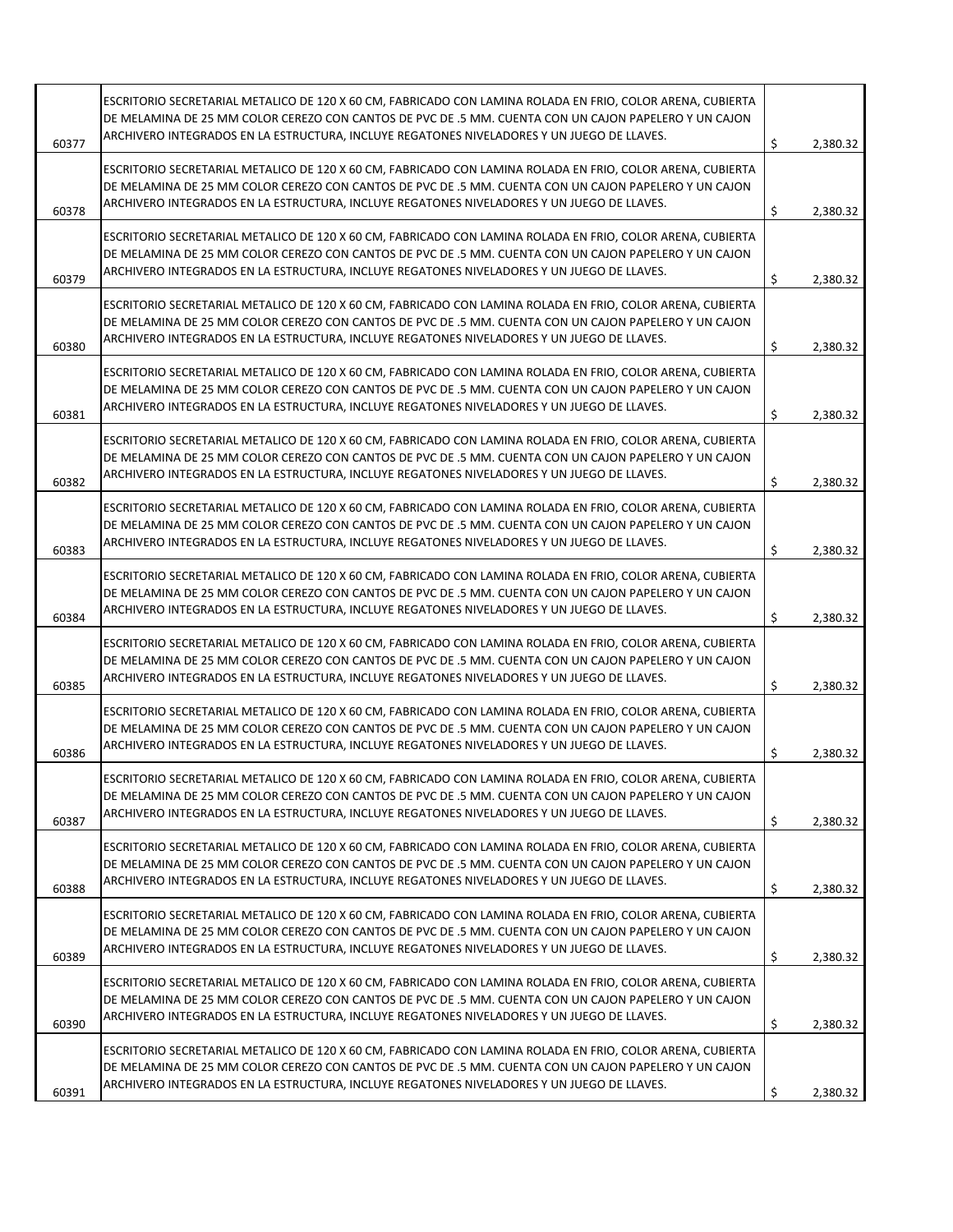| 60377 | ESCRITORIO SECRETARIAL METALICO DE 120 X 60 CM, FABRICADO CON LAMINA ROLADA EN FRIO, COLOR ARENA, CUBIERTA<br>DE MELAMINA DE 25 MM COLOR CEREZO CON CANTOS DE PVC DE .5 MM. CUENTA CON UN CAJON PAPELERO Y UN CAJON<br>ARCHIVERO INTEGRADOS EN LA ESTRUCTURA, INCLUYE REGATONES NIVELADORES Y UN JUEGO DE LLAVES. | \$<br>2,380.32 |
|-------|-------------------------------------------------------------------------------------------------------------------------------------------------------------------------------------------------------------------------------------------------------------------------------------------------------------------|----------------|
| 60378 | ESCRITORIO SECRETARIAL METALICO DE 120 X 60 CM, FABRICADO CON LAMINA ROLADA EN FRIO, COLOR ARENA, CUBIERTA<br>DE MELAMINA DE 25 MM COLOR CEREZO CON CANTOS DE PVC DE .5 MM. CUENTA CON UN CAJON PAPELERO Y UN CAJON<br>ARCHIVERO INTEGRADOS EN LA ESTRUCTURA, INCLUYE REGATONES NIVELADORES Y UN JUEGO DE LLAVES. | \$<br>2,380.32 |
| 60379 | ESCRITORIO SECRETARIAL METALICO DE 120 X 60 CM, FABRICADO CON LAMINA ROLADA EN FRIO, COLOR ARENA, CUBIERTA<br>DE MELAMINA DE 25 MM COLOR CEREZO CON CANTOS DE PVC DE .5 MM. CUENTA CON UN CAJON PAPELERO Y UN CAJON<br>ARCHIVERO INTEGRADOS EN LA ESTRUCTURA, INCLUYE REGATONES NIVELADORES Y UN JUEGO DE LLAVES. | \$<br>2,380.32 |
| 60380 | ESCRITORIO SECRETARIAL METALICO DE 120 X 60 CM, FABRICADO CON LAMINA ROLADA EN FRIO, COLOR ARENA, CUBIERTA<br>DE MELAMINA DE 25 MM COLOR CEREZO CON CANTOS DE PVC DE .5 MM. CUENTA CON UN CAJON PAPELERO Y UN CAJON<br>ARCHIVERO INTEGRADOS EN LA ESTRUCTURA, INCLUYE REGATONES NIVELADORES Y UN JUEGO DE LLAVES. | \$<br>2,380.32 |
| 60381 | ESCRITORIO SECRETARIAL METALICO DE 120 X 60 CM, FABRICADO CON LAMINA ROLADA EN FRIO, COLOR ARENA, CUBIERTA<br>DE MELAMINA DE 25 MM COLOR CEREZO CON CANTOS DE PVC DE .5 MM. CUENTA CON UN CAJON PAPELERO Y UN CAJON<br>ARCHIVERO INTEGRADOS EN LA ESTRUCTURA, INCLUYE REGATONES NIVELADORES Y UN JUEGO DE LLAVES. | \$<br>2,380.32 |
| 60382 | ESCRITORIO SECRETARIAL METALICO DE 120 X 60 CM, FABRICADO CON LAMINA ROLADA EN FRIO, COLOR ARENA, CUBIERTA<br>DE MELAMINA DE 25 MM COLOR CEREZO CON CANTOS DE PVC DE .5 MM. CUENTA CON UN CAJON PAPELERO Y UN CAJON<br>ARCHIVERO INTEGRADOS EN LA ESTRUCTURA, INCLUYE REGATONES NIVELADORES Y UN JUEGO DE LLAVES. | \$<br>2,380.32 |
| 60383 | ESCRITORIO SECRETARIAL METALICO DE 120 X 60 CM, FABRICADO CON LAMINA ROLADA EN FRIO, COLOR ARENA, CUBIERTA<br>DE MELAMINA DE 25 MM COLOR CEREZO CON CANTOS DE PVC DE .5 MM. CUENTA CON UN CAJON PAPELERO Y UN CAJON<br>ARCHIVERO INTEGRADOS EN LA ESTRUCTURA, INCLUYE REGATONES NIVELADORES Y UN JUEGO DE LLAVES. | \$<br>2,380.32 |
| 60384 | ESCRITORIO SECRETARIAL METALICO DE 120 X 60 CM, FABRICADO CON LAMINA ROLADA EN FRIO, COLOR ARENA, CUBIERTA<br>DE MELAMINA DE 25 MM COLOR CEREZO CON CANTOS DE PVC DE .5 MM. CUENTA CON UN CAJON PAPELERO Y UN CAJON<br>ARCHIVERO INTEGRADOS EN LA ESTRUCTURA, INCLUYE REGATONES NIVELADORES Y UN JUEGO DE LLAVES. | \$<br>2,380.32 |
| 60385 | ESCRITORIO SECRETARIAL METALICO DE 120 X 60 CM, FABRICADO CON LAMINA ROLADA EN FRIO, COLOR ARENA, CUBIERTA<br>DE MELAMINA DE 25 MM COLOR CEREZO CON CANTOS DE PVC DE .5 MM. CUENTA CON UN CAJON PAPELERO Y UN CAJON<br>ARCHIVERO INTEGRADOS EN LA ESTRUCTURA, INCLUYE REGATONES NIVELADORES Y UN JUEGO DE LLAVES. | \$<br>2,380.32 |
| 60386 | ESCRITORIO SECRETARIAL METALICO DE 120 X 60 CM, FABRICADO CON LAMINA ROLADA EN FRIO, COLOR ARENA, CUBIERTA<br>DE MELAMINA DE 25 MM COLOR CEREZO CON CANTOS DE PVC DE .5 MM. CUENTA CON UN CAJON PAPELERO Y UN CAJON<br>ARCHIVERO INTEGRADOS EN LA ESTRUCTURA, INCLUYE REGATONES NIVELADORES Y UN JUEGO DE LLAVES. | \$<br>2,380.32 |
| 60387 | ESCRITORIO SECRETARIAL METALICO DE 120 X 60 CM, FABRICADO CON LAMINA ROLADA EN FRIO, COLOR ARENA, CUBIERTA<br>DE MELAMINA DE 25 MM COLOR CEREZO CON CANTOS DE PVC DE .5 MM. CUENTA CON UN CAJON PAPELERO Y UN CAJON<br>ARCHIVERO INTEGRADOS EN LA ESTRUCTURA, INCLUYE REGATONES NIVELADORES Y UN JUEGO DE LLAVES. | \$<br>2,380.32 |
| 60388 | ESCRITORIO SECRETARIAL METALICO DE 120 X 60 CM, FABRICADO CON LAMINA ROLADA EN FRIO, COLOR ARENA, CUBIERTA<br>DE MELAMINA DE 25 MM COLOR CEREZO CON CANTOS DE PVC DE .5 MM. CUENTA CON UN CAJON PAPELERO Y UN CAJON<br>ARCHIVERO INTEGRADOS EN LA ESTRUCTURA, INCLUYE REGATONES NIVELADORES Y UN JUEGO DE LLAVES. | \$<br>2,380.32 |
| 60389 | ESCRITORIO SECRETARIAL METALICO DE 120 X 60 CM, FABRICADO CON LAMINA ROLADA EN FRIO, COLOR ARENA, CUBIERTA<br>DE MELAMINA DE 25 MM COLOR CEREZO CON CANTOS DE PVC DE .5 MM. CUENTA CON UN CAJON PAPELERO Y UN CAJON<br>ARCHIVERO INTEGRADOS EN LA ESTRUCTURA, INCLUYE REGATONES NIVELADORES Y UN JUEGO DE LLAVES. | \$<br>2,380.32 |
| 60390 | ESCRITORIO SECRETARIAL METALICO DE 120 X 60 CM, FABRICADO CON LAMINA ROLADA EN FRIO, COLOR ARENA, CUBIERTA<br>DE MELAMINA DE 25 MM COLOR CEREZO CON CANTOS DE PVC DE .5 MM. CUENTA CON UN CAJON PAPELERO Y UN CAJON<br>ARCHIVERO INTEGRADOS EN LA ESTRUCTURA, INCLUYE REGATONES NIVELADORES Y UN JUEGO DE LLAVES. | \$<br>2,380.32 |
| 60391 | ESCRITORIO SECRETARIAL METALICO DE 120 X 60 CM, FABRICADO CON LAMINA ROLADA EN FRIO, COLOR ARENA, CUBIERTA<br>DE MELAMINA DE 25 MM COLOR CEREZO CON CANTOS DE PVC DE .5 MM. CUENTA CON UN CAJON PAPELERO Y UN CAJON<br>ARCHIVERO INTEGRADOS EN LA ESTRUCTURA, INCLUYE REGATONES NIVELADORES Y UN JUEGO DE LLAVES. | \$<br>2,380.32 |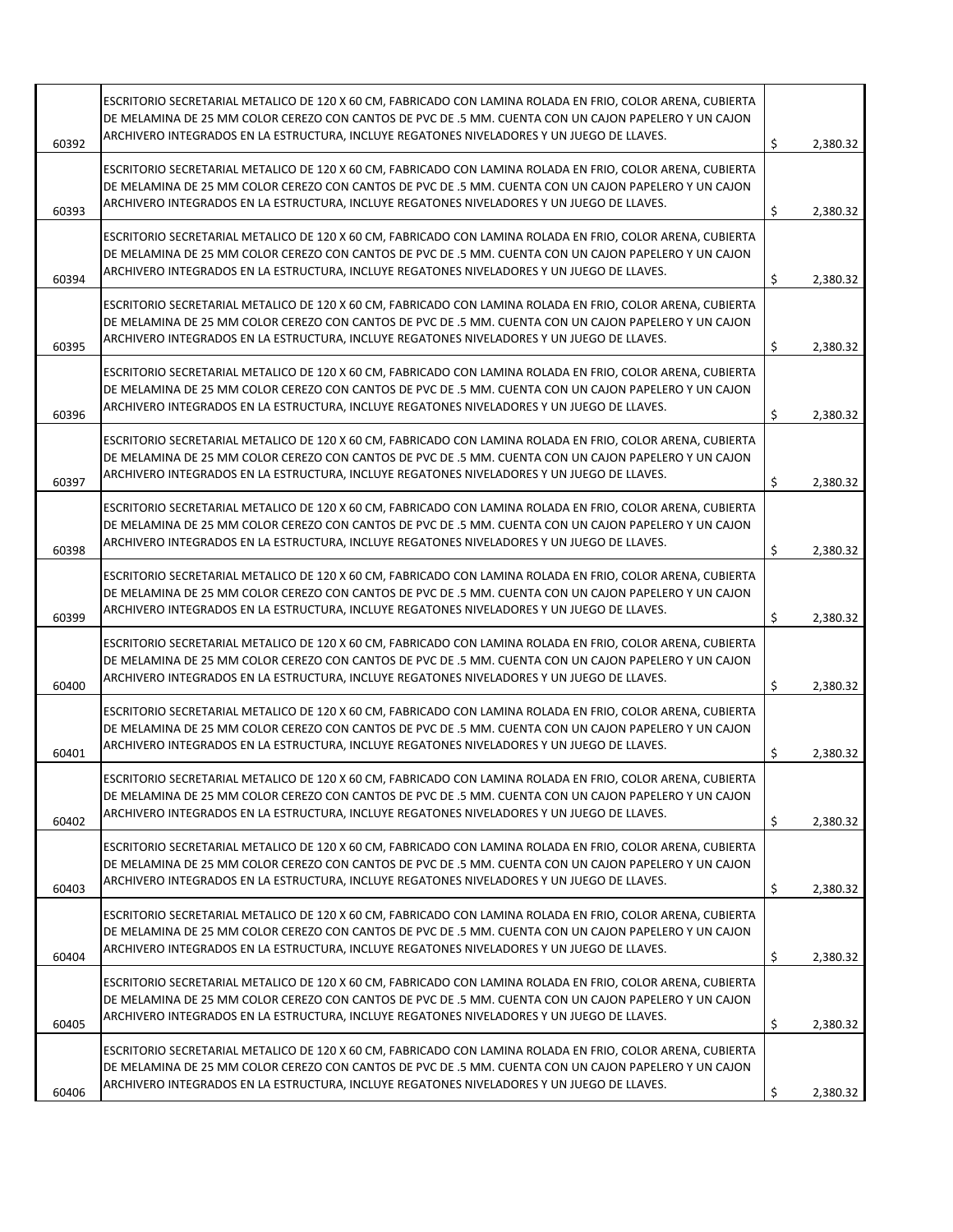| 60392 | ESCRITORIO SECRETARIAL METALICO DE 120 X 60 CM, FABRICADO CON LAMINA ROLADA EN FRIO, COLOR ARENA, CUBIERTA<br>DE MELAMINA DE 25 MM COLOR CEREZO CON CANTOS DE PVC DE .5 MM. CUENTA CON UN CAJON PAPELERO Y UN CAJON<br>ARCHIVERO INTEGRADOS EN LA ESTRUCTURA, INCLUYE REGATONES NIVELADORES Y UN JUEGO DE LLAVES. | \$<br>2,380.32 |
|-------|-------------------------------------------------------------------------------------------------------------------------------------------------------------------------------------------------------------------------------------------------------------------------------------------------------------------|----------------|
| 60393 | ESCRITORIO SECRETARIAL METALICO DE 120 X 60 CM, FABRICADO CON LAMINA ROLADA EN FRIO, COLOR ARENA, CUBIERTA<br>DE MELAMINA DE 25 MM COLOR CEREZO CON CANTOS DE PVC DE .5 MM. CUENTA CON UN CAJON PAPELERO Y UN CAJON<br>ARCHIVERO INTEGRADOS EN LA ESTRUCTURA, INCLUYE REGATONES NIVELADORES Y UN JUEGO DE LLAVES. | \$<br>2,380.32 |
| 60394 | ESCRITORIO SECRETARIAL METALICO DE 120 X 60 CM, FABRICADO CON LAMINA ROLADA EN FRIO, COLOR ARENA, CUBIERTA<br>DE MELAMINA DE 25 MM COLOR CEREZO CON CANTOS DE PVC DE .5 MM. CUENTA CON UN CAJON PAPELERO Y UN CAJON<br>ARCHIVERO INTEGRADOS EN LA ESTRUCTURA, INCLUYE REGATONES NIVELADORES Y UN JUEGO DE LLAVES. | \$<br>2,380.32 |
| 60395 | ESCRITORIO SECRETARIAL METALICO DE 120 X 60 CM, FABRICADO CON LAMINA ROLADA EN FRIO, COLOR ARENA, CUBIERTA<br>DE MELAMINA DE 25 MM COLOR CEREZO CON CANTOS DE PVC DE .5 MM. CUENTA CON UN CAJON PAPELERO Y UN CAJON<br>ARCHIVERO INTEGRADOS EN LA ESTRUCTURA, INCLUYE REGATONES NIVELADORES Y UN JUEGO DE LLAVES. | \$<br>2,380.32 |
| 60396 | ESCRITORIO SECRETARIAL METALICO DE 120 X 60 CM, FABRICADO CON LAMINA ROLADA EN FRIO, COLOR ARENA, CUBIERTA<br>DE MELAMINA DE 25 MM COLOR CEREZO CON CANTOS DE PVC DE .5 MM. CUENTA CON UN CAJON PAPELERO Y UN CAJON<br>ARCHIVERO INTEGRADOS EN LA ESTRUCTURA, INCLUYE REGATONES NIVELADORES Y UN JUEGO DE LLAVES. | \$<br>2,380.32 |
| 60397 | ESCRITORIO SECRETARIAL METALICO DE 120 X 60 CM, FABRICADO CON LAMINA ROLADA EN FRIO, COLOR ARENA, CUBIERTA<br>DE MELAMINA DE 25 MM COLOR CEREZO CON CANTOS DE PVC DE .5 MM. CUENTA CON UN CAJON PAPELERO Y UN CAJON<br>ARCHIVERO INTEGRADOS EN LA ESTRUCTURA, INCLUYE REGATONES NIVELADORES Y UN JUEGO DE LLAVES. | \$<br>2,380.32 |
| 60398 | ESCRITORIO SECRETARIAL METALICO DE 120 X 60 CM, FABRICADO CON LAMINA ROLADA EN FRIO, COLOR ARENA, CUBIERTA<br>DE MELAMINA DE 25 MM COLOR CEREZO CON CANTOS DE PVC DE .5 MM. CUENTA CON UN CAJON PAPELERO Y UN CAJON<br>ARCHIVERO INTEGRADOS EN LA ESTRUCTURA, INCLUYE REGATONES NIVELADORES Y UN JUEGO DE LLAVES. | \$<br>2,380.32 |
| 60399 | ESCRITORIO SECRETARIAL METALICO DE 120 X 60 CM, FABRICADO CON LAMINA ROLADA EN FRIO, COLOR ARENA, CUBIERTA<br>DE MELAMINA DE 25 MM COLOR CEREZO CON CANTOS DE PVC DE .5 MM. CUENTA CON UN CAJON PAPELERO Y UN CAJON<br>ARCHIVERO INTEGRADOS EN LA ESTRUCTURA, INCLUYE REGATONES NIVELADORES Y UN JUEGO DE LLAVES. | \$<br>2,380.32 |
| 60400 | ESCRITORIO SECRETARIAL METALICO DE 120 X 60 CM, FABRICADO CON LAMINA ROLADA EN FRIO, COLOR ARENA, CUBIERTA<br>DE MELAMINA DE 25 MM COLOR CEREZO CON CANTOS DE PVC DE .5 MM. CUENTA CON UN CAJON PAPELERO Y UN CAJON<br>ARCHIVERO INTEGRADOS EN LA ESTRUCTURA, INCLUYE REGATONES NIVELADORES Y UN JUEGO DE LLAVES. | \$<br>2,380.32 |
| 60401 | ESCRITORIO SECRETARIAL METALICO DE 120 X 60 CM, FABRICADO CON LAMINA ROLADA EN FRIO, COLOR ARENA, CUBIERTA<br>DE MELAMINA DE 25 MM COLOR CEREZO CON CANTOS DE PVC DE .5 MM. CUENTA CON UN CAJON PAPELERO Y UN CAJON<br>ARCHIVERO INTEGRADOS EN LA ESTRUCTURA, INCLUYE REGATONES NIVELADORES Y UN JUEGO DE LLAVES. | \$<br>2,380.32 |
| 60402 | ESCRITORIO SECRETARIAL METALICO DE 120 X 60 CM, FABRICADO CON LAMINA ROLADA EN FRIO, COLOR ARENA, CUBIERTA<br>DE MELAMINA DE 25 MM COLOR CEREZO CON CANTOS DE PVC DE .5 MM. CUENTA CON UN CAJON PAPELERO Y UN CAJON<br>ARCHIVERO INTEGRADOS EN LA ESTRUCTURA, INCLUYE REGATONES NIVELADORES Y UN JUEGO DE LLAVES. | \$<br>2,380.32 |
| 60403 | ESCRITORIO SECRETARIAL METALICO DE 120 X 60 CM, FABRICADO CON LAMINA ROLADA EN FRIO, COLOR ARENA, CUBIERTA<br>DE MELAMINA DE 25 MM COLOR CEREZO CON CANTOS DE PVC DE .5 MM. CUENTA CON UN CAJON PAPELERO Y UN CAJON<br>ARCHIVERO INTEGRADOS EN LA ESTRUCTURA, INCLUYE REGATONES NIVELADORES Y UN JUEGO DE LLAVES. | \$<br>2,380.32 |
| 60404 | ESCRITORIO SECRETARIAL METALICO DE 120 X 60 CM, FABRICADO CON LAMINA ROLADA EN FRIO, COLOR ARENA, CUBIERTA<br>DE MELAMINA DE 25 MM COLOR CEREZO CON CANTOS DE PVC DE .5 MM. CUENTA CON UN CAJON PAPELERO Y UN CAJON<br>ARCHIVERO INTEGRADOS EN LA ESTRUCTURA, INCLUYE REGATONES NIVELADORES Y UN JUEGO DE LLAVES. | \$<br>2,380.32 |
| 60405 | ESCRITORIO SECRETARIAL METALICO DE 120 X 60 CM, FABRICADO CON LAMINA ROLADA EN FRIO, COLOR ARENA, CUBIERTA<br>DE MELAMINA DE 25 MM COLOR CEREZO CON CANTOS DE PVC DE .5 MM. CUENTA CON UN CAJON PAPELERO Y UN CAJON<br>ARCHIVERO INTEGRADOS EN LA ESTRUCTURA, INCLUYE REGATONES NIVELADORES Y UN JUEGO DE LLAVES. | \$<br>2,380.32 |
| 60406 | ESCRITORIO SECRETARIAL METALICO DE 120 X 60 CM, FABRICADO CON LAMINA ROLADA EN FRIO, COLOR ARENA, CUBIERTA<br>DE MELAMINA DE 25 MM COLOR CEREZO CON CANTOS DE PVC DE .5 MM. CUENTA CON UN CAJON PAPELERO Y UN CAJON<br>ARCHIVERO INTEGRADOS EN LA ESTRUCTURA, INCLUYE REGATONES NIVELADORES Y UN JUEGO DE LLAVES. | \$<br>2,380.32 |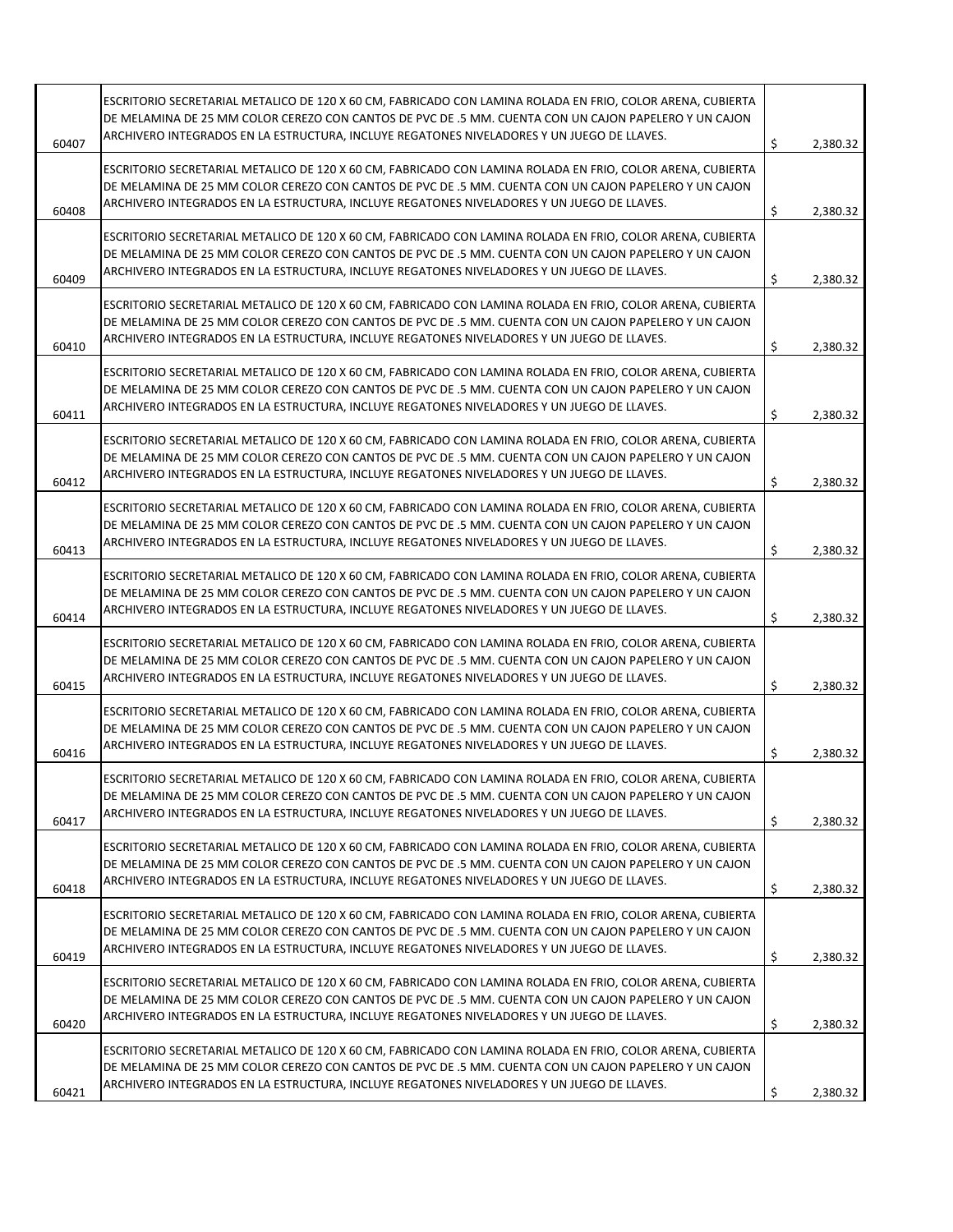| 60407 | ESCRITORIO SECRETARIAL METALICO DE 120 X 60 CM, FABRICADO CON LAMINA ROLADA EN FRIO, COLOR ARENA, CUBIERTA<br>DE MELAMINA DE 25 MM COLOR CEREZO CON CANTOS DE PVC DE .5 MM. CUENTA CON UN CAJON PAPELERO Y UN CAJON<br>ARCHIVERO INTEGRADOS EN LA ESTRUCTURA, INCLUYE REGATONES NIVELADORES Y UN JUEGO DE LLAVES. | \$<br>2,380.32 |
|-------|-------------------------------------------------------------------------------------------------------------------------------------------------------------------------------------------------------------------------------------------------------------------------------------------------------------------|----------------|
| 60408 | ESCRITORIO SECRETARIAL METALICO DE 120 X 60 CM, FABRICADO CON LAMINA ROLADA EN FRIO, COLOR ARENA, CUBIERTA<br>DE MELAMINA DE 25 MM COLOR CEREZO CON CANTOS DE PVC DE .5 MM. CUENTA CON UN CAJON PAPELERO Y UN CAJON<br>ARCHIVERO INTEGRADOS EN LA ESTRUCTURA, INCLUYE REGATONES NIVELADORES Y UN JUEGO DE LLAVES. | \$<br>2,380.32 |
| 60409 | ESCRITORIO SECRETARIAL METALICO DE 120 X 60 CM, FABRICADO CON LAMINA ROLADA EN FRIO, COLOR ARENA, CUBIERTA<br>DE MELAMINA DE 25 MM COLOR CEREZO CON CANTOS DE PVC DE .5 MM. CUENTA CON UN CAJON PAPELERO Y UN CAJON<br>ARCHIVERO INTEGRADOS EN LA ESTRUCTURA, INCLUYE REGATONES NIVELADORES Y UN JUEGO DE LLAVES. | \$<br>2,380.32 |
| 60410 | ESCRITORIO SECRETARIAL METALICO DE 120 X 60 CM, FABRICADO CON LAMINA ROLADA EN FRIO, COLOR ARENA, CUBIERTA<br>DE MELAMINA DE 25 MM COLOR CEREZO CON CANTOS DE PVC DE .5 MM. CUENTA CON UN CAJON PAPELERO Y UN CAJON<br>ARCHIVERO INTEGRADOS EN LA ESTRUCTURA, INCLUYE REGATONES NIVELADORES Y UN JUEGO DE LLAVES. | \$<br>2,380.32 |
| 60411 | ESCRITORIO SECRETARIAL METALICO DE 120 X 60 CM, FABRICADO CON LAMINA ROLADA EN FRIO, COLOR ARENA, CUBIERTA<br>DE MELAMINA DE 25 MM COLOR CEREZO CON CANTOS DE PVC DE .5 MM. CUENTA CON UN CAJON PAPELERO Y UN CAJON<br>ARCHIVERO INTEGRADOS EN LA ESTRUCTURA, INCLUYE REGATONES NIVELADORES Y UN JUEGO DE LLAVES. | \$<br>2,380.32 |
| 60412 | ESCRITORIO SECRETARIAL METALICO DE 120 X 60 CM, FABRICADO CON LAMINA ROLADA EN FRIO, COLOR ARENA, CUBIERTA<br>DE MELAMINA DE 25 MM COLOR CEREZO CON CANTOS DE PVC DE .5 MM. CUENTA CON UN CAJON PAPELERO Y UN CAJON<br>ARCHIVERO INTEGRADOS EN LA ESTRUCTURA, INCLUYE REGATONES NIVELADORES Y UN JUEGO DE LLAVES. | \$<br>2,380.32 |
| 60413 | ESCRITORIO SECRETARIAL METALICO DE 120 X 60 CM, FABRICADO CON LAMINA ROLADA EN FRIO, COLOR ARENA, CUBIERTA<br>DE MELAMINA DE 25 MM COLOR CEREZO CON CANTOS DE PVC DE .5 MM. CUENTA CON UN CAJON PAPELERO Y UN CAJON<br>ARCHIVERO INTEGRADOS EN LA ESTRUCTURA, INCLUYE REGATONES NIVELADORES Y UN JUEGO DE LLAVES. | \$<br>2,380.32 |
| 60414 | ESCRITORIO SECRETARIAL METALICO DE 120 X 60 CM, FABRICADO CON LAMINA ROLADA EN FRIO, COLOR ARENA, CUBIERTA<br>DE MELAMINA DE 25 MM COLOR CEREZO CON CANTOS DE PVC DE .5 MM. CUENTA CON UN CAJON PAPELERO Y UN CAJON<br>ARCHIVERO INTEGRADOS EN LA ESTRUCTURA, INCLUYE REGATONES NIVELADORES Y UN JUEGO DE LLAVES. | \$<br>2,380.32 |
| 60415 | ESCRITORIO SECRETARIAL METALICO DE 120 X 60 CM, FABRICADO CON LAMINA ROLADA EN FRIO, COLOR ARENA, CUBIERTA<br>DE MELAMINA DE 25 MM COLOR CEREZO CON CANTOS DE PVC DE .5 MM. CUENTA CON UN CAJON PAPELERO Y UN CAJON<br>ARCHIVERO INTEGRADOS EN LA ESTRUCTURA, INCLUYE REGATONES NIVELADORES Y UN JUEGO DE LLAVES. | \$<br>2,380.32 |
| 60416 | ESCRITORIO SECRETARIAL METALICO DE 120 X 60 CM, FABRICADO CON LAMINA ROLADA EN FRIO, COLOR ARENA, CUBIERTA<br>DE MELAMINA DE 25 MM COLOR CEREZO CON CANTOS DE PVC DE .5 MM. CUENTA CON UN CAJON PAPELERO Y UN CAJON<br>ARCHIVERO INTEGRADOS EN LA ESTRUCTURA, INCLUYE REGATONES NIVELADORES Y UN JUEGO DE LLAVES. | \$<br>2,380.32 |
| 60417 | ESCRITORIO SECRETARIAL METALICO DE 120 X 60 CM, FABRICADO CON LAMINA ROLADA EN FRIO, COLOR ARENA, CUBIERTA<br>DE MELAMINA DE 25 MM COLOR CEREZO CON CANTOS DE PVC DE .5 MM. CUENTA CON UN CAJON PAPELERO Y UN CAJON<br>ARCHIVERO INTEGRADOS EN LA ESTRUCTURA, INCLUYE REGATONES NIVELADORES Y UN JUEGO DE LLAVES. | \$<br>2,380.32 |
| 60418 | ESCRITORIO SECRETARIAL METALICO DE 120 X 60 CM, FABRICADO CON LAMINA ROLADA EN FRIO, COLOR ARENA, CUBIERTA<br>DE MELAMINA DE 25 MM COLOR CEREZO CON CANTOS DE PVC DE .5 MM. CUENTA CON UN CAJON PAPELERO Y UN CAJON<br>ARCHIVERO INTEGRADOS EN LA ESTRUCTURA, INCLUYE REGATONES NIVELADORES Y UN JUEGO DE LLAVES. | \$<br>2,380.32 |
| 60419 | ESCRITORIO SECRETARIAL METALICO DE 120 X 60 CM, FABRICADO CON LAMINA ROLADA EN FRIO, COLOR ARENA, CUBIERTA<br>DE MELAMINA DE 25 MM COLOR CEREZO CON CANTOS DE PVC DE .5 MM. CUENTA CON UN CAJON PAPELERO Y UN CAJON<br>ARCHIVERO INTEGRADOS EN LA ESTRUCTURA, INCLUYE REGATONES NIVELADORES Y UN JUEGO DE LLAVES. | \$<br>2,380.32 |
| 60420 | ESCRITORIO SECRETARIAL METALICO DE 120 X 60 CM, FABRICADO CON LAMINA ROLADA EN FRIO, COLOR ARENA, CUBIERTA<br>DE MELAMINA DE 25 MM COLOR CEREZO CON CANTOS DE PVC DE .5 MM. CUENTA CON UN CAJON PAPELERO Y UN CAJON<br>ARCHIVERO INTEGRADOS EN LA ESTRUCTURA, INCLUYE REGATONES NIVELADORES Y UN JUEGO DE LLAVES. | \$<br>2,380.32 |
| 60421 | ESCRITORIO SECRETARIAL METALICO DE 120 X 60 CM, FABRICADO CON LAMINA ROLADA EN FRIO, COLOR ARENA, CUBIERTA<br>DE MELAMINA DE 25 MM COLOR CEREZO CON CANTOS DE PVC DE .5 MM. CUENTA CON UN CAJON PAPELERO Y UN CAJON<br>ARCHIVERO INTEGRADOS EN LA ESTRUCTURA, INCLUYE REGATONES NIVELADORES Y UN JUEGO DE LLAVES. | \$<br>2,380.32 |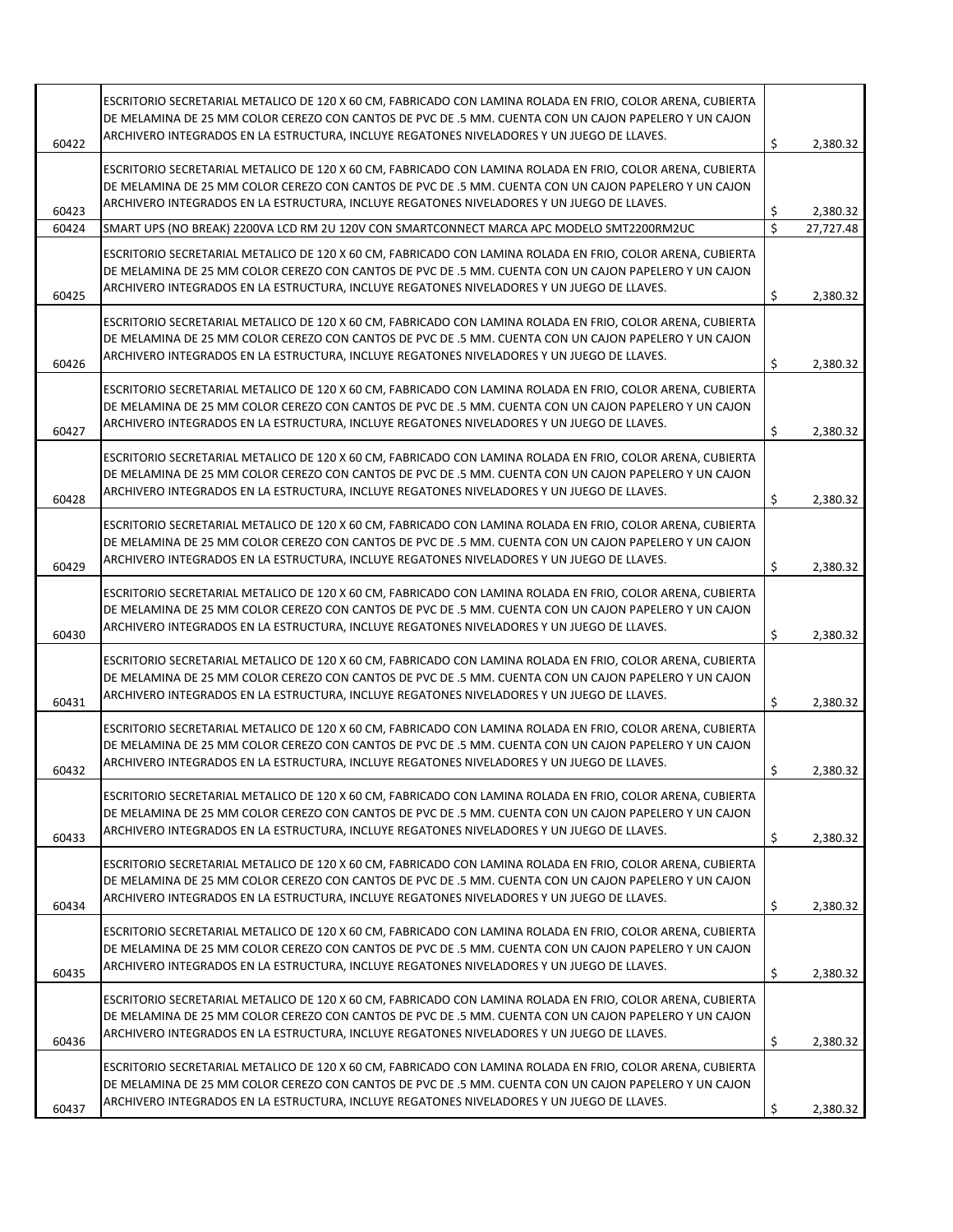| 60422          | ESCRITORIO SECRETARIAL METALICO DE 120 X 60 CM, FABRICADO CON LAMINA ROLADA EN FRIO, COLOR ARENA, CUBIERTA<br>DE MELAMINA DE 25 MM COLOR CEREZO CON CANTOS DE PVC DE .5 MM. CUENTA CON UN CAJON PAPELERO Y UN CAJON<br>ARCHIVERO INTEGRADOS EN LA ESTRUCTURA, INCLUYE REGATONES NIVELADORES Y UN JUEGO DE LLAVES. | \$      | 2,380.32              |
|----------------|-------------------------------------------------------------------------------------------------------------------------------------------------------------------------------------------------------------------------------------------------------------------------------------------------------------------|---------|-----------------------|
|                | ESCRITORIO SECRETARIAL METALICO DE 120 X 60 CM, FABRICADO CON LAMINA ROLADA EN FRIO, COLOR ARENA, CUBIERTA<br>DE MELAMINA DE 25 MM COLOR CEREZO CON CANTOS DE PVC DE .5 MM. CUENTA CON UN CAJON PAPELERO Y UN CAJON<br>ARCHIVERO INTEGRADOS EN LA ESTRUCTURA, INCLUYE REGATONES NIVELADORES Y UN JUEGO DE LLAVES. |         |                       |
| 60423<br>60424 | SMART UPS (NO BREAK) 2200VA LCD RM 2U 120V CON SMARTCONNECT MARCA APC MODELO SMT2200RM2UC                                                                                                                                                                                                                         | \$<br>Ś | 2,380.32<br>27,727.48 |
|                |                                                                                                                                                                                                                                                                                                                   |         |                       |
| 60425          | ESCRITORIO SECRETARIAL METALICO DE 120 X 60 CM, FABRICADO CON LAMINA ROLADA EN FRIO, COLOR ARENA, CUBIERTA<br>DE MELAMINA DE 25 MM COLOR CEREZO CON CANTOS DE PVC DE .5 MM. CUENTA CON UN CAJON PAPELERO Y UN CAJON<br>ARCHIVERO INTEGRADOS EN LA ESTRUCTURA, INCLUYE REGATONES NIVELADORES Y UN JUEGO DE LLAVES. | \$      | 2,380.32              |
| 60426          | ESCRITORIO SECRETARIAL METALICO DE 120 X 60 CM, FABRICADO CON LAMINA ROLADA EN FRIO, COLOR ARENA, CUBIERTA<br>DE MELAMINA DE 25 MM COLOR CEREZO CON CANTOS DE PVC DE .5 MM. CUENTA CON UN CAJON PAPELERO Y UN CAJON<br>ARCHIVERO INTEGRADOS EN LA ESTRUCTURA, INCLUYE REGATONES NIVELADORES Y UN JUEGO DE LLAVES. | \$      | 2,380.32              |
| 60427          | ESCRITORIO SECRETARIAL METALICO DE 120 X 60 CM, FABRICADO CON LAMINA ROLADA EN FRIO, COLOR ARENA, CUBIERTA<br>DE MELAMINA DE 25 MM COLOR CEREZO CON CANTOS DE PVC DE .5 MM. CUENTA CON UN CAJON PAPELERO Y UN CAJON<br>ARCHIVERO INTEGRADOS EN LA ESTRUCTURA, INCLUYE REGATONES NIVELADORES Y UN JUEGO DE LLAVES. | \$      | 2,380.32              |
| 60428          | ESCRITORIO SECRETARIAL METALICO DE 120 X 60 CM, FABRICADO CON LAMINA ROLADA EN FRIO, COLOR ARENA, CUBIERTA<br>DE MELAMINA DE 25 MM COLOR CEREZO CON CANTOS DE PVC DE .5 MM. CUENTA CON UN CAJON PAPELERO Y UN CAJON<br>ARCHIVERO INTEGRADOS EN LA ESTRUCTURA, INCLUYE REGATONES NIVELADORES Y UN JUEGO DE LLAVES. | \$      | 2,380.32              |
| 60429          | ESCRITORIO SECRETARIAL METALICO DE 120 X 60 CM, FABRICADO CON LAMINA ROLADA EN FRIO, COLOR ARENA, CUBIERTA<br>DE MELAMINA DE 25 MM COLOR CEREZO CON CANTOS DE PVC DE .5 MM. CUENTA CON UN CAJON PAPELERO Y UN CAJON<br>ARCHIVERO INTEGRADOS EN LA ESTRUCTURA, INCLUYE REGATONES NIVELADORES Y UN JUEGO DE LLAVES. | \$      | 2,380.32              |
| 60430          | ESCRITORIO SECRETARIAL METALICO DE 120 X 60 CM, FABRICADO CON LAMINA ROLADA EN FRIO, COLOR ARENA, CUBIERTA<br>DE MELAMINA DE 25 MM COLOR CEREZO CON CANTOS DE PVC DE .5 MM. CUENTA CON UN CAJON PAPELERO Y UN CAJON<br>ARCHIVERO INTEGRADOS EN LA ESTRUCTURA, INCLUYE REGATONES NIVELADORES Y UN JUEGO DE LLAVES. | \$      | 2,380.32              |
| 60431          | ESCRITORIO SECRETARIAL METALICO DE 120 X 60 CM, FABRICADO CON LAMINA ROLADA EN FRIO, COLOR ARENA, CUBIERTA<br>DE MELAMINA DE 25 MM COLOR CEREZO CON CANTOS DE PVC DE .5 MM. CUENTA CON UN CAJON PAPELERO Y UN CAJON<br>ARCHIVERO INTEGRADOS EN LA ESTRUCTURA, INCLUYE REGATONES NIVELADORES Y UN JUEGO DE LLAVES. | \$      | 2,380.32              |
| 60432          | ESCRITORIO SECRETARIAL METALICO DE 120 X 60 CM, FABRICADO CON LAMINA ROLADA EN FRIO, COLOR ARENA, CUBIERTA<br>DE MELAMINA DE 25 MM COLOR CEREZO CON CANTOS DE PVC DE .5 MM. CUENTA CON UN CAJON PAPELERO Y UN CAJON<br>ARCHIVERO INTEGRADOS EN LA ESTRUCTURA, INCLUYE REGATONES NIVELADORES Y UN JUEGO DE LLAVES. | \$      | 2,380.32              |
| 60433          | ESCRITORIO SECRETARIAL METALICO DE 120 X 60 CM, FABRICADO CON LAMINA ROLADA EN FRIO, COLOR ARENA, CUBIERTA<br>DE MELAMINA DE 25 MM COLOR CEREZO CON CANTOS DE PVC DE .5 MM. CUENTA CON UN CAJON PAPELERO Y UN CAJON<br>ARCHIVERO INTEGRADOS EN LA ESTRUCTURA, INCLUYE REGATONES NIVELADORES Y UN JUEGO DE LLAVES. | \$      | 2,380.32              |
| 60434          | ESCRITORIO SECRETARIAL METALICO DE 120 X 60 CM, FABRICADO CON LAMINA ROLADA EN FRIO, COLOR ARENA, CUBIERTA<br>DE MELAMINA DE 25 MM COLOR CEREZO CON CANTOS DE PVC DE .5 MM. CUENTA CON UN CAJON PAPELERO Y UN CAJON<br>ARCHIVERO INTEGRADOS EN LA ESTRUCTURA, INCLUYE REGATONES NIVELADORES Y UN JUEGO DE LLAVES. | \$      | 2,380.32              |
| 60435          | ESCRITORIO SECRETARIAL METALICO DE 120 X 60 CM, FABRICADO CON LAMINA ROLADA EN FRIO, COLOR ARENA, CUBIERTA<br>DE MELAMINA DE 25 MM COLOR CEREZO CON CANTOS DE PVC DE .5 MM. CUENTA CON UN CAJON PAPELERO Y UN CAJON<br>ARCHIVERO INTEGRADOS EN LA ESTRUCTURA, INCLUYE REGATONES NIVELADORES Y UN JUEGO DE LLAVES. | \$      | 2,380.32              |
| 60436          | ESCRITORIO SECRETARIAL METALICO DE 120 X 60 CM, FABRICADO CON LAMINA ROLADA EN FRIO, COLOR ARENA, CUBIERTA<br>DE MELAMINA DE 25 MM COLOR CEREZO CON CANTOS DE PVC DE .5 MM. CUENTA CON UN CAJON PAPELERO Y UN CAJON<br>ARCHIVERO INTEGRADOS EN LA ESTRUCTURA, INCLUYE REGATONES NIVELADORES Y UN JUEGO DE LLAVES. | \$      | 2,380.32              |
| 60437          | ESCRITORIO SECRETARIAL METALICO DE 120 X 60 CM, FABRICADO CON LAMINA ROLADA EN FRIO, COLOR ARENA, CUBIERTA<br>DE MELAMINA DE 25 MM COLOR CEREZO CON CANTOS DE PVC DE .5 MM. CUENTA CON UN CAJON PAPELERO Y UN CAJON<br>ARCHIVERO INTEGRADOS EN LA ESTRUCTURA, INCLUYE REGATONES NIVELADORES Y UN JUEGO DE LLAVES. | \$      | 2,380.32              |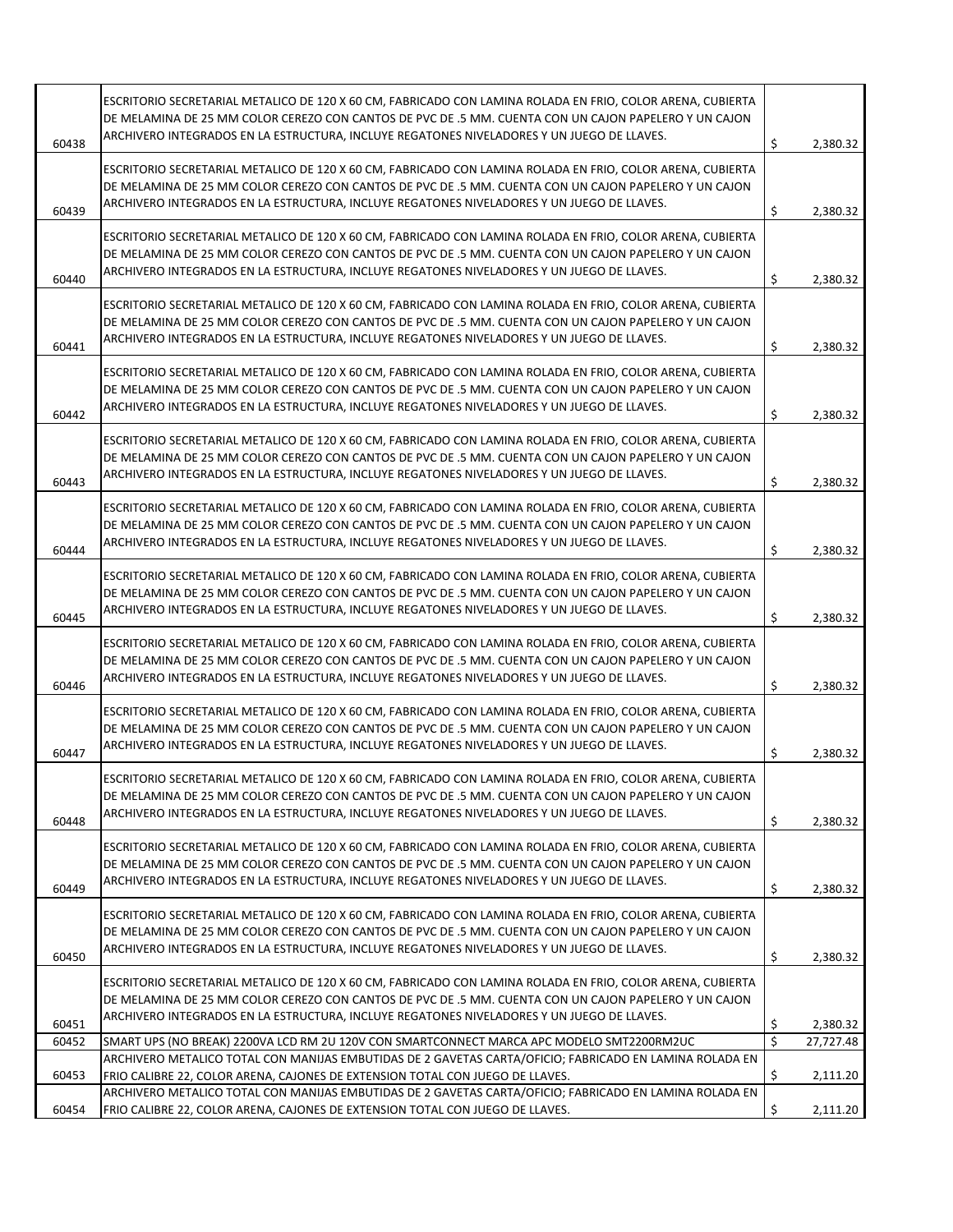| 60438 | ESCRITORIO SECRETARIAL METALICO DE 120 X 60 CM, FABRICADO CON LAMINA ROLADA EN FRIO, COLOR ARENA, CUBIERTA<br>DE MELAMINA DE 25 MM COLOR CEREZO CON CANTOS DE PVC DE .5 MM. CUENTA CON UN CAJON PAPELERO Y UN CAJON<br>ARCHIVERO INTEGRADOS EN LA ESTRUCTURA, INCLUYE REGATONES NIVELADORES Y UN JUEGO DE LLAVES. | \$<br>2,380.32  |
|-------|-------------------------------------------------------------------------------------------------------------------------------------------------------------------------------------------------------------------------------------------------------------------------------------------------------------------|-----------------|
|       |                                                                                                                                                                                                                                                                                                                   |                 |
|       | ESCRITORIO SECRETARIAL METALICO DE 120 X 60 CM, FABRICADO CON LAMINA ROLADA EN FRIO, COLOR ARENA, CUBIERTA                                                                                                                                                                                                        |                 |
|       | DE MELAMINA DE 25 MM COLOR CEREZO CON CANTOS DE PVC DE .5 MM. CUENTA CON UN CAJON PAPELERO Y UN CAJON                                                                                                                                                                                                             |                 |
| 60439 | ARCHIVERO INTEGRADOS EN LA ESTRUCTURA, INCLUYE REGATONES NIVELADORES Y UN JUEGO DE LLAVES.                                                                                                                                                                                                                        | \$<br>2,380.32  |
|       |                                                                                                                                                                                                                                                                                                                   |                 |
|       | ESCRITORIO SECRETARIAL METALICO DE 120 X 60 CM, FABRICADO CON LAMINA ROLADA EN FRIO, COLOR ARENA, CUBIERTA<br>DE MELAMINA DE 25 MM COLOR CEREZO CON CANTOS DE PVC DE .5 MM. CUENTA CON UN CAJON PAPELERO Y UN CAJON                                                                                               |                 |
|       | ARCHIVERO INTEGRADOS EN LA ESTRUCTURA, INCLUYE REGATONES NIVELADORES Y UN JUEGO DE LLAVES.                                                                                                                                                                                                                        |                 |
| 60440 |                                                                                                                                                                                                                                                                                                                   | \$<br>2,380.32  |
|       | ESCRITORIO SECRETARIAL METALICO DE 120 X 60 CM, FABRICADO CON LAMINA ROLADA EN FRIO, COLOR ARENA, CUBIERTA                                                                                                                                                                                                        |                 |
|       | DE MELAMINA DE 25 MM COLOR CEREZO CON CANTOS DE PVC DE .5 MM. CUENTA CON UN CAJON PAPELERO Y UN CAJON                                                                                                                                                                                                             |                 |
|       | ARCHIVERO INTEGRADOS EN LA ESTRUCTURA, INCLUYE REGATONES NIVELADORES Y UN JUEGO DE LLAVES.                                                                                                                                                                                                                        |                 |
| 60441 |                                                                                                                                                                                                                                                                                                                   | \$<br>2,380.32  |
|       | ESCRITORIO SECRETARIAL METALICO DE 120 X 60 CM, FABRICADO CON LAMINA ROLADA EN FRIO, COLOR ARENA, CUBIERTA                                                                                                                                                                                                        |                 |
|       | DE MELAMINA DE 25 MM COLOR CEREZO CON CANTOS DE PVC DE .5 MM. CUENTA CON UN CAJON PAPELERO Y UN CAJON                                                                                                                                                                                                             |                 |
| 60442 | ARCHIVERO INTEGRADOS EN LA ESTRUCTURA, INCLUYE REGATONES NIVELADORES Y UN JUEGO DE LLAVES.                                                                                                                                                                                                                        | \$<br>2,380.32  |
|       |                                                                                                                                                                                                                                                                                                                   |                 |
|       | ESCRITORIO SECRETARIAL METALICO DE 120 X 60 CM, FABRICADO CON LAMINA ROLADA EN FRIO, COLOR ARENA, CUBIERTA                                                                                                                                                                                                        |                 |
|       | DE MELAMINA DE 25 MM COLOR CEREZO CON CANTOS DE PVC DE .5 MM. CUENTA CON UN CAJON PAPELERO Y UN CAJON                                                                                                                                                                                                             |                 |
| 60443 | ARCHIVERO INTEGRADOS EN LA ESTRUCTURA, INCLUYE REGATONES NIVELADORES Y UN JUEGO DE LLAVES.                                                                                                                                                                                                                        | \$<br>2,380.32  |
|       |                                                                                                                                                                                                                                                                                                                   |                 |
|       | ESCRITORIO SECRETARIAL METALICO DE 120 X 60 CM, FABRICADO CON LAMINA ROLADA EN FRIO, COLOR ARENA, CUBIERTA                                                                                                                                                                                                        |                 |
|       | DE MELAMINA DE 25 MM COLOR CEREZO CON CANTOS DE PVC DE .5 MM. CUENTA CON UN CAJON PAPELERO Y UN CAJON                                                                                                                                                                                                             |                 |
| 60444 | ARCHIVERO INTEGRADOS EN LA ESTRUCTURA, INCLUYE REGATONES NIVELADORES Y UN JUEGO DE LLAVES.                                                                                                                                                                                                                        | \$<br>2,380.32  |
|       | ESCRITORIO SECRETARIAL METALICO DE 120 X 60 CM, FABRICADO CON LAMINA ROLADA EN FRIO, COLOR ARENA, CUBIERTA                                                                                                                                                                                                        |                 |
|       | DE MELAMINA DE 25 MM COLOR CEREZO CON CANTOS DE PVC DE .5 MM. CUENTA CON UN CAJON PAPELERO Y UN CAJON                                                                                                                                                                                                             |                 |
|       | ARCHIVERO INTEGRADOS EN LA ESTRUCTURA, INCLUYE REGATONES NIVELADORES Y UN JUEGO DE LLAVES.                                                                                                                                                                                                                        |                 |
| 60445 |                                                                                                                                                                                                                                                                                                                   | \$<br>2,380.32  |
|       | ESCRITORIO SECRETARIAL METALICO DE 120 X 60 CM, FABRICADO CON LAMINA ROLADA EN FRIO, COLOR ARENA, CUBIERTA                                                                                                                                                                                                        |                 |
|       | DE MELAMINA DE 25 MM COLOR CEREZO CON CANTOS DE PVC DE .5 MM. CUENTA CON UN CAJON PAPELERO Y UN CAJON                                                                                                                                                                                                             |                 |
|       | ARCHIVERO INTEGRADOS EN LA ESTRUCTURA, INCLUYE REGATONES NIVELADORES Y UN JUEGO DE LLAVES.                                                                                                                                                                                                                        |                 |
| 60446 |                                                                                                                                                                                                                                                                                                                   | \$<br>2,380.32  |
|       | ESCRITORIO SECRETARIAL METALICO DE 120 X 60 CM, FABRICADO CON LAMINA ROLADA EN FRIO, COLOR ARENA, CUBIERTA                                                                                                                                                                                                        |                 |
|       | DE MELAMINA DE 25 MM COLOR CEREZO CON CANTOS DE PVC DE .5 MM. CUENTA CON UN CAJON PAPELERO Y UN CAJON                                                                                                                                                                                                             |                 |
| 60447 | ARCHIVERO INTEGRADOS EN LA ESTRUCTURA, INCLUYE REGATONES NIVELADORES Y UN JUEGO DE LLAVES.                                                                                                                                                                                                                        | \$<br>2,380.32  |
|       |                                                                                                                                                                                                                                                                                                                   |                 |
|       | ESCRITORIO SECRETARIAL METALICO DE 120 X 60 CM. FABRICADO CON LAMINA ROLADA EN FRIO. COLOR ARENA. CUBIERTA                                                                                                                                                                                                        |                 |
|       | DE MELAMINA DE 25 MM COLOR CEREZO CON CANTOS DE PVC DE .5 MM. CUENTA CON UN CAJON PAPELERO Y UN CAJON                                                                                                                                                                                                             |                 |
| 60448 | ARCHIVERO INTEGRADOS EN LA ESTRUCTURA, INCLUYE REGATONES NIVELADORES Y UN JUEGO DE LLAVES.                                                                                                                                                                                                                        | \$<br>2,380.32  |
|       | ESCRITORIO SECRETARIAL METALICO DE 120 X 60 CM, FABRICADO CON LAMINA ROLADA EN FRIO, COLOR ARENA, CUBIERTA                                                                                                                                                                                                        |                 |
|       | DE MELAMINA DE 25 MM COLOR CEREZO CON CANTOS DE PVC DE .5 MM. CUENTA CON UN CAJON PAPELERO Y UN CAJON                                                                                                                                                                                                             |                 |
|       | ARCHIVERO INTEGRADOS EN LA ESTRUCTURA, INCLUYE REGATONES NIVELADORES Y UN JUEGO DE LLAVES.                                                                                                                                                                                                                        |                 |
| 60449 |                                                                                                                                                                                                                                                                                                                   | \$<br>2,380.32  |
|       | ESCRITORIO SECRETARIAL METALICO DE 120 X 60 CM, FABRICADO CON LAMINA ROLADA EN FRIO, COLOR ARENA, CUBIERTA                                                                                                                                                                                                        |                 |
|       | DE MELAMINA DE 25 MM COLOR CEREZO CON CANTOS DE PVC DE .5 MM. CUENTA CON UN CAJON PAPELERO Y UN CAJON                                                                                                                                                                                                             |                 |
|       | ARCHIVERO INTEGRADOS EN LA ESTRUCTURA, INCLUYE REGATONES NIVELADORES Y UN JUEGO DE LLAVES.                                                                                                                                                                                                                        |                 |
| 60450 |                                                                                                                                                                                                                                                                                                                   | \$<br>2,380.32  |
|       | ESCRITORIO SECRETARIAL METALICO DE 120 X 60 CM, FABRICADO CON LAMINA ROLADA EN FRIO, COLOR ARENA, CUBIERTA                                                                                                                                                                                                        |                 |
|       | DE MELAMINA DE 25 MM COLOR CEREZO CON CANTOS DE PVC DE .5 MM. CUENTA CON UN CAJON PAPELERO Y UN CAJON                                                                                                                                                                                                             |                 |
| 60451 | ARCHIVERO INTEGRADOS EN LA ESTRUCTURA, INCLUYE REGATONES NIVELADORES Y UN JUEGO DE LLAVES.                                                                                                                                                                                                                        | \$<br>2,380.32  |
| 60452 | SMART UPS (NO BREAK) 2200VA LCD RM 2U 120V CON SMARTCONNECT MARCA APC MODELO SMT2200RM2UC                                                                                                                                                                                                                         | \$<br>27,727.48 |
|       | ARCHIVERO METALICO TOTAL CON MANIJAS EMBUTIDAS DE 2 GAVETAS CARTA/OFICIO; FABRICADO EN LAMINA ROLADA EN                                                                                                                                                                                                           |                 |
| 60453 | FRIO CALIBRE 22, COLOR ARENA, CAJONES DE EXTENSION TOTAL CON JUEGO DE LLAVES.                                                                                                                                                                                                                                     | \$<br>2,111.20  |
|       | ARCHIVERO METALICO TOTAL CON MANIJAS EMBUTIDAS DE 2 GAVETAS CARTA/OFICIO; FABRICADO EN LAMINA ROLADA EN                                                                                                                                                                                                           |                 |
| 60454 | FRIO CALIBRE 22, COLOR ARENA, CAJONES DE EXTENSION TOTAL CON JUEGO DE LLAVES.                                                                                                                                                                                                                                     | \$<br>2,111.20  |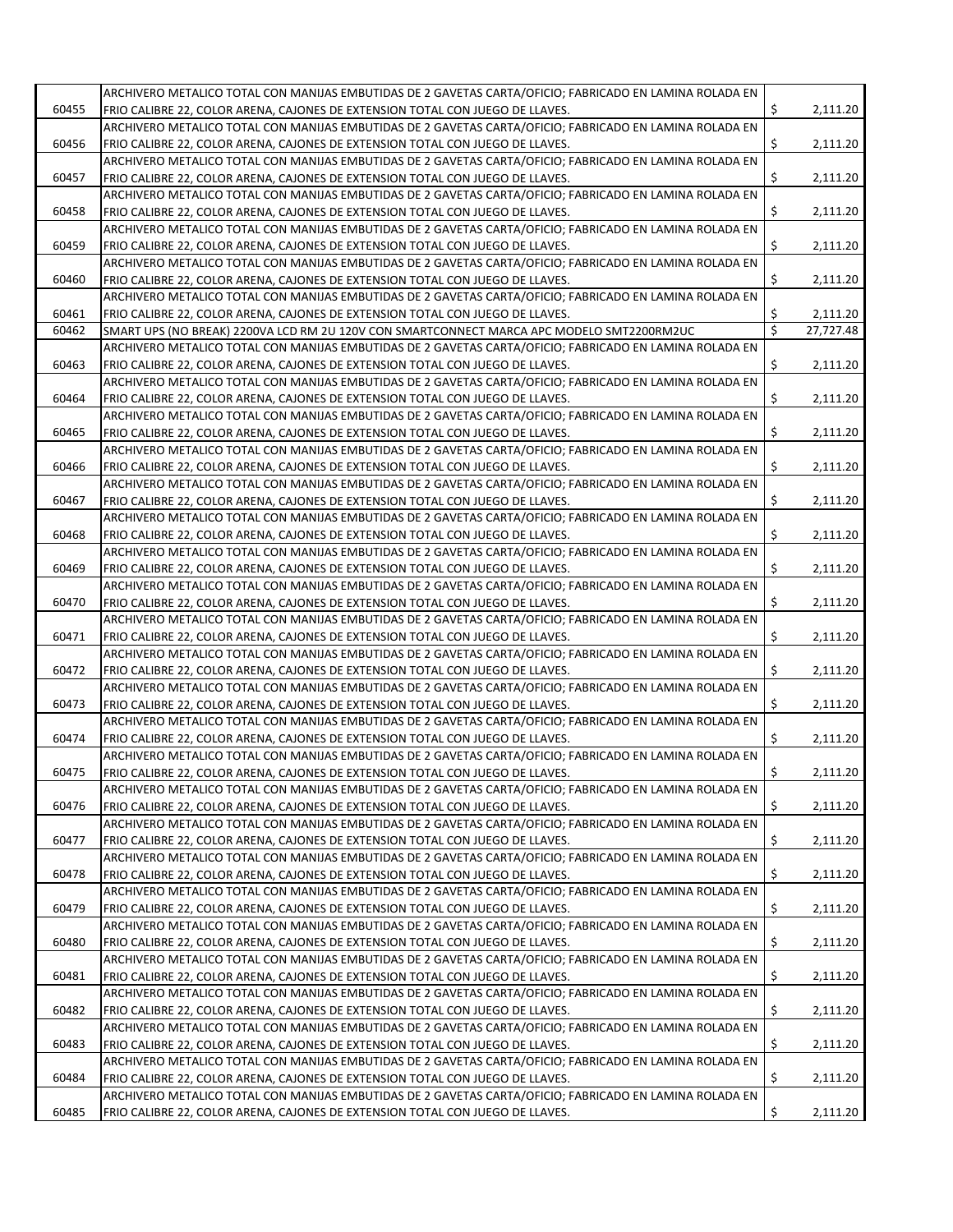|       | ARCHIVERO METALICO TOTAL CON MANIJAS EMBUTIDAS DE 2 GAVETAS CARTA/OFICIO; FABRICADO EN LAMINA ROLADA EN |     |           |
|-------|---------------------------------------------------------------------------------------------------------|-----|-----------|
| 60455 | FRIO CALIBRE 22, COLOR ARENA, CAJONES DE EXTENSION TOTAL CON JUEGO DE LLAVES.                           | \$  | 2,111.20  |
|       | ARCHIVERO METALICO TOTAL CON MANIJAS EMBUTIDAS DE 2 GAVETAS CARTA/OFICIO; FABRICADO EN LAMINA ROLADA EN |     |           |
| 60456 | FRIO CALIBRE 22, COLOR ARENA, CAJONES DE EXTENSION TOTAL CON JUEGO DE LLAVES.                           | \$  | 2,111.20  |
|       | ARCHIVERO METALICO TOTAL CON MANIJAS EMBUTIDAS DE 2 GAVETAS CARTA/OFICIO; FABRICADO EN LAMINA ROLADA EN |     |           |
| 60457 | FRIO CALIBRE 22, COLOR ARENA, CAJONES DE EXTENSION TOTAL CON JUEGO DE LLAVES.                           | \$  | 2,111.20  |
|       | ARCHIVERO METALICO TOTAL CON MANIJAS EMBUTIDAS DE 2 GAVETAS CARTA/OFICIO; FABRICADO EN LAMINA ROLADA EN |     |           |
| 60458 | FRIO CALIBRE 22, COLOR ARENA, CAJONES DE EXTENSION TOTAL CON JUEGO DE LLAVES.                           | \$  | 2,111.20  |
|       | ARCHIVERO METALICO TOTAL CON MANIJAS EMBUTIDAS DE 2 GAVETAS CARTA/OFICIO; FABRICADO EN LAMINA ROLADA EN |     |           |
| 60459 | FRIO CALIBRE 22, COLOR ARENA, CAJONES DE EXTENSION TOTAL CON JUEGO DE LLAVES.                           | \$  | 2,111.20  |
|       | ARCHIVERO METALICO TOTAL CON MANIJAS EMBUTIDAS DE 2 GAVETAS CARTA/OFICIO; FABRICADO EN LAMINA ROLADA EN |     |           |
| 60460 | FRIO CALIBRE 22, COLOR ARENA, CAJONES DE EXTENSION TOTAL CON JUEGO DE LLAVES.                           | \$  | 2,111.20  |
|       | ARCHIVERO METALICO TOTAL CON MANIJAS EMBUTIDAS DE 2 GAVETAS CARTA/OFICIO; FABRICADO EN LAMINA ROLADA EN |     |           |
| 60461 |                                                                                                         | \$  | 2,111.20  |
|       | FRIO CALIBRE 22, COLOR ARENA, CAJONES DE EXTENSION TOTAL CON JUEGO DE LLAVES.                           |     |           |
| 60462 | SMART UPS (NO BREAK) 2200VA LCD RM 2U 120V CON SMARTCONNECT MARCA APC MODELO SMT2200RM2UC               | \$  | 27,727.48 |
|       | ARCHIVERO METALICO TOTAL CON MANIJAS EMBUTIDAS DE 2 GAVETAS CARTA/OFICIO; FABRICADO EN LAMINA ROLADA EN |     |           |
| 60463 | FRIO CALIBRE 22, COLOR ARENA, CAJONES DE EXTENSION TOTAL CON JUEGO DE LLAVES.                           | \$  | 2,111.20  |
|       | ARCHIVERO METALICO TOTAL CON MANIJAS EMBUTIDAS DE 2 GAVETAS CARTA/OFICIO; FABRICADO EN LAMINA ROLADA EN |     |           |
| 60464 | FRIO CALIBRE 22, COLOR ARENA, CAJONES DE EXTENSION TOTAL CON JUEGO DE LLAVES.                           | \$  | 2,111.20  |
|       | ARCHIVERO METALICO TOTAL CON MANIJAS EMBUTIDAS DE 2 GAVETAS CARTA/OFICIO; FABRICADO EN LAMINA ROLADA EN |     |           |
| 60465 | FRIO CALIBRE 22, COLOR ARENA, CAJONES DE EXTENSION TOTAL CON JUEGO DE LLAVES.                           | \$  | 2,111.20  |
|       | ARCHIVERO METALICO TOTAL CON MANIJAS EMBUTIDAS DE 2 GAVETAS CARTA/OFICIO; FABRICADO EN LAMINA ROLADA EN |     |           |
| 60466 | FRIO CALIBRE 22, COLOR ARENA, CAJONES DE EXTENSION TOTAL CON JUEGO DE LLAVES.                           | \$  | 2,111.20  |
|       | ARCHIVERO METALICO TOTAL CON MANIJAS EMBUTIDAS DE 2 GAVETAS CARTA/OFICIO; FABRICADO EN LAMINA ROLADA EN |     |           |
| 60467 |                                                                                                         | \$  | 2,111.20  |
|       | FRIO CALIBRE 22, COLOR ARENA, CAJONES DE EXTENSION TOTAL CON JUEGO DE LLAVES.                           |     |           |
|       | ARCHIVERO METALICO TOTAL CON MANIJAS EMBUTIDAS DE 2 GAVETAS CARTA/OFICIO; FABRICADO EN LAMINA ROLADA EN |     |           |
| 60468 | FRIO CALIBRE 22, COLOR ARENA, CAJONES DE EXTENSION TOTAL CON JUEGO DE LLAVES.                           | \$  | 2,111.20  |
|       | ARCHIVERO METALICO TOTAL CON MANIJAS EMBUTIDAS DE 2 GAVETAS CARTA/OFICIO; FABRICADO EN LAMINA ROLADA EN |     |           |
| 60469 | FRIO CALIBRE 22, COLOR ARENA, CAJONES DE EXTENSION TOTAL CON JUEGO DE LLAVES.                           | \$  | 2,111.20  |
|       | ARCHIVERO METALICO TOTAL CON MANIJAS EMBUTIDAS DE 2 GAVETAS CARTA/OFICIO; FABRICADO EN LAMINA ROLADA EN |     |           |
| 60470 | FRIO CALIBRE 22, COLOR ARENA, CAJONES DE EXTENSION TOTAL CON JUEGO DE LLAVES.                           | \$  | 2,111.20  |
|       | ARCHIVERO METALICO TOTAL CON MANIJAS EMBUTIDAS DE 2 GAVETAS CARTA/OFICIO; FABRICADO EN LAMINA ROLADA EN |     |           |
| 60471 | FRIO CALIBRE 22, COLOR ARENA, CAJONES DE EXTENSION TOTAL CON JUEGO DE LLAVES.                           | \$  | 2,111.20  |
|       | ARCHIVERO METALICO TOTAL CON MANIJAS EMBUTIDAS DE 2 GAVETAS CARTA/OFICIO; FABRICADO EN LAMINA ROLADA EN |     |           |
| 60472 | FRIO CALIBRE 22, COLOR ARENA, CAJONES DE EXTENSION TOTAL CON JUEGO DE LLAVES.                           | \$  | 2,111.20  |
|       | ARCHIVERO METALICO TOTAL CON MANIJAS EMBUTIDAS DE 2 GAVETAS CARTA/OFICIO; FABRICADO EN LAMINA ROLADA EN |     |           |
| 60473 | FRIO CALIBRE 22, COLOR ARENA, CAJONES DE EXTENSION TOTAL CON JUEGO DE LLAVES.                           | \$  | 2,111.20  |
|       | ARCHIVERO METALICO TOTAL CON MANIJAS EMBUTIDAS DE 2 GAVETAS CARTA/OFICIO; FABRICADO EN LAMINA ROLADA EN |     |           |
|       |                                                                                                         |     |           |
| 60474 | FRIO CALIBRE 22, COLOR ARENA, CAJONES DE EXTENSION TOTAL CON JUEGO DE LLAVES.                           | \$  | 2,111.20  |
|       | ARCHIVERO METALICO TOTAL CON MANIJAS EMBUTIDAS DE 2 GAVETAS CARTA/OFICIO; FABRICADO EN LAMINA ROLADA EN |     |           |
| 60475 | FRIO CALIBRE 22, COLOR ARENA, CAJONES DE EXTENSION TOTAL CON JUEGO DE LLAVES.                           | \$  | 2,111.20  |
|       | ARCHIVERO METALICO TOTAL CON MANIJAS EMBUTIDAS DE 2 GAVETAS CARTA/OFICIO; FABRICADO EN LAMINA ROLADA EN |     |           |
| 60476 | FRIO CALIBRE 22, COLOR ARENA, CAJONES DE EXTENSION TOTAL CON JUEGO DE LLAVES.                           | \$  | 2,111.20  |
|       | ARCHIVERO METALICO TOTAL CON MANIJAS EMBUTIDAS DE 2 GAVETAS CARTA/OFICIO; FABRICADO EN LAMINA ROLADA EN |     |           |
| 60477 | FRIO CALIBRE 22, COLOR ARENA, CAJONES DE EXTENSION TOTAL CON JUEGO DE LLAVES.                           | \$. | 2,111.20  |
|       | ARCHIVERO METALICO TOTAL CON MANIJAS EMBUTIDAS DE 2 GAVETAS CARTA/OFICIO; FABRICADO EN LAMINA ROLADA EN |     |           |
| 60478 | FRIO CALIBRE 22, COLOR ARENA, CAJONES DE EXTENSION TOTAL CON JUEGO DE LLAVES.                           | \$  | 2,111.20  |
|       | ARCHIVERO METALICO TOTAL CON MANIJAS EMBUTIDAS DE 2 GAVETAS CARTA/OFICIO; FABRICADO EN LAMINA ROLADA EN |     |           |
| 60479 | FRIO CALIBRE 22, COLOR ARENA, CAJONES DE EXTENSION TOTAL CON JUEGO DE LLAVES.                           | \$  | 2,111.20  |
|       | ARCHIVERO METALICO TOTAL CON MANIJAS EMBUTIDAS DE 2 GAVETAS CARTA/OFICIO; FABRICADO EN LAMINA ROLADA EN |     |           |
|       |                                                                                                         |     |           |
| 60480 | FRIO CALIBRE 22, COLOR ARENA, CAJONES DE EXTENSION TOTAL CON JUEGO DE LLAVES.                           | \$  | 2,111.20  |
|       | ARCHIVERO METALICO TOTAL CON MANIJAS EMBUTIDAS DE 2 GAVETAS CARTA/OFICIO; FABRICADO EN LAMINA ROLADA EN |     |           |
| 60481 | FRIO CALIBRE 22, COLOR ARENA, CAJONES DE EXTENSION TOTAL CON JUEGO DE LLAVES.                           | \$  | 2,111.20  |
|       | ARCHIVERO METALICO TOTAL CON MANIJAS EMBUTIDAS DE 2 GAVETAS CARTA/OFICIO; FABRICADO EN LAMINA ROLADA EN |     |           |
| 60482 | FRIO CALIBRE 22, COLOR ARENA, CAJONES DE EXTENSION TOTAL CON JUEGO DE LLAVES.                           | \$  | 2,111.20  |
|       | ARCHIVERO METALICO TOTAL CON MANIJAS EMBUTIDAS DE 2 GAVETAS CARTA/OFICIO; FABRICADO EN LAMINA ROLADA EN |     |           |
| 60483 | FRIO CALIBRE 22, COLOR ARENA, CAJONES DE EXTENSION TOTAL CON JUEGO DE LLAVES.                           | \$  | 2,111.20  |
|       | ARCHIVERO METALICO TOTAL CON MANIJAS EMBUTIDAS DE 2 GAVETAS CARTA/OFICIO; FABRICADO EN LAMINA ROLADA EN |     |           |
| 60484 | FRIO CALIBRE 22, COLOR ARENA, CAJONES DE EXTENSION TOTAL CON JUEGO DE LLAVES.                           | \$  | 2,111.20  |
|       | ARCHIVERO METALICO TOTAL CON MANIJAS EMBUTIDAS DE 2 GAVETAS CARTA/OFICIO; FABRICADO EN LAMINA ROLADA EN |     |           |
| 60485 | FRIO CALIBRE 22, COLOR ARENA, CAJONES DE EXTENSION TOTAL CON JUEGO DE LLAVES.                           | \$  | 2,111.20  |
|       |                                                                                                         |     |           |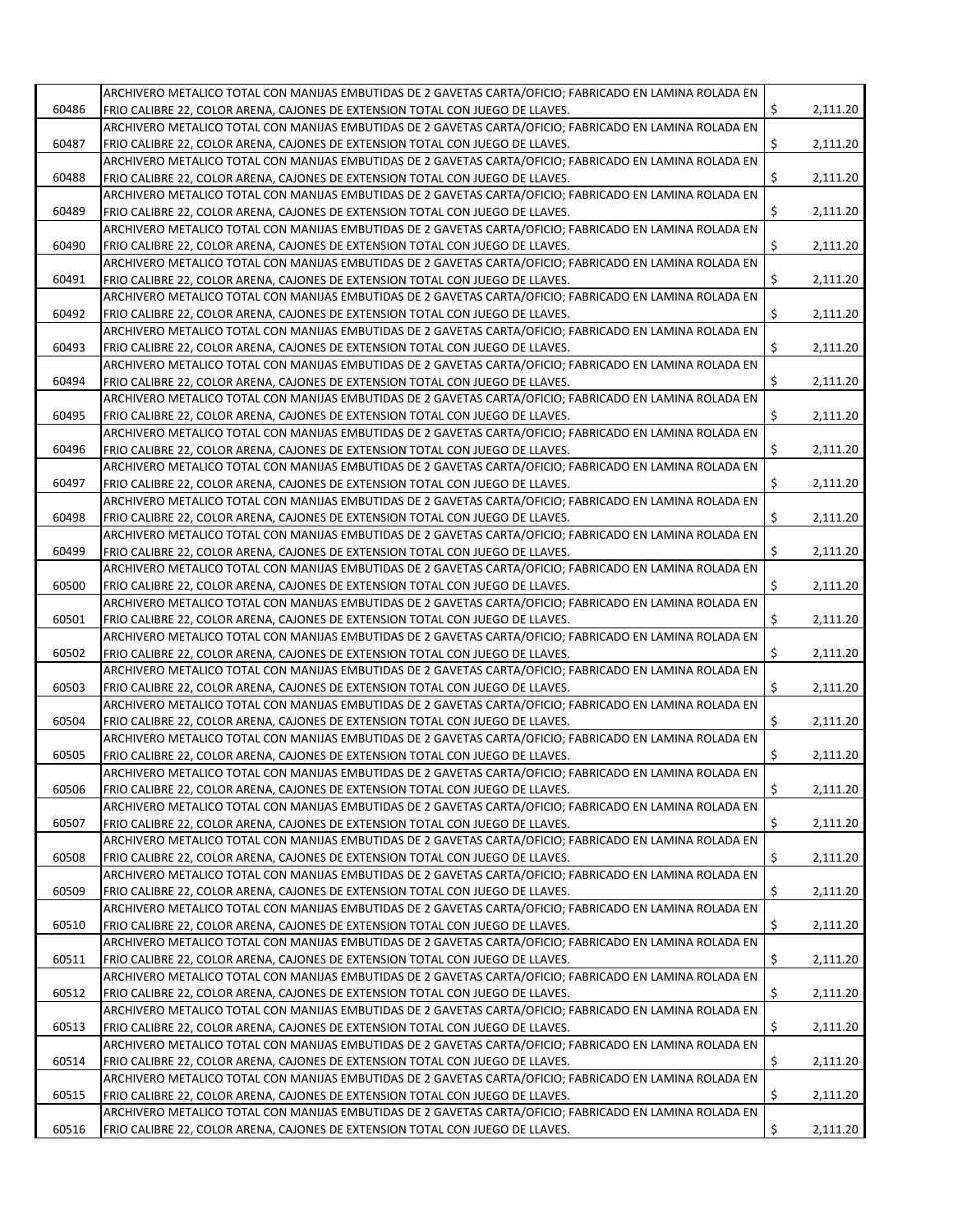|       | ARCHIVERO METALICO TOTAL CON MANIJAS EMBUTIDAS DE 2 GAVETAS CARTA/OFICIO; FABRICADO EN LAMINA ROLADA EN |    |          |
|-------|---------------------------------------------------------------------------------------------------------|----|----------|
| 60486 | FRIO CALIBRE 22, COLOR ARENA, CAJONES DE EXTENSION TOTAL CON JUEGO DE LLAVES.                           | \$ | 2,111.20 |
|       | ARCHIVERO METALICO TOTAL CON MANIJAS EMBUTIDAS DE 2 GAVETAS CARTA/OFICIO; FABRICADO EN LAMINA ROLADA EN |    |          |
| 60487 | FRIO CALIBRE 22, COLOR ARENA, CAJONES DE EXTENSION TOTAL CON JUEGO DE LLAVES.                           | Ś. | 2,111.20 |
|       |                                                                                                         |    |          |
|       | ARCHIVERO METALICO TOTAL CON MANIJAS EMBUTIDAS DE 2 GAVETAS CARTA/OFICIO; FABRICADO EN LAMINA ROLADA EN |    |          |
| 60488 | FRIO CALIBRE 22, COLOR ARENA, CAJONES DE EXTENSION TOTAL CON JUEGO DE LLAVES.                           | \$ | 2,111.20 |
|       | ARCHIVERO METALICO TOTAL CON MANIJAS EMBUTIDAS DE 2 GAVETAS CARTA/OFICIO; FABRICADO EN LAMINA ROLADA EN |    |          |
| 60489 | FRIO CALIBRE 22, COLOR ARENA, CAJONES DE EXTENSION TOTAL CON JUEGO DE LLAVES.                           | \$ | 2,111.20 |
|       | ARCHIVERO METALICO TOTAL CON MANIJAS EMBUTIDAS DE 2 GAVETAS CARTA/OFICIO; FABRICADO EN LAMINA ROLADA EN |    |          |
| 60490 | FRIO CALIBRE 22, COLOR ARENA, CAJONES DE EXTENSION TOTAL CON JUEGO DE LLAVES.                           | Ś. | 2,111.20 |
|       | ARCHIVERO METALICO TOTAL CON MANIJAS EMBUTIDAS DE 2 GAVETAS CARTA/OFICIO; FABRICADO EN LAMINA ROLADA EN |    |          |
| 60491 | FRIO CALIBRE 22, COLOR ARENA, CAJONES DE EXTENSION TOTAL CON JUEGO DE LLAVES.                           | \$ | 2,111.20 |
|       | ARCHIVERO METALICO TOTAL CON MANIJAS EMBUTIDAS DE 2 GAVETAS CARTA/OFICIO: FABRICADO EN LAMINA ROLADA EN |    |          |
| 60492 |                                                                                                         | \$ | 2,111.20 |
|       | FRIO CALIBRE 22, COLOR ARENA, CAJONES DE EXTENSION TOTAL CON JUEGO DE LLAVES.                           |    |          |
|       | ARCHIVERO METALICO TOTAL CON MANIJAS EMBUTIDAS DE 2 GAVETAS CARTA/OFICIO; FABRICADO EN LAMINA ROLADA EN |    |          |
| 60493 | FRIO CALIBRE 22, COLOR ARENA, CAJONES DE EXTENSION TOTAL CON JUEGO DE LLAVES.                           | Ś. | 2,111.20 |
|       | ARCHIVERO METALICO TOTAL CON MANIJAS EMBUTIDAS DE 2 GAVETAS CARTA/OFICIO; FABRICADO EN LAMINA ROLADA EN |    |          |
| 60494 | FRIO CALIBRE 22, COLOR ARENA, CAJONES DE EXTENSION TOTAL CON JUEGO DE LLAVES.                           | \$ | 2,111.20 |
|       | ARCHIVERO METALICO TOTAL CON MANIJAS EMBUTIDAS DE 2 GAVETAS CARTA/OFICIO; FABRICADO EN LAMINA ROLADA EN |    |          |
| 60495 | FRIO CALIBRE 22, COLOR ARENA, CAJONES DE EXTENSION TOTAL CON JUEGO DE LLAVES.                           | \$ | 2,111.20 |
|       | ARCHIVERO METALICO TOTAL CON MANIJAS EMBUTIDAS DE 2 GAVETAS CARTA/OFICIO; FABRICADO EN LAMINA ROLADA EN |    |          |
| 60496 |                                                                                                         | Ś. | 2,111.20 |
|       | FRIO CALIBRE 22, COLOR ARENA, CAJONES DE EXTENSION TOTAL CON JUEGO DE LLAVES.                           |    |          |
|       | ARCHIVERO METALICO TOTAL CON MANIJAS EMBUTIDAS DE 2 GAVETAS CARTA/OFICIO; FABRICADO EN LAMINA ROLADA EN |    |          |
| 60497 | FRIO CALIBRE 22, COLOR ARENA, CAJONES DE EXTENSION TOTAL CON JUEGO DE LLAVES.                           | \$ | 2,111.20 |
|       | ARCHIVERO METALICO TOTAL CON MANIJAS EMBUTIDAS DE 2 GAVETAS CARTA/OFICIO; FABRICADO EN LAMINA ROLADA EN |    |          |
| 60498 | FRIO CALIBRE 22, COLOR ARENA, CAJONES DE EXTENSION TOTAL CON JUEGO DE LLAVES.                           | \$ | 2,111.20 |
|       | ARCHIVERO METALICO TOTAL CON MANIJAS EMBUTIDAS DE 2 GAVETAS CARTA/OFICIO; FABRICADO EN LAMINA ROLADA EN |    |          |
| 60499 | FRIO CALIBRE 22, COLOR ARENA, CAJONES DE EXTENSION TOTAL CON JUEGO DE LLAVES.                           | \$ | 2,111.20 |
|       | ARCHIVERO METALICO TOTAL CON MANIJAS EMBUTIDAS DE 2 GAVETAS CARTA/OFICIO; FABRICADO EN LAMINA ROLADA EN |    |          |
| 60500 | FRIO CALIBRE 22, COLOR ARENA, CAJONES DE EXTENSION TOTAL CON JUEGO DE LLAVES.                           | \$ | 2,111.20 |
|       |                                                                                                         |    |          |
|       | ARCHIVERO METALICO TOTAL CON MANIJAS EMBUTIDAS DE 2 GAVETAS CARTA/OFICIO; FABRICADO EN LAMINA ROLADA EN |    |          |
| 60501 | FRIO CALIBRE 22, COLOR ARENA, CAJONES DE EXTENSION TOTAL CON JUEGO DE LLAVES.                           | Ś. | 2,111.20 |
|       | ARCHIVERO METALICO TOTAL CON MANIJAS EMBUTIDAS DE 2 GAVETAS CARTA/OFICIO; FABRICADO EN LAMINA ROLADA EN |    |          |
| 60502 | FRIO CALIBRE 22, COLOR ARENA, CAJONES DE EXTENSION TOTAL CON JUEGO DE LLAVES.                           | \$ | 2,111.20 |
|       | ARCHIVERO METALICO TOTAL CON MANIJAS EMBUTIDAS DE 2 GAVETAS CARTA/OFICIO; FABRICADO EN LAMINA ROLADA EN |    |          |
| 60503 | FRIO CALIBRE 22, COLOR ARENA, CAJONES DE EXTENSION TOTAL CON JUEGO DE LLAVES.                           | \$ | 2,111.20 |
|       | ARCHIVERO METALICO TOTAL CON MANIJAS EMBUTIDAS DE 2 GAVETAS CARTA/OFICIO: FABRICADO EN LAMINA ROLADA EN |    |          |
| 60504 | FRIO CALIBRE 22, COLOR ARENA, CAJONES DE EXTENSION TOTAL CON JUEGO DE LLAVES.                           | Ś. | 2,111.20 |
|       | ARCHIVERO METALICO TOTAL CON MANIJAS EMBUTIDAS DE 2 GAVETAS CARTA/OFICIO; FABRICADO EN LAMINA ROLADA EN |    |          |
| 60505 | FRIO CALIBRE 22, COLOR ARENA, CAJONES DE EXTENSION TOTAL CON JUEGO DE LLAVES.                           | \$ | 2,111.20 |
|       |                                                                                                         |    |          |
|       | ARCHIVERO METALICO TOTAL CON MANIJAS EMBUTIDAS DE 2 GAVETAS CARTA/OFICIO: FABRICADO EN LAMINA ROLADA EN |    |          |
| 60506 | FRIO CALIBRE 22, COLOR ARENA, CAJONES DE EXTENSION TOTAL CON JUEGO DE LLAVES.                           | \$ | 2,111.20 |
|       | ARCHIVERO METALICO TOTAL CON MANIJAS EMBUTIDAS DE 2 GAVETAS CARTA/OFICIO; FABRICADO EN LAMINA ROLADA EN |    |          |
| 60507 | FRIO CALIBRE 22, COLOR ARENA, CAJONES DE EXTENSION TOTAL CON JUEGO DE LLAVES.                           | \$ | 2,111.20 |
|       | ARCHIVERO METALICO TOTAL CON MANIJAS EMBUTIDAS DE 2 GAVETAS CARTA/OFICIO; FABRICADO EN LAMINA ROLADA EN |    |          |
| 60508 | FRIO CALIBRE 22, COLOR ARENA, CAJONES DE EXTENSION TOTAL CON JUEGO DE LLAVES.                           | \$ | 2,111.20 |
|       | ARCHIVERO METALICO TOTAL CON MANIJAS EMBUTIDAS DE 2 GAVETAS CARTA/OFICIO; FABRICADO EN LAMINA ROLADA EN |    |          |
| 60509 | FRIO CALIBRE 22, COLOR ARENA, CAJONES DE EXTENSION TOTAL CON JUEGO DE LLAVES.                           | \$ | 2,111.20 |
|       | ARCHIVERO METALICO TOTAL CON MANIJAS EMBUTIDAS DE 2 GAVETAS CARTA/OFICIO; FABRICADO EN LAMINA ROLADA EN |    |          |
|       |                                                                                                         |    |          |
| 60510 | FRIO CALIBRE 22, COLOR ARENA, CAJONES DE EXTENSION TOTAL CON JUEGO DE LLAVES.                           | \$ | 2,111.20 |
|       | ARCHIVERO METALICO TOTAL CON MANIJAS EMBUTIDAS DE 2 GAVETAS CARTA/OFICIO; FABRICADO EN LAMINA ROLADA EN |    |          |
| 60511 | FRIO CALIBRE 22, COLOR ARENA, CAJONES DE EXTENSION TOTAL CON JUEGO DE LLAVES.                           | \$ | 2,111.20 |
|       | ARCHIVERO METALICO TOTAL CON MANIJAS EMBUTIDAS DE 2 GAVETAS CARTA/OFICIO; FABRICADO EN LAMINA ROLADA EN |    |          |
| 60512 | FRIO CALIBRE 22, COLOR ARENA, CAJONES DE EXTENSION TOTAL CON JUEGO DE LLAVES.                           | \$ | 2,111.20 |
|       | ARCHIVERO METALICO TOTAL CON MANIJAS EMBUTIDAS DE 2 GAVETAS CARTA/OFICIO; FABRICADO EN LAMINA ROLADA EN |    |          |
| 60513 | FRIO CALIBRE 22, COLOR ARENA, CAJONES DE EXTENSION TOTAL CON JUEGO DE LLAVES.                           | \$ | 2,111.20 |
|       | ARCHIVERO METALICO TOTAL CON MANIJAS EMBUTIDAS DE 2 GAVETAS CARTA/OFICIO; FABRICADO EN LAMINA ROLADA EN |    |          |
| 60514 | FRIO CALIBRE 22, COLOR ARENA, CAJONES DE EXTENSION TOTAL CON JUEGO DE LLAVES.                           | \$ | 2,111.20 |
|       |                                                                                                         |    |          |
|       | ARCHIVERO METALICO TOTAL CON MANIJAS EMBUTIDAS DE 2 GAVETAS CARTA/OFICIO; FABRICADO EN LAMINA ROLADA EN |    |          |
| 60515 | FRIO CALIBRE 22, COLOR ARENA, CAJONES DE EXTENSION TOTAL CON JUEGO DE LLAVES.                           | \$ | 2,111.20 |
|       | ARCHIVERO METALICO TOTAL CON MANIJAS EMBUTIDAS DE 2 GAVETAS CARTA/OFICIO; FABRICADO EN LAMINA ROLADA EN |    |          |
| 60516 | FRIO CALIBRE 22, COLOR ARENA, CAJONES DE EXTENSION TOTAL CON JUEGO DE LLAVES.                           | \$ | 2,111.20 |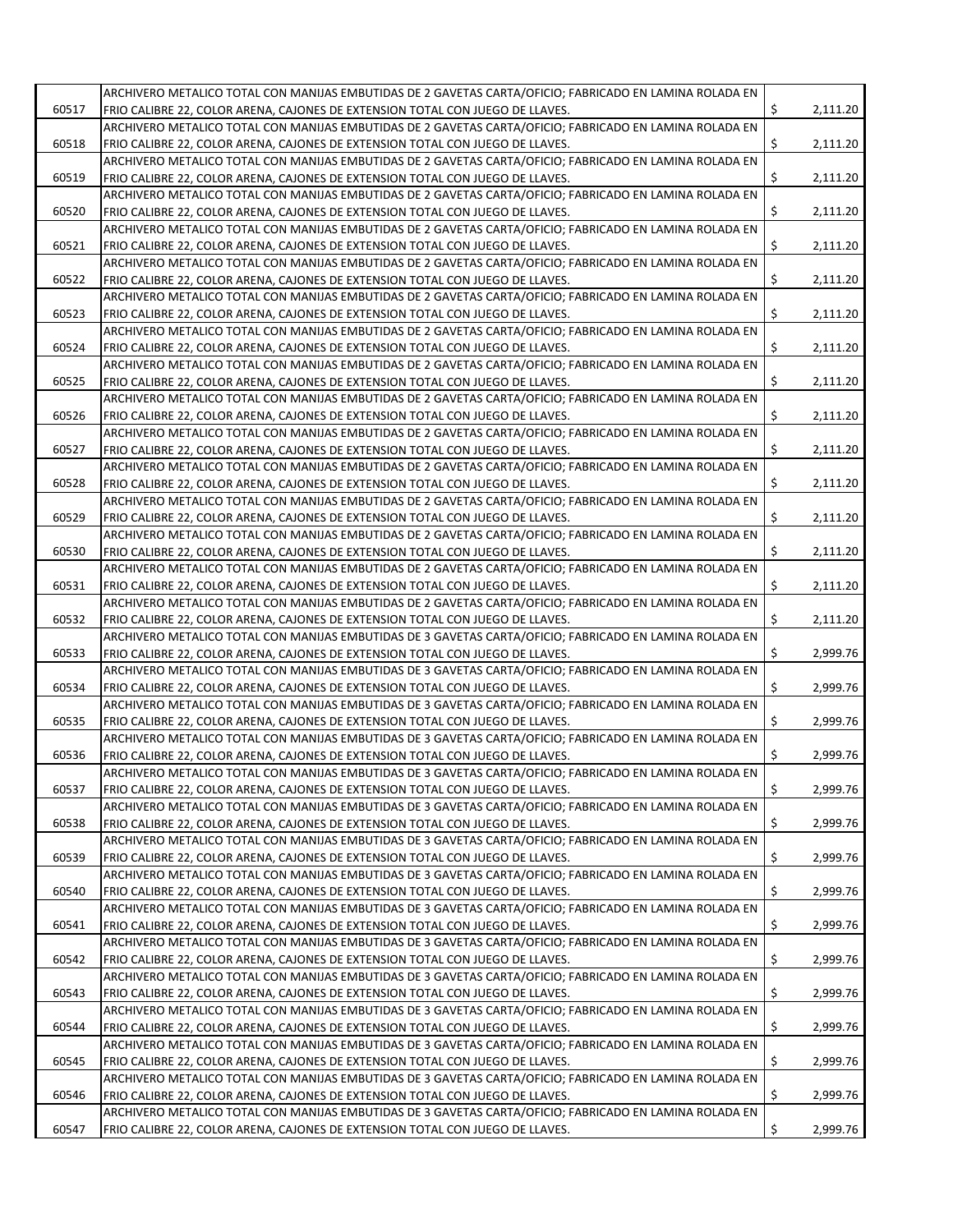|       | ARCHIVERO METALICO TOTAL CON MANIJAS EMBUTIDAS DE 2 GAVETAS CARTA/OFICIO; FABRICADO EN LAMINA ROLADA EN |    |          |
|-------|---------------------------------------------------------------------------------------------------------|----|----------|
| 60517 | FRIO CALIBRE 22, COLOR ARENA, CAJONES DE EXTENSION TOTAL CON JUEGO DE LLAVES.                           | \$ | 2,111.20 |
|       | ARCHIVERO METALICO TOTAL CON MANIJAS EMBUTIDAS DE 2 GAVETAS CARTA/OFICIO; FABRICADO EN LAMINA ROLADA EN |    |          |
| 60518 | FRIO CALIBRE 22, COLOR ARENA, CAJONES DE EXTENSION TOTAL CON JUEGO DE LLAVES.                           | Ś. | 2,111.20 |
|       |                                                                                                         |    |          |
|       | ARCHIVERO METALICO TOTAL CON MANIJAS EMBUTIDAS DE 2 GAVETAS CARTA/OFICIO; FABRICADO EN LAMINA ROLADA EN |    |          |
| 60519 | FRIO CALIBRE 22, COLOR ARENA, CAJONES DE EXTENSION TOTAL CON JUEGO DE LLAVES.                           | \$ | 2,111.20 |
|       | ARCHIVERO METALICO TOTAL CON MANIJAS EMBUTIDAS DE 2 GAVETAS CARTA/OFICIO; FABRICADO EN LAMINA ROLADA EN |    |          |
| 60520 | FRIO CALIBRE 22, COLOR ARENA, CAJONES DE EXTENSION TOTAL CON JUEGO DE LLAVES.                           | \$ | 2,111.20 |
|       | ARCHIVERO METALICO TOTAL CON MANIJAS EMBUTIDAS DE 2 GAVETAS CARTA/OFICIO; FABRICADO EN LAMINA ROLADA EN |    |          |
| 60521 | FRIO CALIBRE 22, COLOR ARENA, CAJONES DE EXTENSION TOTAL CON JUEGO DE LLAVES.                           | Ś. | 2,111.20 |
|       | ARCHIVERO METALICO TOTAL CON MANIJAS EMBUTIDAS DE 2 GAVETAS CARTA/OFICIO; FABRICADO EN LAMINA ROLADA EN |    |          |
| 60522 | FRIO CALIBRE 22, COLOR ARENA, CAJONES DE EXTENSION TOTAL CON JUEGO DE LLAVES.                           | \$ | 2,111.20 |
|       | ARCHIVERO METALICO TOTAL CON MANIJAS EMBUTIDAS DE 2 GAVETAS CARTA/OFICIO; FABRICADO EN LAMINA ROLADA EN |    |          |
|       |                                                                                                         |    |          |
| 60523 | FRIO CALIBRE 22, COLOR ARENA, CAJONES DE EXTENSION TOTAL CON JUEGO DE LLAVES.                           | \$ | 2,111.20 |
|       | ARCHIVERO METALICO TOTAL CON MANIJAS EMBUTIDAS DE 2 GAVETAS CARTA/OFICIO; FABRICADO EN LAMINA ROLADA EN |    |          |
| 60524 | FRIO CALIBRE 22, COLOR ARENA, CAJONES DE EXTENSION TOTAL CON JUEGO DE LLAVES.                           | Ś. | 2,111.20 |
|       | ARCHIVERO METALICO TOTAL CON MANIJAS EMBUTIDAS DE 2 GAVETAS CARTA/OFICIO; FABRICADO EN LAMINA ROLADA EN |    |          |
| 60525 | FRIO CALIBRE 22, COLOR ARENA, CAJONES DE EXTENSION TOTAL CON JUEGO DE LLAVES.                           | \$ | 2,111.20 |
|       | ARCHIVERO METALICO TOTAL CON MANIJAS EMBUTIDAS DE 2 GAVETAS CARTA/OFICIO; FABRICADO EN LAMINA ROLADA EN |    |          |
| 60526 | FRIO CALIBRE 22, COLOR ARENA, CAJONES DE EXTENSION TOTAL CON JUEGO DE LLAVES.                           | \$ | 2,111.20 |
|       | ARCHIVERO METALICO TOTAL CON MANIJAS EMBUTIDAS DE 2 GAVETAS CARTA/OFICIO; FABRICADO EN LAMINA ROLADA EN |    |          |
|       |                                                                                                         |    |          |
| 60527 | FRIO CALIBRE 22, COLOR ARENA, CAJONES DE EXTENSION TOTAL CON JUEGO DE LLAVES.                           | Ś. | 2,111.20 |
|       | ARCHIVERO METALICO TOTAL CON MANIJAS EMBUTIDAS DE 2 GAVETAS CARTA/OFICIO; FABRICADO EN LAMINA ROLADA EN |    |          |
| 60528 | FRIO CALIBRE 22, COLOR ARENA, CAJONES DE EXTENSION TOTAL CON JUEGO DE LLAVES.                           | \$ | 2,111.20 |
|       | ARCHIVERO METALICO TOTAL CON MANIJAS EMBUTIDAS DE 2 GAVETAS CARTA/OFICIO; FABRICADO EN LAMINA ROLADA EN |    |          |
| 60529 | FRIO CALIBRE 22, COLOR ARENA, CAJONES DE EXTENSION TOTAL CON JUEGO DE LLAVES.                           | \$ | 2,111.20 |
|       | ARCHIVERO METALICO TOTAL CON MANIJAS EMBUTIDAS DE 2 GAVETAS CARTA/OFICIO; FABRICADO EN LAMINA ROLADA EN |    |          |
| 60530 | FRIO CALIBRE 22, COLOR ARENA, CAJONES DE EXTENSION TOTAL CON JUEGO DE LLAVES.                           | \$ | 2,111.20 |
|       | ARCHIVERO METALICO TOTAL CON MANIJAS EMBUTIDAS DE 2 GAVETAS CARTA/OFICIO; FABRICADO EN LAMINA ROLADA EN |    |          |
|       |                                                                                                         |    |          |
| 60531 | FRIO CALIBRE 22, COLOR ARENA, CAJONES DE EXTENSION TOTAL CON JUEGO DE LLAVES.                           | \$ | 2,111.20 |
|       | ARCHIVERO METALICO TOTAL CON MANIJAS EMBUTIDAS DE 2 GAVETAS CARTA/OFICIO; FABRICADO EN LAMINA ROLADA EN |    |          |
| 60532 | FRIO CALIBRE 22, COLOR ARENA, CAJONES DE EXTENSION TOTAL CON JUEGO DE LLAVES.                           | Ś. | 2,111.20 |
|       | ARCHIVERO METALICO TOTAL CON MANIJAS EMBUTIDAS DE 3 GAVETAS CARTA/OFICIO; FABRICADO EN LAMINA ROLADA EN |    |          |
| 60533 | FRIO CALIBRE 22, COLOR ARENA, CAJONES DE EXTENSION TOTAL CON JUEGO DE LLAVES.                           | \$ | 2,999.76 |
|       | ARCHIVERO METALICO TOTAL CON MANIJAS EMBUTIDAS DE 3 GAVETAS CARTA/OFICIO; FABRICADO EN LAMINA ROLADA EN |    |          |
| 60534 | FRIO CALIBRE 22, COLOR ARENA, CAJONES DE EXTENSION TOTAL CON JUEGO DE LLAVES.                           | \$ | 2,999.76 |
|       | ARCHIVERO METALICO TOTAL CON MANIJAS EMBUTIDAS DE 3 GAVETAS CARTA/OFICIO: FABRICADO EN LAMINA ROLADA EN |    |          |
| 60535 |                                                                                                         | Ś. | 2,999.76 |
|       | FRIO CALIBRE 22, COLOR ARENA, CAJONES DE EXTENSION TOTAL CON JUEGO DE LLAVES.                           |    |          |
|       | ARCHIVERO METALICO TOTAL CON MANIJAS EMBUTIDAS DE 3 GAVETAS CARTA/OFICIO; FABRICADO EN LAMINA ROLADA EN |    |          |
| 60536 | FRIO CALIBRE 22, COLOR ARENA, CAJONES DE EXTENSION TOTAL CON JUEGO DE LLAVES.                           | \$ | 2,999.76 |
|       | ARCHIVERO METALICO TOTAL CON MANIJAS EMBUTIDAS DE 3 GAVETAS CARTA/OFICIO; FABRICADO EN LAMINA ROLADA EN |    |          |
| 60537 | FRIO CALIBRE 22, COLOR ARENA, CAJONES DE EXTENSION TOTAL CON JUEGO DE LLAVES.                           | \$ | 2,999.76 |
|       | ARCHIVERO METALICO TOTAL CON MANIJAS EMBUTIDAS DE 3 GAVETAS CARTA/OFICIO; FABRICADO EN LAMINA ROLADA EN |    |          |
| 60538 | FRIO CALIBRE 22, COLOR ARENA, CAJONES DE EXTENSION TOTAL CON JUEGO DE LLAVES.                           | \$ | 2,999.76 |
|       | ARCHIVERO METALICO TOTAL CON MANIJAS EMBUTIDAS DE 3 GAVETAS CARTA/OFICIO; FABRICADO EN LAMINA ROLADA EN |    |          |
| 60539 | FRIO CALIBRE 22, COLOR ARENA, CAJONES DE EXTENSION TOTAL CON JUEGO DE LLAVES.                           | \$ | 2,999.76 |
|       |                                                                                                         |    |          |
|       | ARCHIVERO METALICO TOTAL CON MANIJAS EMBUTIDAS DE 3 GAVETAS CARTA/OFICIO; FABRICADO EN LAMINA ROLADA EN |    |          |
| 60540 | FRIO CALIBRE 22, COLOR ARENA, CAJONES DE EXTENSION TOTAL CON JUEGO DE LLAVES.                           | \$ | 2,999.76 |
|       | ARCHIVERO METALICO TOTAL CON MANIJAS EMBUTIDAS DE 3 GAVETAS CARTA/OFICIO; FABRICADO EN LAMINA ROLADA EN |    |          |
| 60541 | FRIO CALIBRE 22, COLOR ARENA, CAJONES DE EXTENSION TOTAL CON JUEGO DE LLAVES.                           | \$ | 2,999.76 |
|       | ARCHIVERO METALICO TOTAL CON MANIJAS EMBUTIDAS DE 3 GAVETAS CARTA/OFICIO; FABRICADO EN LAMINA ROLADA EN |    |          |
| 60542 | FRIO CALIBRE 22, COLOR ARENA, CAJONES DE EXTENSION TOTAL CON JUEGO DE LLAVES.                           | \$ | 2,999.76 |
|       | ARCHIVERO METALICO TOTAL CON MANIJAS EMBUTIDAS DE 3 GAVETAS CARTA/OFICIO; FABRICADO EN LAMINA ROLADA EN |    |          |
| 60543 | FRIO CALIBRE 22, COLOR ARENA, CAJONES DE EXTENSION TOTAL CON JUEGO DE LLAVES.                           | \$ | 2,999.76 |
|       | ARCHIVERO METALICO TOTAL CON MANIJAS EMBUTIDAS DE 3 GAVETAS CARTA/OFICIO; FABRICADO EN LAMINA ROLADA EN |    |          |
|       |                                                                                                         |    |          |
| 60544 | FRIO CALIBRE 22, COLOR ARENA, CAJONES DE EXTENSION TOTAL CON JUEGO DE LLAVES.                           | \$ | 2,999.76 |
|       | ARCHIVERO METALICO TOTAL CON MANIJAS EMBUTIDAS DE 3 GAVETAS CARTA/OFICIO; FABRICADO EN LAMINA ROLADA EN |    |          |
| 60545 | FRIO CALIBRE 22, COLOR ARENA, CAJONES DE EXTENSION TOTAL CON JUEGO DE LLAVES.                           | \$ | 2,999.76 |
|       | ARCHIVERO METALICO TOTAL CON MANIJAS EMBUTIDAS DE 3 GAVETAS CARTA/OFICIO; FABRICADO EN LAMINA ROLADA EN |    |          |
| 60546 | FRIO CALIBRE 22, COLOR ARENA, CAJONES DE EXTENSION TOTAL CON JUEGO DE LLAVES.                           | \$ | 2,999.76 |
|       | ARCHIVERO METALICO TOTAL CON MANIJAS EMBUTIDAS DE 3 GAVETAS CARTA/OFICIO; FABRICADO EN LAMINA ROLADA EN |    |          |
| 60547 | FRIO CALIBRE 22, COLOR ARENA, CAJONES DE EXTENSION TOTAL CON JUEGO DE LLAVES.                           | \$ | 2,999.76 |
|       |                                                                                                         |    |          |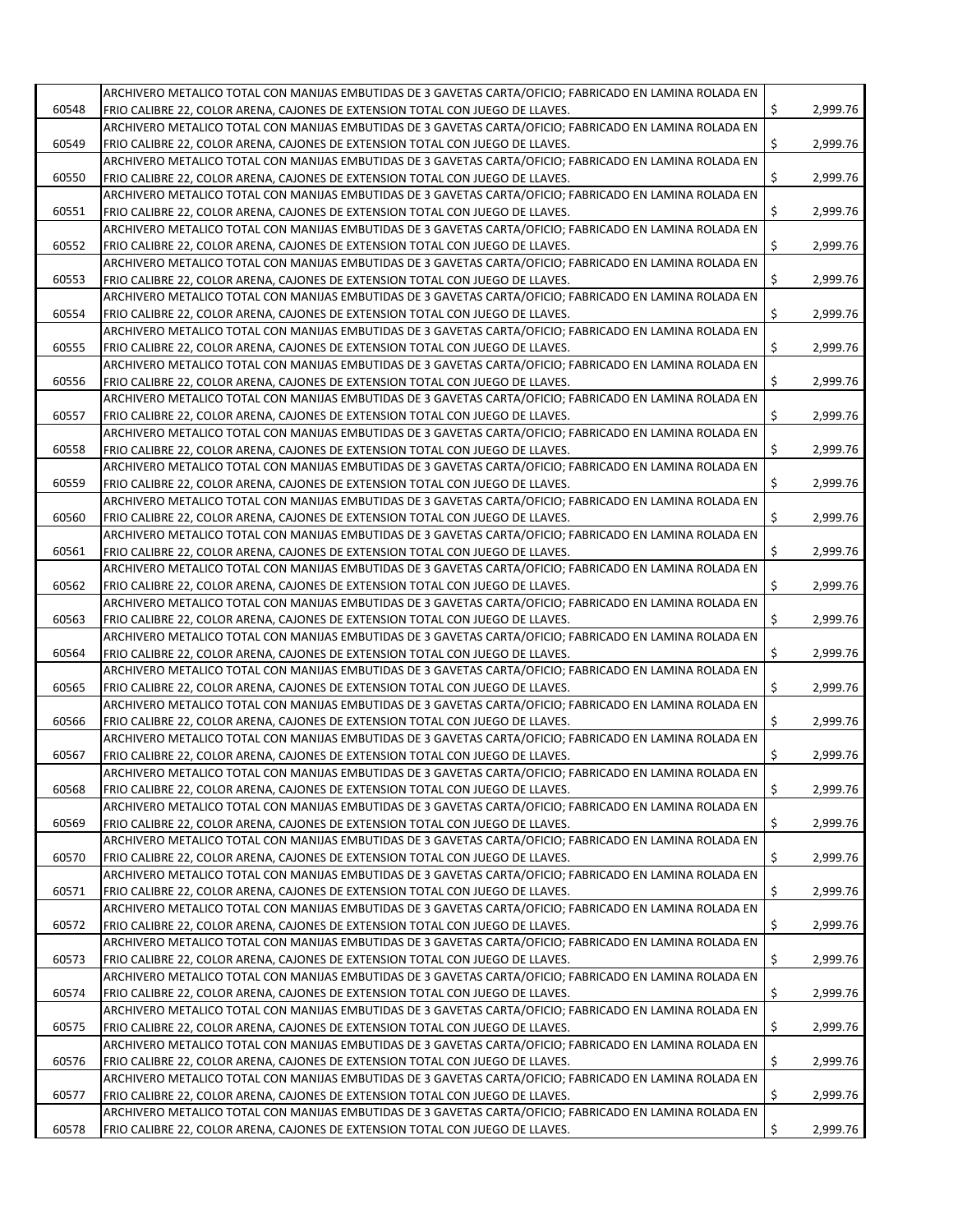|       | ARCHIVERO METALICO TOTAL CON MANIJAS EMBUTIDAS DE 3 GAVETAS CARTA/OFICIO; FABRICADO EN LAMINA ROLADA EN |     |          |
|-------|---------------------------------------------------------------------------------------------------------|-----|----------|
| 60548 | FRIO CALIBRE 22, COLOR ARENA, CAJONES DE EXTENSION TOTAL CON JUEGO DE LLAVES.                           | \$  | 2,999.76 |
|       | ARCHIVERO METALICO TOTAL CON MANIJAS EMBUTIDAS DE 3 GAVETAS CARTA/OFICIO: FABRICADO EN LAMINA ROLADA EN |     |          |
| 60549 | FRIO CALIBRE 22, COLOR ARENA, CAJONES DE EXTENSION TOTAL CON JUEGO DE LLAVES.                           | Ś.  | 2,999.76 |
|       | ARCHIVERO METALICO TOTAL CON MANIJAS EMBUTIDAS DE 3 GAVETAS CARTA/OFICIO; FABRICADO EN LAMINA ROLADA EN |     |          |
| 60550 | FRIO CALIBRE 22, COLOR ARENA, CAJONES DE EXTENSION TOTAL CON JUEGO DE LLAVES.                           | \$  | 2,999.76 |
|       | ARCHIVERO METALICO TOTAL CON MANIJAS EMBUTIDAS DE 3 GAVETAS CARTA/OFICIO; FABRICADO EN LAMINA ROLADA EN |     |          |
| 60551 | FRIO CALIBRE 22, COLOR ARENA, CAJONES DE EXTENSION TOTAL CON JUEGO DE LLAVES.                           | \$  | 2,999.76 |
|       | ARCHIVERO METALICO TOTAL CON MANIJAS EMBUTIDAS DE 3 GAVETAS CARTA/OFICIO; FABRICADO EN LAMINA ROLADA EN |     |          |
| 60552 | FRIO CALIBRE 22, COLOR ARENA, CAJONES DE EXTENSION TOTAL CON JUEGO DE LLAVES.                           | Ś.  | 2,999.76 |
|       | ARCHIVERO METALICO TOTAL CON MANIJAS EMBUTIDAS DE 3 GAVETAS CARTA/OFICIO; FABRICADO EN LAMINA ROLADA EN |     |          |
| 60553 | FRIO CALIBRE 22, COLOR ARENA, CAJONES DE EXTENSION TOTAL CON JUEGO DE LLAVES.                           | \$  | 2,999.76 |
|       | ARCHIVERO METALICO TOTAL CON MANIJAS EMBUTIDAS DE 3 GAVETAS CARTA/OFICIO; FABRICADO EN LAMINA ROLADA EN |     |          |
| 60554 |                                                                                                         | \$  | 2,999.76 |
|       | FRIO CALIBRE 22, COLOR ARENA, CAJONES DE EXTENSION TOTAL CON JUEGO DE LLAVES.                           |     |          |
|       | ARCHIVERO METALICO TOTAL CON MANIJAS EMBUTIDAS DE 3 GAVETAS CARTA/OFICIO; FABRICADO EN LAMINA ROLADA EN |     | 2,999.76 |
| 60555 | FRIO CALIBRE 22, COLOR ARENA, CAJONES DE EXTENSION TOTAL CON JUEGO DE LLAVES.                           | \$  |          |
|       | ARCHIVERO METALICO TOTAL CON MANIJAS EMBUTIDAS DE 3 GAVETAS CARTA/OFICIO; FABRICADO EN LAMINA ROLADA EN |     |          |
| 60556 | FRIO CALIBRE 22, COLOR ARENA, CAJONES DE EXTENSION TOTAL CON JUEGO DE LLAVES.                           | \$  | 2,999.76 |
|       | ARCHIVERO METALICO TOTAL CON MANIJAS EMBUTIDAS DE 3 GAVETAS CARTA/OFICIO; FABRICADO EN LAMINA ROLADA EN |     |          |
| 60557 | FRIO CALIBRE 22, COLOR ARENA, CAJONES DE EXTENSION TOTAL CON JUEGO DE LLAVES.                           | \$  | 2,999.76 |
|       | ARCHIVERO METALICO TOTAL CON MANIJAS EMBUTIDAS DE 3 GAVETAS CARTA/OFICIO; FABRICADO EN LAMINA ROLADA EN |     |          |
| 60558 | FRIO CALIBRE 22, COLOR ARENA, CAJONES DE EXTENSION TOTAL CON JUEGO DE LLAVES.                           | Ś.  | 2,999.76 |
|       | ARCHIVERO METALICO TOTAL CON MANIJAS EMBUTIDAS DE 3 GAVETAS CARTA/OFICIO; FABRICADO EN LAMINA ROLADA EN |     |          |
| 60559 | FRIO CALIBRE 22, COLOR ARENA, CAJONES DE EXTENSION TOTAL CON JUEGO DE LLAVES.                           | \$  | 2,999.76 |
|       | ARCHIVERO METALICO TOTAL CON MANIJAS EMBUTIDAS DE 3 GAVETAS CARTA/OFICIO: FABRICADO EN LAMINA ROLADA EN |     |          |
| 60560 | FRIO CALIBRE 22, COLOR ARENA, CAJONES DE EXTENSION TOTAL CON JUEGO DE LLAVES.                           | Ś.  | 2,999.76 |
|       | ARCHIVERO METALICO TOTAL CON MANIJAS EMBUTIDAS DE 3 GAVETAS CARTA/OFICIO; FABRICADO EN LAMINA ROLADA EN |     |          |
| 60561 | FRIO CALIBRE 22, COLOR ARENA, CAJONES DE EXTENSION TOTAL CON JUEGO DE LLAVES.                           | \$  | 2,999.76 |
|       | ARCHIVERO METALICO TOTAL CON MANIJAS EMBUTIDAS DE 3 GAVETAS CARTA/OFICIO; FABRICADO EN LAMINA ROLADA EN |     |          |
| 60562 | FRIO CALIBRE 22, COLOR ARENA, CAJONES DE EXTENSION TOTAL CON JUEGO DE LLAVES.                           | \$  | 2,999.76 |
|       | ARCHIVERO METALICO TOTAL CON MANIJAS EMBUTIDAS DE 3 GAVETAS CARTA/OFICIO; FABRICADO EN LAMINA ROLADA EN |     |          |
| 60563 | FRIO CALIBRE 22, COLOR ARENA, CAJONES DE EXTENSION TOTAL CON JUEGO DE LLAVES.                           | Ś.  | 2,999.76 |
|       | ARCHIVERO METALICO TOTAL CON MANIJAS EMBUTIDAS DE 3 GAVETAS CARTA/OFICIO; FABRICADO EN LAMINA ROLADA EN |     |          |
| 60564 | FRIO CALIBRE 22, COLOR ARENA, CAJONES DE EXTENSION TOTAL CON JUEGO DE LLAVES.                           | \$  | 2,999.76 |
|       | ARCHIVERO METALICO TOTAL CON MANIJAS EMBUTIDAS DE 3 GAVETAS CARTA/OFICIO; FABRICADO EN LAMINA ROLADA EN |     |          |
| 60565 | FRIO CALIBRE 22, COLOR ARENA, CAJONES DE EXTENSION TOTAL CON JUEGO DE LLAVES.                           | \$  | 2,999.76 |
|       | ARCHIVERO METALICO TOTAL CON MANIJAS EMBUTIDAS DE 3 GAVETAS CARTA/OFICIO; FABRICADO EN LAMINA ROLADA EN |     |          |
| 60566 | FRIO CALIBRE 22, COLOR ARENA, CAJONES DE EXTENSION TOTAL CON JUEGO DE LLAVES.                           | Ś.  | 2,999.76 |
|       | ARCHIVERO METALICO TOTAL CON MANIJAS EMBUTIDAS DE 3 GAVETAS CARTA/OFICIO; FABRICADO EN LAMINA ROLADA EN |     |          |
| 60567 | FRIO CALIBRE 22, COLOR ARENA, CAJONES DE EXTENSION TOTAL CON JUEGO DE LLAVES.                           | S   | 2,999.76 |
|       | ARCHIVERO METALICO TOTAL CON MANIJAS EMBUTIDAS DE 3 GAVETAS CARTA/OFICIO; FABRICADO EN LAMINA ROLADA EN |     |          |
| 60568 | FRIO CALIBRE 22, COLOR ARENA, CAJONES DE EXTENSION TOTAL CON JUEGO DE LLAVES.                           | \$  | 2,999.76 |
|       | ARCHIVERO METALICO TOTAL CON MANIJAS EMBUTIDAS DE 3 GAVETAS CARTA/OFICIO; FABRICADO EN LAMINA ROLADA EN |     |          |
| 60569 | FRIO CALIBRE 22, COLOR ARENA, CAJONES DE EXTENSION TOTAL CON JUEGO DE LLAVES.                           | \$  | 2,999.76 |
|       | ARCHIVERO METALICO TOTAL CON MANIJAS EMBUTIDAS DE 3 GAVETAS CARTA/OFICIO; FABRICADO EN LAMINA ROLADA EN |     |          |
| 60570 | FRIO CALIBRE 22, COLOR ARENA, CAJONES DE EXTENSION TOTAL CON JUEGO DE LLAVES.                           | \$  | 2,999.76 |
|       | ARCHIVERO METALICO TOTAL CON MANIJAS EMBUTIDAS DE 3 GAVETAS CARTA/OFICIO; FABRICADO EN LAMINA ROLADA EN |     |          |
| 60571 | FRIO CALIBRE 22, COLOR ARENA, CAJONES DE EXTENSION TOTAL CON JUEGO DE LLAVES.                           | \$  | 2,999.76 |
|       | ARCHIVERO METALICO TOTAL CON MANIJAS EMBUTIDAS DE 3 GAVETAS CARTA/OFICIO; FABRICADO EN LAMINA ROLADA EN |     |          |
| 60572 | FRIO CALIBRE 22, COLOR ARENA, CAJONES DE EXTENSION TOTAL CON JUEGO DE LLAVES.                           | \$  | 2,999.76 |
|       | ARCHIVERO METALICO TOTAL CON MANIJAS EMBUTIDAS DE 3 GAVETAS CARTA/OFICIO; FABRICADO EN LAMINA ROLADA EN |     |          |
| 60573 | FRIO CALIBRE 22, COLOR ARENA, CAJONES DE EXTENSION TOTAL CON JUEGO DE LLAVES.                           | \$  | 2,999.76 |
|       | ARCHIVERO METALICO TOTAL CON MANIJAS EMBUTIDAS DE 3 GAVETAS CARTA/OFICIO; FABRICADO EN LAMINA ROLADA EN |     |          |
| 60574 | FRIO CALIBRE 22, COLOR ARENA, CAJONES DE EXTENSION TOTAL CON JUEGO DE LLAVES.                           | \$. | 2,999.76 |
|       | ARCHIVERO METALICO TOTAL CON MANIJAS EMBUTIDAS DE 3 GAVETAS CARTA/OFICIO; FABRICADO EN LAMINA ROLADA EN |     |          |
| 60575 | FRIO CALIBRE 22, COLOR ARENA, CAJONES DE EXTENSION TOTAL CON JUEGO DE LLAVES.                           | \$  | 2,999.76 |
|       | ARCHIVERO METALICO TOTAL CON MANIJAS EMBUTIDAS DE 3 GAVETAS CARTA/OFICIO; FABRICADO EN LAMINA ROLADA EN |     |          |
| 60576 | FRIO CALIBRE 22, COLOR ARENA, CAJONES DE EXTENSION TOTAL CON JUEGO DE LLAVES.                           | \$  | 2,999.76 |
|       | ARCHIVERO METALICO TOTAL CON MANIJAS EMBUTIDAS DE 3 GAVETAS CARTA/OFICIO; FABRICADO EN LAMINA ROLADA EN |     |          |
| 60577 | FRIO CALIBRE 22, COLOR ARENA, CAJONES DE EXTENSION TOTAL CON JUEGO DE LLAVES.                           | Ś.  | 2,999.76 |
|       | ARCHIVERO METALICO TOTAL CON MANIJAS EMBUTIDAS DE 3 GAVETAS CARTA/OFICIO; FABRICADO EN LAMINA ROLADA EN |     |          |
| 60578 | FRIO CALIBRE 22, COLOR ARENA, CAJONES DE EXTENSION TOTAL CON JUEGO DE LLAVES.                           | \$  | 2,999.76 |
|       |                                                                                                         |     |          |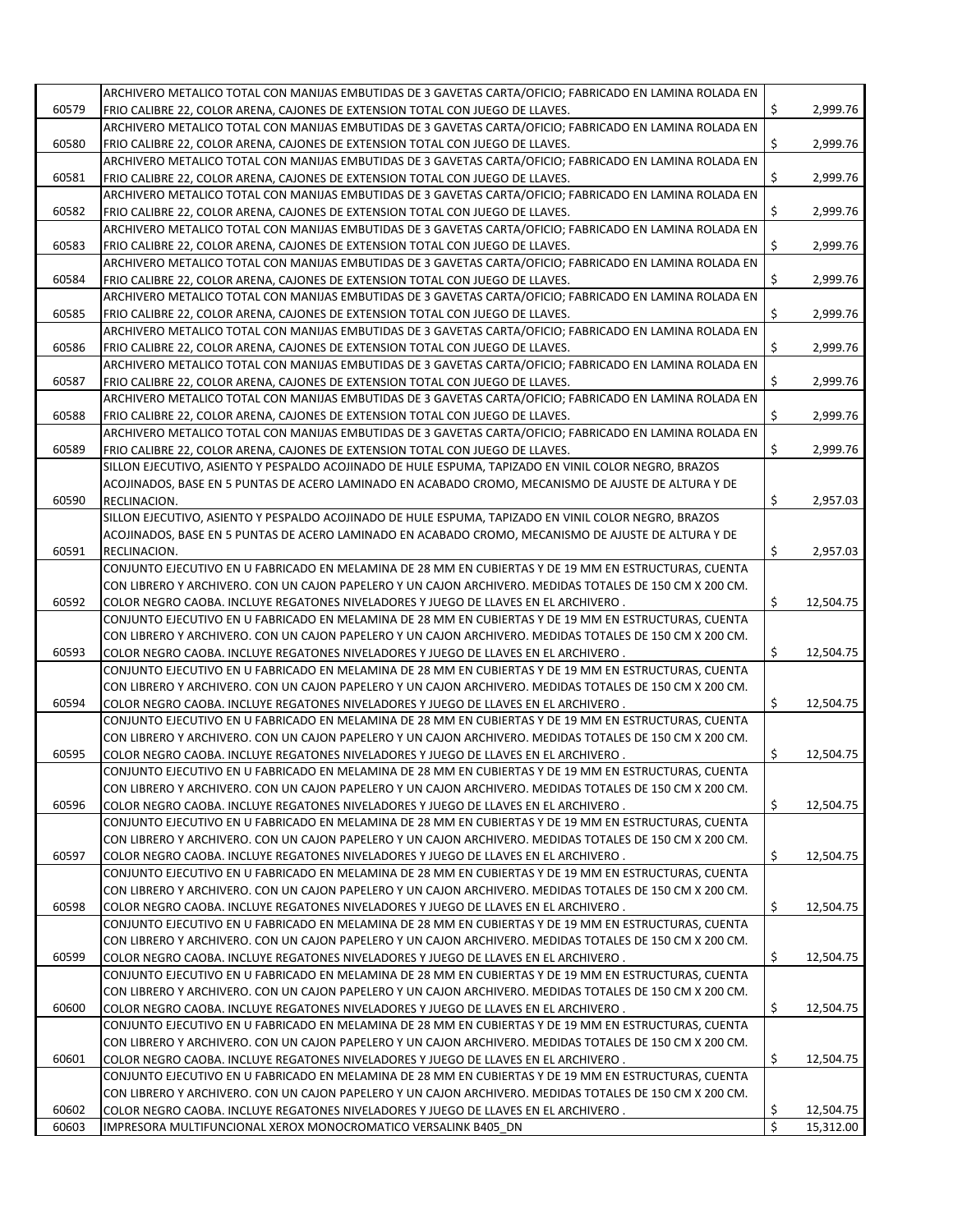|       | ARCHIVERO METALICO TOTAL CON MANIJAS EMBUTIDAS DE 3 GAVETAS CARTA/OFICIO; FABRICADO EN LAMINA ROLADA EN  |    |           |
|-------|----------------------------------------------------------------------------------------------------------|----|-----------|
| 60579 | FRIO CALIBRE 22, COLOR ARENA, CAJONES DE EXTENSION TOTAL CON JUEGO DE LLAVES.                            | \$ | 2,999.76  |
|       | ARCHIVERO METALICO TOTAL CON MANIJAS EMBUTIDAS DE 3 GAVETAS CARTA/OFICIO; FABRICADO EN LAMINA ROLADA EN  |    |           |
| 60580 | FRIO CALIBRE 22, COLOR ARENA, CAJONES DE EXTENSION TOTAL CON JUEGO DE LLAVES.                            | Ś. | 2,999.76  |
|       | ARCHIVERO METALICO TOTAL CON MANIJAS EMBUTIDAS DE 3 GAVETAS CARTA/OFICIO; FABRICADO EN LAMINA ROLADA EN  |    |           |
|       |                                                                                                          |    |           |
| 60581 | FRIO CALIBRE 22, COLOR ARENA, CAJONES DE EXTENSION TOTAL CON JUEGO DE LLAVES.                            | \$ | 2,999.76  |
|       | ARCHIVERO METALICO TOTAL CON MANIJAS EMBUTIDAS DE 3 GAVETAS CARTA/OFICIO; FABRICADO EN LAMINA ROLADA EN  |    |           |
| 60582 | FRIO CALIBRE 22, COLOR ARENA, CAJONES DE EXTENSION TOTAL CON JUEGO DE LLAVES.                            | \$ | 2,999.76  |
|       | ARCHIVERO METALICO TOTAL CON MANIJAS EMBUTIDAS DE 3 GAVETAS CARTA/OFICIO; FABRICADO EN LAMINA ROLADA EN  |    |           |
| 60583 | FRIO CALIBRE 22, COLOR ARENA, CAJONES DE EXTENSION TOTAL CON JUEGO DE LLAVES.                            | Ś. | 2,999.76  |
|       | ARCHIVERO METALICO TOTAL CON MANIJAS EMBUTIDAS DE 3 GAVETAS CARTA/OFICIO; FABRICADO EN LAMINA ROLADA EN  |    |           |
| 60584 | FRIO CALIBRE 22, COLOR ARENA, CAJONES DE EXTENSION TOTAL CON JUEGO DE LLAVES.                            | \$ | 2,999.76  |
|       | ARCHIVERO METALICO TOTAL CON MANIJAS EMBUTIDAS DE 3 GAVETAS CARTA/OFICIO; FABRICADO EN LAMINA ROLADA EN  |    |           |
| 60585 | FRIO CALIBRE 22, COLOR ARENA, CAJONES DE EXTENSION TOTAL CON JUEGO DE LLAVES.                            | \$ | 2,999.76  |
|       | ARCHIVERO METALICO TOTAL CON MANIJAS EMBUTIDAS DE 3 GAVETAS CARTA/OFICIO; FABRICADO EN LAMINA ROLADA EN  |    |           |
| 60586 | FRIO CALIBRE 22, COLOR ARENA, CAJONES DE EXTENSION TOTAL CON JUEGO DE LLAVES.                            | Ś. | 2,999.76  |
|       |                                                                                                          |    |           |
|       | ARCHIVERO METALICO TOTAL CON MANIJAS EMBUTIDAS DE 3 GAVETAS CARTA/OFICIO; FABRICADO EN LAMINA ROLADA EN  |    |           |
| 60587 | FRIO CALIBRE 22, COLOR ARENA, CAJONES DE EXTENSION TOTAL CON JUEGO DE LLAVES.                            | \$ | 2,999.76  |
|       | ARCHIVERO METALICO TOTAL CON MANIJAS EMBUTIDAS DE 3 GAVETAS CARTA/OFICIO; FABRICADO EN LAMINA ROLADA EN  |    |           |
| 60588 | FRIO CALIBRE 22, COLOR ARENA, CAJONES DE EXTENSION TOTAL CON JUEGO DE LLAVES.                            | \$ | 2,999.76  |
|       | ARCHIVERO METALICO TOTAL CON MANIJAS EMBUTIDAS DE 3 GAVETAS CARTA/OFICIO; FABRICADO EN LAMINA ROLADA EN  |    |           |
| 60589 | FRIO CALIBRE 22, COLOR ARENA, CAJONES DE EXTENSION TOTAL CON JUEGO DE LLAVES.                            | \$ | 2,999.76  |
|       | SILLON EJECUTIVO, ASIENTO Y PESPALDO ACOJINADO DE HULE ESPUMA, TAPIZADO EN VINIL COLOR NEGRO, BRAZOS     |    |           |
|       | ACOJINADOS, BASE EN 5 PUNTAS DE ACERO LAMINADO EN ACABADO CROMO, MECANISMO DE AJUSTE DE ALTURA Y DE      |    |           |
| 60590 | RECLINACION.                                                                                             | \$ | 2,957.03  |
|       | SILLON EJECUTIVO, ASIENTO Y PESPALDO ACOJINADO DE HULE ESPUMA, TAPIZADO EN VINIL COLOR NEGRO, BRAZOS     |    |           |
|       | ACOJINADOS, BASE EN 5 PUNTAS DE ACERO LAMINADO EN ACABADO CROMO, MECANISMO DE AJUSTE DE ALTURA Y DE      |    |           |
|       |                                                                                                          |    |           |
| 60591 | RECLINACION.                                                                                             | \$ | 2,957.03  |
|       | CONJUNTO EJECUTIVO EN U FABRICADO EN MELAMINA DE 28 MM EN CUBIERTAS Y DE 19 MM EN ESTRUCTURAS, CUENTA    |    |           |
|       | CON LIBRERO Y ARCHIVERO. CON UN CAJON PAPELERO Y UN CAJON ARCHIVERO. MEDIDAS TOTALES DE 150 CM X 200 CM. |    |           |
| 60592 | COLOR NEGRO CAOBA. INCLUYE REGATONES NIVELADORES Y JUEGO DE LLAVES EN EL ARCHIVERO.                      | \$ | 12,504.75 |
|       | CONJUNTO EJECUTIVO EN U FABRICADO EN MELAMINA DE 28 MM EN CUBIERTAS Y DE 19 MM EN ESTRUCTURAS, CUENTA    |    |           |
|       | CON LIBRERO Y ARCHIVERO. CON UN CAJON PAPELERO Y UN CAJON ARCHIVERO. MEDIDAS TOTALES DE 150 CM X 200 CM. |    |           |
| 60593 | COLOR NEGRO CAOBA. INCLUYE REGATONES NIVELADORES Y JUEGO DE LLAVES EN EL ARCHIVERO.                      | \$ | 12,504.75 |
|       | CONJUNTO EJECUTIVO EN U FABRICADO EN MELAMINA DE 28 MM EN CUBIERTAS Y DE 19 MM EN ESTRUCTURAS, CUENTA    |    |           |
|       | CON LIBRERO Y ARCHIVERO. CON UN CAJON PAPELERO Y UN CAJON ARCHIVERO. MEDIDAS TOTALES DE 150 CM X 200 CM. |    |           |
| 60594 | COLOR NEGRO CAOBA. INCLUYE REGATONES NIVELADORES Y JUEGO DE LLAVES EN EL ARCHIVERO.                      | \$ | 12,504.75 |
|       | CONJUNTO EJECUTIVO EN U FABRICADO EN MELAMINA DE 28 MM EN CUBIERTAS Y DE 19 MM EN ESTRUCTURAS, CUENTA    |    |           |
|       |                                                                                                          |    |           |
|       | CON LIBRERO Y ARCHIVERO. CON UN CAJON PAPELERO Y UN CAJON ARCHIVERO. MEDIDAS TOTALES DE 150 CM X 200 CM. |    |           |
| 60595 | COLOR NEGRO CAOBA. INCLUYE REGATONES NIVELADORES Y JUEGO DE LLAVES EN EL ARCHIVERO.                      | \$ | 12,504.75 |
|       | CONJUNTO EJECUTIVO EN U FABRICADO EN MELAMINA DE 28 MM EN CUBIERTAS Y DE 19 MM EN ESTRUCTURAS, CUENTA    |    |           |
|       | CON LIBRERO Y ARCHIVERO. CON UN CAJON PAPELERO Y UN CAJON ARCHIVERO. MEDIDAS TOTALES DE 150 CM X 200 CM. |    |           |
| 60596 | COLOR NEGRO CAOBA. INCLUYE REGATONES NIVELADORES Y JUEGO DE LLAVES EN EL ARCHIVERO.                      | \$ | 12,504.75 |
|       | CONJUNTO EJECUTIVO EN U FABRICADO EN MELAMINA DE 28 MM EN CUBIERTAS Y DE 19 MM EN ESTRUCTURAS, CUENTA    |    |           |
|       | CON LIBRERO Y ARCHIVERO. CON UN CAJON PAPELERO Y UN CAJON ARCHIVERO. MEDIDAS TOTALES DE 150 CM X 200 CM. |    |           |
| 60597 | COLOR NEGRO CAOBA. INCLUYE REGATONES NIVELADORES Y JUEGO DE LLAVES EN EL ARCHIVERO.                      | \$ | 12,504.75 |
|       | CONJUNTO EJECUTIVO EN U FABRICADO EN MELAMINA DE 28 MM EN CUBIERTAS Y DE 19 MM EN ESTRUCTURAS, CUENTA    |    |           |
|       | CON LIBRERO Y ARCHIVERO. CON UN CAJON PAPELERO Y UN CAJON ARCHIVERO. MEDIDAS TOTALES DE 150 CM X 200 CM. |    |           |
| 60598 | COLOR NEGRO CAOBA. INCLUYE REGATONES NIVELADORES Y JUEGO DE LLAVES EN EL ARCHIVERO.                      | \$ | 12,504.75 |
|       | CONJUNTO EJECUTIVO EN U FABRICADO EN MELAMINA DE 28 MM EN CUBIERTAS Y DE 19 MM EN ESTRUCTURAS, CUENTA    |    |           |
|       | CON LIBRERO Y ARCHIVERO. CON UN CAJON PAPELERO Y UN CAJON ARCHIVERO. MEDIDAS TOTALES DE 150 CM X 200 CM. |    |           |
|       |                                                                                                          |    |           |
| 60599 | COLOR NEGRO CAOBA. INCLUYE REGATONES NIVELADORES Y JUEGO DE LLAVES EN EL ARCHIVERO.                      | \$ | 12,504.75 |
|       | CONJUNTO EJECUTIVO EN U FABRICADO EN MELAMINA DE 28 MM EN CUBIERTAS Y DE 19 MM EN ESTRUCTURAS, CUENTA    |    |           |
|       | CON LIBRERO Y ARCHIVERO. CON UN CAJON PAPELERO Y UN CAJON ARCHIVERO. MEDIDAS TOTALES DE 150 CM X 200 CM. |    |           |
| 60600 | COLOR NEGRO CAOBA. INCLUYE REGATONES NIVELADORES Y JUEGO DE LLAVES EN EL ARCHIVERO.                      | \$ | 12,504.75 |
|       | CONJUNTO EJECUTIVO EN U FABRICADO EN MELAMINA DE 28 MM EN CUBIERTAS Y DE 19 MM EN ESTRUCTURAS, CUENTA    |    |           |
|       | CON LIBRERO Y ARCHIVERO. CON UN CAJON PAPELERO Y UN CAJON ARCHIVERO. MEDIDAS TOTALES DE 150 CM X 200 CM. |    |           |
| 60601 | COLOR NEGRO CAOBA. INCLUYE REGATONES NIVELADORES Y JUEGO DE LLAVES EN EL ARCHIVERO.                      | \$ | 12,504.75 |
|       | CONJUNTO EJECUTIVO EN U FABRICADO EN MELAMINA DE 28 MM EN CUBIERTAS Y DE 19 MM EN ESTRUCTURAS, CUENTA    |    |           |
|       | CON LIBRERO Y ARCHIVERO. CON UN CAJON PAPELERO Y UN CAJON ARCHIVERO. MEDIDAS TOTALES DE 150 CM X 200 CM. |    |           |
| 60602 | COLOR NEGRO CAOBA. INCLUYE REGATONES NIVELADORES Y JUEGO DE LLAVES EN EL ARCHIVERO.                      | \$ | 12,504.75 |
|       |                                                                                                          | \$ |           |
| 60603 | IMPRESORA MULTIFUNCIONAL XEROX MONOCROMATICO VERSALINK B405_DN                                           |    | 15,312.00 |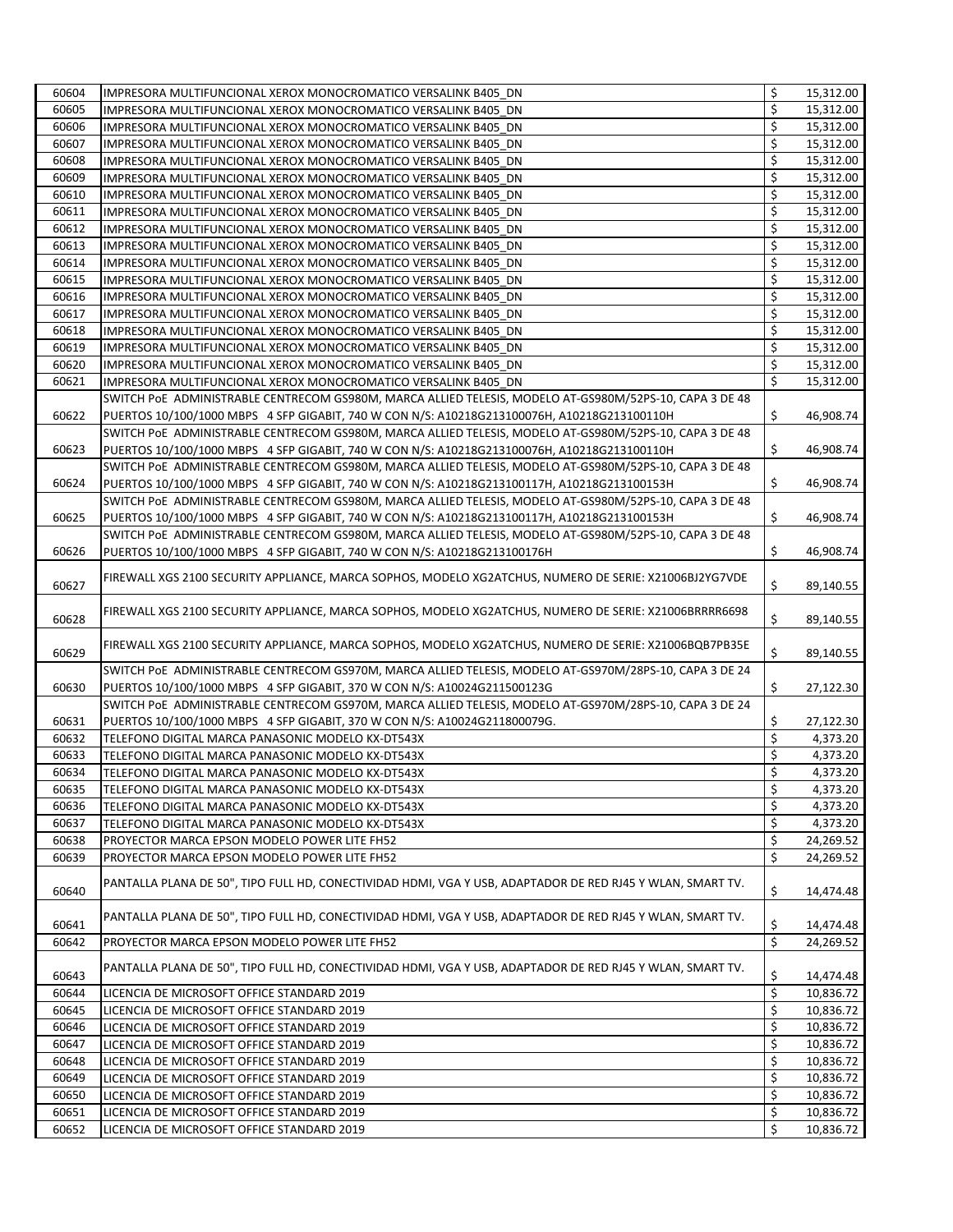| 60604 | IMPRESORA MULTIFUNCIONAL XEROX MONOCROMATICO VERSALINK B405 DN                                             | \$<br>15,312.00 |
|-------|------------------------------------------------------------------------------------------------------------|-----------------|
| 60605 | IMPRESORA MULTIFUNCIONAL XEROX MONOCROMATICO VERSALINK B405 DN                                             | \$<br>15,312.00 |
| 60606 | IMPRESORA MULTIFUNCIONAL XEROX MONOCROMATICO VERSALINK B405 DN                                             | \$<br>15,312.00 |
| 60607 | IMPRESORA MULTIFUNCIONAL XEROX MONOCROMATICO VERSALINK B405 DN                                             | \$<br>15,312.00 |
| 60608 | IMPRESORA MULTIFUNCIONAL XEROX MONOCROMATICO VERSALINK B405 DN                                             | \$<br>15,312.00 |
| 60609 | IMPRESORA MULTIFUNCIONAL XEROX MONOCROMATICO VERSALINK B405 DN                                             | \$<br>15,312.00 |
| 60610 | IMPRESORA MULTIFUNCIONAL XEROX MONOCROMATICO VERSALINK B405 DN                                             | \$<br>15,312.00 |
| 60611 | IMPRESORA MULTIFUNCIONAL XEROX MONOCROMATICO VERSALINK B405 DN                                             | \$<br>15,312.00 |
| 60612 | IMPRESORA MULTIFUNCIONAL XEROX MONOCROMATICO VERSALINK B405 DN                                             | \$<br>15,312.00 |
| 60613 | IMPRESORA MULTIFUNCIONAL XEROX MONOCROMATICO VERSALINK B405 DN                                             | \$<br>15,312.00 |
| 60614 | IMPRESORA MULTIFUNCIONAL XEROX MONOCROMATICO VERSALINK B405 DN                                             | \$<br>15,312.00 |
| 60615 | IMPRESORA MULTIFUNCIONAL XEROX MONOCROMATICO VERSALINK B405 DN                                             | \$<br>15,312.00 |
| 60616 | IMPRESORA MULTIFUNCIONAL XEROX MONOCROMATICO VERSALINK B405 DN                                             | \$<br>15,312.00 |
| 60617 | IMPRESORA MULTIFUNCIONAL XEROX MONOCROMATICO VERSALINK B405 DN                                             | \$<br>15,312.00 |
| 60618 | IMPRESORA MULTIFUNCIONAL XEROX MONOCROMATICO VERSALINK B405 DN                                             | \$<br>15,312.00 |
| 60619 | IMPRESORA MULTIFUNCIONAL XEROX MONOCROMATICO VERSALINK B405 DN                                             | \$<br>15,312.00 |
| 60620 | IMPRESORA MULTIFUNCIONAL XEROX MONOCROMATICO VERSALINK B405 DN                                             | \$<br>15,312.00 |
| 60621 | IMPRESORA MULTIFUNCIONAL XEROX MONOCROMATICO VERSALINK B405 DN                                             | \$<br>15,312.00 |
|       | SWITCH PoE ADMINISTRABLE CENTRECOM GS980M, MARCA ALLIED TELESIS, MODELO AT-GS980M/52PS-10, CAPA 3 DE 48    |                 |
| 60622 | PUERTOS 10/100/1000 MBPS 4 SFP GIGABIT, 740 W CON N/S: A10218G213100076H, A10218G213100110H                | \$<br>46,908.74 |
|       | SWITCH PoE ADMINISTRABLE CENTRECOM GS980M, MARCA ALLIED TELESIS, MODELO AT-GS980M/52PS-10, CAPA 3 DE 48    |                 |
| 60623 | PUERTOS 10/100/1000 MBPS 4 SFP GIGABIT, 740 W CON N/S: A10218G213100076H, A10218G213100110H                | \$<br>46,908.74 |
|       | SWITCH PoE ADMINISTRABLE CENTRECOM GS980M, MARCA ALLIED TELESIS, MODELO AT-GS980M/52PS-10, CAPA 3 DE 48    |                 |
| 60624 | PUERTOS 10/100/1000 MBPS 4 SFP GIGABIT, 740 W CON N/S: A10218G213100117H, A10218G213100153H                | \$<br>46,908.74 |
|       | SWITCH PoE ADMINISTRABLE CENTRECOM GS980M, MARCA ALLIED TELESIS, MODELO AT-GS980M/52PS-10, CAPA 3 DE 48    |                 |
|       |                                                                                                            |                 |
| 60625 | PUERTOS 10/100/1000 MBPS 4 SFP GIGABIT, 740 W CON N/S: A10218G213100117H, A10218G213100153H                | \$<br>46,908.74 |
|       | SWITCH PoE ADMINISTRABLE CENTRECOM GS980M, MARCA ALLIED TELESIS, MODELO AT-GS980M/52PS-10, CAPA 3 DE 48    |                 |
| 60626 | PUERTOS 10/100/1000 MBPS 4 SFP GIGABIT, 740 W CON N/S: A10218G213100176H                                   | \$<br>46,908.74 |
| 60627 | FIREWALL XGS 2100 SECURITY APPLIANCE, MARCA SOPHOS, MODELO XG2ATCHUS, NUMERO DE SERIE: X21006BJ2YG7VDE     | \$              |
|       |                                                                                                            | 89,140.55       |
|       | FIREWALL XGS 2100 SECURITY APPLIANCE, MARCA SOPHOS, MODELO XG2ATCHUS, NUMERO DE SERIE: X21006BRRRR6698     |                 |
| 60628 |                                                                                                            | \$<br>89,140.55 |
|       | FIREWALL XGS 2100 SECURITY APPLIANCE, MARCA SOPHOS, MODELO XG2ATCHUS, NUMERO DE SERIE: X21006BQB7PB35E     |                 |
| 60629 |                                                                                                            | \$<br>89,140.55 |
|       | SWITCH POE ADMINISTRABLE CENTRECOM GS970M, MARCA ALLIED TELESIS, MODELO AT-GS970M/28PS-10, CAPA 3 DE 24    |                 |
| 60630 | PUERTOS 10/100/1000 MBPS 4 SFP GIGABIT, 370 W CON N/S: A10024G211500123G                                   | \$<br>27,122.30 |
|       | SWITCH PoE ADMINISTRABLE CENTRECOM GS970M, MARCA ALLIED TELESIS, MODELO AT-GS970M/28PS-10, CAPA 3 DE 24    |                 |
| 60631 | PUERTOS 10/100/1000 MBPS 4 SFP GIGABIT, 370 W CON N/S: A10024G211800079G.                                  | \$<br>27,122.30 |
| 60632 | TELEFONO DIGITAL MARCA PANASONIC MODELO KX-DT543X                                                          | \$<br>4,373.20  |
| 60633 | TELEFONO DIGITAL MARCA PANASONIC MODELO KX-DT543X                                                          | \$<br>4,373.20  |
| 60634 | TELEFONO DIGITAL MARCA PANASONIC MODELO KX-DT543X                                                          | \$<br>4,373.20  |
| 60635 | TELEFONO DIGITAL MARCA PANASONIC MODELO KX-DT543X                                                          | \$<br>4,373.20  |
| 60636 | TELEFONO DIGITAL MARCA PANASONIC MODELO KX-DT543X                                                          | \$<br>4,373.20  |
| 60637 | TELEFONO DIGITAL MARCA PANASONIC MODELO KX-DT543X                                                          | \$<br>4,373.20  |
| 60638 | PROYECTOR MARCA EPSON MODELO POWER LITE FH52                                                               | \$<br>24,269.52 |
| 60639 | PROYECTOR MARCA EPSON MODELO POWER LITE FH52                                                               | \$<br>24,269.52 |
|       | PANTALLA PLANA DE 50", TIPO FULL HD, CONECTIVIDAD HDMI, VGA Y USB, ADAPTADOR DE RED RJ45 Y WLAN, SMART TV. |                 |
| 60640 |                                                                                                            | \$<br>14,474.48 |
|       | PANTALLA PLANA DE 50", TIPO FULL HD, CONECTIVIDAD HDMI, VGA Y USB, ADAPTADOR DE RED RJ45 Y WLAN, SMART TV. |                 |
| 60641 |                                                                                                            | \$<br>14,474.48 |
| 60642 | PROYECTOR MARCA EPSON MODELO POWER LITE FH52                                                               | \$<br>24,269.52 |
|       |                                                                                                            |                 |
| 60643 | PANTALLA PLANA DE 50", TIPO FULL HD, CONECTIVIDAD HDMI, VGA Y USB, ADAPTADOR DE RED RJ45 Y WLAN, SMART TV. | \$<br>14,474.48 |
| 60644 | LICENCIA DE MICROSOFT OFFICE STANDARD 2019                                                                 | \$<br>10,836.72 |
| 60645 | LICENCIA DE MICROSOFT OFFICE STANDARD 2019                                                                 | \$<br>10,836.72 |
| 60646 | LICENCIA DE MICROSOFT OFFICE STANDARD 2019                                                                 | \$<br>10,836.72 |
| 60647 | LICENCIA DE MICROSOFT OFFICE STANDARD 2019                                                                 | \$<br>10,836.72 |
| 60648 | LICENCIA DE MICROSOFT OFFICE STANDARD 2019                                                                 | \$<br>10,836.72 |
| 60649 | LICENCIA DE MICROSOFT OFFICE STANDARD 2019                                                                 | \$<br>10,836.72 |
| 60650 | LICENCIA DE MICROSOFT OFFICE STANDARD 2019                                                                 | \$<br>10,836.72 |
| 60651 | LICENCIA DE MICROSOFT OFFICE STANDARD 2019                                                                 | \$<br>10,836.72 |
| 60652 | LICENCIA DE MICROSOFT OFFICE STANDARD 2019                                                                 | \$<br>10,836.72 |
|       |                                                                                                            |                 |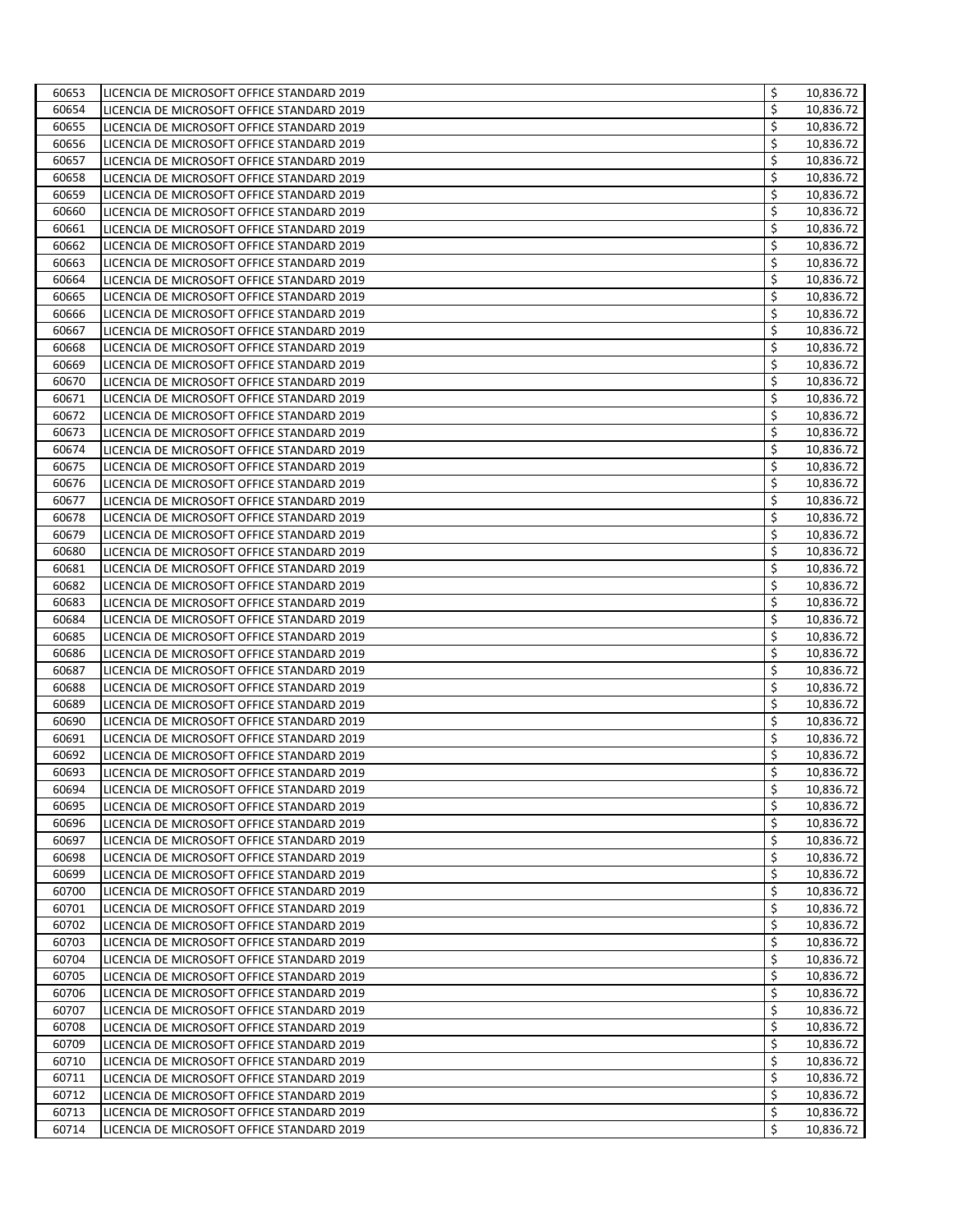| 60653 | LICENCIA DE MICROSOFT OFFICE STANDARD 2019 | \$<br>10,836.72 |
|-------|--------------------------------------------|-----------------|
| 60654 | LICENCIA DE MICROSOFT OFFICE STANDARD 2019 | \$<br>10,836.72 |
| 60655 | LICENCIA DE MICROSOFT OFFICE STANDARD 2019 | \$<br>10,836.72 |
| 60656 | LICENCIA DE MICROSOFT OFFICE STANDARD 2019 | \$<br>10,836.72 |
| 60657 | LICENCIA DE MICROSOFT OFFICE STANDARD 2019 | \$<br>10,836.72 |
| 60658 | LICENCIA DE MICROSOFT OFFICE STANDARD 2019 | \$<br>10,836.72 |
| 60659 | LICENCIA DE MICROSOFT OFFICE STANDARD 2019 | \$<br>10,836.72 |
| 60660 | LICENCIA DE MICROSOFT OFFICE STANDARD 2019 | \$<br>10,836.72 |
| 60661 | LICENCIA DE MICROSOFT OFFICE STANDARD 2019 | \$<br>10,836.72 |
| 60662 | LICENCIA DE MICROSOFT OFFICE STANDARD 2019 | \$<br>10,836.72 |
| 60663 | LICENCIA DE MICROSOFT OFFICE STANDARD 2019 | \$<br>10,836.72 |
| 60664 | LICENCIA DE MICROSOFT OFFICE STANDARD 2019 | \$<br>10,836.72 |
| 60665 | LICENCIA DE MICROSOFT OFFICE STANDARD 2019 | \$<br>10,836.72 |
| 60666 | LICENCIA DE MICROSOFT OFFICE STANDARD 2019 | \$<br>10,836.72 |
| 60667 | LICENCIA DE MICROSOFT OFFICE STANDARD 2019 | \$<br>10,836.72 |
| 60668 | LICENCIA DE MICROSOFT OFFICE STANDARD 2019 | \$<br>10,836.72 |
| 60669 | LICENCIA DE MICROSOFT OFFICE STANDARD 2019 | \$<br>10,836.72 |
| 60670 | LICENCIA DE MICROSOFT OFFICE STANDARD 2019 | \$<br>10,836.72 |
| 60671 | LICENCIA DE MICROSOFT OFFICE STANDARD 2019 | \$<br>10,836.72 |
| 60672 | LICENCIA DE MICROSOFT OFFICE STANDARD 2019 | \$<br>10,836.72 |
| 60673 | LICENCIA DE MICROSOFT OFFICE STANDARD 2019 | \$<br>10,836.72 |
| 60674 | LICENCIA DE MICROSOFT OFFICE STANDARD 2019 | \$<br>10,836.72 |
| 60675 | LICENCIA DE MICROSOFT OFFICE STANDARD 2019 | \$<br>10,836.72 |
| 60676 | LICENCIA DE MICROSOFT OFFICE STANDARD 2019 | \$<br>10,836.72 |
| 60677 | LICENCIA DE MICROSOFT OFFICE STANDARD 2019 | \$<br>10,836.72 |
| 60678 | LICENCIA DE MICROSOFT OFFICE STANDARD 2019 | \$<br>10,836.72 |
| 60679 | LICENCIA DE MICROSOFT OFFICE STANDARD 2019 | \$<br>10,836.72 |
| 60680 | LICENCIA DE MICROSOFT OFFICE STANDARD 2019 | \$<br>10,836.72 |
| 60681 | LICENCIA DE MICROSOFT OFFICE STANDARD 2019 | \$<br>10,836.72 |
| 60682 | LICENCIA DE MICROSOFT OFFICE STANDARD 2019 | \$<br>10,836.72 |
| 60683 | LICENCIA DE MICROSOFT OFFICE STANDARD 2019 | \$<br>10,836.72 |
| 60684 | LICENCIA DE MICROSOFT OFFICE STANDARD 2019 | \$<br>10,836.72 |
| 60685 | LICENCIA DE MICROSOFT OFFICE STANDARD 2019 | \$<br>10,836.72 |
| 60686 | LICENCIA DE MICROSOFT OFFICE STANDARD 2019 | \$<br>10,836.72 |
| 60687 | LICENCIA DE MICROSOFT OFFICE STANDARD 2019 | \$<br>10,836.72 |
| 60688 | LICENCIA DE MICROSOFT OFFICE STANDARD 2019 | \$<br>10,836.72 |
| 60689 | LICENCIA DE MICROSOFT OFFICE STANDARD 2019 | \$<br>10,836.72 |
| 60690 | LICENCIA DE MICROSOFT OFFICE STANDARD 2019 | \$<br>10,836.72 |
| 60691 | LICENCIA DE MICROSOFT OFFICE STANDARD 2019 | \$<br>10,836.72 |
| 60692 | LICENCIA DE MICROSOFT OFFICE STANDARD 2019 | \$<br>10,836.72 |
| 60693 | LICENCIA DE MICROSOFT OFFICE STANDARD 2019 | \$<br>10,836.72 |
| 60694 | LICENCIA DE MICROSOFT OFFICE STANDARD 2019 | \$<br>10,836.72 |
| 60695 | LICENCIA DE MICROSOFT OFFICE STANDARD 2019 | \$<br>10,836.72 |
| 60696 | LICENCIA DE MICROSOFT OFFICE STANDARD 2019 | \$<br>10,836.72 |
| 60697 | LICENCIA DE MICROSOFT OFFICE STANDARD 2019 | \$<br>10,836.72 |
| 60698 | LICENCIA DE MICROSOFT OFFICE STANDARD 2019 | \$<br>10,836.72 |
| 60699 | LICENCIA DE MICROSOFT OFFICE STANDARD 2019 | \$<br>10,836.72 |
| 60700 | LICENCIA DE MICROSOFT OFFICE STANDARD 2019 | \$<br>10,836.72 |
| 60701 | LICENCIA DE MICROSOFT OFFICE STANDARD 2019 | \$<br>10,836.72 |
| 60702 | LICENCIA DE MICROSOFT OFFICE STANDARD 2019 | \$<br>10,836.72 |
| 60703 | LICENCIA DE MICROSOFT OFFICE STANDARD 2019 | \$<br>10,836.72 |
| 60704 | LICENCIA DE MICROSOFT OFFICE STANDARD 2019 | \$<br>10,836.72 |
| 60705 | LICENCIA DE MICROSOFT OFFICE STANDARD 2019 | \$<br>10,836.72 |
| 60706 | LICENCIA DE MICROSOFT OFFICE STANDARD 2019 | \$<br>10,836.72 |
| 60707 | LICENCIA DE MICROSOFT OFFICE STANDARD 2019 | \$<br>10,836.72 |
| 60708 | LICENCIA DE MICROSOFT OFFICE STANDARD 2019 | \$<br>10,836.72 |
| 60709 | LICENCIA DE MICROSOFT OFFICE STANDARD 2019 | \$<br>10,836.72 |
| 60710 | LICENCIA DE MICROSOFT OFFICE STANDARD 2019 | \$<br>10,836.72 |
| 60711 | LICENCIA DE MICROSOFT OFFICE STANDARD 2019 | \$<br>10,836.72 |
| 60712 | LICENCIA DE MICROSOFT OFFICE STANDARD 2019 | \$<br>10,836.72 |
| 60713 | LICENCIA DE MICROSOFT OFFICE STANDARD 2019 | \$<br>10,836.72 |
| 60714 | LICENCIA DE MICROSOFT OFFICE STANDARD 2019 | \$<br>10,836.72 |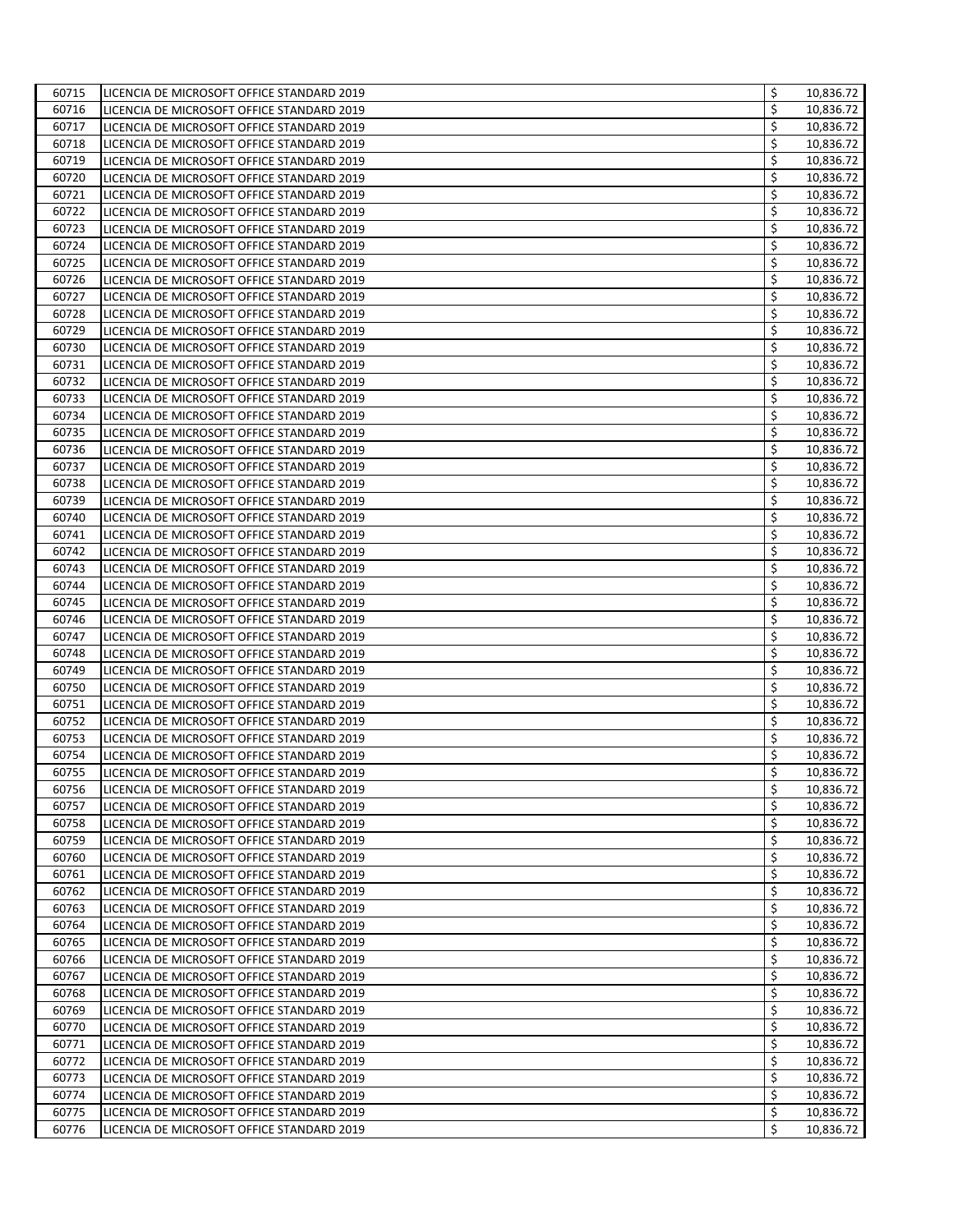| 60715 | LICENCIA DE MICROSOFT OFFICE STANDARD 2019 | \$<br>10,836.72 |
|-------|--------------------------------------------|-----------------|
| 60716 | LICENCIA DE MICROSOFT OFFICE STANDARD 2019 | \$<br>10,836.72 |
| 60717 | LICENCIA DE MICROSOFT OFFICE STANDARD 2019 | \$<br>10,836.72 |
| 60718 | LICENCIA DE MICROSOFT OFFICE STANDARD 2019 | \$<br>10,836.72 |
| 60719 | LICENCIA DE MICROSOFT OFFICE STANDARD 2019 | \$<br>10,836.72 |
| 60720 | LICENCIA DE MICROSOFT OFFICE STANDARD 2019 | \$<br>10,836.72 |
| 60721 | LICENCIA DE MICROSOFT OFFICE STANDARD 2019 | \$<br>10,836.72 |
| 60722 | LICENCIA DE MICROSOFT OFFICE STANDARD 2019 | \$<br>10,836.72 |
| 60723 | LICENCIA DE MICROSOFT OFFICE STANDARD 2019 | \$<br>10,836.72 |
| 60724 | LICENCIA DE MICROSOFT OFFICE STANDARD 2019 | \$<br>10,836.72 |
| 60725 | LICENCIA DE MICROSOFT OFFICE STANDARD 2019 | \$<br>10,836.72 |
| 60726 | LICENCIA DE MICROSOFT OFFICE STANDARD 2019 | \$<br>10,836.72 |
| 60727 | LICENCIA DE MICROSOFT OFFICE STANDARD 2019 | \$<br>10,836.72 |
| 60728 | LICENCIA DE MICROSOFT OFFICE STANDARD 2019 | \$<br>10,836.72 |
| 60729 | LICENCIA DE MICROSOFT OFFICE STANDARD 2019 | \$<br>10,836.72 |
| 60730 | LICENCIA DE MICROSOFT OFFICE STANDARD 2019 | \$<br>10,836.72 |
| 60731 | LICENCIA DE MICROSOFT OFFICE STANDARD 2019 | \$<br>10,836.72 |
| 60732 | LICENCIA DE MICROSOFT OFFICE STANDARD 2019 | \$<br>10,836.72 |
| 60733 | LICENCIA DE MICROSOFT OFFICE STANDARD 2019 | \$<br>10,836.72 |
| 60734 | LICENCIA DE MICROSOFT OFFICE STANDARD 2019 | \$<br>10,836.72 |
| 60735 | LICENCIA DE MICROSOFT OFFICE STANDARD 2019 | \$<br>10,836.72 |
| 60736 | LICENCIA DE MICROSOFT OFFICE STANDARD 2019 | \$<br>10,836.72 |
| 60737 | LICENCIA DE MICROSOFT OFFICE STANDARD 2019 | \$<br>10,836.72 |
| 60738 | LICENCIA DE MICROSOFT OFFICE STANDARD 2019 | \$<br>10,836.72 |
| 60739 | LICENCIA DE MICROSOFT OFFICE STANDARD 2019 | \$<br>10,836.72 |
| 60740 | LICENCIA DE MICROSOFT OFFICE STANDARD 2019 | \$<br>10,836.72 |
| 60741 | LICENCIA DE MICROSOFT OFFICE STANDARD 2019 | \$<br>10,836.72 |
| 60742 | LICENCIA DE MICROSOFT OFFICE STANDARD 2019 | \$<br>10,836.72 |
| 60743 | LICENCIA DE MICROSOFT OFFICE STANDARD 2019 | \$<br>10,836.72 |
| 60744 | LICENCIA DE MICROSOFT OFFICE STANDARD 2019 | \$<br>10,836.72 |
| 60745 | LICENCIA DE MICROSOFT OFFICE STANDARD 2019 | \$<br>10,836.72 |
| 60746 | LICENCIA DE MICROSOFT OFFICE STANDARD 2019 | \$<br>10,836.72 |
| 60747 | LICENCIA DE MICROSOFT OFFICE STANDARD 2019 | \$<br>10,836.72 |
| 60748 | LICENCIA DE MICROSOFT OFFICE STANDARD 2019 | \$<br>10,836.72 |
| 60749 | LICENCIA DE MICROSOFT OFFICE STANDARD 2019 | \$<br>10,836.72 |
| 60750 | LICENCIA DE MICROSOFT OFFICE STANDARD 2019 | \$<br>10,836.72 |
| 60751 | LICENCIA DE MICROSOFT OFFICE STANDARD 2019 | \$<br>10,836.72 |
| 60752 | LICENCIA DE MICROSOFT OFFICE STANDARD 2019 | \$<br>10,836.72 |
| 60753 | LICENCIA DE MICROSOFT OFFICE STANDARD 2019 | \$<br>10,836.72 |
| 60754 | LICENCIA DE MICROSOFT OFFICE STANDARD 2019 | \$<br>10,836.72 |
| 60755 | LICENCIA DE MICROSOFT OFFICE STANDARD 2019 | \$<br>10,836.72 |
| 60756 | LICENCIA DE MICROSOFT OFFICE STANDARD 2019 | \$<br>10,836.72 |
| 60757 | LICENCIA DE MICROSOFT OFFICE STANDARD 2019 | \$<br>10,836.72 |
| 60758 | LICENCIA DE MICROSOFT OFFICE STANDARD 2019 | \$<br>10,836.72 |
| 60759 | LICENCIA DE MICROSOFT OFFICE STANDARD 2019 | \$<br>10,836.72 |
| 60760 | LICENCIA DE MICROSOFT OFFICE STANDARD 2019 | \$<br>10,836.72 |
| 60761 | LICENCIA DE MICROSOFT OFFICE STANDARD 2019 | \$<br>10,836.72 |
| 60762 | LICENCIA DE MICROSOFT OFFICE STANDARD 2019 | \$<br>10,836.72 |
| 60763 | LICENCIA DE MICROSOFT OFFICE STANDARD 2019 | \$<br>10,836.72 |
| 60764 | LICENCIA DE MICROSOFT OFFICE STANDARD 2019 | \$<br>10,836.72 |
| 60765 | LICENCIA DE MICROSOFT OFFICE STANDARD 2019 | \$<br>10,836.72 |
| 60766 | LICENCIA DE MICROSOFT OFFICE STANDARD 2019 | \$<br>10,836.72 |
| 60767 | LICENCIA DE MICROSOFT OFFICE STANDARD 2019 | \$<br>10,836.72 |
| 60768 | LICENCIA DE MICROSOFT OFFICE STANDARD 2019 | \$<br>10,836.72 |
| 60769 | LICENCIA DE MICROSOFT OFFICE STANDARD 2019 | \$<br>10,836.72 |
| 60770 | LICENCIA DE MICROSOFT OFFICE STANDARD 2019 | \$<br>10,836.72 |
| 60771 | LICENCIA DE MICROSOFT OFFICE STANDARD 2019 | \$<br>10,836.72 |
| 60772 | LICENCIA DE MICROSOFT OFFICE STANDARD 2019 | \$<br>10,836.72 |
| 60773 | LICENCIA DE MICROSOFT OFFICE STANDARD 2019 | \$<br>10,836.72 |
| 60774 | LICENCIA DE MICROSOFT OFFICE STANDARD 2019 | \$<br>10,836.72 |
| 60775 | LICENCIA DE MICROSOFT OFFICE STANDARD 2019 | \$<br>10,836.72 |
| 60776 | LICENCIA DE MICROSOFT OFFICE STANDARD 2019 | \$<br>10,836.72 |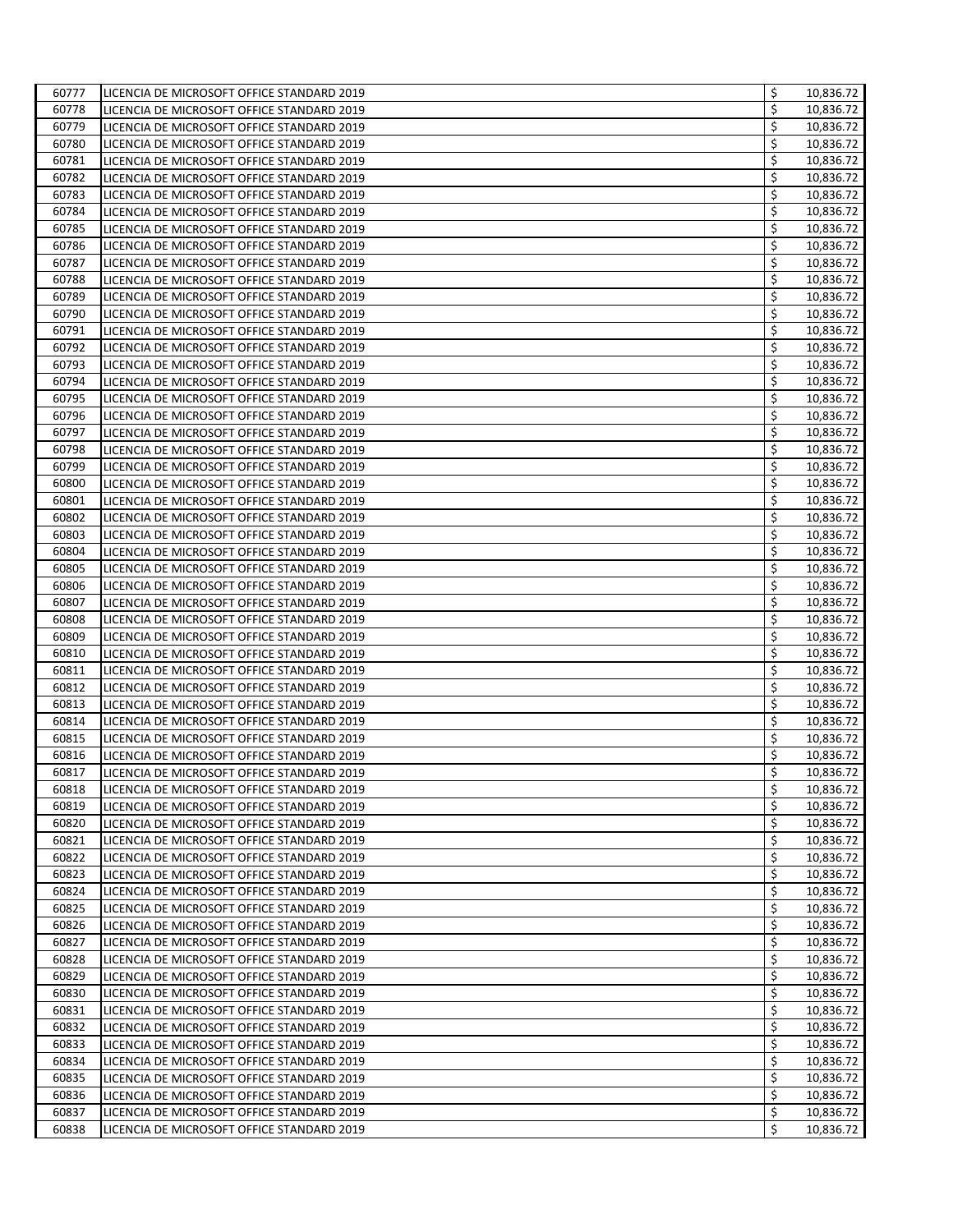| 60777 | LICENCIA DE MICROSOFT OFFICE STANDARD 2019 | \$<br>10,836.72 |
|-------|--------------------------------------------|-----------------|
| 60778 | LICENCIA DE MICROSOFT OFFICE STANDARD 2019 | \$<br>10,836.72 |
| 60779 | LICENCIA DE MICROSOFT OFFICE STANDARD 2019 | \$<br>10,836.72 |
| 60780 | LICENCIA DE MICROSOFT OFFICE STANDARD 2019 | \$<br>10,836.72 |
| 60781 | LICENCIA DE MICROSOFT OFFICE STANDARD 2019 | \$<br>10,836.72 |
| 60782 | LICENCIA DE MICROSOFT OFFICE STANDARD 2019 | \$<br>10,836.72 |
| 60783 | LICENCIA DE MICROSOFT OFFICE STANDARD 2019 | \$<br>10,836.72 |
| 60784 | LICENCIA DE MICROSOFT OFFICE STANDARD 2019 | \$<br>10,836.72 |
| 60785 | LICENCIA DE MICROSOFT OFFICE STANDARD 2019 | \$<br>10,836.72 |
| 60786 | LICENCIA DE MICROSOFT OFFICE STANDARD 2019 | \$<br>10,836.72 |
| 60787 | LICENCIA DE MICROSOFT OFFICE STANDARD 2019 | \$<br>10,836.72 |
| 60788 | LICENCIA DE MICROSOFT OFFICE STANDARD 2019 | \$<br>10,836.72 |
| 60789 | LICENCIA DE MICROSOFT OFFICE STANDARD 2019 | \$<br>10,836.72 |
| 60790 | LICENCIA DE MICROSOFT OFFICE STANDARD 2019 | \$<br>10,836.72 |
| 60791 | LICENCIA DE MICROSOFT OFFICE STANDARD 2019 | \$<br>10,836.72 |
| 60792 | LICENCIA DE MICROSOFT OFFICE STANDARD 2019 | \$<br>10,836.72 |
| 60793 | LICENCIA DE MICROSOFT OFFICE STANDARD 2019 | \$<br>10,836.72 |
| 60794 | LICENCIA DE MICROSOFT OFFICE STANDARD 2019 | \$<br>10,836.72 |
| 60795 | LICENCIA DE MICROSOFT OFFICE STANDARD 2019 | \$<br>10,836.72 |
| 60796 | LICENCIA DE MICROSOFT OFFICE STANDARD 2019 | \$<br>10,836.72 |
| 60797 | LICENCIA DE MICROSOFT OFFICE STANDARD 2019 | \$<br>10,836.72 |
| 60798 | LICENCIA DE MICROSOFT OFFICE STANDARD 2019 | \$<br>10,836.72 |
| 60799 | LICENCIA DE MICROSOFT OFFICE STANDARD 2019 | \$<br>10,836.72 |
| 60800 | LICENCIA DE MICROSOFT OFFICE STANDARD 2019 | \$<br>10,836.72 |
| 60801 | LICENCIA DE MICROSOFT OFFICE STANDARD 2019 | \$<br>10,836.72 |
| 60802 | LICENCIA DE MICROSOFT OFFICE STANDARD 2019 | \$<br>10,836.72 |
| 60803 | LICENCIA DE MICROSOFT OFFICE STANDARD 2019 | \$<br>10,836.72 |
| 60804 | LICENCIA DE MICROSOFT OFFICE STANDARD 2019 | \$<br>10,836.72 |
| 60805 | LICENCIA DE MICROSOFT OFFICE STANDARD 2019 | \$<br>10,836.72 |
| 60806 | LICENCIA DE MICROSOFT OFFICE STANDARD 2019 | \$<br>10,836.72 |
| 60807 | LICENCIA DE MICROSOFT OFFICE STANDARD 2019 | \$<br>10,836.72 |
| 60808 | LICENCIA DE MICROSOFT OFFICE STANDARD 2019 | \$<br>10,836.72 |
| 60809 | LICENCIA DE MICROSOFT OFFICE STANDARD 2019 | \$<br>10,836.72 |
| 60810 | LICENCIA DE MICROSOFT OFFICE STANDARD 2019 | \$<br>10,836.72 |
| 60811 | LICENCIA DE MICROSOFT OFFICE STANDARD 2019 | \$<br>10,836.72 |
| 60812 | LICENCIA DE MICROSOFT OFFICE STANDARD 2019 | \$<br>10,836.72 |
| 60813 | LICENCIA DE MICROSOFT OFFICE STANDARD 2019 | \$<br>10,836.72 |
| 60814 | LICENCIA DE MICROSOFT OFFICE STANDARD 2019 | \$<br>10,836.72 |
| 60815 | LICENCIA DE MICROSOFT OFFICE STANDARD 2019 | \$<br>10,836.72 |
| 60816 | LICENCIA DE MICROSOFT OFFICE STANDARD 2019 | \$<br>10,836.72 |
| 60817 | LICENCIA DE MICROSOFT OFFICE STANDARD 2019 | \$<br>10,836.72 |
| 60818 | LICENCIA DE MICROSOFT OFFICE STANDARD 2019 | \$<br>10,836.72 |
| 60819 | LICENCIA DE MICROSOFT OFFICE STANDARD 2019 | \$<br>10,836.72 |
| 60820 | LICENCIA DE MICROSOFT OFFICE STANDARD 2019 | \$<br>10,836.72 |
| 60821 | LICENCIA DE MICROSOFT OFFICE STANDARD 2019 | \$<br>10,836.72 |
| 60822 | LICENCIA DE MICROSOFT OFFICE STANDARD 2019 | \$<br>10,836.72 |
| 60823 | LICENCIA DE MICROSOFT OFFICE STANDARD 2019 | \$<br>10,836.72 |
| 60824 | LICENCIA DE MICROSOFT OFFICE STANDARD 2019 | \$<br>10,836.72 |
| 60825 | LICENCIA DE MICROSOFT OFFICE STANDARD 2019 | \$<br>10,836.72 |
| 60826 | LICENCIA DE MICROSOFT OFFICE STANDARD 2019 | \$<br>10,836.72 |
| 60827 | LICENCIA DE MICROSOFT OFFICE STANDARD 2019 | \$<br>10,836.72 |
| 60828 | LICENCIA DE MICROSOFT OFFICE STANDARD 2019 | \$<br>10,836.72 |
| 60829 | LICENCIA DE MICROSOFT OFFICE STANDARD 2019 | \$<br>10,836.72 |
| 60830 | LICENCIA DE MICROSOFT OFFICE STANDARD 2019 | \$<br>10,836.72 |
| 60831 | LICENCIA DE MICROSOFT OFFICE STANDARD 2019 | \$<br>10,836.72 |
| 60832 | LICENCIA DE MICROSOFT OFFICE STANDARD 2019 | \$<br>10,836.72 |
| 60833 | LICENCIA DE MICROSOFT OFFICE STANDARD 2019 | \$<br>10,836.72 |
| 60834 | LICENCIA DE MICROSOFT OFFICE STANDARD 2019 | \$<br>10,836.72 |
| 60835 | LICENCIA DE MICROSOFT OFFICE STANDARD 2019 | \$<br>10,836.72 |
| 60836 | LICENCIA DE MICROSOFT OFFICE STANDARD 2019 | \$<br>10,836.72 |
| 60837 | LICENCIA DE MICROSOFT OFFICE STANDARD 2019 | \$<br>10,836.72 |
| 60838 | LICENCIA DE MICROSOFT OFFICE STANDARD 2019 | \$<br>10,836.72 |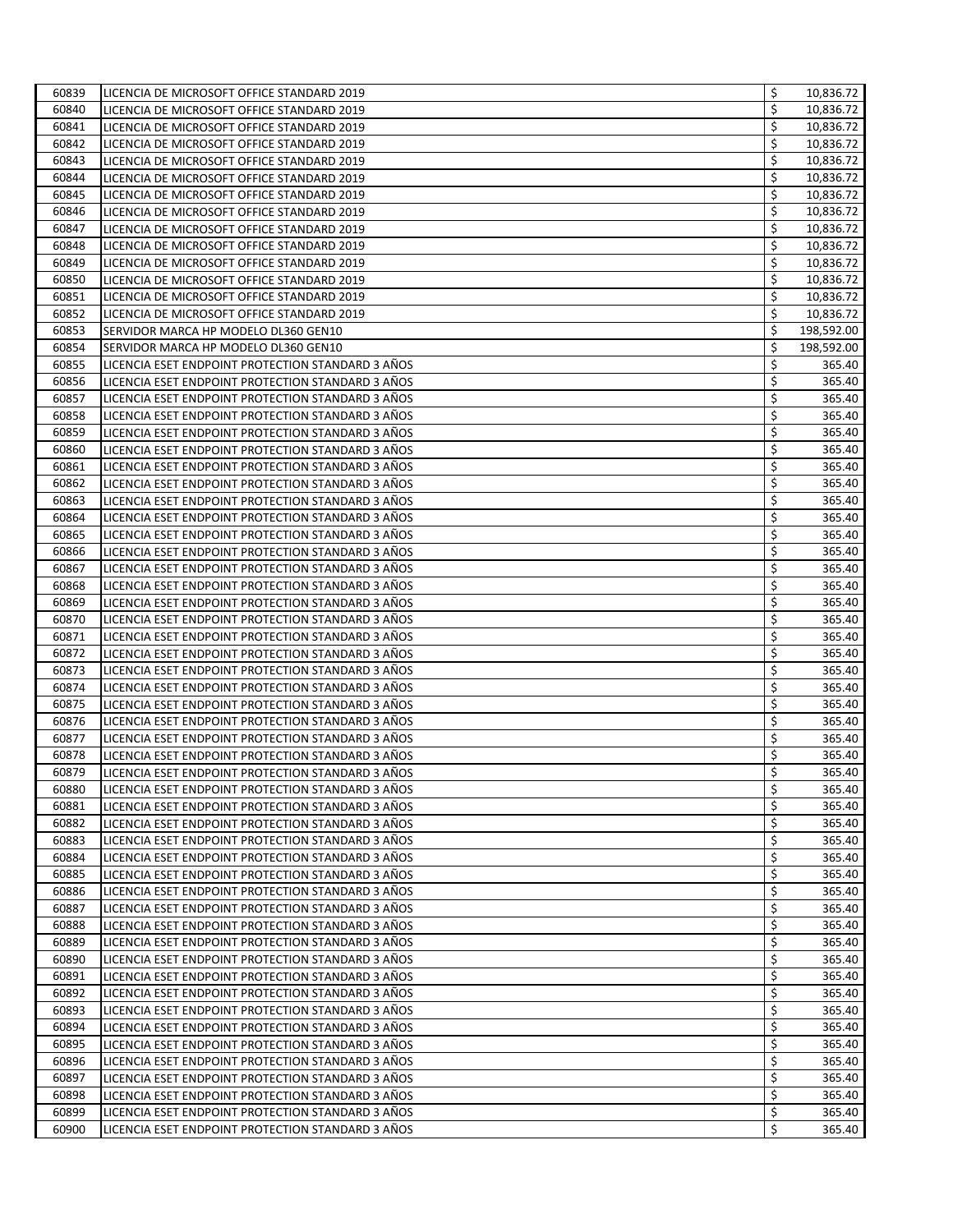| 60839 | LICENCIA DE MICROSOFT OFFICE STANDARD 2019                                                             | \$ | 10,836.72  |
|-------|--------------------------------------------------------------------------------------------------------|----|------------|
| 60840 | LICENCIA DE MICROSOFT OFFICE STANDARD 2019                                                             | \$ | 10,836.72  |
| 60841 | LICENCIA DE MICROSOFT OFFICE STANDARD 2019                                                             | \$ | 10,836.72  |
| 60842 | LICENCIA DE MICROSOFT OFFICE STANDARD 2019                                                             | \$ | 10,836.72  |
| 60843 | LICENCIA DE MICROSOFT OFFICE STANDARD 2019                                                             | \$ | 10,836.72  |
| 60844 | LICENCIA DE MICROSOFT OFFICE STANDARD 2019                                                             | \$ | 10,836.72  |
| 60845 | LICENCIA DE MICROSOFT OFFICE STANDARD 2019                                                             | \$ | 10,836.72  |
| 60846 | LICENCIA DE MICROSOFT OFFICE STANDARD 2019                                                             | \$ | 10,836.72  |
| 60847 | LICENCIA DE MICROSOFT OFFICE STANDARD 2019                                                             | \$ | 10,836.72  |
| 60848 | LICENCIA DE MICROSOFT OFFICE STANDARD 2019                                                             | \$ | 10,836.72  |
| 60849 | LICENCIA DE MICROSOFT OFFICE STANDARD 2019                                                             | \$ | 10,836.72  |
| 60850 | LICENCIA DE MICROSOFT OFFICE STANDARD 2019                                                             | \$ | 10,836.72  |
| 60851 | LICENCIA DE MICROSOFT OFFICE STANDARD 2019                                                             | \$ | 10,836.72  |
| 60852 | LICENCIA DE MICROSOFT OFFICE STANDARD 2019                                                             | \$ | 10,836.72  |
| 60853 | SERVIDOR MARCA HP MODELO DL360 GEN10                                                                   | \$ | 198,592.00 |
| 60854 | SERVIDOR MARCA HP MODELO DL360 GEN10                                                                   | \$ | 198,592.00 |
| 60855 | LICENCIA ESET ENDPOINT PROTECTION STANDARD 3 ANOS                                                      | \$ | 365.40     |
| 60856 | LICENCIA ESET ENDPOINT PROTECTION STANDARD 3 AÑOS                                                      | \$ | 365.40     |
| 60857 | LICENCIA ESET ENDPOINT PROTECTION STANDARD 3 AÑOS                                                      | \$ | 365.40     |
| 60858 | LICENCIA ESET ENDPOINT PROTECTION STANDARD 3 AÑOS                                                      | \$ | 365.40     |
| 60859 | LICENCIA ESET ENDPOINT PROTECTION STANDARD 3 AÑOS                                                      | \$ | 365.40     |
| 60860 |                                                                                                        | \$ | 365.40     |
| 60861 | LICENCIA ESET ENDPOINT PROTECTION STANDARD 3 ANOS                                                      | \$ | 365.40     |
| 60862 | LICENCIA ESET ENDPOINT PROTECTION STANDARD 3 AÑOS<br>LICENCIA ESET ENDPOINT PROTECTION STANDARD 3 AÑOS | \$ | 365.40     |
|       |                                                                                                        |    | 365.40     |
| 60863 | LICENCIA ESET ENDPOINT PROTECTION STANDARD 3 AÑOS                                                      | \$ |            |
| 60864 | LICENCIA ESET ENDPOINT PROTECTION STANDARD 3 AÑOS                                                      | \$ | 365.40     |
| 60865 | LICENCIA ESET ENDPOINT PROTECTION STANDARD 3 AÑOS                                                      | \$ | 365.40     |
| 60866 | LICENCIA ESET ENDPOINT PROTECTION STANDARD 3 ANOS                                                      | \$ | 365.40     |
| 60867 | LICENCIA ESET ENDPOINT PROTECTION STANDARD 3 AÑOS                                                      | \$ | 365.40     |
| 60868 | LICENCIA ESET ENDPOINT PROTECTION STANDARD 3 AÑOS                                                      | \$ | 365.40     |
| 60869 | LICENCIA ESET ENDPOINT PROTECTION STANDARD 3 AÑOS                                                      | \$ | 365.40     |
| 60870 | LICENCIA ESET ENDPOINT PROTECTION STANDARD 3 AÑOS                                                      | \$ | 365.40     |
| 60871 | LICENCIA ESET ENDPOINT PROTECTION STANDARD 3 ANOS                                                      | \$ | 365.40     |
| 60872 | LICENCIA ESET ENDPOINT PROTECTION STANDARD 3 AÑOS                                                      | \$ | 365.40     |
| 60873 | LICENCIA ESET ENDPOINT PROTECTION STANDARD 3 ANOS                                                      | \$ | 365.40     |
| 60874 | LICENCIA ESET ENDPOINT PROTECTION STANDARD 3 AÑOS                                                      | \$ | 365.40     |
| 60875 | LICENCIA ESET ENDPOINT PROTECTION STANDARD 3 AÑOS                                                      | \$ | 365.40     |
| 60876 | LICENCIA ESET ENDPOINT PROTECTION STANDARD 3 AÑOS                                                      | \$ | 365.40     |
| 60877 | LICENCIA ESET ENDPOINT PROTECTION STANDARD 3 ANOS                                                      | \$ | 365.40     |
| 60878 | LICENCIA ESET ENDPOINT PROTECTION STANDARD 3 AÑOS                                                      | \$ | 365.40     |
| 60879 | LICENCIA ESET ENDPOINT PROTECTION STANDARD 3 AÑOS                                                      | \$ | 365.40     |
| 60880 | LICENCIA ESET ENDPOINT PROTECTION STANDARD 3 ANOS                                                      | \$ | 365.40     |
| 60881 | LICENCIA ESET ENDPOINT PROTECTION STANDARD 3 ANOS                                                      | \$ | 365.40     |
| 60882 | LICENCIA ESET ENDPOINT PROTECTION STANDARD 3 ANOS                                                      | \$ | 365.40     |
| 60883 | LICENCIA ESET ENDPOINT PROTECTION STANDARD 3 AÑOS                                                      | \$ | 365.40     |
| 60884 | LICENCIA ESET ENDPOINT PROTECTION STANDARD 3 AÑOS                                                      | \$ | 365.40     |
| 60885 | LICENCIA ESET ENDPOINT PROTECTION STANDARD 3 AÑOS                                                      | \$ | 365.40     |
| 60886 | LICENCIA ESET ENDPOINT PROTECTION STANDARD 3 AÑOS                                                      | \$ | 365.40     |
| 60887 | LICENCIA ESET ENDPOINT PROTECTION STANDARD 3 AÑOS                                                      | \$ | 365.40     |
| 60888 | LICENCIA ESET ENDPOINT PROTECTION STANDARD 3 AÑOS                                                      | \$ | 365.40     |
| 60889 | LICENCIA ESET ENDPOINT PROTECTION STANDARD 3 AÑOS                                                      | \$ | 365.40     |
| 60890 | LICENCIA ESET ENDPOINT PROTECTION STANDARD 3 AÑOS                                                      | \$ | 365.40     |
| 60891 | LICENCIA ESET ENDPOINT PROTECTION STANDARD 3 AÑOS                                                      | \$ | 365.40     |
| 60892 | LICENCIA ESET ENDPOINT PROTECTION STANDARD 3 AÑOS                                                      | \$ | 365.40     |
| 60893 | LICENCIA ESET ENDPOINT PROTECTION STANDARD 3 AÑOS                                                      | \$ | 365.40     |
| 60894 | LICENCIA ESET ENDPOINT PROTECTION STANDARD 3 AÑOS                                                      | \$ | 365.40     |
| 60895 | LICENCIA ESET ENDPOINT PROTECTION STANDARD 3 AÑOS                                                      | \$ | 365.40     |
| 60896 | LICENCIA ESET ENDPOINT PROTECTION STANDARD 3 AÑOS                                                      | \$ | 365.40     |
| 60897 | LICENCIA ESET ENDPOINT PROTECTION STANDARD 3 AÑOS                                                      | \$ | 365.40     |
| 60898 | LICENCIA ESET ENDPOINT PROTECTION STANDARD 3 AÑOS                                                      | \$ | 365.40     |
| 60899 | LICENCIA ESET ENDPOINT PROTECTION STANDARD 3 AÑOS                                                      | \$ | 365.40     |
| 60900 | LICENCIA ESET ENDPOINT PROTECTION STANDARD 3 AÑOS                                                      | Ś  | 365.40     |
|       |                                                                                                        |    |            |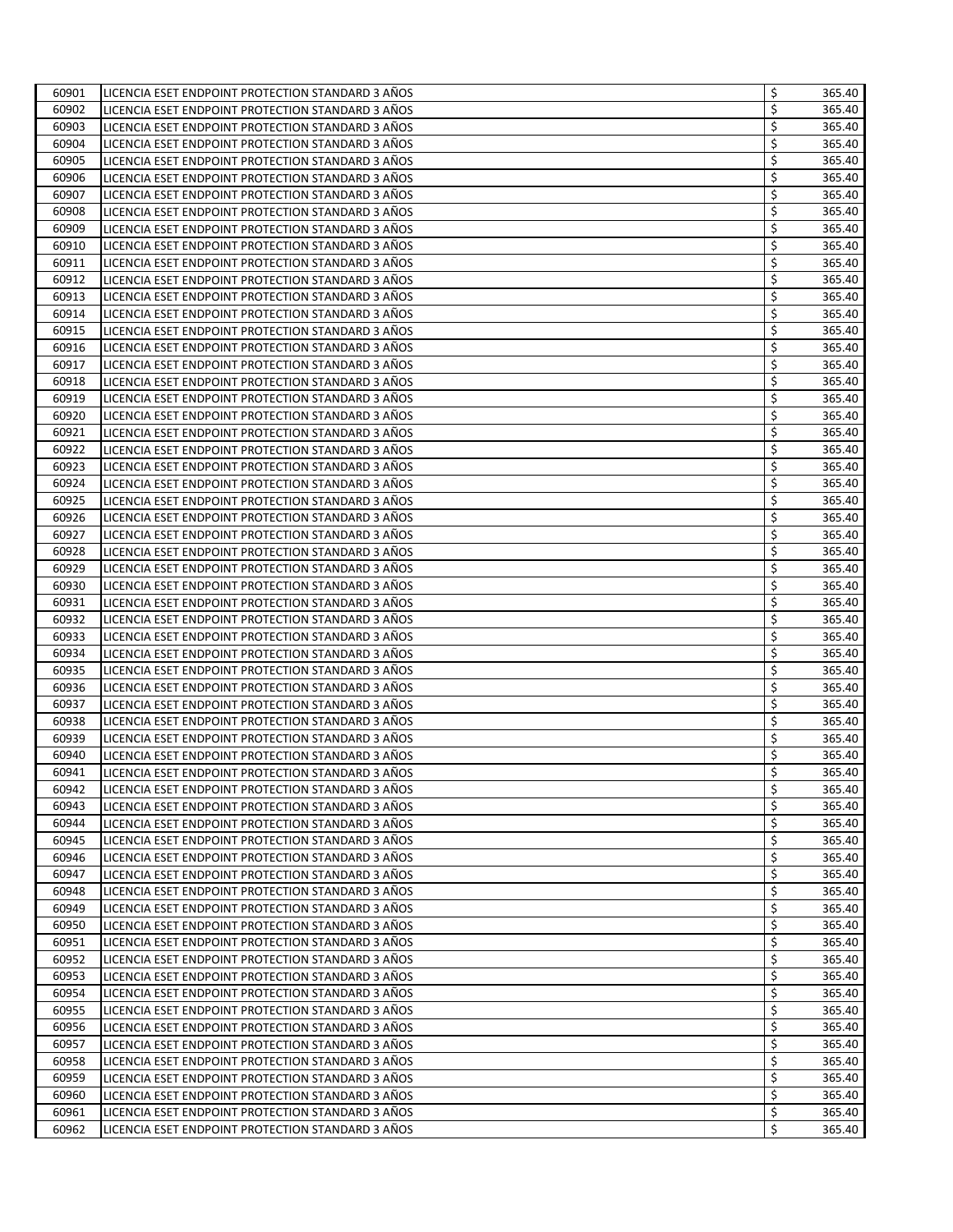| 60901 | LICENCIA ESET ENDPOINT PROTECTION STANDARD 3 ANOS                                                      | \$<br>365.40 |
|-------|--------------------------------------------------------------------------------------------------------|--------------|
| 60902 | LICENCIA ESET ENDPOINT PROTECTION STANDARD 3 AÑOS                                                      | \$<br>365.40 |
| 60903 | LICENCIA ESET ENDPOINT PROTECTION STANDARD 3 AÑOS                                                      | \$<br>365.40 |
| 60904 | LICENCIA ESET ENDPOINT PROTECTION STANDARD 3 ANOS                                                      | \$<br>365.40 |
| 60905 | LICENCIA ESET ENDPOINT PROTECTION STANDARD 3 ANOS                                                      | \$<br>365.40 |
| 60906 | LICENCIA ESET ENDPOINT PROTECTION STANDARD 3 AÑOS                                                      | \$<br>365.40 |
| 60907 | LICENCIA ESET ENDPOINT PROTECTION STANDARD 3 AÑOS                                                      | \$<br>365.40 |
| 60908 | LICENCIA ESET ENDPOINT PROTECTION STANDARD 3 ANOS                                                      | \$<br>365.40 |
| 60909 | LICENCIA ESET ENDPOINT PROTECTION STANDARD 3 AÑOS                                                      | \$<br>365.40 |
| 60910 | LICENCIA ESET ENDPOINT PROTECTION STANDARD 3 ANOS                                                      | \$<br>365.40 |
| 60911 | LICENCIA ESET ENDPOINT PROTECTION STANDARD 3 AÑOS                                                      | \$<br>365.40 |
| 60912 | LICENCIA ESET ENDPOINT PROTECTION STANDARD 3 ANOS                                                      | \$<br>365.40 |
| 60913 | LICENCIA ESET ENDPOINT PROTECTION STANDARD 3 AÑOS                                                      | \$<br>365.40 |
| 60914 | LICENCIA ESET ENDPOINT PROTECTION STANDARD 3 AÑOS                                                      | \$<br>365.40 |
| 60915 | LICENCIA ESET ENDPOINT PROTECTION STANDARD 3 AÑOS                                                      | \$<br>365.40 |
| 60916 | LICENCIA ESET ENDPOINT PROTECTION STANDARD 3 ANOS                                                      | \$<br>365.40 |
| 60917 | LICENCIA ESET ENDPOINT PROTECTION STANDARD 3 ANOS                                                      | \$<br>365.40 |
| 60918 | LICENCIA ESET ENDPOINT PROTECTION STANDARD 3 ANOS                                                      | \$<br>365.40 |
| 60919 | LICENCIA ESET ENDPOINT PROTECTION STANDARD 3 ANOS                                                      | \$<br>365.40 |
| 60920 | LICENCIA ESET ENDPOINT PROTECTION STANDARD 3 AÑOS                                                      | \$<br>365.40 |
| 60921 | LICENCIA ESET ENDPOINT PROTECTION STANDARD 3 ANOS                                                      | \$<br>365.40 |
| 60922 |                                                                                                        | \$<br>365.40 |
| 60923 | LICENCIA ESET ENDPOINT PROTECTION STANDARD 3 ANOS<br>LICENCIA ESET ENDPOINT PROTECTION STANDARD 3 AÑOS | \$<br>365.40 |
|       |                                                                                                        | 365.40       |
| 60924 | LICENCIA ESET ENDPOINT PROTECTION STANDARD 3 ANOS                                                      | \$           |
| 60925 | LICENCIA ESET ENDPOINT PROTECTION STANDARD 3 AÑOS                                                      | \$<br>365.40 |
| 60926 | LICENCIA ESET ENDPOINT PROTECTION STANDARD 3 AÑOS                                                      | \$<br>365.40 |
| 60927 | LICENCIA ESET ENDPOINT PROTECTION STANDARD 3 ANOS                                                      | \$<br>365.40 |
| 60928 | LICENCIA ESET ENDPOINT PROTECTION STANDARD 3 ANOS                                                      | \$<br>365.40 |
| 60929 | LICENCIA ESET ENDPOINT PROTECTION STANDARD 3 AÑOS                                                      | \$<br>365.40 |
| 60930 | LICENCIA ESET ENDPOINT PROTECTION STANDARD 3 AÑOS                                                      | \$<br>365.40 |
| 60931 | LICENCIA ESET ENDPOINT PROTECTION STANDARD 3 AÑOS                                                      | \$<br>365.40 |
| 60932 | LICENCIA ESET ENDPOINT PROTECTION STANDARD 3 ANOS                                                      | \$<br>365.40 |
| 60933 | LICENCIA ESET ENDPOINT PROTECTION STANDARD 3 ANOS                                                      | \$<br>365.40 |
| 60934 | LICENCIA ESET ENDPOINT PROTECTION STANDARD 3 ANOS                                                      | \$<br>365.40 |
| 60935 | LICENCIA ESET ENDPOINT PROTECTION STANDARD 3 ANOS                                                      | \$<br>365.40 |
| 60936 | LICENCIA ESET ENDPOINT PROTECTION STANDARD 3 AÑOS                                                      | \$<br>365.40 |
| 60937 | LICENCIA ESET ENDPOINT PROTECTION STANDARD 3 AÑOS                                                      | \$<br>365.40 |
| 60938 | LICENCIA ESET ENDPOINT PROTECTION STANDARD 3 AÑOS                                                      | \$<br>365.40 |
| 60939 | LICENCIA ESET ENDPOINT PROTECTION STANDARD 3 ANOS                                                      | \$<br>365.40 |
| 60940 | LICENCIA ESET ENDPOINT PROTECTION STANDARD 3 ANOS                                                      | \$<br>365.40 |
| 60941 | LICENCIA ESET ENDPOINT PROTECTION STANDARD 3 AÑOS                                                      | \$<br>365.40 |
| 60942 | LICENCIA ESET ENDPOINT PROTECTION STANDARD 3 ANOS                                                      | \$<br>365.40 |
| 60943 | LICENCIA ESET ENDPOINT PROTECTION STANDARD 3 AÑOS                                                      | \$<br>365.40 |
| 60944 | LICENCIA ESET ENDPOINT PROTECTION STANDARD 3 ANOS                                                      | \$<br>365.40 |
| 60945 | LICENCIA ESET ENDPOINT PROTECTION STANDARD 3 AÑOS                                                      | \$<br>365.40 |
| 60946 | LICENCIA ESET ENDPOINT PROTECTION STANDARD 3 AÑOS                                                      | \$<br>365.40 |
| 60947 | LICENCIA ESET ENDPOINT PROTECTION STANDARD 3 AÑOS                                                      | \$<br>365.40 |
| 60948 | LICENCIA ESET ENDPOINT PROTECTION STANDARD 3 AÑOS                                                      | \$<br>365.40 |
| 60949 | LICENCIA ESET ENDPOINT PROTECTION STANDARD 3 AÑOS                                                      | \$<br>365.40 |
| 60950 | LICENCIA ESET ENDPOINT PROTECTION STANDARD 3 AÑOS                                                      | \$<br>365.40 |
| 60951 | LICENCIA ESET ENDPOINT PROTECTION STANDARD 3 AÑOS                                                      | \$<br>365.40 |
| 60952 | LICENCIA ESET ENDPOINT PROTECTION STANDARD 3 AÑOS                                                      | \$<br>365.40 |
| 60953 | LICENCIA ESET ENDPOINT PROTECTION STANDARD 3 AÑOS                                                      | \$<br>365.40 |
| 60954 | LICENCIA ESET ENDPOINT PROTECTION STANDARD 3 AÑOS                                                      | \$<br>365.40 |
| 60955 | LICENCIA ESET ENDPOINT PROTECTION STANDARD 3 AÑOS                                                      | \$<br>365.40 |
| 60956 | LICENCIA ESET ENDPOINT PROTECTION STANDARD 3 AÑOS                                                      | \$<br>365.40 |
| 60957 | LICENCIA ESET ENDPOINT PROTECTION STANDARD 3 AÑOS                                                      | \$<br>365.40 |
| 60958 | LICENCIA ESET ENDPOINT PROTECTION STANDARD 3 AÑOS                                                      | \$<br>365.40 |
| 60959 | LICENCIA ESET ENDPOINT PROTECTION STANDARD 3 AÑOS                                                      | \$<br>365.40 |
| 60960 | LICENCIA ESET ENDPOINT PROTECTION STANDARD 3 AÑOS                                                      | \$<br>365.40 |
| 60961 | LICENCIA ESET ENDPOINT PROTECTION STANDARD 3 AÑOS                                                      | \$<br>365.40 |
| 60962 | LICENCIA ESET ENDPOINT PROTECTION STANDARD 3 AÑOS                                                      | \$<br>365.40 |
|       |                                                                                                        |              |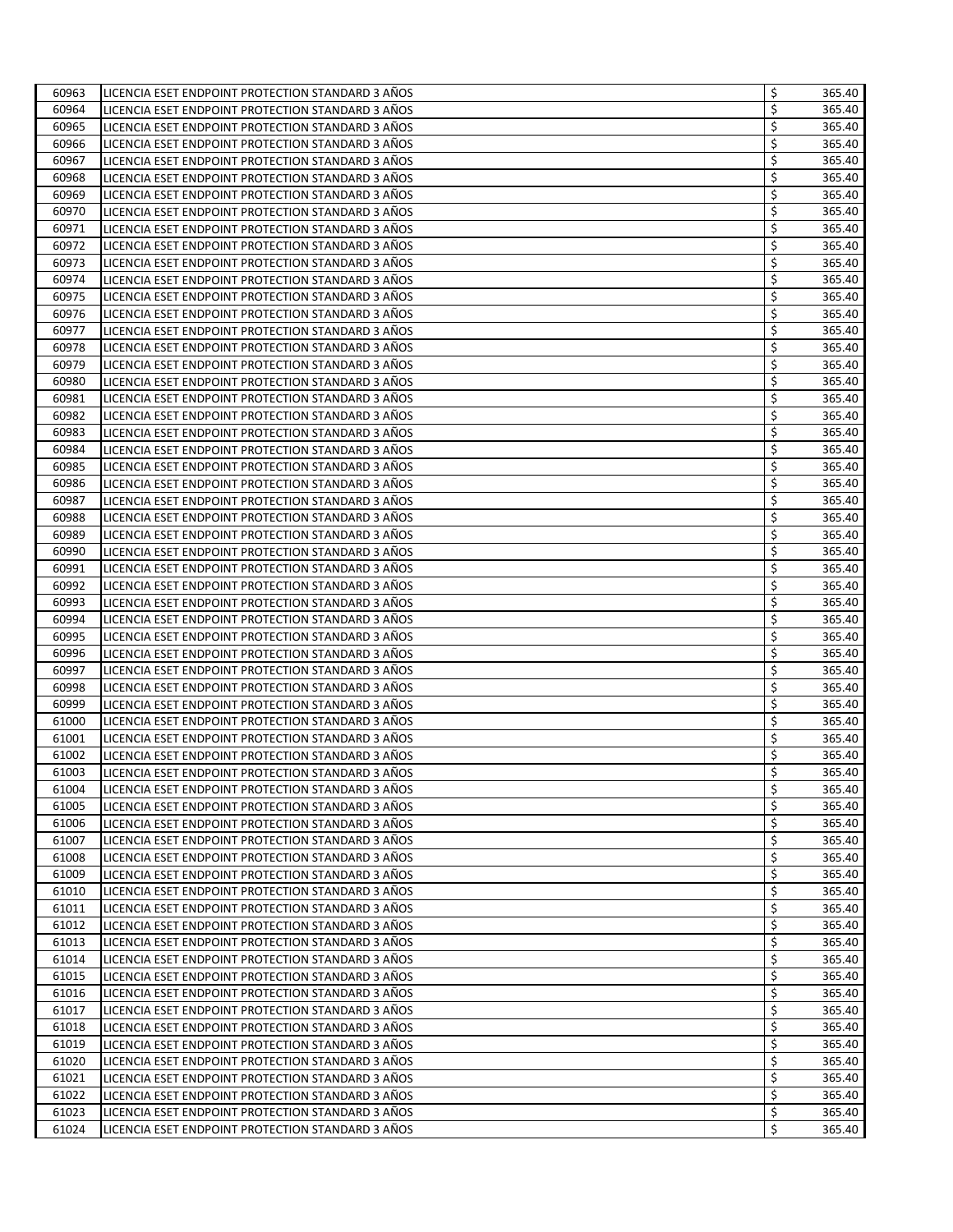| 60963 | LICENCIA ESET ENDPOINT PROTECTION STANDARD 3 ANOS                                                      | \$<br>365.40 |
|-------|--------------------------------------------------------------------------------------------------------|--------------|
| 60964 | LICENCIA ESET ENDPOINT PROTECTION STANDARD 3 AÑOS                                                      | \$<br>365.40 |
| 60965 | LICENCIA ESET ENDPOINT PROTECTION STANDARD 3 AÑOS                                                      | \$<br>365.40 |
| 60966 | LICENCIA ESET ENDPOINT PROTECTION STANDARD 3 ANOS                                                      | \$<br>365.40 |
| 60967 | LICENCIA ESET ENDPOINT PROTECTION STANDARD 3 ANOS                                                      | \$<br>365.40 |
| 60968 | LICENCIA ESET ENDPOINT PROTECTION STANDARD 3 AÑOS                                                      | \$<br>365.40 |
| 60969 | LICENCIA ESET ENDPOINT PROTECTION STANDARD 3 AÑOS                                                      | \$<br>365.40 |
| 60970 | LICENCIA ESET ENDPOINT PROTECTION STANDARD 3 ANOS                                                      | \$<br>365.40 |
| 60971 | LICENCIA ESET ENDPOINT PROTECTION STANDARD 3 AÑOS                                                      | \$<br>365.40 |
| 60972 | LICENCIA ESET ENDPOINT PROTECTION STANDARD 3 ANOS                                                      | \$<br>365.40 |
| 60973 | LICENCIA ESET ENDPOINT PROTECTION STANDARD 3 AÑOS                                                      | \$<br>365.40 |
| 60974 | LICENCIA ESET ENDPOINT PROTECTION STANDARD 3 ANOS                                                      | \$<br>365.40 |
| 60975 | LICENCIA ESET ENDPOINT PROTECTION STANDARD 3 AÑOS                                                      | \$<br>365.40 |
| 60976 | LICENCIA ESET ENDPOINT PROTECTION STANDARD 3 AÑOS                                                      | \$<br>365.40 |
| 60977 | LICENCIA ESET ENDPOINT PROTECTION STANDARD 3 ANOS                                                      | \$<br>365.40 |
| 60978 | LICENCIA ESET ENDPOINT PROTECTION STANDARD 3 ANOS                                                      | \$<br>365.40 |
| 60979 | LICENCIA ESET ENDPOINT PROTECTION STANDARD 3 ANOS                                                      | \$<br>365.40 |
| 60980 | LICENCIA ESET ENDPOINT PROTECTION STANDARD 3 ANOS                                                      | \$<br>365.40 |
| 60981 | LICENCIA ESET ENDPOINT PROTECTION STANDARD 3 ANOS                                                      | \$<br>365.40 |
| 60982 | LICENCIA ESET ENDPOINT PROTECTION STANDARD 3 AÑOS                                                      | \$<br>365.40 |
| 60983 | LICENCIA ESET ENDPOINT PROTECTION STANDARD 3 AÑOS                                                      | \$<br>365.40 |
| 60984 |                                                                                                        | \$<br>365.40 |
| 60985 | LICENCIA ESET ENDPOINT PROTECTION STANDARD 3 ANOS<br>LICENCIA ESET ENDPOINT PROTECTION STANDARD 3 AÑOS | \$<br>365.40 |
|       |                                                                                                        | 365.40       |
| 60986 | LICENCIA ESET ENDPOINT PROTECTION STANDARD 3 ANOS                                                      | \$           |
| 60987 | LICENCIA ESET ENDPOINT PROTECTION STANDARD 3 AÑOS                                                      | \$<br>365.40 |
| 60988 | LICENCIA ESET ENDPOINT PROTECTION STANDARD 3 AÑOS                                                      | \$<br>365.40 |
| 60989 | LICENCIA ESET ENDPOINT PROTECTION STANDARD 3 ANOS                                                      | \$<br>365.40 |
| 60990 | LICENCIA ESET ENDPOINT PROTECTION STANDARD 3 ANOS                                                      | \$<br>365.40 |
| 60991 | LICENCIA ESET ENDPOINT PROTECTION STANDARD 3 AÑOS                                                      | \$<br>365.40 |
| 60992 | LICENCIA ESET ENDPOINT PROTECTION STANDARD 3 AÑOS                                                      | \$<br>365.40 |
| 60993 | LICENCIA ESET ENDPOINT PROTECTION STANDARD 3 AÑOS                                                      | \$<br>365.40 |
| 60994 | LICENCIA ESET ENDPOINT PROTECTION STANDARD 3 ANOS                                                      | \$<br>365.40 |
| 60995 | LICENCIA ESET ENDPOINT PROTECTION STANDARD 3 ANOS                                                      | \$<br>365.40 |
| 60996 | LICENCIA ESET ENDPOINT PROTECTION STANDARD 3 ANOS                                                      | \$<br>365.40 |
| 60997 | LICENCIA ESET ENDPOINT PROTECTION STANDARD 3 ANOS                                                      | \$<br>365.40 |
| 60998 | LICENCIA ESET ENDPOINT PROTECTION STANDARD 3 AÑOS                                                      | \$<br>365.40 |
| 60999 | LICENCIA ESET ENDPOINT PROTECTION STANDARD 3 AÑOS                                                      | \$<br>365.40 |
| 61000 | LICENCIA ESET ENDPOINT PROTECTION STANDARD 3 AÑOS                                                      | \$<br>365.40 |
| 61001 | LICENCIA ESET ENDPOINT PROTECTION STANDARD 3 ANOS                                                      | \$<br>365.40 |
| 61002 | LICENCIA ESET ENDPOINT PROTECTION STANDARD 3 ANOS                                                      | \$<br>365.40 |
| 61003 | LICENCIA ESET ENDPOINT PROTECTION STANDARD 3 AÑOS                                                      | \$<br>365.40 |
| 61004 | LICENCIA ESET ENDPOINT PROTECTION STANDARD 3 AÑOS                                                      | \$<br>365.40 |
| 61005 | LICENCIA ESET ENDPOINT PROTECTION STANDARD 3 ANOS                                                      | \$<br>365.40 |
| 61006 | LICENCIA ESET ENDPOINT PROTECTION STANDARD 3 ANOS                                                      | \$<br>365.40 |
| 61007 | LICENCIA ESET ENDPOINT PROTECTION STANDARD 3 AÑOS                                                      | \$<br>365.40 |
| 61008 | LICENCIA ESET ENDPOINT PROTECTION STANDARD 3 AÑOS                                                      | \$<br>365.40 |
| 61009 | LICENCIA ESET ENDPOINT PROTECTION STANDARD 3 AÑOS                                                      | \$<br>365.40 |
| 61010 | LICENCIA ESET ENDPOINT PROTECTION STANDARD 3 AÑOS                                                      | \$<br>365.40 |
| 61011 | LICENCIA ESET ENDPOINT PROTECTION STANDARD 3 AÑOS                                                      | \$<br>365.40 |
| 61012 | LICENCIA ESET ENDPOINT PROTECTION STANDARD 3 AÑOS                                                      | \$<br>365.40 |
| 61013 | LICENCIA ESET ENDPOINT PROTECTION STANDARD 3 AÑOS                                                      | \$<br>365.40 |
| 61014 | LICENCIA ESET ENDPOINT PROTECTION STANDARD 3 AÑOS                                                      | \$<br>365.40 |
| 61015 | LICENCIA ESET ENDPOINT PROTECTION STANDARD 3 AÑOS                                                      | \$<br>365.40 |
| 61016 | LICENCIA ESET ENDPOINT PROTECTION STANDARD 3 AÑOS                                                      | \$<br>365.40 |
| 61017 | LICENCIA ESET ENDPOINT PROTECTION STANDARD 3 AÑOS                                                      | \$<br>365.40 |
| 61018 | LICENCIA ESET ENDPOINT PROTECTION STANDARD 3 AÑOS                                                      | \$<br>365.40 |
| 61019 | LICENCIA ESET ENDPOINT PROTECTION STANDARD 3 AÑOS                                                      | \$<br>365.40 |
| 61020 | LICENCIA ESET ENDPOINT PROTECTION STANDARD 3 AÑOS                                                      | \$<br>365.40 |
| 61021 | LICENCIA ESET ENDPOINT PROTECTION STANDARD 3 AÑOS                                                      | \$<br>365.40 |
| 61022 | LICENCIA ESET ENDPOINT PROTECTION STANDARD 3 AÑOS                                                      | \$<br>365.40 |
| 61023 | LICENCIA ESET ENDPOINT PROTECTION STANDARD 3 AÑOS                                                      | \$<br>365.40 |
| 61024 | LICENCIA ESET ENDPOINT PROTECTION STANDARD 3 AÑOS                                                      | \$<br>365.40 |
|       |                                                                                                        |              |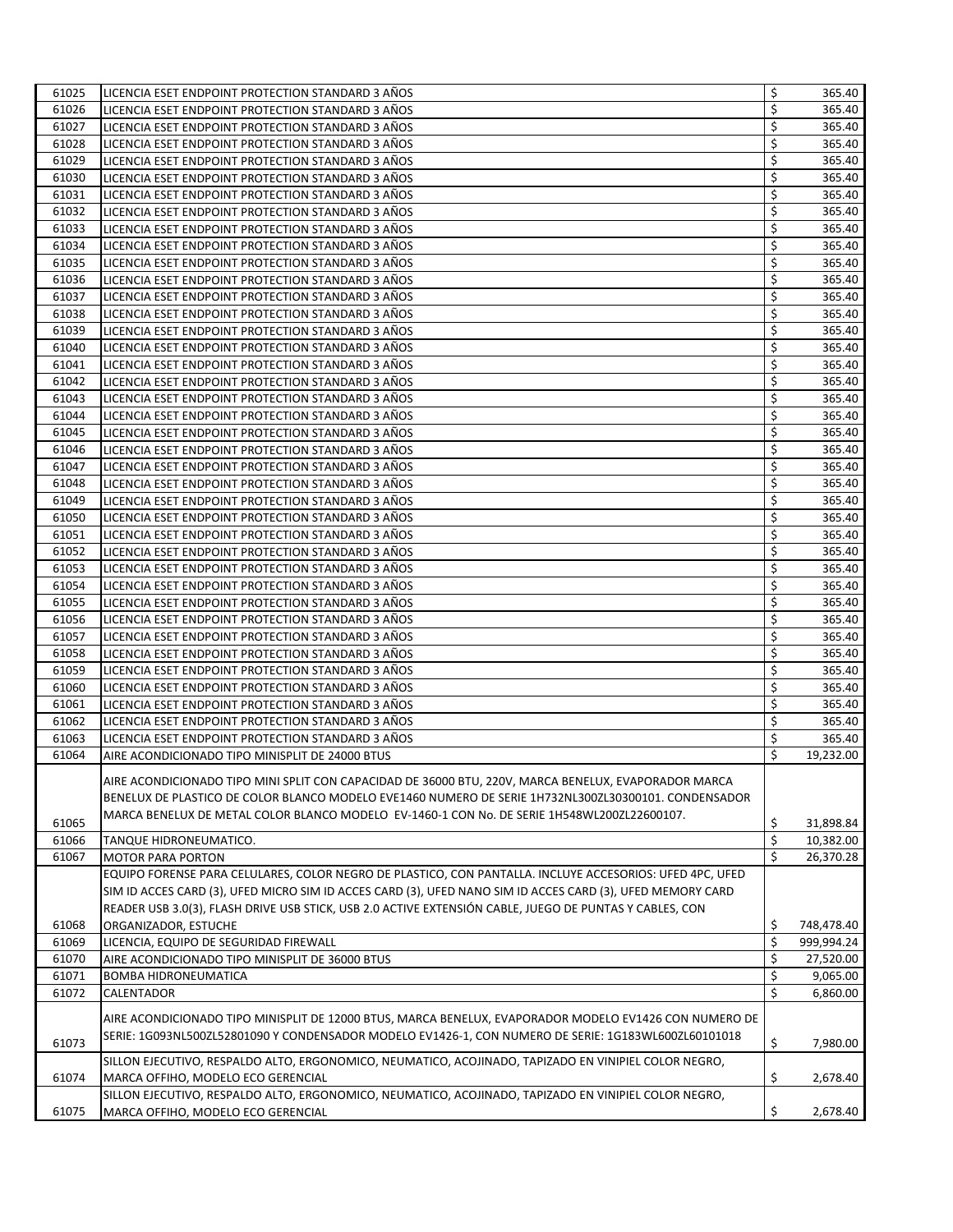| 61025 | LICENCIA ESET ENDPOINT PROTECTION STANDARD 3 ANOS                                                          | \$<br>365.40     |
|-------|------------------------------------------------------------------------------------------------------------|------------------|
| 61026 | LICENCIA ESET ENDPOINT PROTECTION STANDARD 3 AÑOS                                                          | \$<br>365.40     |
| 61027 | LICENCIA ESET ENDPOINT PROTECTION STANDARD 3 AÑOS                                                          | \$<br>365.40     |
| 61028 | LICENCIA ESET ENDPOINT PROTECTION STANDARD 3 AÑOS                                                          | \$<br>365.40     |
| 61029 | LICENCIA ESET ENDPOINT PROTECTION STANDARD 3 AÑOS                                                          | \$<br>365.40     |
| 61030 | LICENCIA ESET ENDPOINT PROTECTION STANDARD 3 AÑOS                                                          | \$<br>365.40     |
| 61031 | LICENCIA ESET ENDPOINT PROTECTION STANDARD 3 ANOS                                                          | \$<br>365.40     |
| 61032 | LICENCIA ESET ENDPOINT PROTECTION STANDARD 3 AÑOS                                                          | \$<br>365.40     |
| 61033 | LICENCIA ESET ENDPOINT PROTECTION STANDARD 3 AÑOS                                                          | \$<br>365.40     |
|       |                                                                                                            |                  |
| 61034 | LICENCIA ESET ENDPOINT PROTECTION STANDARD 3 ANOS                                                          | \$<br>365.40     |
| 61035 | LICENCIA ESET ENDPOINT PROTECTION STANDARD 3 ANOS                                                          | \$<br>365.40     |
| 61036 | LICENCIA ESET ENDPOINT PROTECTION STANDARD 3 ANOS                                                          | \$<br>365.40     |
| 61037 | LICENCIA ESET ENDPOINT PROTECTION STANDARD 3 AÑOS                                                          | \$<br>365.40     |
| 61038 | LICENCIA ESET ENDPOINT PROTECTION STANDARD 3 AÑOS                                                          | \$<br>365.40     |
| 61039 | LICENCIA ESET ENDPOINT PROTECTION STANDARD 3 AÑOS                                                          | \$<br>365.40     |
| 61040 | LICENCIA ESET ENDPOINT PROTECTION STANDARD 3 AÑOS                                                          | \$<br>365.40     |
| 61041 | LICENCIA ESET ENDPOINT PROTECTION STANDARD 3 ANOS                                                          | \$<br>365.40     |
| 61042 | LICENCIA ESET ENDPOINT PROTECTION STANDARD 3 AÑOS                                                          | \$<br>365.40     |
| 61043 | LICENCIA ESET ENDPOINT PROTECTION STANDARD 3 ANOS                                                          | \$<br>365.40     |
| 61044 | LICENCIA ESET ENDPOINT PROTECTION STANDARD 3 AÑOS                                                          | \$<br>365.40     |
| 61045 | LICENCIA ESET ENDPOINT PROTECTION STANDARD 3 AÑOS                                                          | \$<br>365.40     |
| 61046 | LICENCIA ESET ENDPOINT PROTECTION STANDARD 3 ANOS                                                          | \$<br>365.40     |
| 61047 | LICENCIA ESET ENDPOINT PROTECTION STANDARD 3 AÑOS                                                          | \$<br>365.40     |
| 61048 | LICENCIA ESET ENDPOINT PROTECTION STANDARD 3 AÑOS                                                          | \$<br>365.40     |
| 61049 | LICENCIA ESET ENDPOINT PROTECTION STANDARD 3 AÑOS                                                          | \$<br>365.40     |
| 61050 | LICENCIA ESET ENDPOINT PROTECTION STANDARD 3 AÑOS                                                          | \$<br>365.40     |
| 61051 | LICENCIA ESET ENDPOINT PROTECTION STANDARD 3 ANOS                                                          | \$<br>365.40     |
| 61052 | LICENCIA ESET ENDPOINT PROTECTION STANDARD 3 ANOS                                                          | \$<br>365.40     |
| 61053 | LICENCIA ESET ENDPOINT PROTECTION STANDARD 3 AÑOS                                                          | \$<br>365.40     |
| 61054 |                                                                                                            | \$<br>365.40     |
|       | LICENCIA ESET ENDPOINT PROTECTION STANDARD 3 AÑOS                                                          | \$               |
| 61055 | LICENCIA ESET ENDPOINT PROTECTION STANDARD 3 AÑOS                                                          | 365.40           |
| 61056 | LICENCIA ESET ENDPOINT PROTECTION STANDARD 3 AÑOS                                                          | \$<br>365.40     |
| 61057 | LICENCIA ESET ENDPOINT PROTECTION STANDARD 3 ANOS                                                          | \$<br>365.40     |
| 61058 | LICENCIA ESET ENDPOINT PROTECTION STANDARD 3 AÑOS                                                          | \$<br>365.40     |
| 61059 | LICENCIA ESET ENDPOINT PROTECTION STANDARD 3 ANOS                                                          | \$<br>365.40     |
| 61060 | LICENCIA ESET ENDPOINT PROTECTION STANDARD 3 AÑOS                                                          | \$<br>365.40     |
| 61061 | LICENCIA ESET ENDPOINT PROTECTION STANDARD 3 AÑOS                                                          | \$<br>365.40     |
| 61062 | LICENCIA ESET ENDPOINT PROTECTION STANDARD 3 AÑOS                                                          | \$<br>365.40     |
| 61063 | LICENCIA ESET ENDPOINT PROTECTION STANDARD 3 AÑOS                                                          | \$<br>365.40     |
| 61064 | AIRE ACONDICIONADO TIPO MINISPLIT DE 24000 BTUS                                                            | \$<br>19,232.00  |
|       | AIRE ACONDICIONADO TIPO MINI SPLIT CON CAPACIDAD DE 36000 BTU, 220V, MARCA BENELUX, EVAPORADOR MARCA       |                  |
|       | BENELUX DE PLASTICO DE COLOR BLANCO MODELO EVE1460 NUMERO DE SERIE 1H732NL300ZL30300101. CONDENSADOR       |                  |
|       |                                                                                                            |                  |
| 61065 | MARCA BENELUX DE METAL COLOR BLANCO MODELO EV-1460-1 CON No. DE SERIE 1H548WL200ZL22600107.                | \$<br>31,898.84  |
| 61066 | TANQUE HIDRONEUMATICO.                                                                                     | \$<br>10,382.00  |
| 61067 | <b>MOTOR PARA PORTON</b>                                                                                   | \$<br>26,370.28  |
|       | EQUIPO FORENSE PARA CELULARES, COLOR NEGRO DE PLASTICO, CON PANTALLA. INCLUYE ACCESORIOS: UFED 4PC, UFED   |                  |
|       | SIM ID ACCES CARD (3), UFED MICRO SIM ID ACCES CARD (3), UFED NANO SIM ID ACCES CARD (3), UFED MEMORY CARD |                  |
|       | READER USB 3.0(3), FLASH DRIVE USB STICK, USB 2.0 ACTIVE EXTENSIÓN CABLE, JUEGO DE PUNTAS Y CABLES, CON    |                  |
| 61068 | ORGANIZADOR, ESTUCHE                                                                                       | \$<br>748,478.40 |
| 61069 | LICENCIA, EQUIPO DE SEGURIDAD FIREWALL                                                                     | \$<br>999.994.24 |
| 61070 | AIRE ACONDICIONADO TIPO MINISPLIT DE 36000 BTUS                                                            | \$<br>27,520.00  |
| 61071 |                                                                                                            | \$<br>9,065.00   |
| 61072 | <b>BOMBA HIDRONEUMATICA</b>                                                                                | \$<br>6,860.00   |
|       | CALENTADOR                                                                                                 |                  |
|       | AIRE ACONDICIONADO TIPO MINISPLIT DE 12000 BTUS, MARCA BENELUX, EVAPORADOR MODELO EV1426 CON NUMERO DE     |                  |
|       | SERIE: 1G093NL500ZL52801090 Y CONDENSADOR MODELO EV1426-1, CON NUMERO DE SERIE: 1G183WL600ZL60101018       |                  |
| 61073 |                                                                                                            | \$<br>7,980.00   |
|       | SILLON EJECUTIVO, RESPALDO ALTO, ERGONOMICO, NEUMATICO, ACOJINADO, TAPIZADO EN VINIPIEL COLOR NEGRO,       |                  |
| 61074 | MARCA OFFIHO, MODELO ECO GERENCIAL                                                                         | \$<br>2,678.40   |
|       | SILLON EJECUTIVO, RESPALDO ALTO, ERGONOMICO, NEUMATICO, ACOJINADO, TAPIZADO EN VINIPIEL COLOR NEGRO,       |                  |
| 61075 | MARCA OFFIHO, MODELO ECO GERENCIAL                                                                         | \$<br>2,678.40   |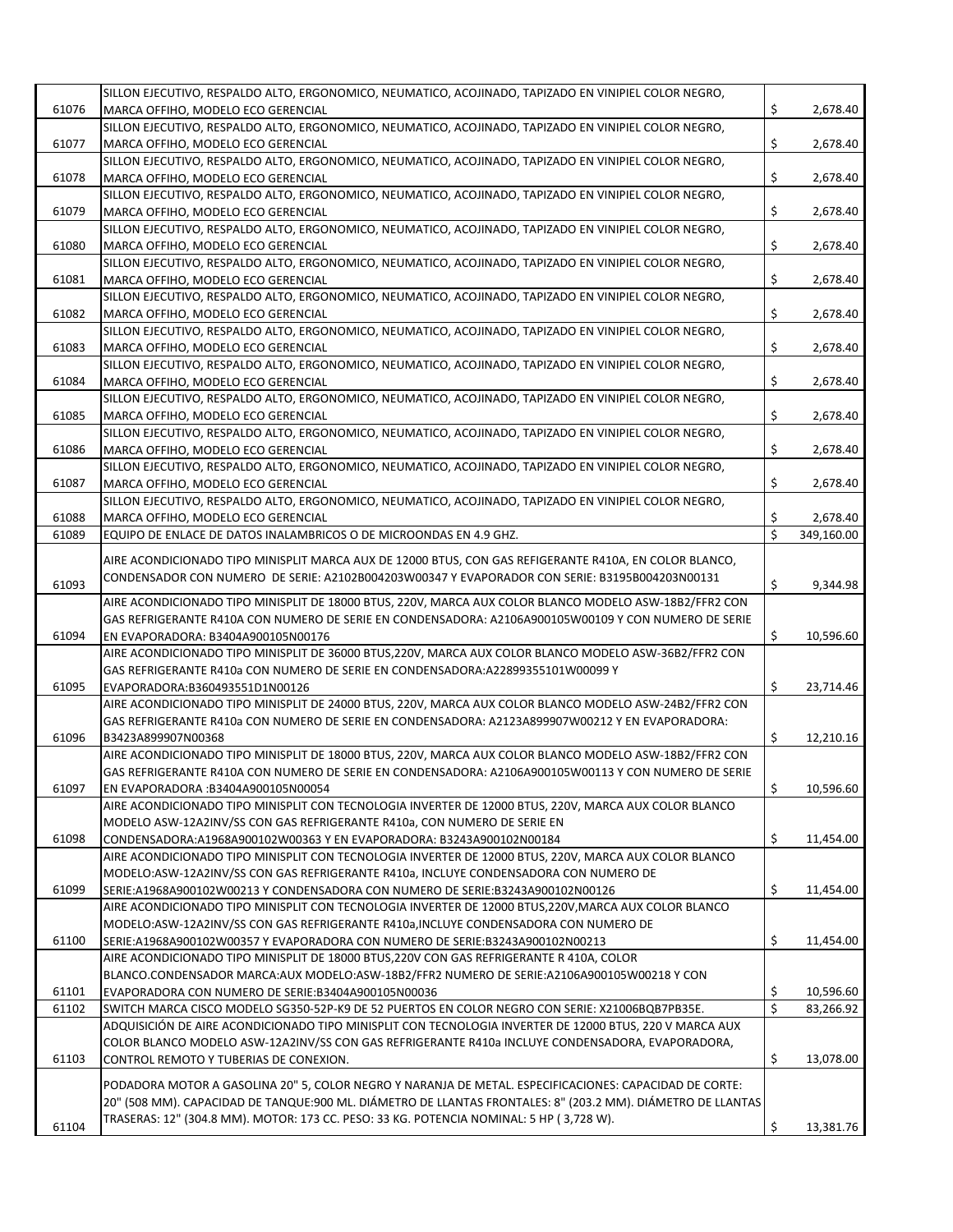|       | SILLON EJECUTIVO, RESPALDO ALTO, ERGONOMICO, NEUMATICO, ACOJINADO, TAPIZADO EN VINIPIEL COLOR NEGRO,                                                                                                   |    |            |
|-------|--------------------------------------------------------------------------------------------------------------------------------------------------------------------------------------------------------|----|------------|
| 61076 | MARCA OFFIHO. MODELO ECO GERENCIAL                                                                                                                                                                     | \$ | 2,678.40   |
|       | SILLON EJECUTIVO, RESPALDO ALTO, ERGONOMICO, NEUMATICO, ACOJINADO, TAPIZADO EN VINIPIEL COLOR NEGRO,                                                                                                   |    |            |
| 61077 | MARCA OFFIHO, MODELO ECO GERENCIAL                                                                                                                                                                     | \$ | 2,678.40   |
|       |                                                                                                                                                                                                        |    |            |
|       | SILLON EJECUTIVO, RESPALDO ALTO, ERGONOMICO, NEUMATICO, ACOJINADO, TAPIZADO EN VINIPIEL COLOR NEGRO,                                                                                                   |    |            |
| 61078 | MARCA OFFIHO. MODELO ECO GERENCIAL                                                                                                                                                                     | \$ | 2,678.40   |
|       | SILLON EJECUTIVO, RESPALDO ALTO, ERGONOMICO, NEUMATICO, ACOJINADO, TAPIZADO EN VINIPIEL COLOR NEGRO,                                                                                                   |    |            |
| 61079 | MARCA OFFIHO, MODELO ECO GERENCIAL                                                                                                                                                                     | \$ | 2,678.40   |
|       | SILLON EJECUTIVO, RESPALDO ALTO, ERGONOMICO, NEUMATICO, ACOJINADO, TAPIZADO EN VINIPIEL COLOR NEGRO,                                                                                                   |    |            |
| 61080 | MARCA OFFIHO, MODELO ECO GERENCIAL                                                                                                                                                                     | \$ | 2,678.40   |
|       | SILLON EJECUTIVO, RESPALDO ALTO, ERGONOMICO, NEUMATICO, ACOJINADO, TAPIZADO EN VINIPIEL COLOR NEGRO,                                                                                                   |    |            |
| 61081 | MARCA OFFIHO, MODELO ECO GERENCIAL                                                                                                                                                                     | \$ | 2,678.40   |
|       | SILLON EJECUTIVO, RESPALDO ALTO, ERGONOMICO, NEUMATICO, ACOJINADO, TAPIZADO EN VINIPIEL COLOR NEGRO,                                                                                                   |    |            |
| 61082 | MARCA OFFIHO, MODELO ECO GERENCIAL                                                                                                                                                                     | \$ | 2,678.40   |
|       | SILLON EJECUTIVO, RESPALDO ALTO, ERGONOMICO, NEUMATICO, ACOJINADO, TAPIZADO EN VINIPIEL COLOR NEGRO,                                                                                                   |    |            |
| 61083 | MARCA OFFIHO, MODELO ECO GERENCIAL                                                                                                                                                                     | \$ | 2,678.40   |
|       | SILLON EJECUTIVO, RESPALDO ALTO, ERGONOMICO, NEUMATICO, ACOJINADO, TAPIZADO EN VINIPIEL COLOR NEGRO,                                                                                                   |    |            |
|       |                                                                                                                                                                                                        | \$ |            |
| 61084 | MARCA OFFIHO, MODELO ECO GERENCIAL                                                                                                                                                                     |    | 2,678.40   |
|       | SILLON EJECUTIVO, RESPALDO ALTO, ERGONOMICO, NEUMATICO, ACOJINADO, TAPIZADO EN VINIPIEL COLOR NEGRO,                                                                                                   |    |            |
| 61085 | MARCA OFFIHO, MODELO ECO GERENCIAL                                                                                                                                                                     | \$ | 2,678.40   |
|       | SILLON EJECUTIVO, RESPALDO ALTO, ERGONOMICO, NEUMATICO, ACOJINADO, TAPIZADO EN VINIPIEL COLOR NEGRO,                                                                                                   |    |            |
| 61086 | MARCA OFFIHO, MODELO ECO GERENCIAL                                                                                                                                                                     | \$ | 2,678.40   |
|       | SILLON EJECUTIVO, RESPALDO ALTO, ERGONOMICO, NEUMATICO, ACOJINADO, TAPIZADO EN VINIPIEL COLOR NEGRO,                                                                                                   |    |            |
| 61087 | MARCA OFFIHO, MODELO ECO GERENCIAL                                                                                                                                                                     | \$ | 2,678.40   |
|       | SILLON EJECUTIVO, RESPALDO ALTO, ERGONOMICO, NEUMATICO, ACOJINADO, TAPIZADO EN VINIPIEL COLOR NEGRO,                                                                                                   |    |            |
| 61088 | MARCA OFFIHO, MODELO ECO GERENCIAL                                                                                                                                                                     | \$ | 2,678.40   |
| 61089 | EQUIPO DE ENLACE DE DATOS INALAMBRICOS O DE MICROONDAS EN 4.9 GHZ.                                                                                                                                     | Ś  | 349,160.00 |
|       |                                                                                                                                                                                                        |    |            |
|       | AIRE ACONDICIONADO TIPO MINISPLIT MARCA AUX DE 12000 BTUS, CON GAS REFIGERANTE R410A, EN COLOR BLANCO,                                                                                                 |    |            |
|       | CONDENSADOR CON NUMERO DE SERIE: A2102B004203W00347 Y EVAPORADOR CON SERIE: B3195B004203N00131                                                                                                         |    |            |
| 61093 |                                                                                                                                                                                                        | \$ | 9,344.98   |
|       | AIRE ACONDICIONADO TIPO MINISPLIT DE 18000 BTUS, 220V, MARCA AUX COLOR BLANCO MODELO ASW-18B2/FFR2 CON                                                                                                 |    |            |
|       | GAS REFRIGERANTE R410A CON NUMERO DE SERIE EN CONDENSADORA: A2106A900105W00109 Y CON NUMERO DE SERIE                                                                                                   |    |            |
| 61094 | EN EVAPORADORA: B3404A900105N00176                                                                                                                                                                     |    |            |
|       |                                                                                                                                                                                                        | \$ | 10,596.60  |
|       | AIRE ACONDICIONADO TIPO MINISPLIT DE 36000 BTUS,220V, MARCA AUX COLOR BLANCO MODELO ASW-36B2/FFR2 CON                                                                                                  |    |            |
|       | GAS REFRIGERANTE R410a CON NUMERO DE SERIE EN CONDENSADORA:A22899355101W00099 Y                                                                                                                        |    |            |
| 61095 | EVAPORADORA:B360493551D1N00126                                                                                                                                                                         | \$ | 23,714.46  |
|       | AIRE ACONDICIONADO TIPO MINISPLIT DE 24000 BTUS, 220V, MARCA AUX COLOR BLANCO MODELO ASW-24B2/FFR2 CON                                                                                                 |    |            |
|       | GAS REFRIGERANTE R410a CON NUMERO DE SERIE EN CONDENSADORA: A2123A899907W00212 Y EN EVAPORADORA:                                                                                                       |    |            |
|       | B3423A899907N00368                                                                                                                                                                                     | \$ |            |
| 61096 |                                                                                                                                                                                                        |    | 12,210.16  |
|       | AIRE ACONDICIONADO TIPO MINISPLIT DE 18000 BTUS, 220V, MARCA AUX COLOR BLANCO MODELO ASW-18B2/FFR2 CON                                                                                                 |    |            |
|       | GAS REFRIGERANTE R410A CON NUMERO DE SERIE EN CONDENSADORA: A2106A900105W00113 Y CON NUMERO DE SERIE                                                                                                   |    |            |
| 61097 | EN EVAPORADORA : B3404A900105N00054                                                                                                                                                                    | \$ | 10,596.60  |
|       | AIRE ACONDICIONADO TIPO MINISPLIT CON TECNOLOGIA INVERTER DE 12000 BTUS, 220V, MARCA AUX COLOR BLANCO                                                                                                  |    |            |
|       | MODELO ASW-12A2INV/SS CON GAS REFRIGERANTE R410a, CON NUMERO DE SERIE EN                                                                                                                               |    |            |
| 61098 | CONDENSADORA:A1968A900102W00363 Y EN EVAPORADORA: B3243A900102N00184                                                                                                                                   | \$ | 11,454.00  |
|       | AIRE ACONDICIONADO TIPO MINISPLIT CON TECNOLOGIA INVERTER DE 12000 BTUS, 220V, MARCA AUX COLOR BLANCO                                                                                                  |    |            |
|       | MODELO:ASW-12A2INV/SS CON GAS REFRIGERANTE R410a, INCLUYE CONDENSADORA CON NUMERO DE                                                                                                                   |    |            |
| 61099 | SERIE:A1968A900102W00213 Y CONDENSADORA CON NUMERO DE SERIE:B3243A900102N00126                                                                                                                         | \$ | 11,454.00  |
|       | AIRE ACONDICIONADO TIPO MINISPLIT CON TECNOLOGIA INVERTER DE 12000 BTUS,220V, MARCA AUX COLOR BLANCO                                                                                                   |    |            |
|       | MODELO:ASW-12A2INV/SS CON GAS REFRIGERANTE R410a, INCLUYE CONDENSADORA CON NUMERO DE                                                                                                                   |    |            |
| 61100 | SERIE:A1968A900102W00357 Y EVAPORADORA CON NUMERO DE SERIE:B3243A900102N00213                                                                                                                          | \$ | 11,454.00  |
|       | AIRE ACONDICIONADO TIPO MINISPLIT DE 18000 BTUS, 220V CON GAS REFRIGERANTE R 410A, COLOR                                                                                                               |    |            |
|       | BLANCO.CONDENSADOR MARCA:AUX MODELO:ASW-18B2/FFR2 NUMERO DE SERIE:A2106A900105W00218 Y CON                                                                                                             |    |            |
| 61101 | EVAPORADORA CON NUMERO DE SERIE:B3404A900105N00036                                                                                                                                                     | \$ | 10,596.60  |
| 61102 |                                                                                                                                                                                                        |    |            |
|       | SWITCH MARCA CISCO MODELO SG350-52P-K9 DE 52 PUERTOS EN COLOR NEGRO CON SERIE: X21006BQB7PB35E.                                                                                                        | \$ | 83,266.92  |
|       | ADQUISICIÓN DE AIRE ACONDICIONADO TIPO MINISPLIT CON TECNOLOGIA INVERTER DE 12000 BTUS, 220 V MARCA AUX                                                                                                |    |            |
|       | COLOR BLANCO MODELO ASW-12A2INV/SS CON GAS REFRIGERANTE R410a INCLUYE CONDENSADORA, EVAPORADORA,                                                                                                       |    |            |
| 61103 | CONTROL REMOTO Y TUBERIAS DE CONEXION.                                                                                                                                                                 | \$ | 13,078.00  |
|       | PODADORA MOTOR A GASOLINA 20" 5, COLOR NEGRO Y NARANJA DE METAL. ESPECIFICACIONES: CAPACIDAD DE CORTE:                                                                                                 |    |            |
|       |                                                                                                                                                                                                        |    |            |
| 61104 | 20" (508 MM). CAPACIDAD DE TANQUE:900 ML. DIÁMETRO DE LLANTAS FRONTALES: 8" (203.2 MM). DIÁMETRO DE LLANTAS<br>TRASERAS: 12" (304.8 MM). MOTOR: 173 CC. PESO: 33 KG. POTENCIA NOMINAL: 5 HP (3,728 W). | \$ |            |